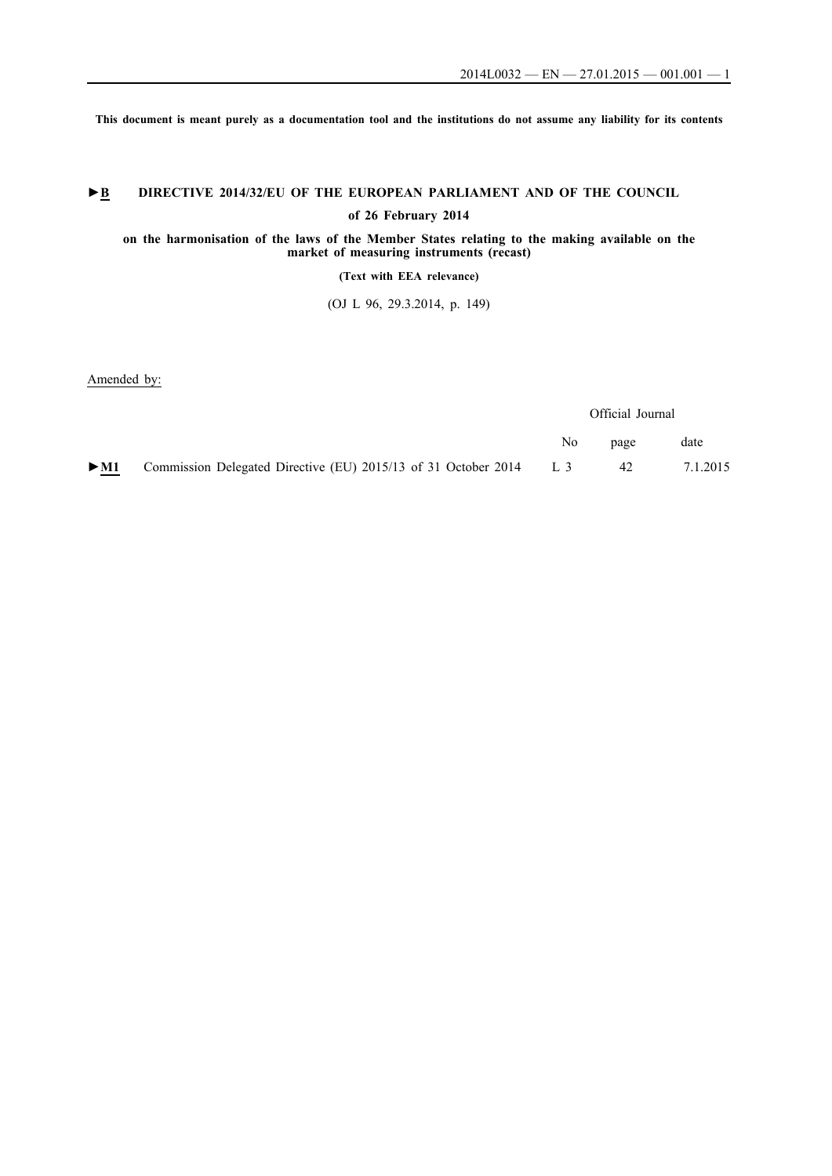**This document is meant purely as a documentation tool and the institutions do not assume any liability for its contents**

# ►**B** DIRECTIVE 2014/32/EU OF THE EUROPEAN PARLIAMENT AND OF THE COUNCIL

**of 26 February 2014**

**on the harmonisation of the laws of the Member States relating to the making available on the market of measuring instruments (recast)**

**(Text with EEA relevance)**

(OJ L 96, 29.3.2014, p. 149)

Amended by:

|        |                                                                    | Official Journal |      |          |
|--------|--------------------------------------------------------------------|------------------|------|----------|
|        |                                                                    | No.              | page | date     |
| $>$ M1 | Commission Delegated Directive (EU) 2015/13 of 31 October 2014 L 3 |                  | 42   | 7.1.2015 |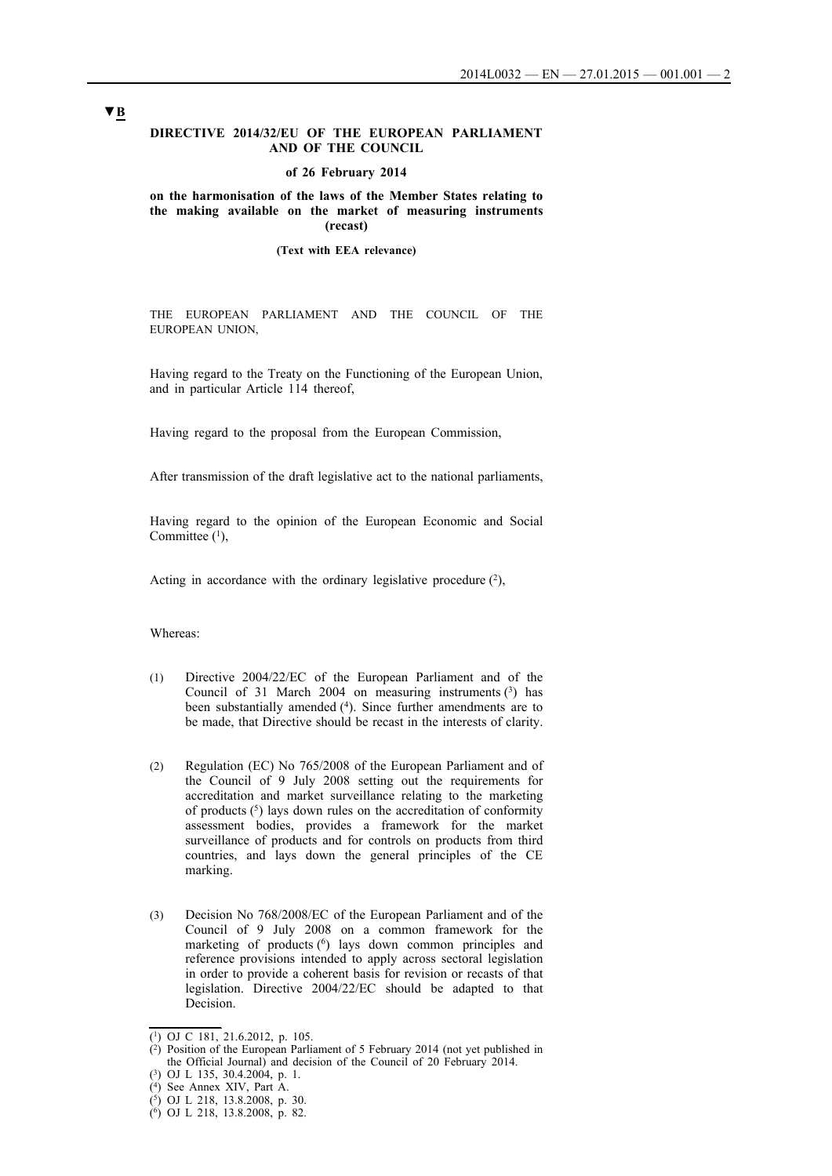#### **DIRECTIVE 2014/32/EU OF THE EUROPEAN PARLIAMENT AND OF THE COUNCIL**

#### **of 26 February 2014**

#### **on the harmonisation of the laws of the Member States relating to the making available on the market of measuring instruments (recast)**

#### **(Text with EEA relevance)**

THE EUROPEAN PARLIAMENT AND THE COUNCIL OF THE EUROPEAN UNION,

Having regard to the Treaty on the Functioning of the European Union, and in particular Article 114 thereof,

Having regard to the proposal from the European Commission,

After transmission of the draft legislative act to the national parliaments,

Having regard to the opinion of the European Economic and Social Committee  $(1)$ ,

Acting in accordance with the ordinary legislative procedure  $(2)$ ,

Whereas:

- (1) Directive 2004/22/EC of the European Parliament and of the Council of 31 March 2004 on measuring instruments  $(3)$  has been substantially amended (4). Since further amendments are to be made, that Directive should be recast in the interests of clarity.
- (2) Regulation (EC) No 765/2008 of the European Parliament and of the Council of 9 July 2008 setting out the requirements for accreditation and market surveillance relating to the marketing of products  $(5)$  lays down rules on the accreditation of conformity assessment bodies, provides a framework for the market surveillance of products and for controls on products from third countries, and lays down the general principles of the CE marking.
- (3) Decision No 768/2008/EC of the European Parliament and of the Council of 9 July 2008 on a common framework for the marketing of products  $(6)$  lays down common principles and reference provisions intended to apply across sectoral legislation in order to provide a coherent basis for revision or recasts of that legislation. Directive 2004/22/EC should be adapted to that Decision.

<sup>(1)</sup> OJ C 181, 21.6.2012, p. 105.

 $(2)$  Position of the European Parliament of 5 February 2014 (not yet published in the Official Journal) and decision of the Council of 20 February 2014.

<sup>(3)</sup> OJ L 135, 30.4.2004, p. 1.

<sup>(4)</sup> See Annex XIV, Part A.

<sup>(5)</sup> OJ L 218, 13.8.2008, p. 30.

<sup>(6)</sup> OJ L 218, 13.8.2008, p. 82.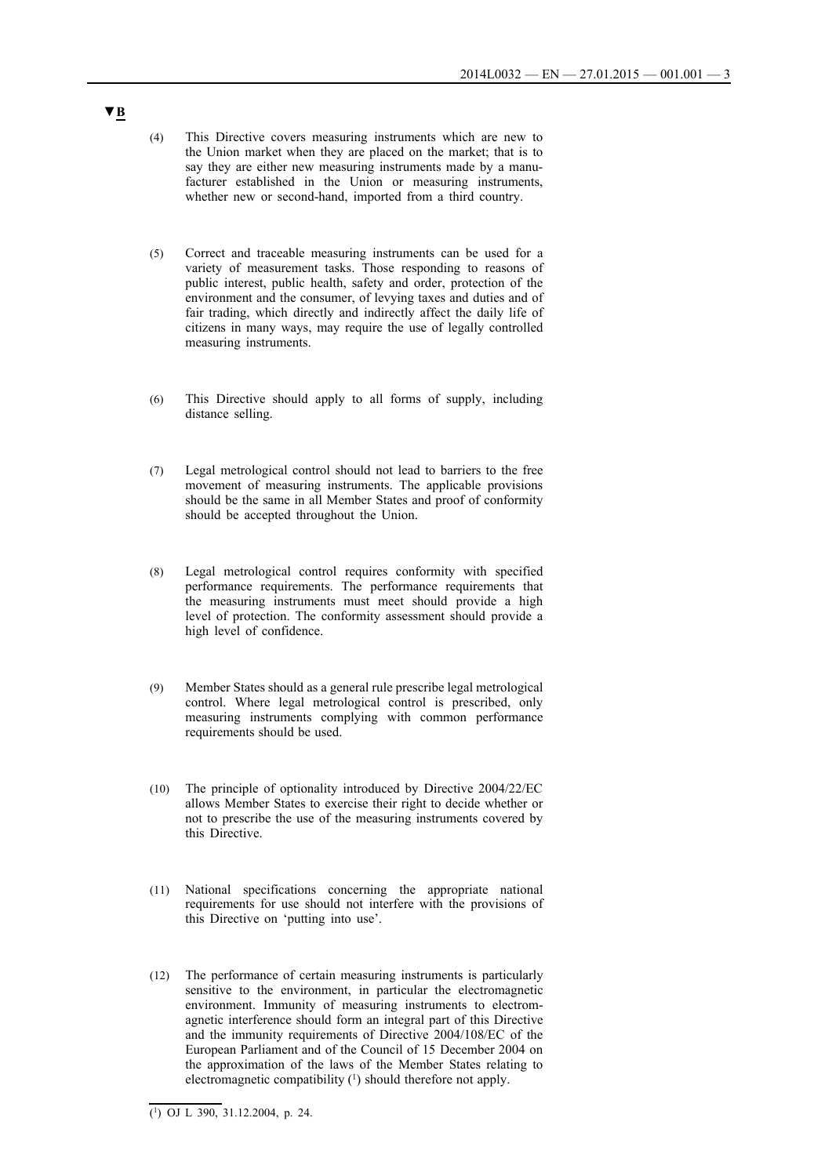- (4) This Directive covers measuring instruments which are new to the Union market when they are placed on the market; that is to say they are either new measuring instruments made by a manufacturer established in the Union or measuring instruments, whether new or second-hand, imported from a third country.
- (5) Correct and traceable measuring instruments can be used for a variety of measurement tasks. Those responding to reasons of public interest, public health, safety and order, protection of the environment and the consumer, of levying taxes and duties and of fair trading, which directly and indirectly affect the daily life of citizens in many ways, may require the use of legally controlled measuring instruments.
- (6) This Directive should apply to all forms of supply, including distance selling.
- (7) Legal metrological control should not lead to barriers to the free movement of measuring instruments. The applicable provisions should be the same in all Member States and proof of conformity should be accepted throughout the Union.
- (8) Legal metrological control requires conformity with specified performance requirements. The performance requirements that the measuring instruments must meet should provide a high level of protection. The conformity assessment should provide a high level of confidence.
- (9) Member States should as a general rule prescribe legal metrological control. Where legal metrological control is prescribed, only measuring instruments complying with common performance requirements should be used.
- (10) The principle of optionality introduced by Directive 2004/22/EC allows Member States to exercise their right to decide whether or not to prescribe the use of the measuring instruments covered by this Directive.
- (11) National specifications concerning the appropriate national requirements for use should not interfere with the provisions of this Directive on 'putting into use'.
- (12) The performance of certain measuring instruments is particularly sensitive to the environment, in particular the electromagnetic environment. Immunity of measuring instruments to electromagnetic interference should form an integral part of this Directive and the immunity requirements of Directive 2004/108/EC of the European Parliament and of the Council of 15 December 2004 on the approximation of the laws of the Member States relating to electromagnetic compatibility  $(1)$  should therefore not apply.

<sup>(1)</sup> OJ L 390, 31.12.2004, p. 24.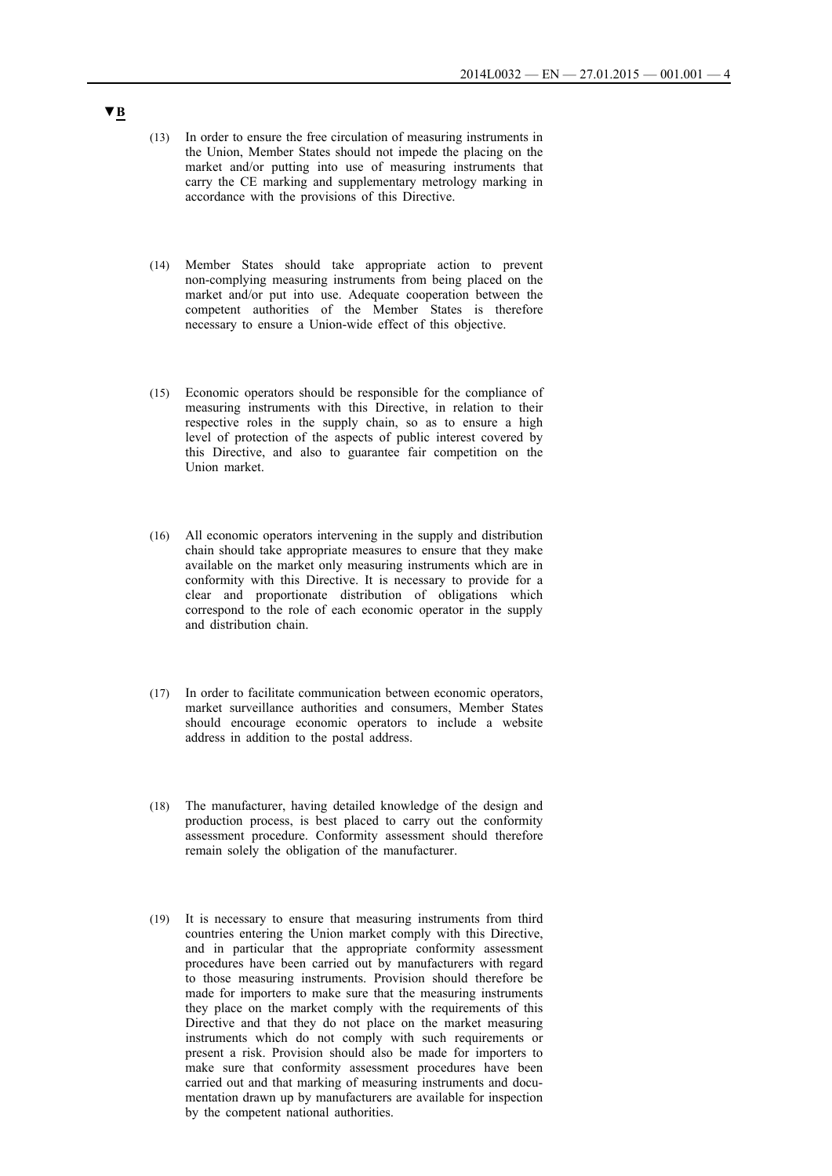- (13) In order to ensure the free circulation of measuring instruments in the Union, Member States should not impede the placing on the market and/or putting into use of measuring instruments that carry the CE marking and supplementary metrology marking in accordance with the provisions of this Directive.
- (14) Member States should take appropriate action to prevent non-complying measuring instruments from being placed on the market and/or put into use. Adequate cooperation between the competent authorities of the Member States is therefore necessary to ensure a Union-wide effect of this objective.
- (15) Economic operators should be responsible for the compliance of measuring instruments with this Directive, in relation to their respective roles in the supply chain, so as to ensure a high level of protection of the aspects of public interest covered by this Directive, and also to guarantee fair competition on the Union market.
- (16) All economic operators intervening in the supply and distribution chain should take appropriate measures to ensure that they make available on the market only measuring instruments which are in conformity with this Directive. It is necessary to provide for a clear and proportionate distribution of obligations which correspond to the role of each economic operator in the supply and distribution chain.
- (17) In order to facilitate communication between economic operators, market surveillance authorities and consumers, Member States should encourage economic operators to include a website address in addition to the postal address.
- (18) The manufacturer, having detailed knowledge of the design and production process, is best placed to carry out the conformity assessment procedure. Conformity assessment should therefore remain solely the obligation of the manufacturer.
- (19) It is necessary to ensure that measuring instruments from third countries entering the Union market comply with this Directive, and in particular that the appropriate conformity assessment procedures have been carried out by manufacturers with regard to those measuring instruments. Provision should therefore be made for importers to make sure that the measuring instruments they place on the market comply with the requirements of this Directive and that they do not place on the market measuring instruments which do not comply with such requirements or present a risk. Provision should also be made for importers to make sure that conformity assessment procedures have been carried out and that marking of measuring instruments and documentation drawn up by manufacturers are available for inspection by the competent national authorities.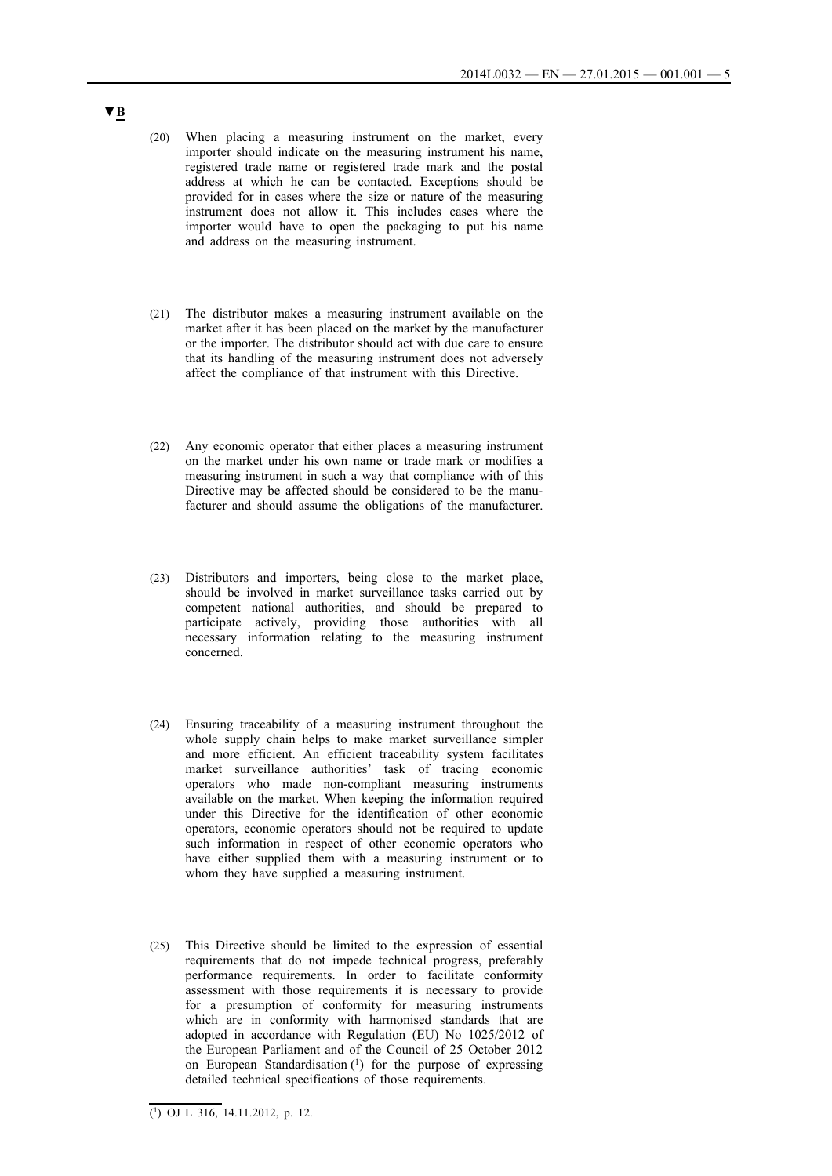- (20) When placing a measuring instrument on the market, every importer should indicate on the measuring instrument his name, registered trade name or registered trade mark and the postal address at which he can be contacted. Exceptions should be provided for in cases where the size or nature of the measuring instrument does not allow it. This includes cases where the importer would have to open the packaging to put his name and address on the measuring instrument.
- (21) The distributor makes a measuring instrument available on the market after it has been placed on the market by the manufacturer or the importer. The distributor should act with due care to ensure that its handling of the measuring instrument does not adversely affect the compliance of that instrument with this Directive.
- (22) Any economic operator that either places a measuring instrument on the market under his own name or trade mark or modifies a measuring instrument in such a way that compliance with of this Directive may be affected should be considered to be the manufacturer and should assume the obligations of the manufacturer.
- (23) Distributors and importers, being close to the market place, should be involved in market surveillance tasks carried out by competent national authorities, and should be prepared to participate actively, providing those authorities with all necessary information relating to the measuring instrument concerned.
- (24) Ensuring traceability of a measuring instrument throughout the whole supply chain helps to make market surveillance simpler and more efficient. An efficient traceability system facilitates market surveillance authorities' task of tracing economic operators who made non-compliant measuring instruments available on the market. When keeping the information required under this Directive for the identification of other economic operators, economic operators should not be required to update such information in respect of other economic operators who have either supplied them with a measuring instrument or to whom they have supplied a measuring instrument.
- (25) This Directive should be limited to the expression of essential requirements that do not impede technical progress, preferably performance requirements. In order to facilitate conformity assessment with those requirements it is necessary to provide for a presumption of conformity for measuring instruments which are in conformity with harmonised standards that are adopted in accordance with Regulation (EU) No 1025/2012 of the European Parliament and of the Council of 25 October 2012 on European Standardisation (1) for the purpose of expressing detailed technical specifications of those requirements.

**<sup>▼</sup>B**

 $\overline{(^1)}$  OJ L 316, 14.11.2012, p. 12.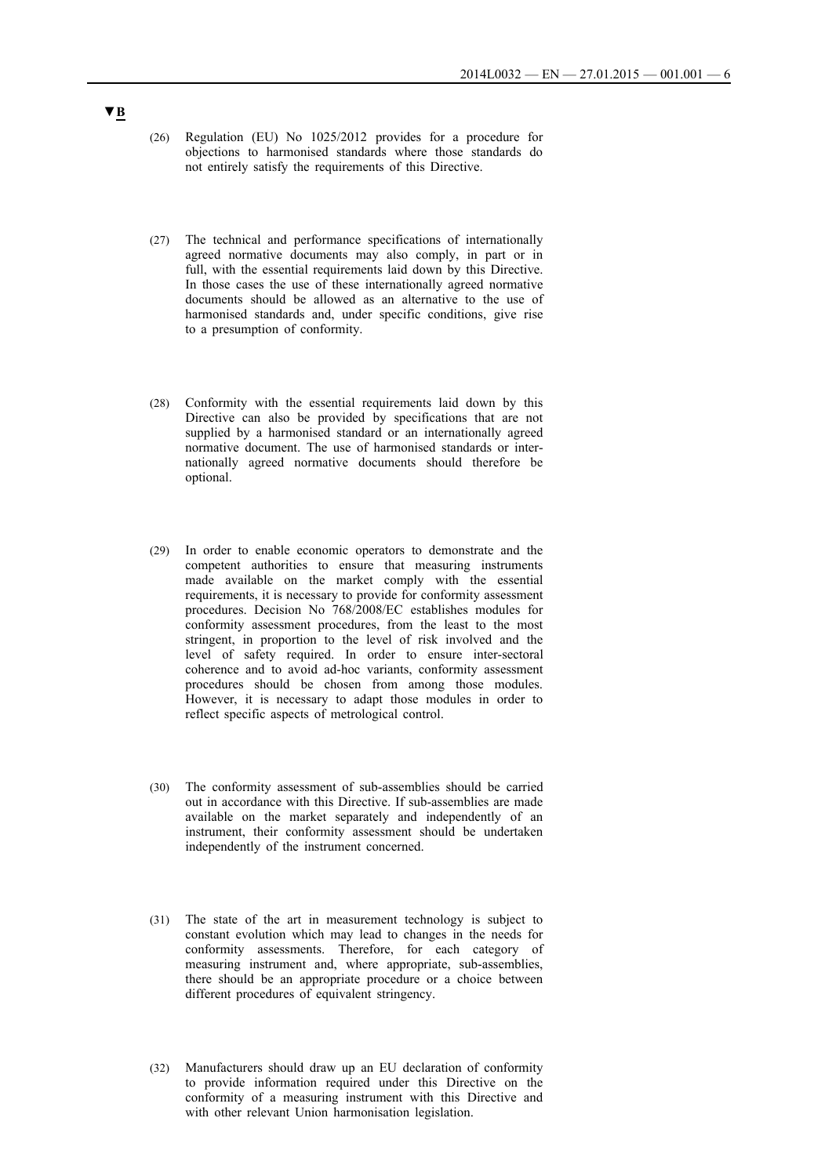- (26) Regulation (EU) No 1025/2012 provides for a procedure for objections to harmonised standards where those standards do not entirely satisfy the requirements of this Directive.
- (27) The technical and performance specifications of internationally agreed normative documents may also comply, in part or in full, with the essential requirements laid down by this Directive. In those cases the use of these internationally agreed normative documents should be allowed as an alternative to the use of harmonised standards and, under specific conditions, give rise to a presumption of conformity.
- (28) Conformity with the essential requirements laid down by this Directive can also be provided by specifications that are not supplied by a harmonised standard or an internationally agreed normative document. The use of harmonised standards or internationally agreed normative documents should therefore be optional.
- (29) In order to enable economic operators to demonstrate and the competent authorities to ensure that measuring instruments made available on the market comply with the essential requirements, it is necessary to provide for conformity assessment procedures. Decision No 768/2008/EC establishes modules for conformity assessment procedures, from the least to the most stringent, in proportion to the level of risk involved and the level of safety required. In order to ensure inter-sectoral coherence and to avoid ad-hoc variants, conformity assessment procedures should be chosen from among those modules. However, it is necessary to adapt those modules in order to reflect specific aspects of metrological control.
- (30) The conformity assessment of sub-assemblies should be carried out in accordance with this Directive. If sub-assemblies are made available on the market separately and independently of an instrument, their conformity assessment should be undertaken independently of the instrument concerned.
- (31) The state of the art in measurement technology is subject to constant evolution which may lead to changes in the needs for conformity assessments. Therefore, for each category of measuring instrument and, where appropriate, sub-assemblies, there should be an appropriate procedure or a choice between different procedures of equivalent stringency.
- (32) Manufacturers should draw up an EU declaration of conformity to provide information required under this Directive on the conformity of a measuring instrument with this Directive and with other relevant Union harmonisation legislation.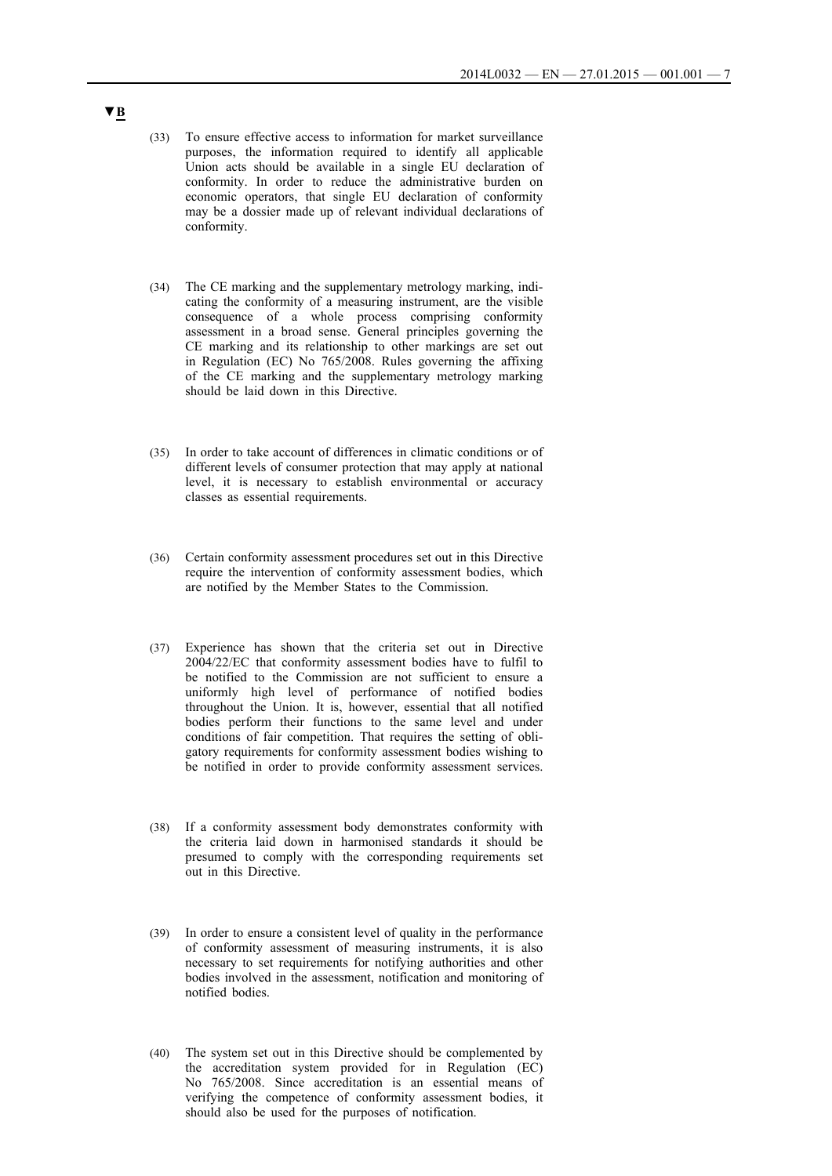- (33) To ensure effective access to information for market surveillance purposes, the information required to identify all applicable Union acts should be available in a single EU declaration of conformity. In order to reduce the administrative burden on economic operators, that single EU declaration of conformity may be a dossier made up of relevant individual declarations of conformity.
- (34) The CE marking and the supplementary metrology marking, indicating the conformity of a measuring instrument, are the visible consequence of a whole process comprising conformity assessment in a broad sense. General principles governing the CE marking and its relationship to other markings are set out in Regulation (EC) No 765/2008. Rules governing the affixing of the CE marking and the supplementary metrology marking should be laid down in this Directive.
- (35) In order to take account of differences in climatic conditions or of different levels of consumer protection that may apply at national level, it is necessary to establish environmental or accuracy classes as essential requirements.
- (36) Certain conformity assessment procedures set out in this Directive require the intervention of conformity assessment bodies, which are notified by the Member States to the Commission.
- (37) Experience has shown that the criteria set out in Directive 2004/22/EC that conformity assessment bodies have to fulfil to be notified to the Commission are not sufficient to ensure a uniformly high level of performance of notified bodies throughout the Union. It is, however, essential that all notified bodies perform their functions to the same level and under conditions of fair competition. That requires the setting of obligatory requirements for conformity assessment bodies wishing to be notified in order to provide conformity assessment services.
- (38) If a conformity assessment body demonstrates conformity with the criteria laid down in harmonised standards it should be presumed to comply with the corresponding requirements set out in this Directive.
- (39) In order to ensure a consistent level of quality in the performance of conformity assessment of measuring instruments, it is also necessary to set requirements for notifying authorities and other bodies involved in the assessment, notification and monitoring of notified bodies.
- (40) The system set out in this Directive should be complemented by the accreditation system provided for in Regulation (EC) No 765/2008. Since accreditation is an essential means of verifying the competence of conformity assessment bodies, it should also be used for the purposes of notification.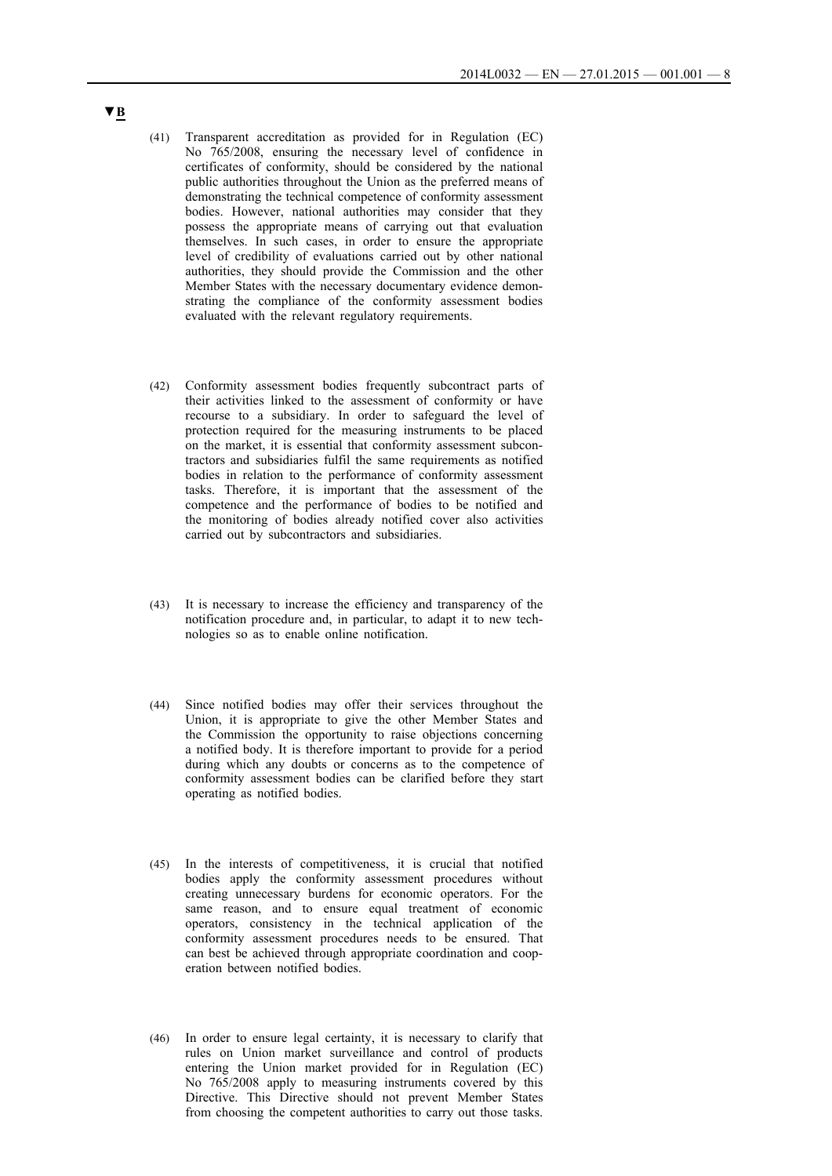- (41) Transparent accreditation as provided for in Regulation (EC) No 765/2008, ensuring the necessary level of confidence in certificates of conformity, should be considered by the national public authorities throughout the Union as the preferred means of demonstrating the technical competence of conformity assessment bodies. However, national authorities may consider that they possess the appropriate means of carrying out that evaluation themselves. In such cases, in order to ensure the appropriate level of credibility of evaluations carried out by other national authorities, they should provide the Commission and the other Member States with the necessary documentary evidence demonstrating the compliance of the conformity assessment bodies evaluated with the relevant regulatory requirements.
- (42) Conformity assessment bodies frequently subcontract parts of their activities linked to the assessment of conformity or have recourse to a subsidiary. In order to safeguard the level of protection required for the measuring instruments to be placed on the market, it is essential that conformity assessment subcontractors and subsidiaries fulfil the same requirements as notified bodies in relation to the performance of conformity assessment tasks. Therefore, it is important that the assessment of the competence and the performance of bodies to be notified and the monitoring of bodies already notified cover also activities carried out by subcontractors and subsidiaries.
- (43) It is necessary to increase the efficiency and transparency of the notification procedure and, in particular, to adapt it to new technologies so as to enable online notification.
- (44) Since notified bodies may offer their services throughout the Union, it is appropriate to give the other Member States and the Commission the opportunity to raise objections concerning a notified body. It is therefore important to provide for a period during which any doubts or concerns as to the competence of conformity assessment bodies can be clarified before they start operating as notified bodies.
- (45) In the interests of competitiveness, it is crucial that notified bodies apply the conformity assessment procedures without creating unnecessary burdens for economic operators. For the same reason, and to ensure equal treatment of economic operators, consistency in the technical application of the conformity assessment procedures needs to be ensured. That can best be achieved through appropriate coordination and cooperation between notified bodies.
- (46) In order to ensure legal certainty, it is necessary to clarify that rules on Union market surveillance and control of products entering the Union market provided for in Regulation (EC) No 765/2008 apply to measuring instruments covered by this Directive. This Directive should not prevent Member States from choosing the competent authorities to carry out those tasks.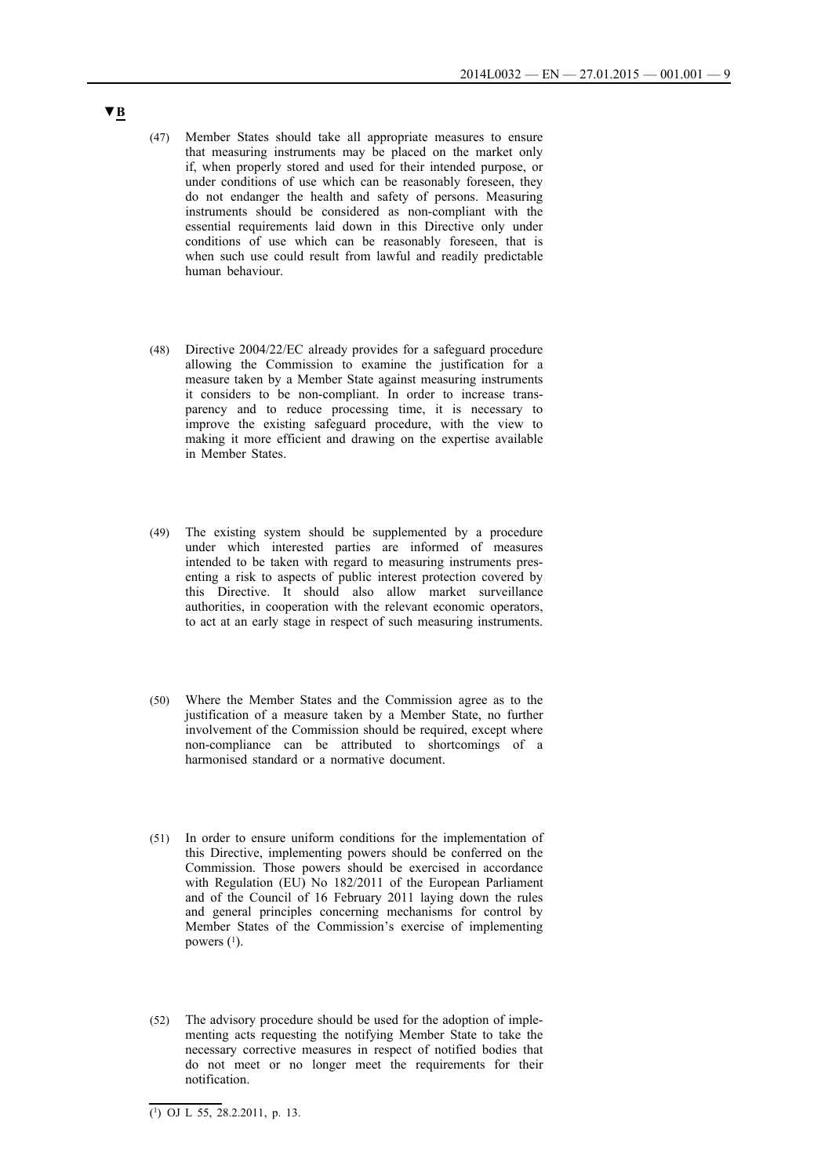- (47) Member States should take all appropriate measures to ensure that measuring instruments may be placed on the market only if, when properly stored and used for their intended purpose, or under conditions of use which can be reasonably foreseen, they do not endanger the health and safety of persons. Measuring instruments should be considered as non-compliant with the essential requirements laid down in this Directive only under conditions of use which can be reasonably foreseen, that is when such use could result from lawful and readily predictable human behaviour.
- (48) Directive 2004/22/EC already provides for a safeguard procedure allowing the Commission to examine the justification for a measure taken by a Member State against measuring instruments it considers to be non-compliant. In order to increase transparency and to reduce processing time, it is necessary to improve the existing safeguard procedure, with the view to making it more efficient and drawing on the expertise available in Member States.
- (49) The existing system should be supplemented by a procedure under which interested parties are informed of measures intended to be taken with regard to measuring instruments presenting a risk to aspects of public interest protection covered by this Directive. It should also allow market surveillance authorities, in cooperation with the relevant economic operators, to act at an early stage in respect of such measuring instruments.
- (50) Where the Member States and the Commission agree as to the justification of a measure taken by a Member State, no further involvement of the Commission should be required, except where non-compliance can be attributed to shortcomings of a harmonised standard or a normative document.
- (51) In order to ensure uniform conditions for the implementation of this Directive, implementing powers should be conferred on the Commission. Those powers should be exercised in accordance with Regulation (EU) No 182/2011 of the European Parliament and of the Council of 16 February 2011 laying down the rules and general principles concerning mechanisms for control by Member States of the Commission's exercise of implementing powers  $(1)$ .
- (52) The advisory procedure should be used for the adoption of implementing acts requesting the notifying Member State to take the necessary corrective measures in respect of notified bodies that do not meet or no longer meet the requirements for their notification.

 $\overline{(\text{1}) \text{ OJ L } 55, 28.2.2011, p. 13.}$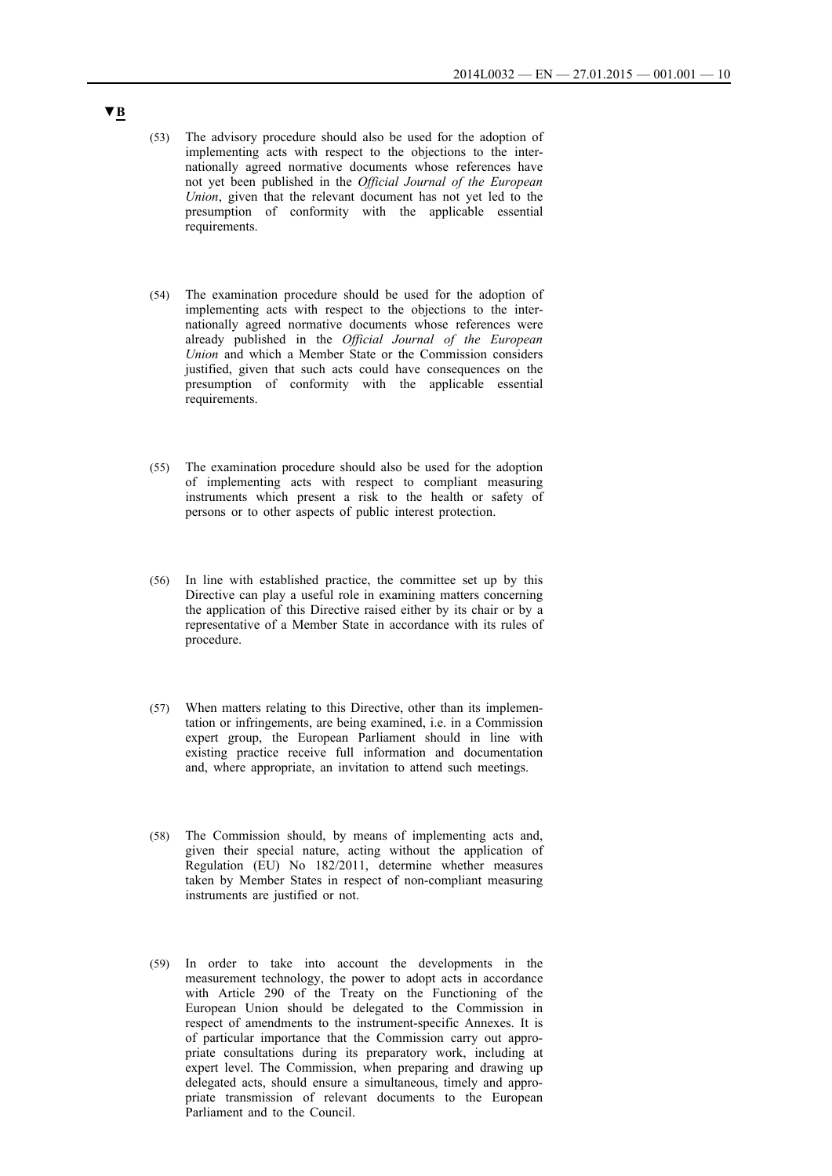- (53) The advisory procedure should also be used for the adoption of implementing acts with respect to the objections to the internationally agreed normative documents whose references have not yet been published in the *Official Journal of the European Union*, given that the relevant document has not yet led to the presumption of conformity with the applicable essential requirements.
- (54) The examination procedure should be used for the adoption of implementing acts with respect to the objections to the internationally agreed normative documents whose references were already published in the *Official Journal of the European Union* and which a Member State or the Commission considers justified, given that such acts could have consequences on the presumption of conformity with the applicable essential requirements.
- (55) The examination procedure should also be used for the adoption of implementing acts with respect to compliant measuring instruments which present a risk to the health or safety of persons or to other aspects of public interest protection.
- (56) In line with established practice, the committee set up by this Directive can play a useful role in examining matters concerning the application of this Directive raised either by its chair or by a representative of a Member State in accordance with its rules of procedure.
- (57) When matters relating to this Directive, other than its implementation or infringements, are being examined, i.e. in a Commission expert group, the European Parliament should in line with existing practice receive full information and documentation and, where appropriate, an invitation to attend such meetings.
- (58) The Commission should, by means of implementing acts and, given their special nature, acting without the application of Regulation (EU) No 182/2011, determine whether measures taken by Member States in respect of non-compliant measuring instruments are justified or not.
- (59) In order to take into account the developments in the measurement technology, the power to adopt acts in accordance with Article 290 of the Treaty on the Functioning of the European Union should be delegated to the Commission in respect of amendments to the instrument-specific Annexes. It is of particular importance that the Commission carry out appropriate consultations during its preparatory work, including at expert level. The Commission, when preparing and drawing up delegated acts, should ensure a simultaneous, timely and appropriate transmission of relevant documents to the European Parliament and to the Council.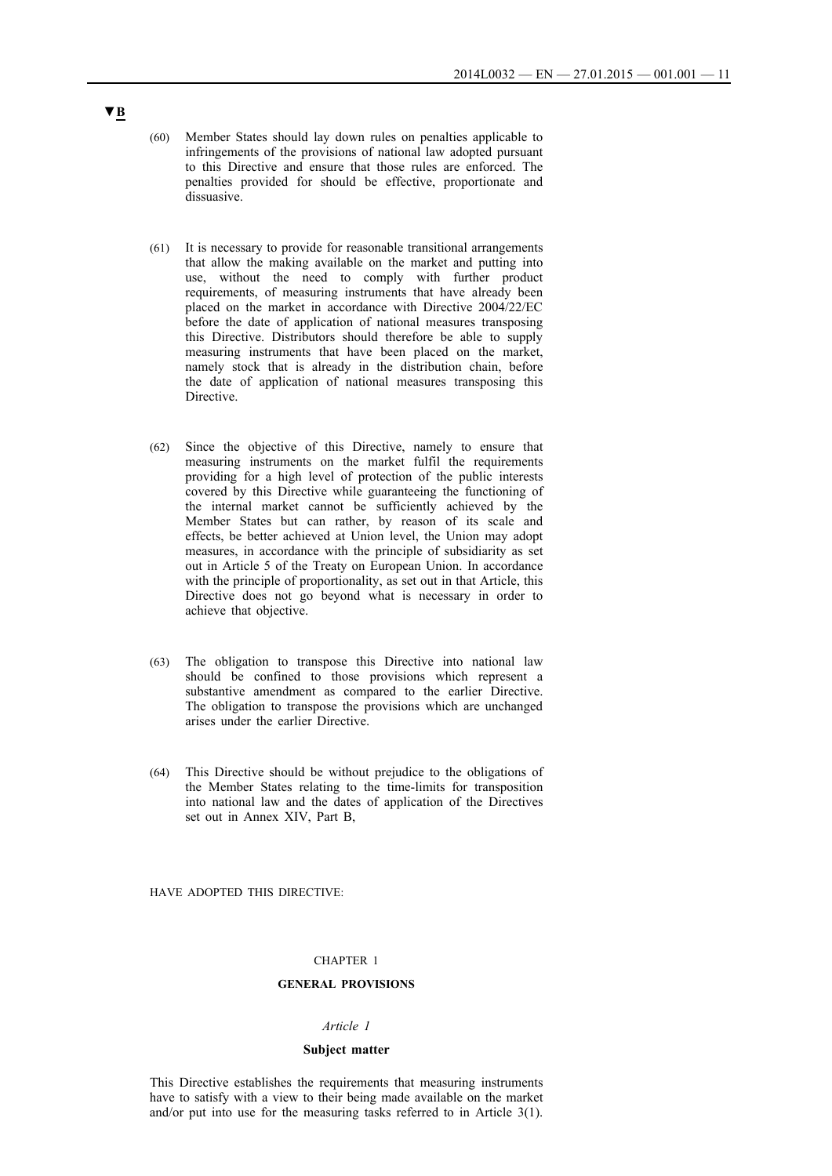- (60) Member States should lay down rules on penalties applicable to infringements of the provisions of national law adopted pursuant to this Directive and ensure that those rules are enforced. The penalties provided for should be effective, proportionate and dissuasive.
- (61) It is necessary to provide for reasonable transitional arrangements that allow the making available on the market and putting into use, without the need to comply with further product requirements, of measuring instruments that have already been placed on the market in accordance with Directive 2004/22/EC before the date of application of national measures transposing this Directive. Distributors should therefore be able to supply measuring instruments that have been placed on the market, namely stock that is already in the distribution chain, before the date of application of national measures transposing this Directive.
- (62) Since the objective of this Directive, namely to ensure that measuring instruments on the market fulfil the requirements providing for a high level of protection of the public interests covered by this Directive while guaranteeing the functioning of the internal market cannot be sufficiently achieved by the Member States but can rather, by reason of its scale and effects, be better achieved at Union level, the Union may adopt measures, in accordance with the principle of subsidiarity as set out in Article 5 of the Treaty on European Union. In accordance with the principle of proportionality, as set out in that Article, this Directive does not go beyond what is necessary in order to achieve that objective.
- (63) The obligation to transpose this Directive into national law should be confined to those provisions which represent a substantive amendment as compared to the earlier Directive. The obligation to transpose the provisions which are unchanged arises under the earlier Directive.
- (64) This Directive should be without prejudice to the obligations of the Member States relating to the time-limits for transposition into national law and the dates of application of the Directives set out in Annex XIV, Part B,

HAVE ADOPTED THIS DIRECTIVE:

### CHAPTER 1

## **GENERAL PROVISIONS**

#### *Article 1*

### **Subject matter**

This Directive establishes the requirements that measuring instruments have to satisfy with a view to their being made available on the market and/or put into use for the measuring tasks referred to in Article 3(1).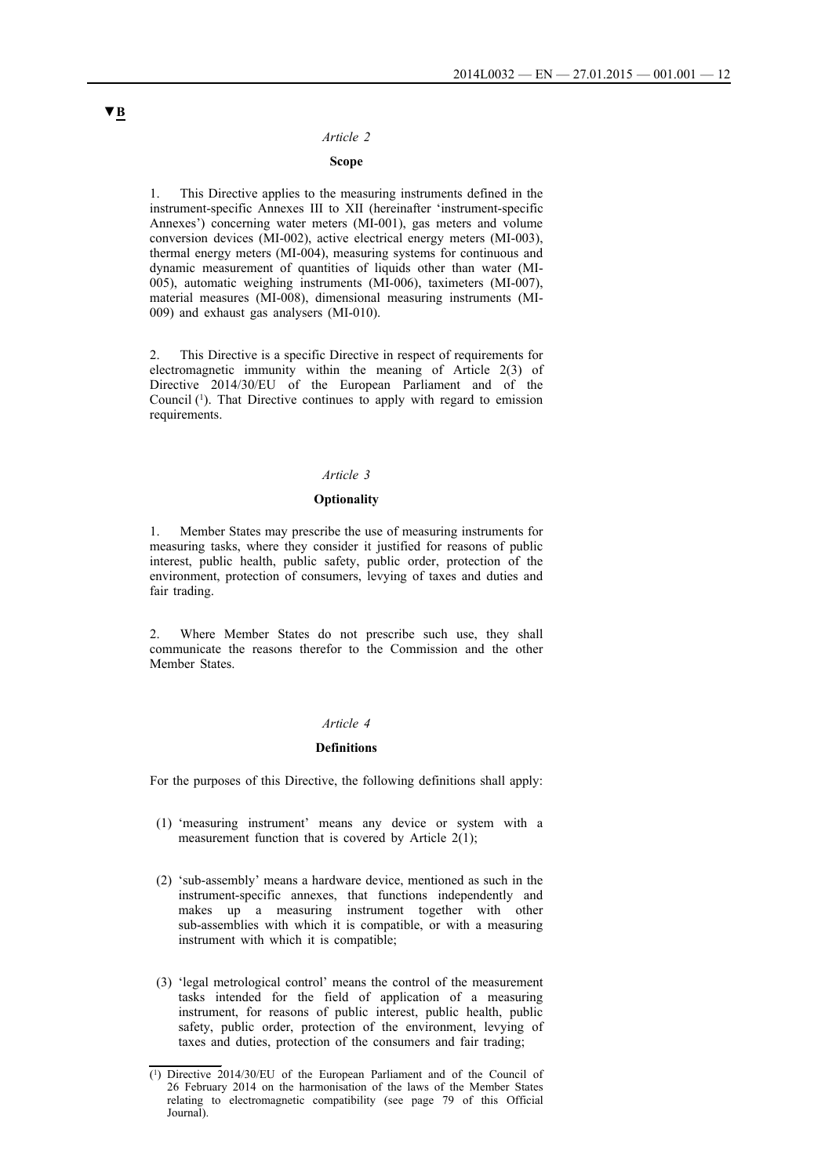### **Scope**

1. This Directive applies to the measuring instruments defined in the instrument-specific Annexes III to XII (hereinafter 'instrument-specific Annexes') concerning water meters (MI-001), gas meters and volume conversion devices (MI-002), active electrical energy meters (MI-003), thermal energy meters (MI-004), measuring systems for continuous and dynamic measurement of quantities of liquids other than water (MI-005), automatic weighing instruments (MI-006), taximeters (MI-007), material measures (MI-008), dimensional measuring instruments (MI-009) and exhaust gas analysers (MI-010).

2. This Directive is a specific Directive in respect of requirements for electromagnetic immunity within the meaning of Article 2(3) of Directive 2014/30/EU of the European Parliament and of the Council (1). That Directive continues to apply with regard to emission requirements.

### *Article 3*

### **Optionality**

1. Member States may prescribe the use of measuring instruments for measuring tasks, where they consider it justified for reasons of public interest, public health, public safety, public order, protection of the environment, protection of consumers, levying of taxes and duties and fair trading.

2. Where Member States do not prescribe such use, they shall communicate the reasons therefor to the Commission and the other Member States.

#### *Article 4*

#### **Definitions**

For the purposes of this Directive, the following definitions shall apply:

- (1) 'measuring instrument' means any device or system with a measurement function that is covered by Article  $2(1)$ ;
- (2) 'sub-assembly' means a hardware device, mentioned as such in the instrument-specific annexes, that functions independently and makes up a measuring instrument together with other sub-assemblies with which it is compatible, or with a measuring instrument with which it is compatible;
- (3) 'legal metrological control' means the control of the measurement tasks intended for the field of application of a measuring instrument, for reasons of public interest, public health, public safety, public order, protection of the environment, levying of taxes and duties, protection of the consumers and fair trading;

<sup>(1)</sup> Directive 2014/30/EU of the European Parliament and of the Council of 26 February 2014 on the harmonisation of the laws of the Member States relating to electromagnetic compatibility (see page 79 of this Official Journal).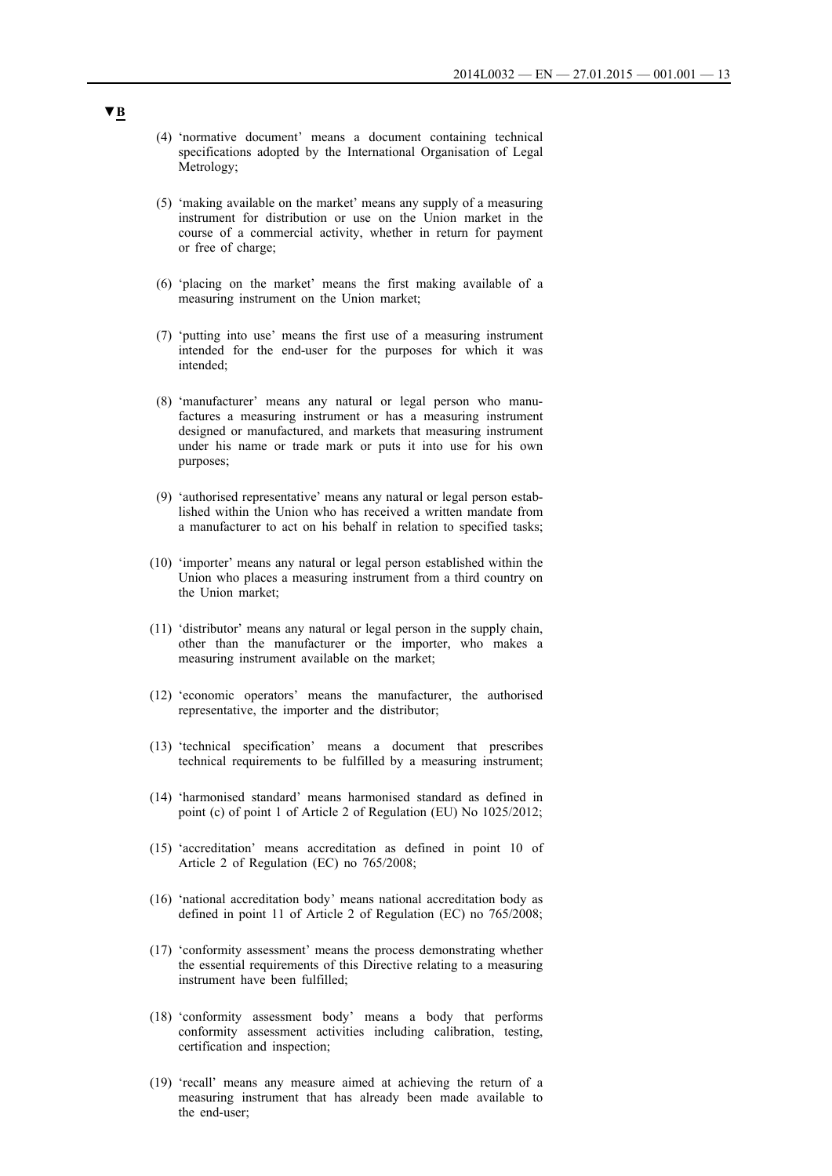- (4) 'normative document' means a document containing technical specifications adopted by the International Organisation of Legal Metrology;
- (5) 'making available on the market' means any supply of a measuring instrument for distribution or use on the Union market in the course of a commercial activity, whether in return for payment or free of charge;
- (6) 'placing on the market' means the first making available of a measuring instrument on the Union market;
- (7) 'putting into use' means the first use of a measuring instrument intended for the end-user for the purposes for which it was intended;
- (8) 'manufacturer' means any natural or legal person who manufactures a measuring instrument or has a measuring instrument designed or manufactured, and markets that measuring instrument under his name or trade mark or puts it into use for his own purposes;
- (9) 'authorised representative' means any natural or legal person established within the Union who has received a written mandate from a manufacturer to act on his behalf in relation to specified tasks;
- (10) 'importer' means any natural or legal person established within the Union who places a measuring instrument from a third country on the Union market;
- (11) 'distributor' means any natural or legal person in the supply chain, other than the manufacturer or the importer, who makes a measuring instrument available on the market;
- (12) 'economic operators' means the manufacturer, the authorised representative, the importer and the distributor;
- (13) 'technical specification' means a document that prescribes technical requirements to be fulfilled by a measuring instrument;
- (14) 'harmonised standard' means harmonised standard as defined in point (c) of point 1 of Article 2 of Regulation (EU) No 1025/2012;
- (15) 'accreditation' means accreditation as defined in point 10 of Article 2 of Regulation (EC) no 765/2008;
- (16) 'national accreditation body' means national accreditation body as defined in point 11 of Article 2 of Regulation (EC) no 765/2008;
- (17) 'conformity assessment' means the process demonstrating whether the essential requirements of this Directive relating to a measuring instrument have been fulfilled;
- (18) 'conformity assessment body' means a body that performs conformity assessment activities including calibration, testing, certification and inspection;
- (19) 'recall' means any measure aimed at achieving the return of a measuring instrument that has already been made available to the end-user;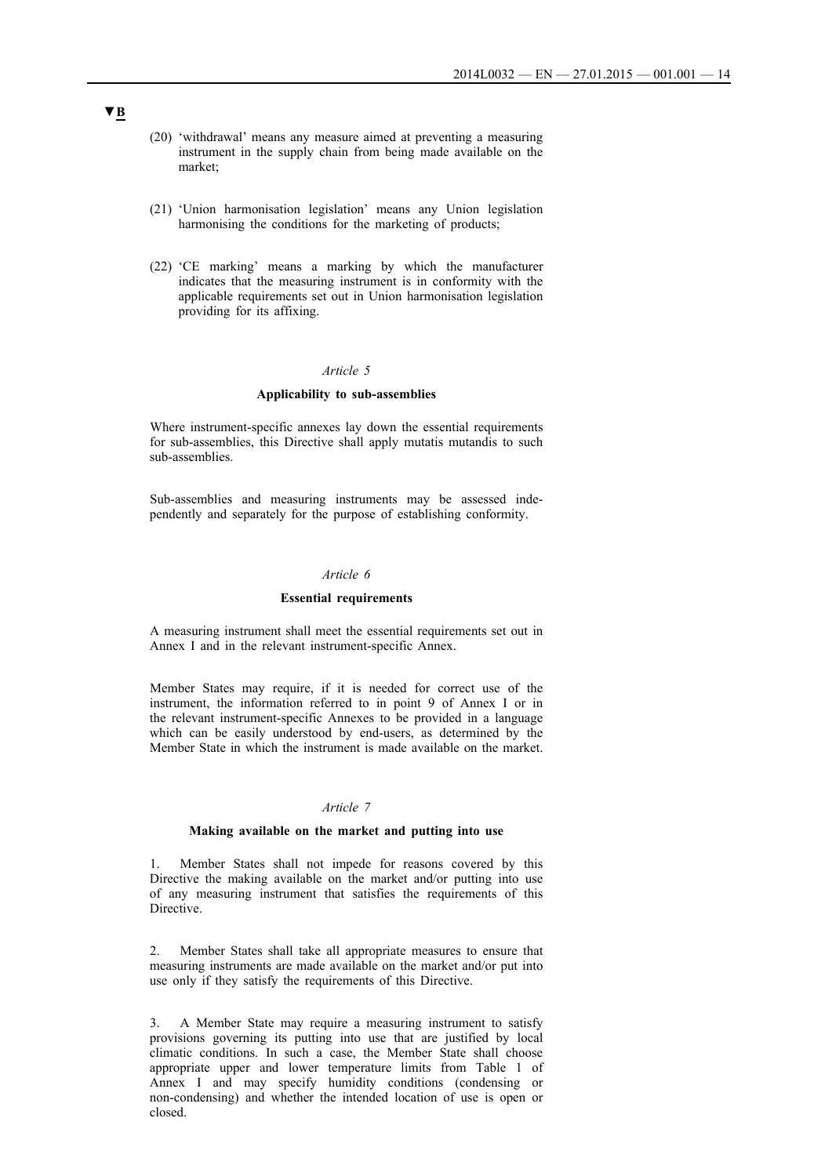- (20) 'withdrawal' means any measure aimed at preventing a measuring instrument in the supply chain from being made available on the market;
- (21) 'Union harmonisation legislation' means any Union legislation harmonising the conditions for the marketing of products;
- (22) 'CE marking' means a marking by which the manufacturer indicates that the measuring instrument is in conformity with the applicable requirements set out in Union harmonisation legislation providing for its affixing.

#### **Applicability to sub-assemblies**

Where instrument-specific annexes lay down the essential requirements for sub-assemblies, this Directive shall apply mutatis mutandis to such sub-assemblies.

Sub-assemblies and measuring instruments may be assessed independently and separately for the purpose of establishing conformity.

### *Article 6*

#### **Essential requirements**

A measuring instrument shall meet the essential requirements set out in Annex I and in the relevant instrument-specific Annex.

Member States may require, if it is needed for correct use of the instrument, the information referred to in point 9 of Annex I or in the relevant instrument-specific Annexes to be provided in a language which can be easily understood by end-users, as determined by the Member State in which the instrument is made available on the market.

### *Article 7*

### **Making available on the market and putting into use**

1. Member States shall not impede for reasons covered by this Directive the making available on the market and/or putting into use of any measuring instrument that satisfies the requirements of this Directive.

2. Member States shall take all appropriate measures to ensure that measuring instruments are made available on the market and/or put into use only if they satisfy the requirements of this Directive.

3. A Member State may require a measuring instrument to satisfy provisions governing its putting into use that are justified by local climatic conditions. In such a case, the Member State shall choose appropriate upper and lower temperature limits from Table 1 of Annex I and may specify humidity conditions (condensing or non-condensing) and whether the intended location of use is open or closed.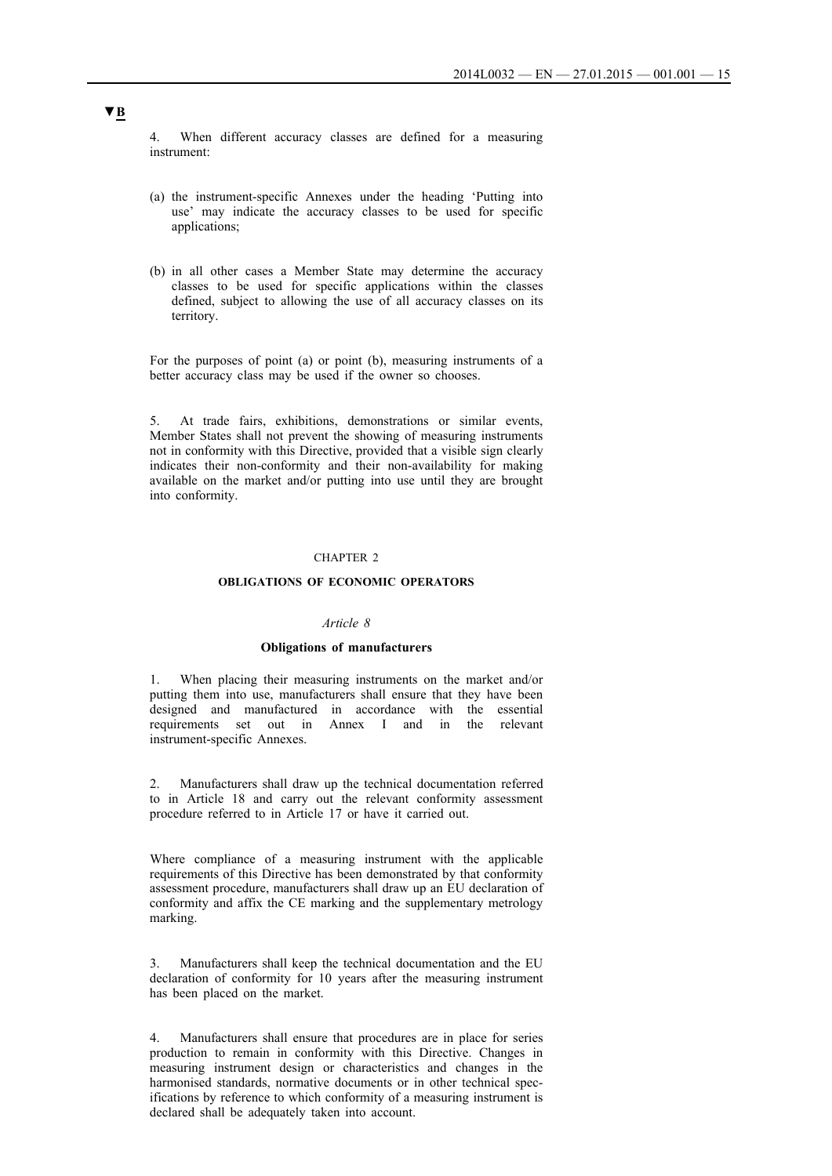4. When different accuracy classes are defined for a measuring instrument:

- (a) the instrument-specific Annexes under the heading 'Putting into use' may indicate the accuracy classes to be used for specific applications;
- (b) in all other cases a Member State may determine the accuracy classes to be used for specific applications within the classes defined, subject to allowing the use of all accuracy classes on its territory.

For the purposes of point (a) or point (b), measuring instruments of a better accuracy class may be used if the owner so chooses.

5. At trade fairs, exhibitions, demonstrations or similar events, Member States shall not prevent the showing of measuring instruments not in conformity with this Directive, provided that a visible sign clearly indicates their non-conformity and their non-availability for making available on the market and/or putting into use until they are brought into conformity.

### CHAPTER 2

#### **OBLIGATIONS OF ECONOMIC OPERATORS**

### *Article 8*

#### **Obligations of manufacturers**

1. When placing their measuring instruments on the market and/or putting them into use, manufacturers shall ensure that they have been designed and manufactured in accordance with the essential requirements set out in Annex I and in the relevant instrument-specific Annexes.

Manufacturers shall draw up the technical documentation referred to in Article 18 and carry out the relevant conformity assessment procedure referred to in Article 17 or have it carried out.

Where compliance of a measuring instrument with the applicable requirements of this Directive has been demonstrated by that conformity assessment procedure, manufacturers shall draw up an EU declaration of conformity and affix the CE marking and the supplementary metrology marking.

3. Manufacturers shall keep the technical documentation and the EU declaration of conformity for 10 years after the measuring instrument has been placed on the market.

4. Manufacturers shall ensure that procedures are in place for series production to remain in conformity with this Directive. Changes in measuring instrument design or characteristics and changes in the harmonised standards, normative documents or in other technical specifications by reference to which conformity of a measuring instrument is declared shall be adequately taken into account.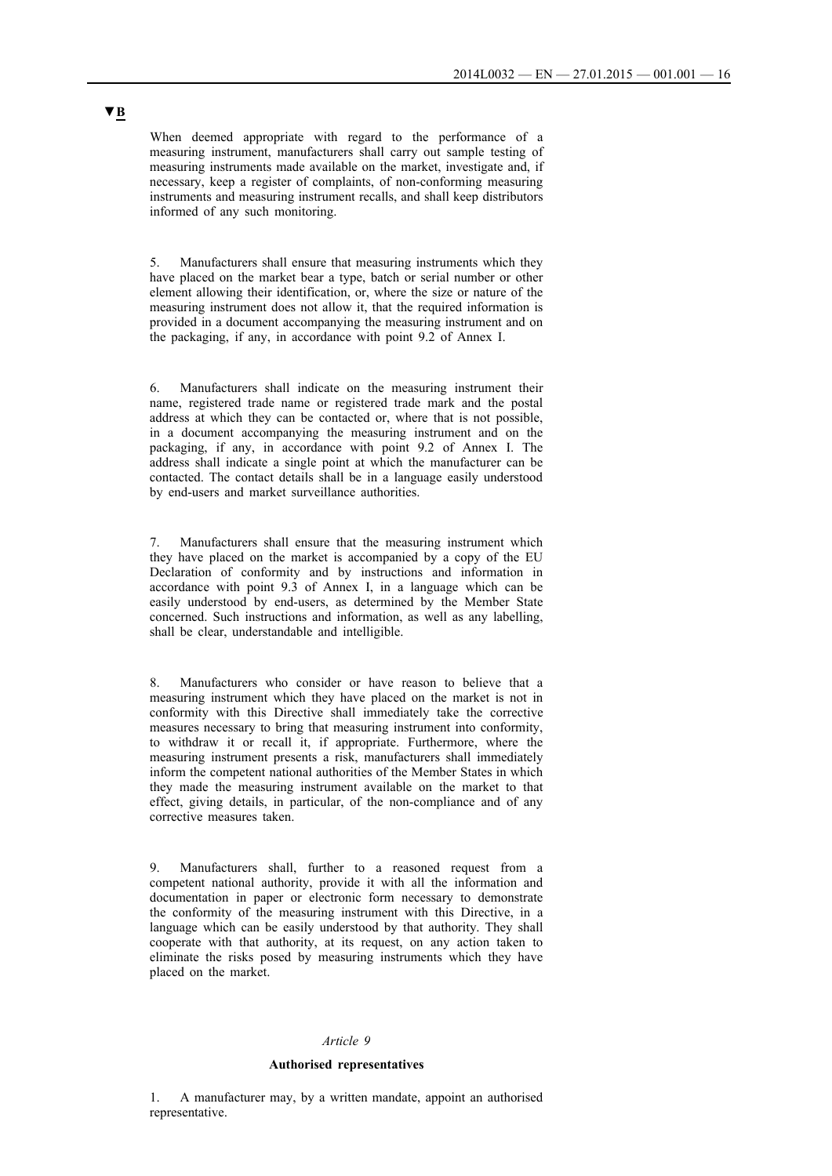When deemed appropriate with regard to the performance of a measuring instrument, manufacturers shall carry out sample testing of measuring instruments made available on the market, investigate and, if necessary, keep a register of complaints, of non-conforming measuring instruments and measuring instrument recalls, and shall keep distributors informed of any such monitoring.

5. Manufacturers shall ensure that measuring instruments which they have placed on the market bear a type, batch or serial number or other element allowing their identification, or, where the size or nature of the measuring instrument does not allow it, that the required information is provided in a document accompanying the measuring instrument and on the packaging, if any, in accordance with point 9.2 of Annex I.

6. Manufacturers shall indicate on the measuring instrument their name, registered trade name or registered trade mark and the postal address at which they can be contacted or, where that is not possible, in a document accompanying the measuring instrument and on the packaging, if any, in accordance with point 9.2 of Annex I. The address shall indicate a single point at which the manufacturer can be contacted. The contact details shall be in a language easily understood by end-users and market surveillance authorities.

7. Manufacturers shall ensure that the measuring instrument which they have placed on the market is accompanied by a copy of the EU Declaration of conformity and by instructions and information in accordance with point 9.3 of Annex I, in a language which can be easily understood by end-users, as determined by the Member State concerned. Such instructions and information, as well as any labelling, shall be clear, understandable and intelligible.

8. Manufacturers who consider or have reason to believe that a measuring instrument which they have placed on the market is not in conformity with this Directive shall immediately take the corrective measures necessary to bring that measuring instrument into conformity, to withdraw it or recall it, if appropriate. Furthermore, where the measuring instrument presents a risk, manufacturers shall immediately inform the competent national authorities of the Member States in which they made the measuring instrument available on the market to that effect, giving details, in particular, of the non-compliance and of any corrective measures taken.

Manufacturers shall, further to a reasoned request from a competent national authority, provide it with all the information and documentation in paper or electronic form necessary to demonstrate the conformity of the measuring instrument with this Directive, in a language which can be easily understood by that authority. They shall cooperate with that authority, at its request, on any action taken to eliminate the risks posed by measuring instruments which they have placed on the market.

#### *Article 9*

#### **Authorised representatives**

1. A manufacturer may, by a written mandate, appoint an authorised representative.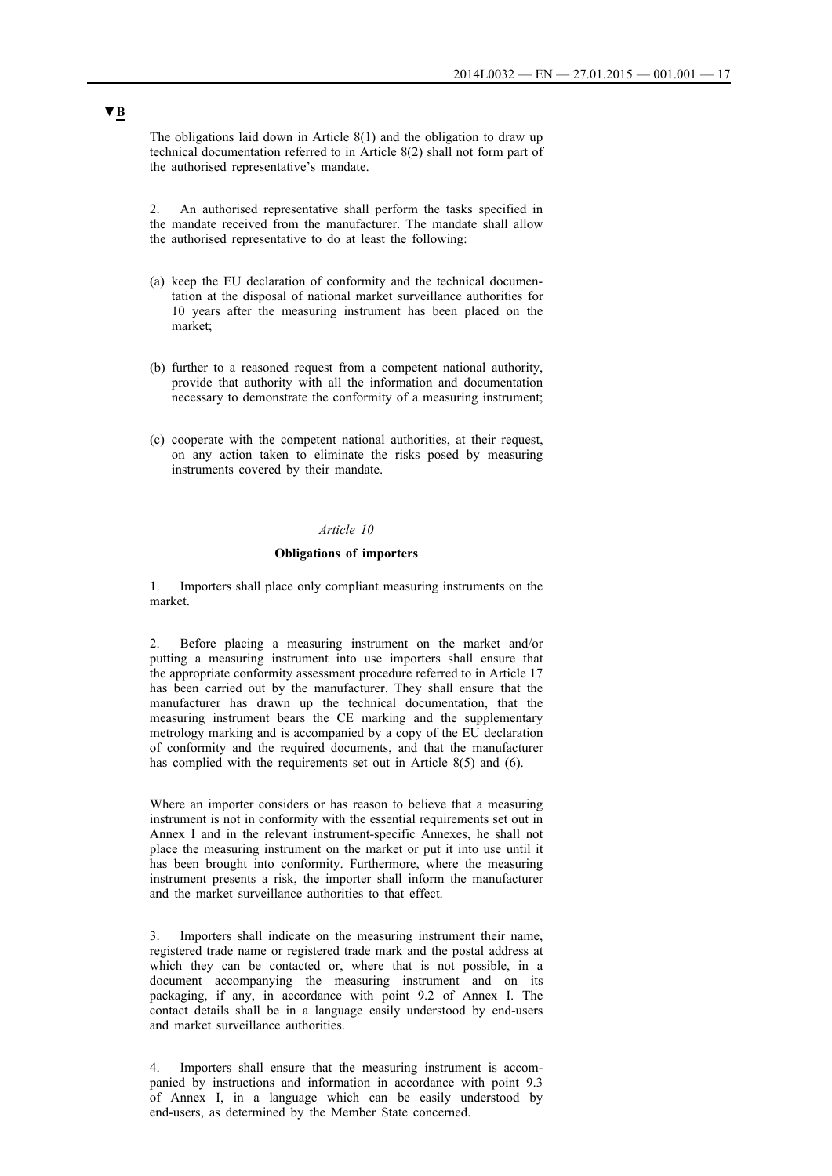The obligations laid down in Article 8(1) and the obligation to draw up technical documentation referred to in Article 8(2) shall not form part of the authorised representative's mandate.

2. An authorised representative shall perform the tasks specified in the mandate received from the manufacturer. The mandate shall allow the authorised representative to do at least the following:

- (a) keep the EU declaration of conformity and the technical documentation at the disposal of national market surveillance authorities for 10 years after the measuring instrument has been placed on the market;
- (b) further to a reasoned request from a competent national authority, provide that authority with all the information and documentation necessary to demonstrate the conformity of a measuring instrument;
- (c) cooperate with the competent national authorities, at their request, on any action taken to eliminate the risks posed by measuring instruments covered by their mandate.

### *Article 10*

#### **Obligations of importers**

1. Importers shall place only compliant measuring instruments on the market.

2. Before placing a measuring instrument on the market and/or putting a measuring instrument into use importers shall ensure that the appropriate conformity assessment procedure referred to in Article 17 has been carried out by the manufacturer. They shall ensure that the manufacturer has drawn up the technical documentation, that the measuring instrument bears the CE marking and the supplementary metrology marking and is accompanied by a copy of the EU declaration of conformity and the required documents, and that the manufacturer has complied with the requirements set out in Article 8(5) and (6).

Where an importer considers or has reason to believe that a measuring instrument is not in conformity with the essential requirements set out in Annex I and in the relevant instrument-specific Annexes, he shall not place the measuring instrument on the market or put it into use until it has been brought into conformity. Furthermore, where the measuring instrument presents a risk, the importer shall inform the manufacturer and the market surveillance authorities to that effect.

3. Importers shall indicate on the measuring instrument their name, registered trade name or registered trade mark and the postal address at which they can be contacted or, where that is not possible, in a document accompanying the measuring instrument and on its packaging, if any, in accordance with point 9.2 of Annex I. The contact details shall be in a language easily understood by end-users and market surveillance authorities.

4. Importers shall ensure that the measuring instrument is accompanied by instructions and information in accordance with point 9.3 of Annex I, in a language which can be easily understood by end-users, as determined by the Member State concerned.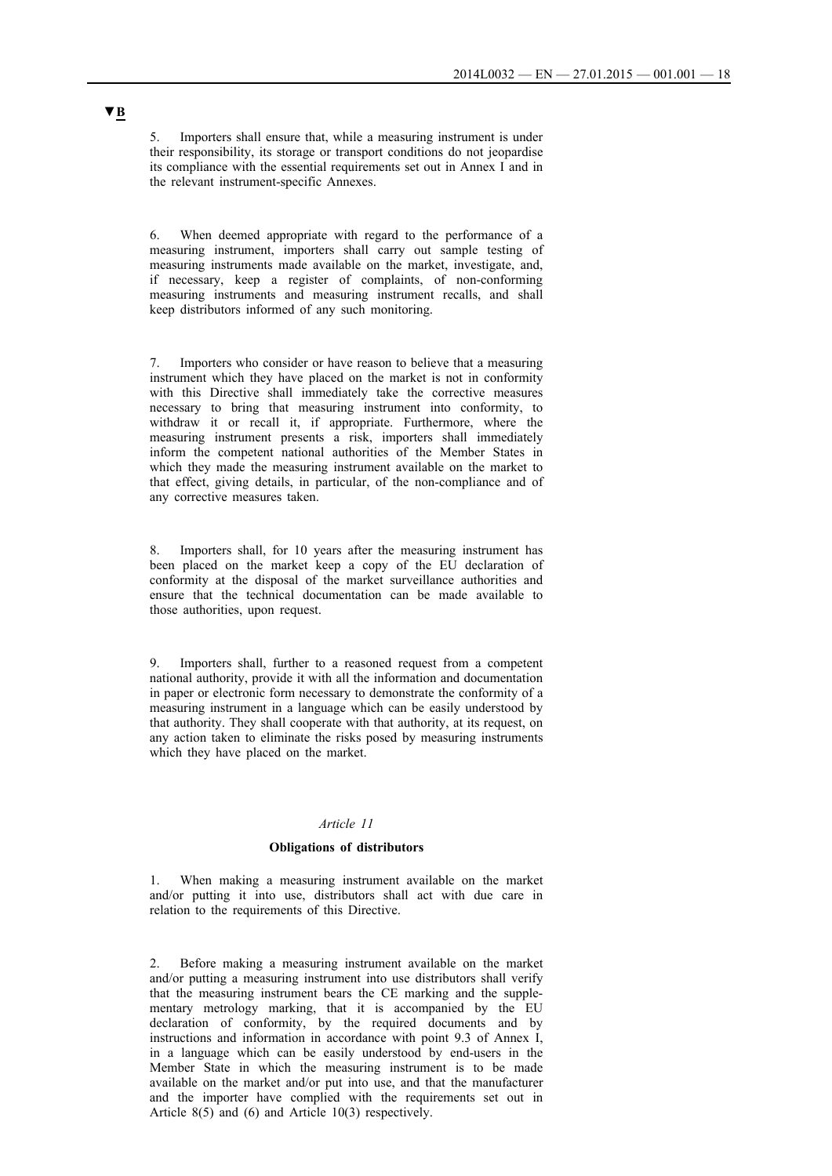5. Importers shall ensure that, while a measuring instrument is under their responsibility, its storage or transport conditions do not jeopardise its compliance with the essential requirements set out in Annex I and in the relevant instrument-specific Annexes.

6. When deemed appropriate with regard to the performance of a measuring instrument, importers shall carry out sample testing of measuring instruments made available on the market, investigate, and, if necessary, keep a register of complaints, of non-conforming measuring instruments and measuring instrument recalls, and shall keep distributors informed of any such monitoring.

7. Importers who consider or have reason to believe that a measuring instrument which they have placed on the market is not in conformity with this Directive shall immediately take the corrective measures necessary to bring that measuring instrument into conformity, to withdraw it or recall it, if appropriate. Furthermore, where the measuring instrument presents a risk, importers shall immediately inform the competent national authorities of the Member States in which they made the measuring instrument available on the market to that effect, giving details, in particular, of the non-compliance and of any corrective measures taken.

8. Importers shall, for 10 years after the measuring instrument has been placed on the market keep a copy of the EU declaration of conformity at the disposal of the market surveillance authorities and ensure that the technical documentation can be made available to those authorities, upon request.

Importers shall, further to a reasoned request from a competent national authority, provide it with all the information and documentation in paper or electronic form necessary to demonstrate the conformity of a measuring instrument in a language which can be easily understood by that authority. They shall cooperate with that authority, at its request, on any action taken to eliminate the risks posed by measuring instruments which they have placed on the market.

### *Article 11*

### **Obligations of distributors**

1. When making a measuring instrument available on the market and/or putting it into use, distributors shall act with due care in relation to the requirements of this Directive.

2. Before making a measuring instrument available on the market and/or putting a measuring instrument into use distributors shall verify that the measuring instrument bears the CE marking and the supplementary metrology marking, that it is accompanied by the EU declaration of conformity, by the required documents and by instructions and information in accordance with point 9.3 of Annex I, in a language which can be easily understood by end-users in the Member State in which the measuring instrument is to be made available on the market and/or put into use, and that the manufacturer and the importer have complied with the requirements set out in Article 8(5) and (6) and Article 10(3) respectively.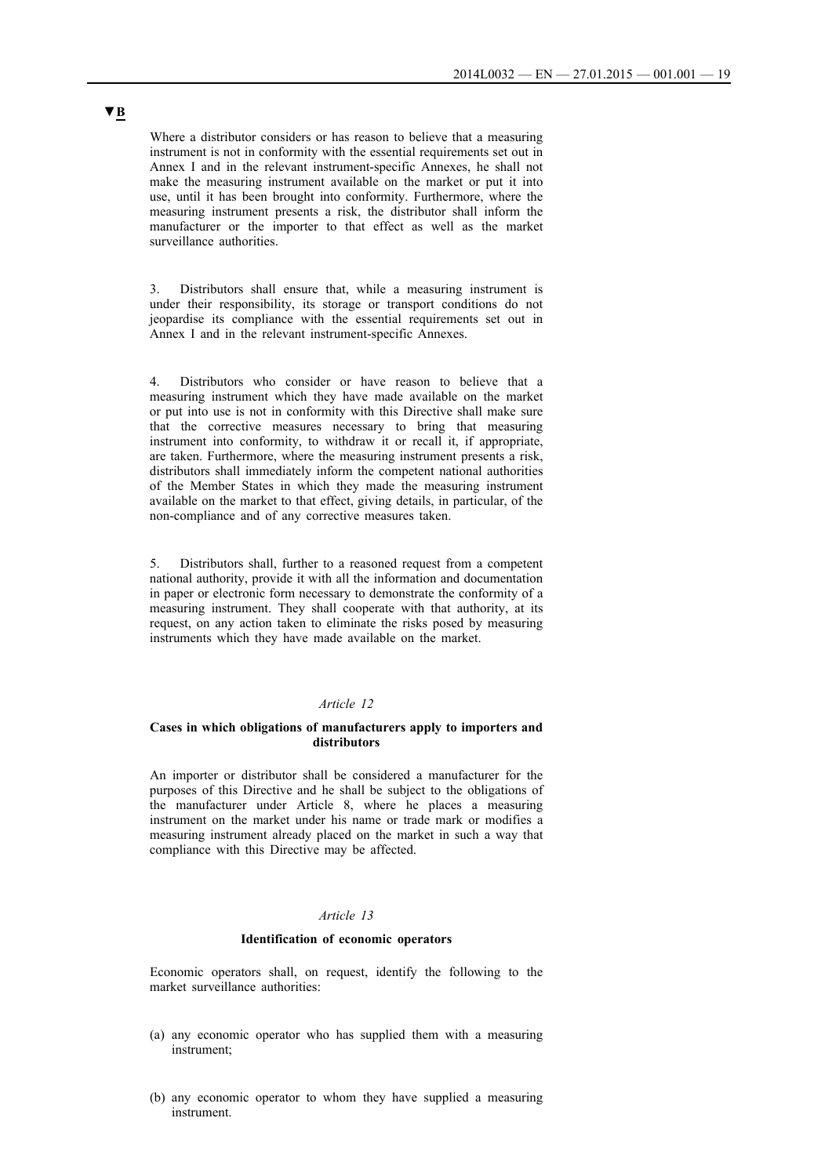Where a distributor considers or has reason to believe that a measuring instrument is not in conformity with the essential requirements set out in Annex I and in the relevant instrument-specific Annexes, he shall not make the measuring instrument available on the market or put it into use, until it has been brought into conformity. Furthermore, where the measuring instrument presents a risk, the distributor shall inform the manufacturer or the importer to that effect as well as the market surveillance authorities.

3. Distributors shall ensure that, while a measuring instrument is under their responsibility, its storage or transport conditions do not jeopardise its compliance with the essential requirements set out in Annex I and in the relevant instrument-specific Annexes.

4. Distributors who consider or have reason to believe that a measuring instrument which they have made available on the market or put into use is not in conformity with this Directive shall make sure that the corrective measures necessary to bring that measuring instrument into conformity, to withdraw it or recall it, if appropriate, are taken. Furthermore, where the measuring instrument presents a risk, distributors shall immediately inform the competent national authorities of the Member States in which they made the measuring instrument available on the market to that effect, giving details, in particular, of the non-compliance and of any corrective measures taken.

5. Distributors shall, further to a reasoned request from a competent national authority, provide it with all the information and documentation in paper or electronic form necessary to demonstrate the conformity of a measuring instrument. They shall cooperate with that authority, at its request, on any action taken to eliminate the risks posed by measuring instruments which they have made available on the market.

### *Article 12*

### **Cases in which obligations of manufacturers apply to importers and distributors**

An importer or distributor shall be considered a manufacturer for the purposes of this Directive and he shall be subject to the obligations of the manufacturer under Article 8, where he places a measuring instrument on the market under his name or trade mark or modifies a measuring instrument already placed on the market in such a way that compliance with this Directive may be affected.

### *Article 13*

#### **Identification of economic operators**

Economic operators shall, on request, identify the following to the market surveillance authorities:

- (a) any economic operator who has supplied them with a measuring instrument;
- (b) any economic operator to whom they have supplied a measuring instrument.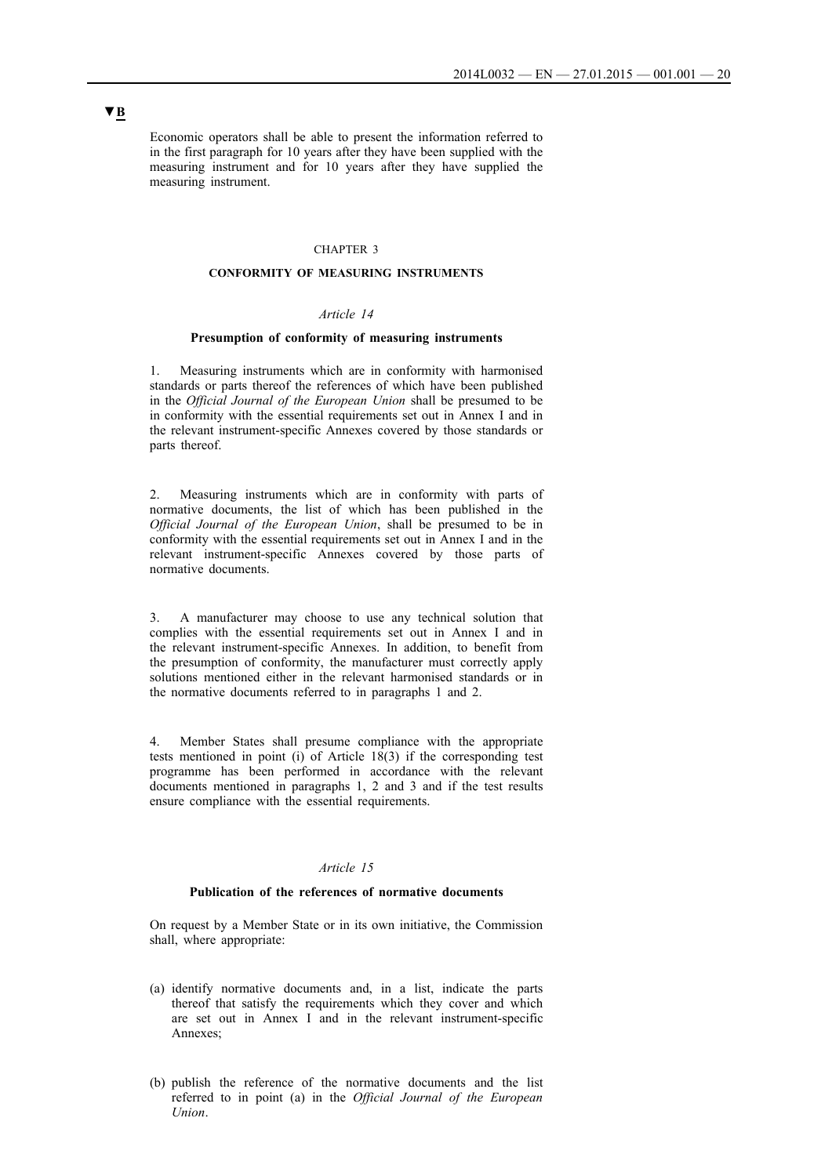Economic operators shall be able to present the information referred to in the first paragraph for 10 years after they have been supplied with the measuring instrument and for 10 years after they have supplied the measuring instrument.

#### CHAPTER 3

### **CONFORMITY OF MEASURING INSTRUMENTS**

## *Article 14*

### **Presumption of conformity of measuring instruments**

1. Measuring instruments which are in conformity with harmonised standards or parts thereof the references of which have been published in the *Official Journal of the European Union* shall be presumed to be in conformity with the essential requirements set out in Annex I and in the relevant instrument-specific Annexes covered by those standards or parts thereof.

2. Measuring instruments which are in conformity with parts of normative documents, the list of which has been published in the *Official Journal of the European Union*, shall be presumed to be in conformity with the essential requirements set out in Annex I and in the relevant instrument-specific Annexes covered by those parts of normative documents.

3. A manufacturer may choose to use any technical solution that complies with the essential requirements set out in Annex I and in the relevant instrument-specific Annexes. In addition, to benefit from the presumption of conformity, the manufacturer must correctly apply solutions mentioned either in the relevant harmonised standards or in the normative documents referred to in paragraphs 1 and 2.

Member States shall presume compliance with the appropriate tests mentioned in point (i) of Article  $18(3)$  if the corresponding test programme has been performed in accordance with the relevant documents mentioned in paragraphs 1, 2 and 3 and if the test results ensure compliance with the essential requirements.

### *Article 15*

#### **Publication of the references of normative documents**

On request by a Member State or in its own initiative, the Commission shall, where appropriate:

- (a) identify normative documents and, in a list, indicate the parts thereof that satisfy the requirements which they cover and which are set out in Annex I and in the relevant instrument-specific Annexes;
- (b) publish the reference of the normative documents and the list referred to in point (a) in the *Official Journal of the European Union*.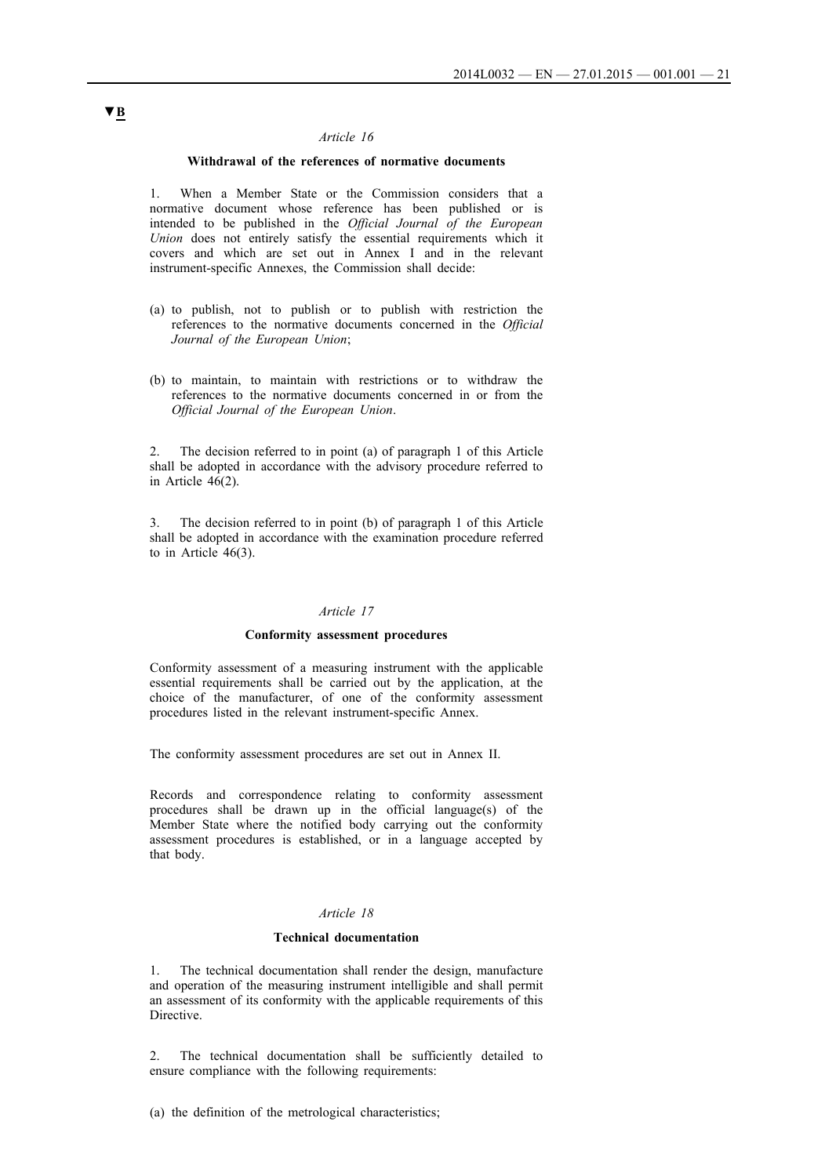### **Withdrawal of the references of normative documents**

1. When a Member State or the Commission considers that a normative document whose reference has been published or is intended to be published in the *Official Journal of the European Union* does not entirely satisfy the essential requirements which it covers and which are set out in Annex I and in the relevant instrument-specific Annexes, the Commission shall decide:

- (a) to publish, not to publish or to publish with restriction the references to the normative documents concerned in the *Official Journal of the European Union*;
- (b) to maintain, to maintain with restrictions or to withdraw the references to the normative documents concerned in or from the *Official Journal of the European Union*.

2. The decision referred to in point (a) of paragraph 1 of this Article shall be adopted in accordance with the advisory procedure referred to in Article 46(2).

3. The decision referred to in point (b) of paragraph 1 of this Article shall be adopted in accordance with the examination procedure referred to in Article 46(3).

#### *Article 17*

### **Conformity assessment procedures**

Conformity assessment of a measuring instrument with the applicable essential requirements shall be carried out by the application, at the choice of the manufacturer, of one of the conformity assessment procedures listed in the relevant instrument-specific Annex.

The conformity assessment procedures are set out in Annex II.

Records and correspondence relating to conformity assessment procedures shall be drawn up in the official language(s) of the Member State where the notified body carrying out the conformity assessment procedures is established, or in a language accepted by that body.

### *Article 18*

#### **Technical documentation**

1. The technical documentation shall render the design, manufacture and operation of the measuring instrument intelligible and shall permit an assessment of its conformity with the applicable requirements of this Directive.

2. The technical documentation shall be sufficiently detailed to ensure compliance with the following requirements:

(a) the definition of the metrological characteristics;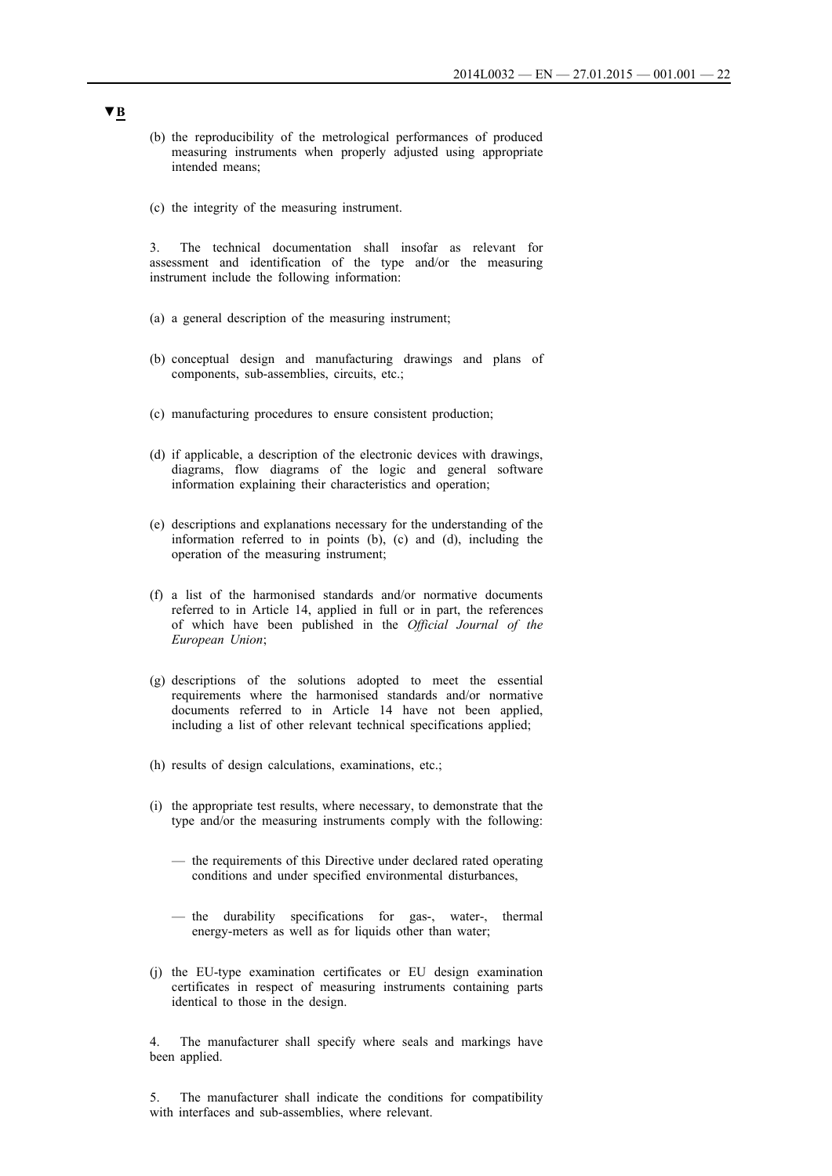- (b) the reproducibility of the metrological performances of produced measuring instruments when properly adjusted using appropriate intended means;
- (c) the integrity of the measuring instrument.

3. The technical documentation shall insofar as relevant for assessment and identification of the type and/or the measuring instrument include the following information:

- (a) a general description of the measuring instrument;
- (b) conceptual design and manufacturing drawings and plans of components, sub-assemblies, circuits, etc.;
- (c) manufacturing procedures to ensure consistent production;
- (d) if applicable, a description of the electronic devices with drawings, diagrams, flow diagrams of the logic and general software information explaining their characteristics and operation;
- (e) descriptions and explanations necessary for the understanding of the information referred to in points (b), (c) and (d), including the operation of the measuring instrument;
- (f) a list of the harmonised standards and/or normative documents referred to in Article 14, applied in full or in part, the references of which have been published in the *Official Journal of the European Union*;
- (g) descriptions of the solutions adopted to meet the essential requirements where the harmonised standards and/or normative documents referred to in Article 14 have not been applied, including a list of other relevant technical specifications applied;
- (h) results of design calculations, examinations, etc.;
- (i) the appropriate test results, where necessary, to demonstrate that the type and/or the measuring instruments comply with the following:
	- the requirements of this Directive under declared rated operating conditions and under specified environmental disturbances,
	- the durability specifications for gas-, water-, thermal energy-meters as well as for liquids other than water;
- (j) the EU-type examination certificates or EU design examination certificates in respect of measuring instruments containing parts identical to those in the design.

4. The manufacturer shall specify where seals and markings have been applied.

5. The manufacturer shall indicate the conditions for compatibility with interfaces and sub-assemblies, where relevant.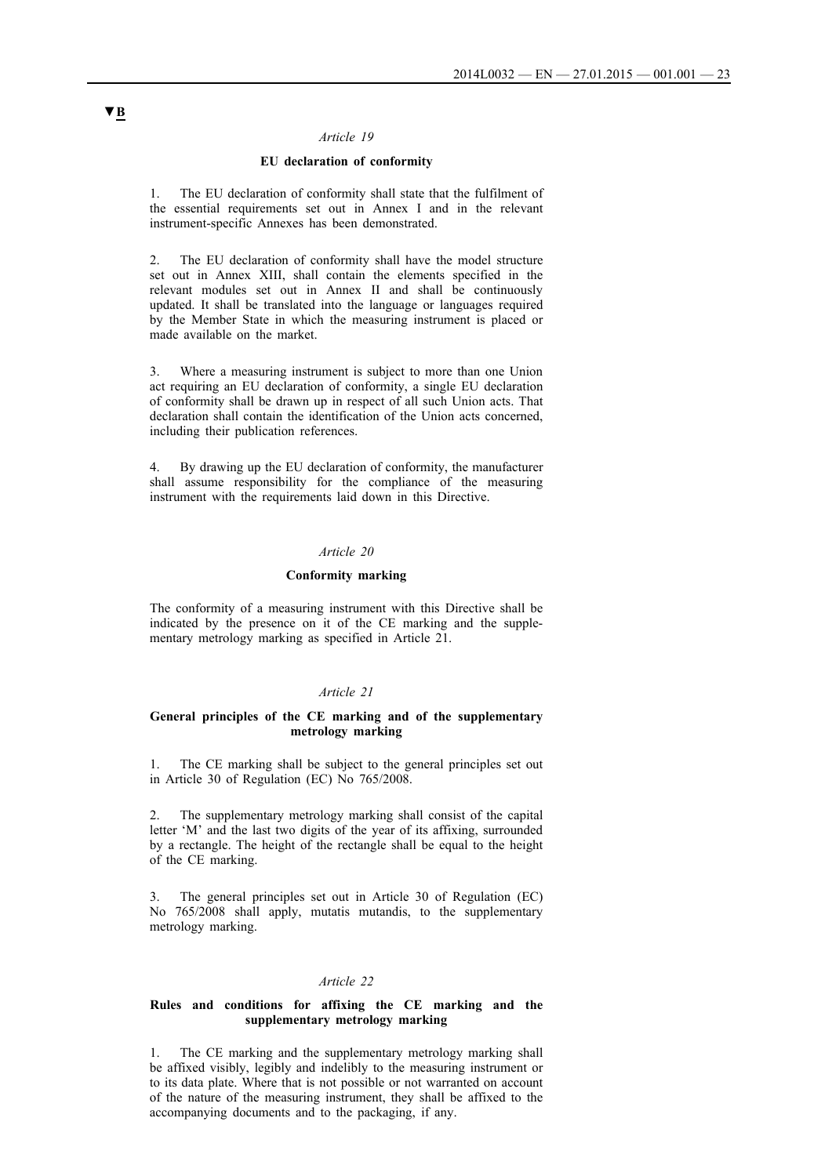### **EU declaration of conformity**

1. The EU declaration of conformity shall state that the fulfilment of the essential requirements set out in Annex I and in the relevant instrument-specific Annexes has been demonstrated.

2. The EU declaration of conformity shall have the model structure set out in Annex XIII, shall contain the elements specified in the relevant modules set out in Annex II and shall be continuously updated. It shall be translated into the language or languages required by the Member State in which the measuring instrument is placed or made available on the market.

3. Where a measuring instrument is subject to more than one Union act requiring an EU declaration of conformity, a single EU declaration of conformity shall be drawn up in respect of all such Union acts. That declaration shall contain the identification of the Union acts concerned, including their publication references.

4. By drawing up the EU declaration of conformity, the manufacturer shall assume responsibility for the compliance of the measuring instrument with the requirements laid down in this Directive.

#### *Article 20*

#### **Conformity marking**

The conformity of a measuring instrument with this Directive shall be indicated by the presence on it of the CE marking and the supplementary metrology marking as specified in Article 21.

#### *Article 21*

### **General principles of the CE marking and of the supplementary metrology marking**

1. The CE marking shall be subject to the general principles set out in Article 30 of Regulation (EC) No 765/2008.

2. The supplementary metrology marking shall consist of the capital letter 'M' and the last two digits of the year of its affixing, surrounded by a rectangle. The height of the rectangle shall be equal to the height of the CE marking.

3. The general principles set out in Article 30 of Regulation (EC) No 765/2008 shall apply, mutatis mutandis, to the supplementary metrology marking.

#### *Article 22*

#### **Rules and conditions for affixing the CE marking and the supplementary metrology marking**

1. The CE marking and the supplementary metrology marking shall be affixed visibly, legibly and indelibly to the measuring instrument or to its data plate. Where that is not possible or not warranted on account of the nature of the measuring instrument, they shall be affixed to the accompanying documents and to the packaging, if any.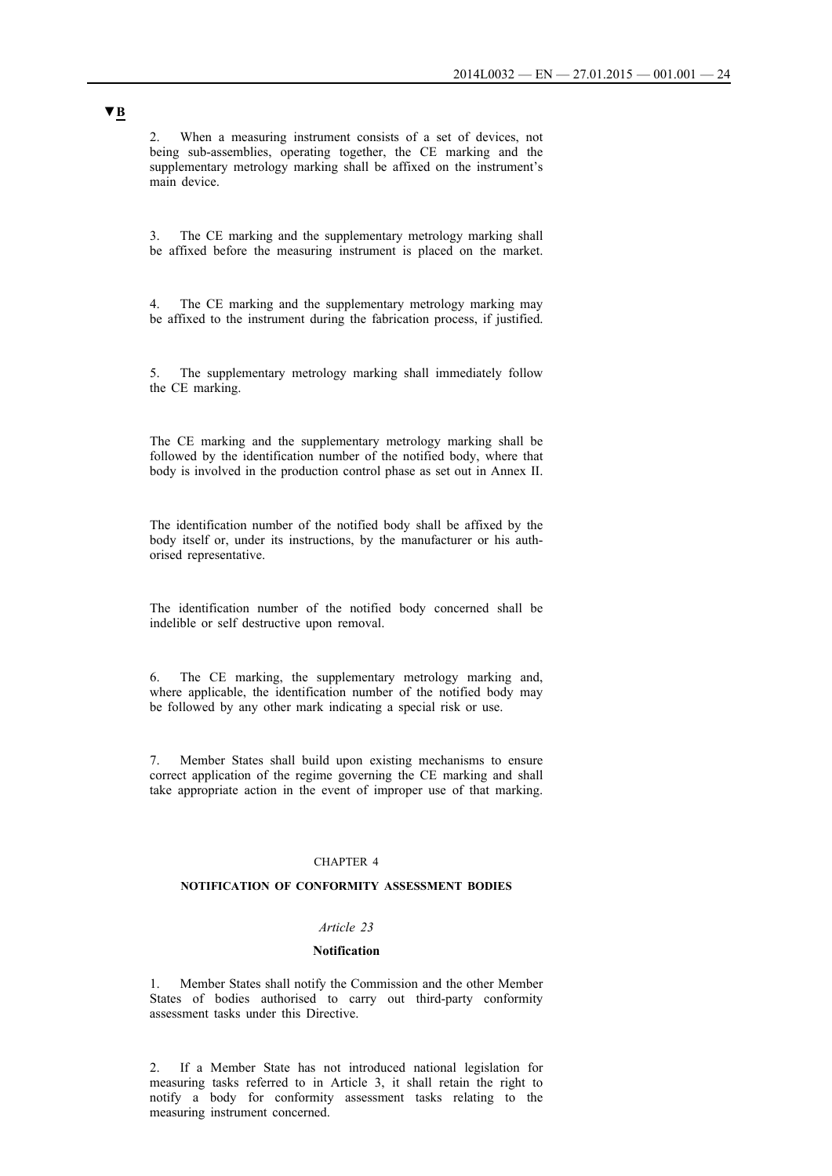2. When a measuring instrument consists of a set of devices, not being sub-assemblies, operating together, the CE marking and the supplementary metrology marking shall be affixed on the instrument's main device.

3. The CE marking and the supplementary metrology marking shall be affixed before the measuring instrument is placed on the market.

4. The CE marking and the supplementary metrology marking may be affixed to the instrument during the fabrication process, if justified.

5. The supplementary metrology marking shall immediately follow the CE marking.

The CE marking and the supplementary metrology marking shall be followed by the identification number of the notified body, where that body is involved in the production control phase as set out in Annex II.

The identification number of the notified body shall be affixed by the body itself or, under its instructions, by the manufacturer or his authorised representative.

The identification number of the notified body concerned shall be indelible or self destructive upon removal.

6. The CE marking, the supplementary metrology marking and, where applicable, the identification number of the notified body may be followed by any other mark indicating a special risk or use.

7. Member States shall build upon existing mechanisms to ensure correct application of the regime governing the CE marking and shall take appropriate action in the event of improper use of that marking.

### CHAPTER 4

#### **NOTIFICATION OF CONFORMITY ASSESSMENT BODIES**

#### *Article 23*

#### **Notification**

1. Member States shall notify the Commission and the other Member States of bodies authorised to carry out third-party conformity assessment tasks under this Directive.

2. If a Member State has not introduced national legislation for measuring tasks referred to in Article 3, it shall retain the right to notify a body for conformity assessment tasks relating to the measuring instrument concerned.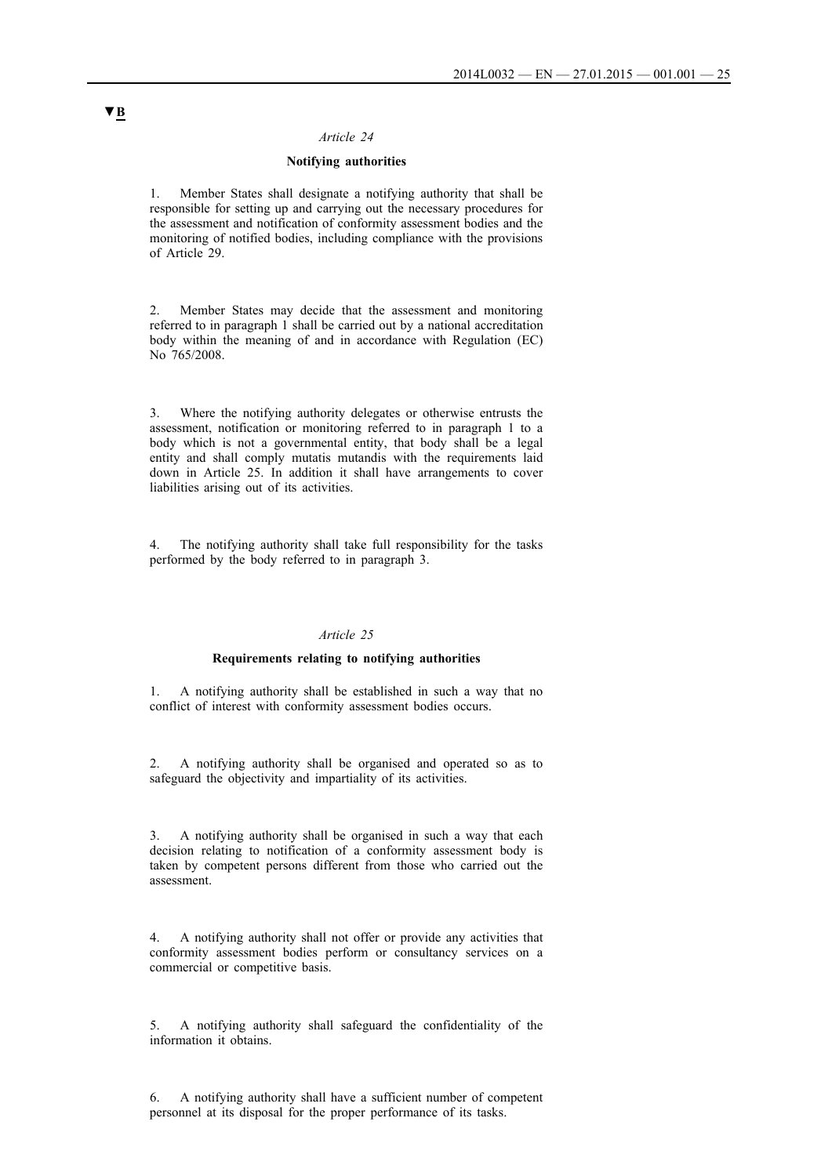### **Notifying authorities**

1. Member States shall designate a notifying authority that shall be responsible for setting up and carrying out the necessary procedures for the assessment and notification of conformity assessment bodies and the monitoring of notified bodies, including compliance with the provisions of Article 29.

2. Member States may decide that the assessment and monitoring referred to in paragraph 1 shall be carried out by a national accreditation body within the meaning of and in accordance with Regulation (EC) No 765/2008.

3. Where the notifying authority delegates or otherwise entrusts the assessment, notification or monitoring referred to in paragraph 1 to a body which is not a governmental entity, that body shall be a legal entity and shall comply mutatis mutandis with the requirements laid down in Article 25. In addition it shall have arrangements to cover liabilities arising out of its activities.

4. The notifying authority shall take full responsibility for the tasks performed by the body referred to in paragraph 3.

#### *Article 25*

### **Requirements relating to notifying authorities**

1. A notifying authority shall be established in such a way that no conflict of interest with conformity assessment bodies occurs.

2. A notifying authority shall be organised and operated so as to safeguard the objectivity and impartiality of its activities.

3. A notifying authority shall be organised in such a way that each decision relating to notification of a conformity assessment body is taken by competent persons different from those who carried out the assessment.

4. A notifying authority shall not offer or provide any activities that conformity assessment bodies perform or consultancy services on a commercial or competitive basis.

5. A notifying authority shall safeguard the confidentiality of the information it obtains.

6. A notifying authority shall have a sufficient number of competent personnel at its disposal for the proper performance of its tasks.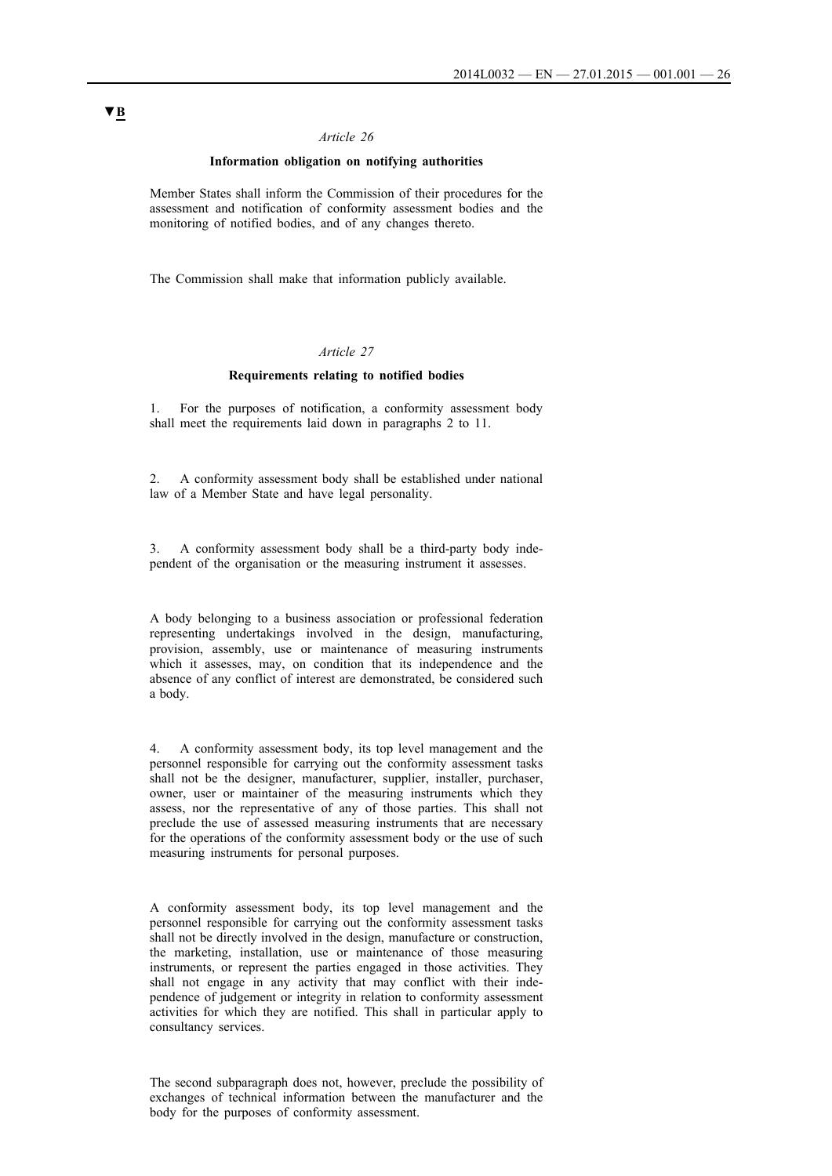### **Information obligation on notifying authorities**

Member States shall inform the Commission of their procedures for the assessment and notification of conformity assessment bodies and the monitoring of notified bodies, and of any changes thereto.

The Commission shall make that information publicly available.

### *Article 27*

#### **Requirements relating to notified bodies**

1. For the purposes of notification, a conformity assessment body shall meet the requirements laid down in paragraphs 2 to 11.

2. A conformity assessment body shall be established under national law of a Member State and have legal personality.

3. A conformity assessment body shall be a third-party body independent of the organisation or the measuring instrument it assesses.

A body belonging to a business association or professional federation representing undertakings involved in the design, manufacturing, provision, assembly, use or maintenance of measuring instruments which it assesses, may, on condition that its independence and the absence of any conflict of interest are demonstrated, be considered such a body.

4. A conformity assessment body, its top level management and the personnel responsible for carrying out the conformity assessment tasks shall not be the designer, manufacturer, supplier, installer, purchaser, owner, user or maintainer of the measuring instruments which they assess, nor the representative of any of those parties. This shall not preclude the use of assessed measuring instruments that are necessary for the operations of the conformity assessment body or the use of such measuring instruments for personal purposes.

A conformity assessment body, its top level management and the personnel responsible for carrying out the conformity assessment tasks shall not be directly involved in the design, manufacture or construction, the marketing, installation, use or maintenance of those measuring instruments, or represent the parties engaged in those activities. They shall not engage in any activity that may conflict with their independence of judgement or integrity in relation to conformity assessment activities for which they are notified. This shall in particular apply to consultancy services.

The second subparagraph does not, however, preclude the possibility of exchanges of technical information between the manufacturer and the body for the purposes of conformity assessment.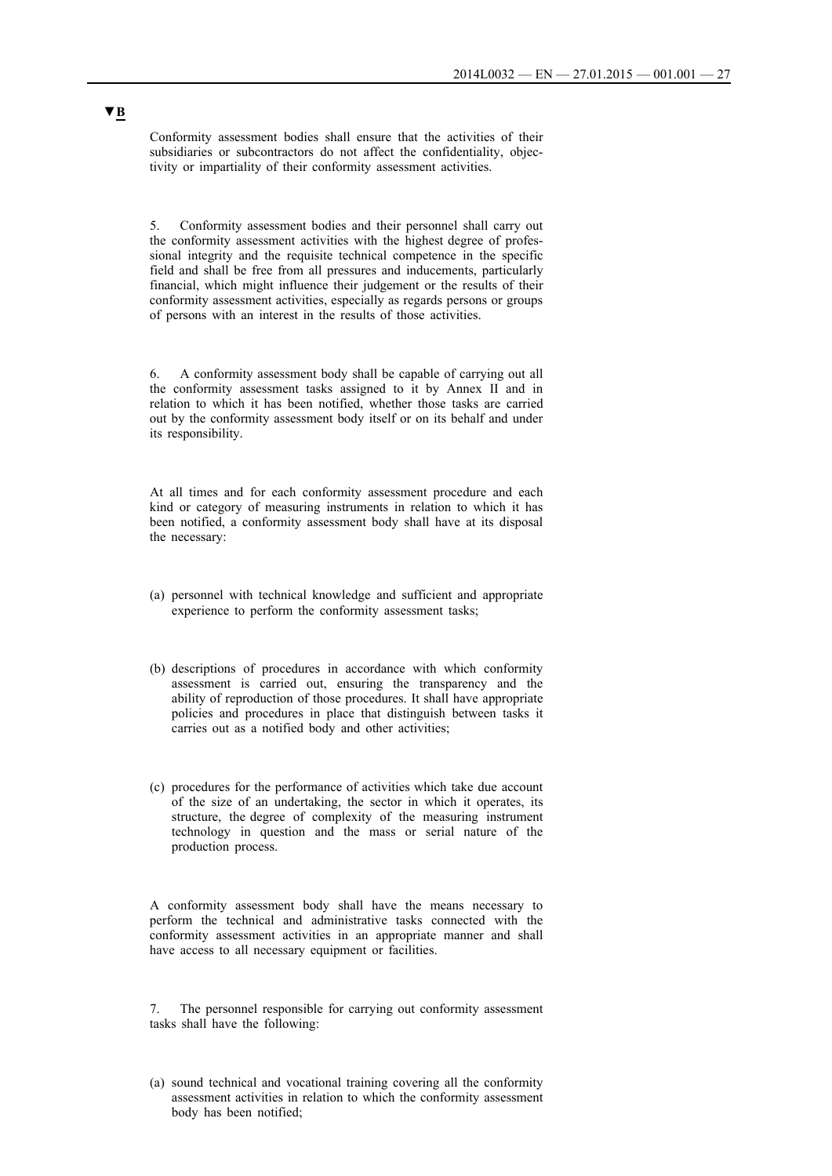Conformity assessment bodies shall ensure that the activities of their subsidiaries or subcontractors do not affect the confidentiality, objectivity or impartiality of their conformity assessment activities.

5. Conformity assessment bodies and their personnel shall carry out the conformity assessment activities with the highest degree of professional integrity and the requisite technical competence in the specific field and shall be free from all pressures and inducements, particularly financial, which might influence their judgement or the results of their conformity assessment activities, especially as regards persons or groups of persons with an interest in the results of those activities.

6. A conformity assessment body shall be capable of carrying out all the conformity assessment tasks assigned to it by Annex II and in relation to which it has been notified, whether those tasks are carried out by the conformity assessment body itself or on its behalf and under its responsibility.

At all times and for each conformity assessment procedure and each kind or category of measuring instruments in relation to which it has been notified, a conformity assessment body shall have at its disposal the necessary:

- (a) personnel with technical knowledge and sufficient and appropriate experience to perform the conformity assessment tasks;
- (b) descriptions of procedures in accordance with which conformity assessment is carried out, ensuring the transparency and the ability of reproduction of those procedures. It shall have appropriate policies and procedures in place that distinguish between tasks it carries out as a notified body and other activities;
- (c) procedures for the performance of activities which take due account of the size of an undertaking, the sector in which it operates, its structure, the degree of complexity of the measuring instrument technology in question and the mass or serial nature of the production process.

A conformity assessment body shall have the means necessary to perform the technical and administrative tasks connected with the conformity assessment activities in an appropriate manner and shall have access to all necessary equipment or facilities.

7. The personnel responsible for carrying out conformity assessment tasks shall have the following:

(a) sound technical and vocational training covering all the conformity assessment activities in relation to which the conformity assessment body has been notified;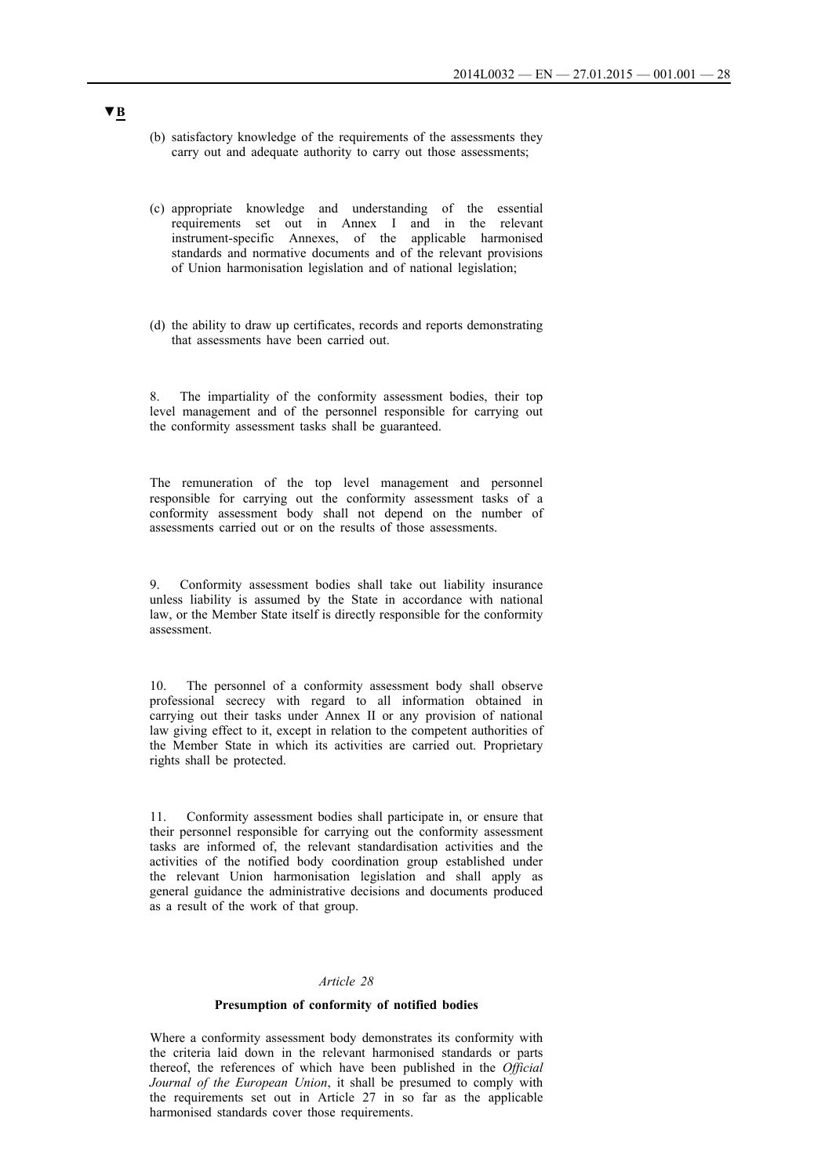- (b) satisfactory knowledge of the requirements of the assessments they carry out and adequate authority to carry out those assessments;
- (c) appropriate knowledge and understanding of the essential requirements set out in Annex I and in the relevant instrument-specific Annexes, of the applicable harmonised standards and normative documents and of the relevant provisions of Union harmonisation legislation and of national legislation;
- (d) the ability to draw up certificates, records and reports demonstrating that assessments have been carried out.

8. The impartiality of the conformity assessment bodies, their top level management and of the personnel responsible for carrying out the conformity assessment tasks shall be guaranteed.

The remuneration of the top level management and personnel responsible for carrying out the conformity assessment tasks of a conformity assessment body shall not depend on the number of assessments carried out or on the results of those assessments.

9. Conformity assessment bodies shall take out liability insurance unless liability is assumed by the State in accordance with national law, or the Member State itself is directly responsible for the conformity assessment.

10. The personnel of a conformity assessment body shall observe professional secrecy with regard to all information obtained in carrying out their tasks under Annex II or any provision of national law giving effect to it, except in relation to the competent authorities of the Member State in which its activities are carried out. Proprietary rights shall be protected.

11. Conformity assessment bodies shall participate in, or ensure that their personnel responsible for carrying out the conformity assessment tasks are informed of, the relevant standardisation activities and the activities of the notified body coordination group established under the relevant Union harmonisation legislation and shall apply as general guidance the administrative decisions and documents produced as a result of the work of that group.

### *Article 28*

#### **Presumption of conformity of notified bodies**

Where a conformity assessment body demonstrates its conformity with the criteria laid down in the relevant harmonised standards or parts thereof, the references of which have been published in the *Official Journal of the European Union*, it shall be presumed to comply with the requirements set out in Article 27 in so far as the applicable harmonised standards cover those requirements.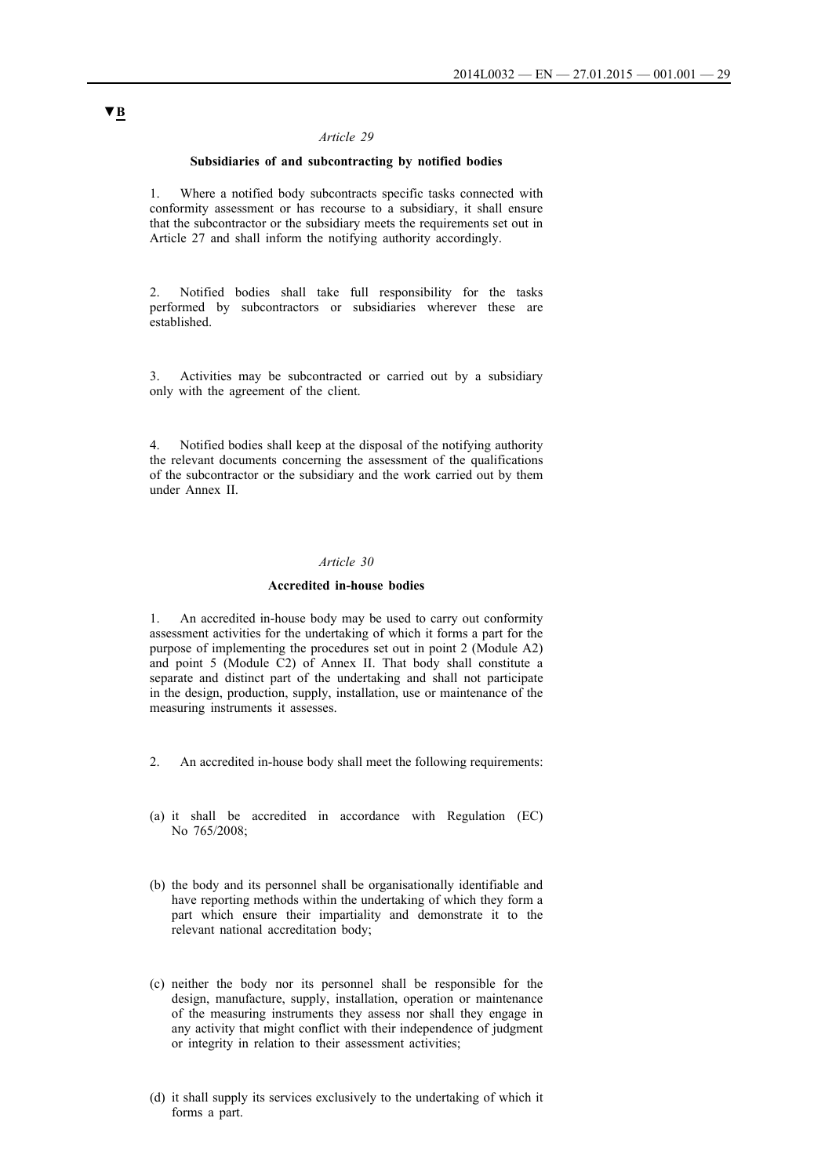### **Subsidiaries of and subcontracting by notified bodies**

1. Where a notified body subcontracts specific tasks connected with conformity assessment or has recourse to a subsidiary, it shall ensure that the subcontractor or the subsidiary meets the requirements set out in Article 27 and shall inform the notifying authority accordingly.

2. Notified bodies shall take full responsibility for the tasks performed by subcontractors or subsidiaries wherever these are established.

3. Activities may be subcontracted or carried out by a subsidiary only with the agreement of the client.

4. Notified bodies shall keep at the disposal of the notifying authority the relevant documents concerning the assessment of the qualifications of the subcontractor or the subsidiary and the work carried out by them under Annex II.

### *Article 30*

#### **Accredited in-house bodies**

1. An accredited in-house body may be used to carry out conformity assessment activities for the undertaking of which it forms a part for the purpose of implementing the procedures set out in point 2 (Module A2) and point 5 (Module C2) of Annex II. That body shall constitute a separate and distinct part of the undertaking and shall not participate in the design, production, supply, installation, use or maintenance of the measuring instruments it assesses.

- 2. An accredited in-house body shall meet the following requirements:
- (a) it shall be accredited in accordance with Regulation (EC) No 765/2008;
- (b) the body and its personnel shall be organisationally identifiable and have reporting methods within the undertaking of which they form a part which ensure their impartiality and demonstrate it to the relevant national accreditation body;
- (c) neither the body nor its personnel shall be responsible for the design, manufacture, supply, installation, operation or maintenance of the measuring instruments they assess nor shall they engage in any activity that might conflict with their independence of judgment or integrity in relation to their assessment activities;
- (d) it shall supply its services exclusively to the undertaking of which it forms a part.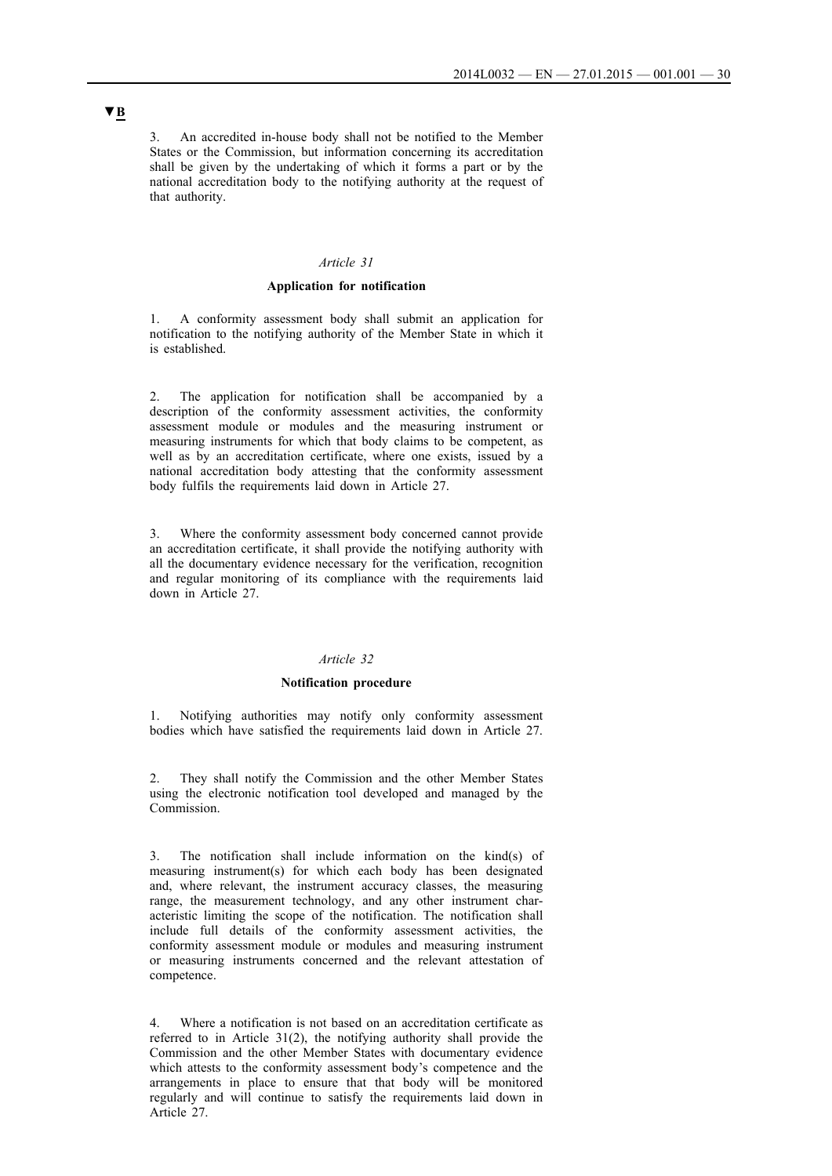3. An accredited in-house body shall not be notified to the Member States or the Commission, but information concerning its accreditation shall be given by the undertaking of which it forms a part or by the national accreditation body to the notifying authority at the request of that authority.

#### *Article 31*

### **Application for notification**

1. A conformity assessment body shall submit an application for notification to the notifying authority of the Member State in which it is established.

2. The application for notification shall be accompanied by a description of the conformity assessment activities, the conformity assessment module or modules and the measuring instrument or measuring instruments for which that body claims to be competent, as well as by an accreditation certificate, where one exists, issued by a national accreditation body attesting that the conformity assessment body fulfils the requirements laid down in Article 27.

3. Where the conformity assessment body concerned cannot provide an accreditation certificate, it shall provide the notifying authority with all the documentary evidence necessary for the verification, recognition and regular monitoring of its compliance with the requirements laid down in Article 27.

#### *Article 32*

#### **Notification procedure**

1. Notifying authorities may notify only conformity assessment bodies which have satisfied the requirements laid down in Article 27.

2. They shall notify the Commission and the other Member States using the electronic notification tool developed and managed by the Commission.

3. The notification shall include information on the kind(s) of measuring instrument(s) for which each body has been designated and, where relevant, the instrument accuracy classes, the measuring range, the measurement technology, and any other instrument characteristic limiting the scope of the notification. The notification shall include full details of the conformity assessment activities, the conformity assessment module or modules and measuring instrument or measuring instruments concerned and the relevant attestation of competence.

4. Where a notification is not based on an accreditation certificate as referred to in Article 31(2), the notifying authority shall provide the Commission and the other Member States with documentary evidence which attests to the conformity assessment body's competence and the arrangements in place to ensure that that body will be monitored regularly and will continue to satisfy the requirements laid down in Article 27.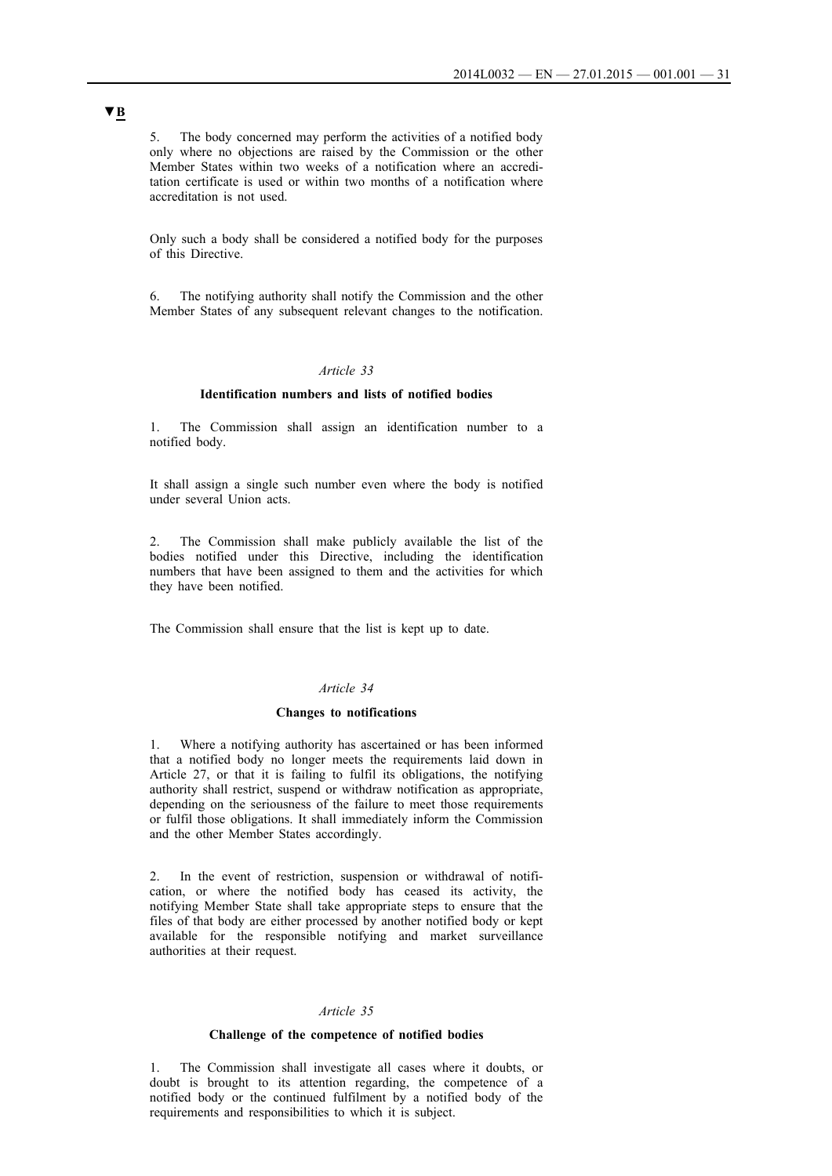5. The body concerned may perform the activities of a notified body only where no objections are raised by the Commission or the other Member States within two weeks of a notification where an accreditation certificate is used or within two months of a notification where accreditation is not used.

Only such a body shall be considered a notified body for the purposes of this Directive.

6. The notifying authority shall notify the Commission and the other Member States of any subsequent relevant changes to the notification.

### *Article 33*

#### **Identification numbers and lists of notified bodies**

1. The Commission shall assign an identification number to a notified body.

It shall assign a single such number even where the body is notified under several Union acts.

2. The Commission shall make publicly available the list of the bodies notified under this Directive, including the identification numbers that have been assigned to them and the activities for which they have been notified.

The Commission shall ensure that the list is kept up to date.

#### *Article 34*

#### **Changes to notifications**

1. Where a notifying authority has ascertained or has been informed that a notified body no longer meets the requirements laid down in Article 27, or that it is failing to fulfil its obligations, the notifying authority shall restrict, suspend or withdraw notification as appropriate, depending on the seriousness of the failure to meet those requirements or fulfil those obligations. It shall immediately inform the Commission and the other Member States accordingly.

2. In the event of restriction, suspension or withdrawal of notification, or where the notified body has ceased its activity, the notifying Member State shall take appropriate steps to ensure that the files of that body are either processed by another notified body or kept available for the responsible notifying and market surveillance authorities at their request.

#### *Article 35*

#### **Challenge of the competence of notified bodies**

1. The Commission shall investigate all cases where it doubts, or doubt is brought to its attention regarding, the competence of a notified body or the continued fulfilment by a notified body of the requirements and responsibilities to which it is subject.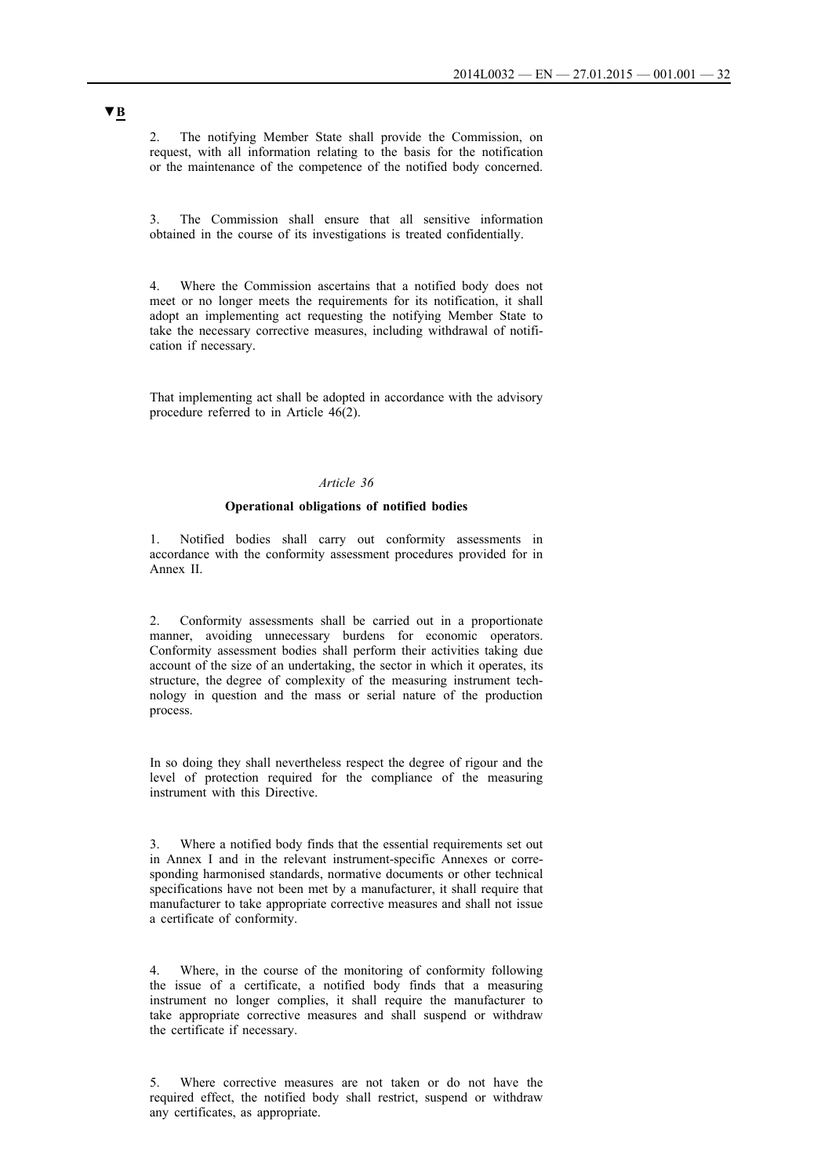2. The notifying Member State shall provide the Commission, on request, with all information relating to the basis for the notification or the maintenance of the competence of the notified body concerned.

3. The Commission shall ensure that all sensitive information obtained in the course of its investigations is treated confidentially.

4. Where the Commission ascertains that a notified body does not meet or no longer meets the requirements for its notification, it shall adopt an implementing act requesting the notifying Member State to take the necessary corrective measures, including withdrawal of notification if necessary.

That implementing act shall be adopted in accordance with the advisory procedure referred to in Article 46(2).

### *Article 36*

#### **Operational obligations of notified bodies**

1. Notified bodies shall carry out conformity assessments in accordance with the conformity assessment procedures provided for in Annex II.

2. Conformity assessments shall be carried out in a proportionate manner, avoiding unnecessary burdens for economic operators. Conformity assessment bodies shall perform their activities taking due account of the size of an undertaking, the sector in which it operates, its structure, the degree of complexity of the measuring instrument technology in question and the mass or serial nature of the production process.

In so doing they shall nevertheless respect the degree of rigour and the level of protection required for the compliance of the measuring instrument with this Directive.

3. Where a notified body finds that the essential requirements set out in Annex I and in the relevant instrument-specific Annexes or corresponding harmonised standards, normative documents or other technical specifications have not been met by a manufacturer, it shall require that manufacturer to take appropriate corrective measures and shall not issue a certificate of conformity.

4. Where, in the course of the monitoring of conformity following the issue of a certificate, a notified body finds that a measuring instrument no longer complies, it shall require the manufacturer to take appropriate corrective measures and shall suspend or withdraw the certificate if necessary.

5. Where corrective measures are not taken or do not have the required effect, the notified body shall restrict, suspend or withdraw any certificates, as appropriate.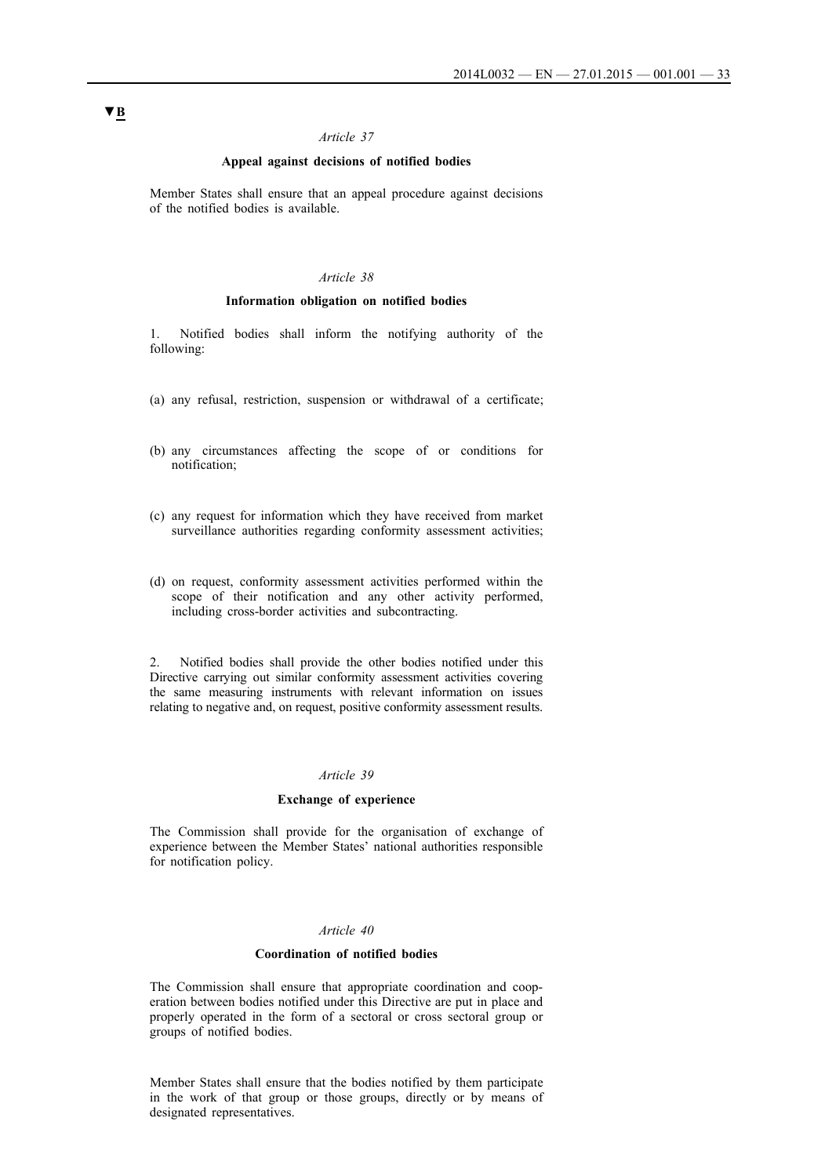### **Appeal against decisions of notified bodies**

Member States shall ensure that an appeal procedure against decisions of the notified bodies is available.

#### *Article 38*

#### **Information obligation on notified bodies**

1. Notified bodies shall inform the notifying authority of the following:

- (a) any refusal, restriction, suspension or withdrawal of a certificate;
- (b) any circumstances affecting the scope of or conditions for notification;
- (c) any request for information which they have received from market surveillance authorities regarding conformity assessment activities;
- (d) on request, conformity assessment activities performed within the scope of their notification and any other activity performed, including cross-border activities and subcontracting.

2. Notified bodies shall provide the other bodies notified under this Directive carrying out similar conformity assessment activities covering the same measuring instruments with relevant information on issues relating to negative and, on request, positive conformity assessment results.

### *Article 39*

#### **Exchange of experience**

The Commission shall provide for the organisation of exchange of experience between the Member States' national authorities responsible for notification policy.

### *Article 40*

### **Coordination of notified bodies**

The Commission shall ensure that appropriate coordination and cooperation between bodies notified under this Directive are put in place and properly operated in the form of a sectoral or cross sectoral group or groups of notified bodies.

Member States shall ensure that the bodies notified by them participate in the work of that group or those groups, directly or by means of designated representatives.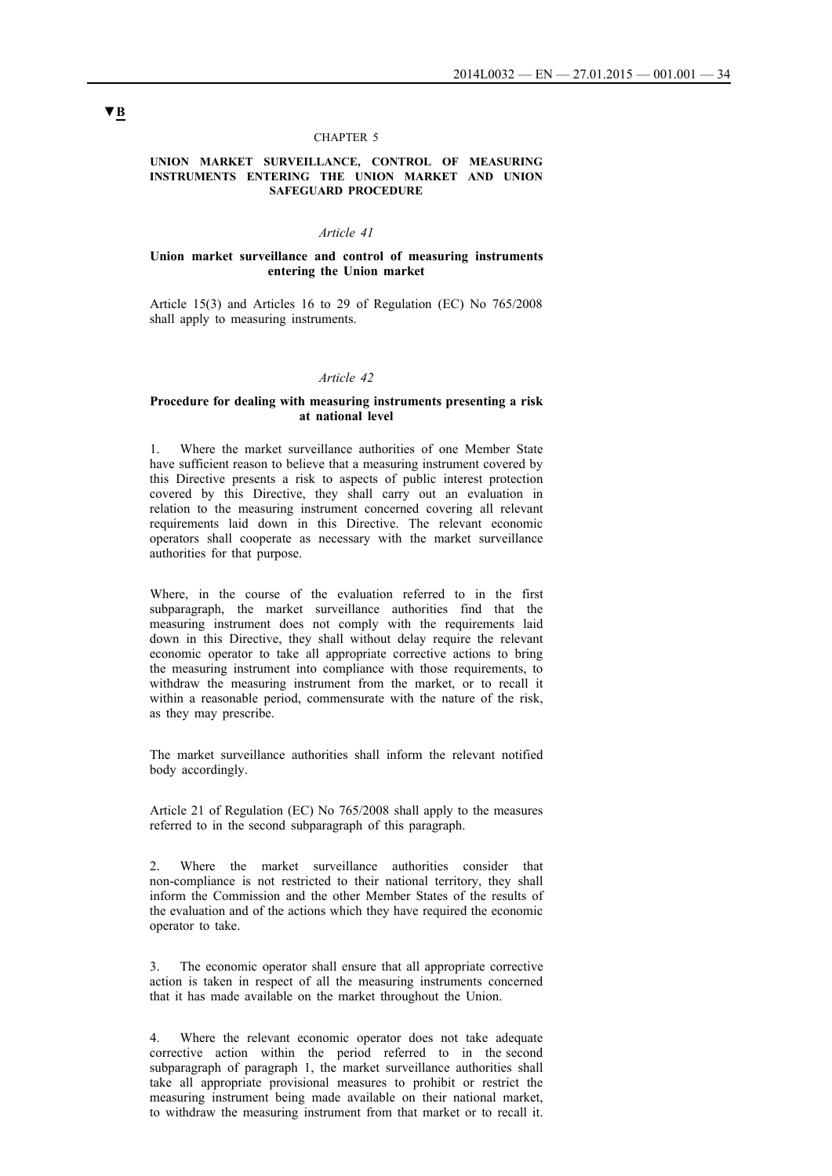#### CHAPTER 5

#### **UNION MARKET SURVEILLANCE, CONTROL OF MEASURING INSTRUMENTS ENTERING THE UNION MARKET AND UNION SAFEGUARD PROCEDURE**

### *Article 41*

#### **Union market surveillance and control of measuring instruments entering the Union market**

Article 15(3) and Articles 16 to 29 of Regulation (EC) No 765/2008 shall apply to measuring instruments.

#### *Article 42*

#### **Procedure for dealing with measuring instruments presenting a risk at national level**

1. Where the market surveillance authorities of one Member State have sufficient reason to believe that a measuring instrument covered by this Directive presents a risk to aspects of public interest protection covered by this Directive, they shall carry out an evaluation in relation to the measuring instrument concerned covering all relevant requirements laid down in this Directive. The relevant economic operators shall cooperate as necessary with the market surveillance authorities for that purpose.

Where, in the course of the evaluation referred to in the first subparagraph, the market surveillance authorities find that the measuring instrument does not comply with the requirements laid down in this Directive, they shall without delay require the relevant economic operator to take all appropriate corrective actions to bring the measuring instrument into compliance with those requirements, to withdraw the measuring instrument from the market, or to recall it within a reasonable period, commensurate with the nature of the risk, as they may prescribe.

The market surveillance authorities shall inform the relevant notified body accordingly.

Article 21 of Regulation (EC) No 765/2008 shall apply to the measures referred to in the second subparagraph of this paragraph.

2. Where the market surveillance authorities consider that non-compliance is not restricted to their national territory, they shall inform the Commission and the other Member States of the results of the evaluation and of the actions which they have required the economic operator to take.

3. The economic operator shall ensure that all appropriate corrective action is taken in respect of all the measuring instruments concerned that it has made available on the market throughout the Union.

4. Where the relevant economic operator does not take adequate corrective action within the period referred to in the second subparagraph of paragraph 1, the market surveillance authorities shall take all appropriate provisional measures to prohibit or restrict the measuring instrument being made available on their national market, to withdraw the measuring instrument from that market or to recall it.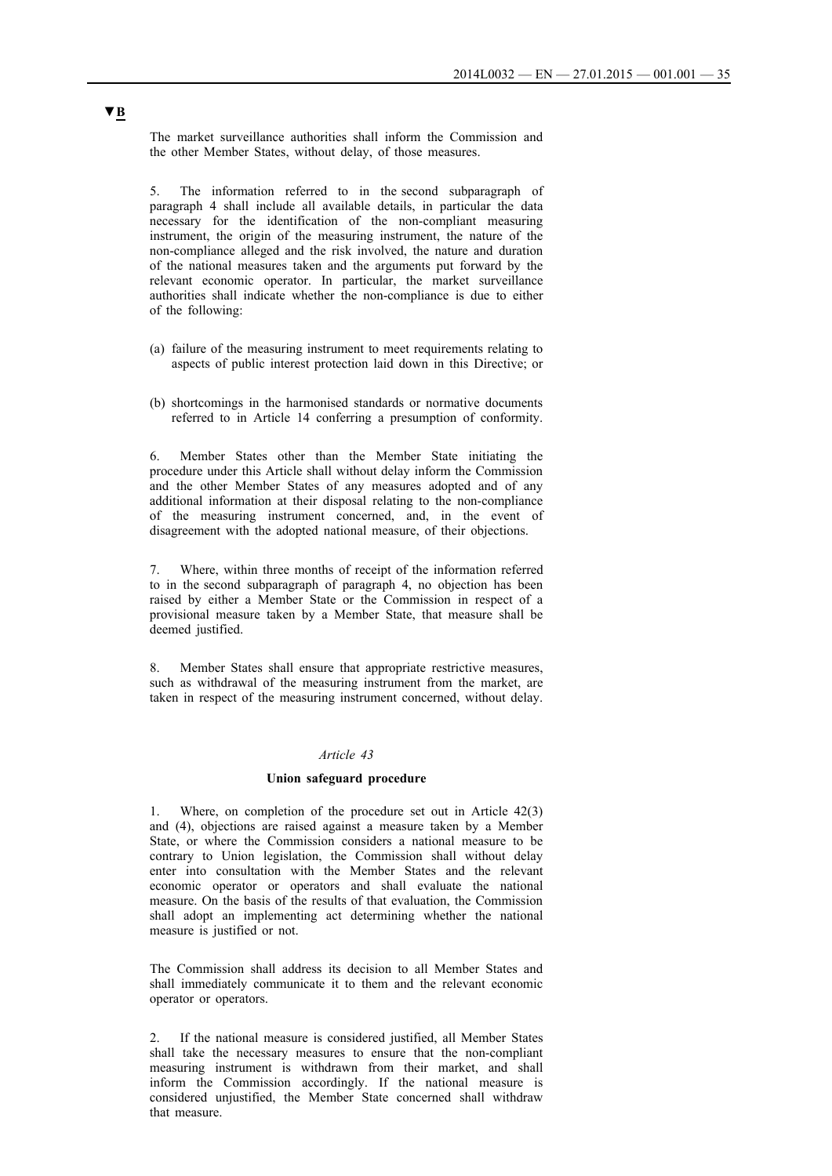The market surveillance authorities shall inform the Commission and the other Member States, without delay, of those measures.

5. The information referred to in the second subparagraph of paragraph 4 shall include all available details, in particular the data necessary for the identification of the non-compliant measuring instrument, the origin of the measuring instrument, the nature of the non-compliance alleged and the risk involved, the nature and duration of the national measures taken and the arguments put forward by the relevant economic operator. In particular, the market surveillance authorities shall indicate whether the non-compliance is due to either of the following:

- (a) failure of the measuring instrument to meet requirements relating to aspects of public interest protection laid down in this Directive; or
- (b) shortcomings in the harmonised standards or normative documents referred to in Article 14 conferring a presumption of conformity.

6. Member States other than the Member State initiating the procedure under this Article shall without delay inform the Commission and the other Member States of any measures adopted and of any additional information at their disposal relating to the non-compliance of the measuring instrument concerned, and, in the event of disagreement with the adopted national measure, of their objections.

7. Where, within three months of receipt of the information referred to in the second subparagraph of paragraph 4, no objection has been raised by either a Member State or the Commission in respect of a provisional measure taken by a Member State, that measure shall be deemed justified.

8. Member States shall ensure that appropriate restrictive measures, such as withdrawal of the measuring instrument from the market, are taken in respect of the measuring instrument concerned, without delay.

### *Article 43*

#### **Union safeguard procedure**

1. Where, on completion of the procedure set out in Article 42(3) and (4), objections are raised against a measure taken by a Member State, or where the Commission considers a national measure to be contrary to Union legislation, the Commission shall without delay enter into consultation with the Member States and the relevant economic operator or operators and shall evaluate the national measure. On the basis of the results of that evaluation, the Commission shall adopt an implementing act determining whether the national measure is justified or not.

The Commission shall address its decision to all Member States and shall immediately communicate it to them and the relevant economic operator or operators.

2. If the national measure is considered justified, all Member States shall take the necessary measures to ensure that the non-compliant measuring instrument is withdrawn from their market, and shall inform the Commission accordingly. If the national measure is considered unjustified, the Member State concerned shall withdraw that measure.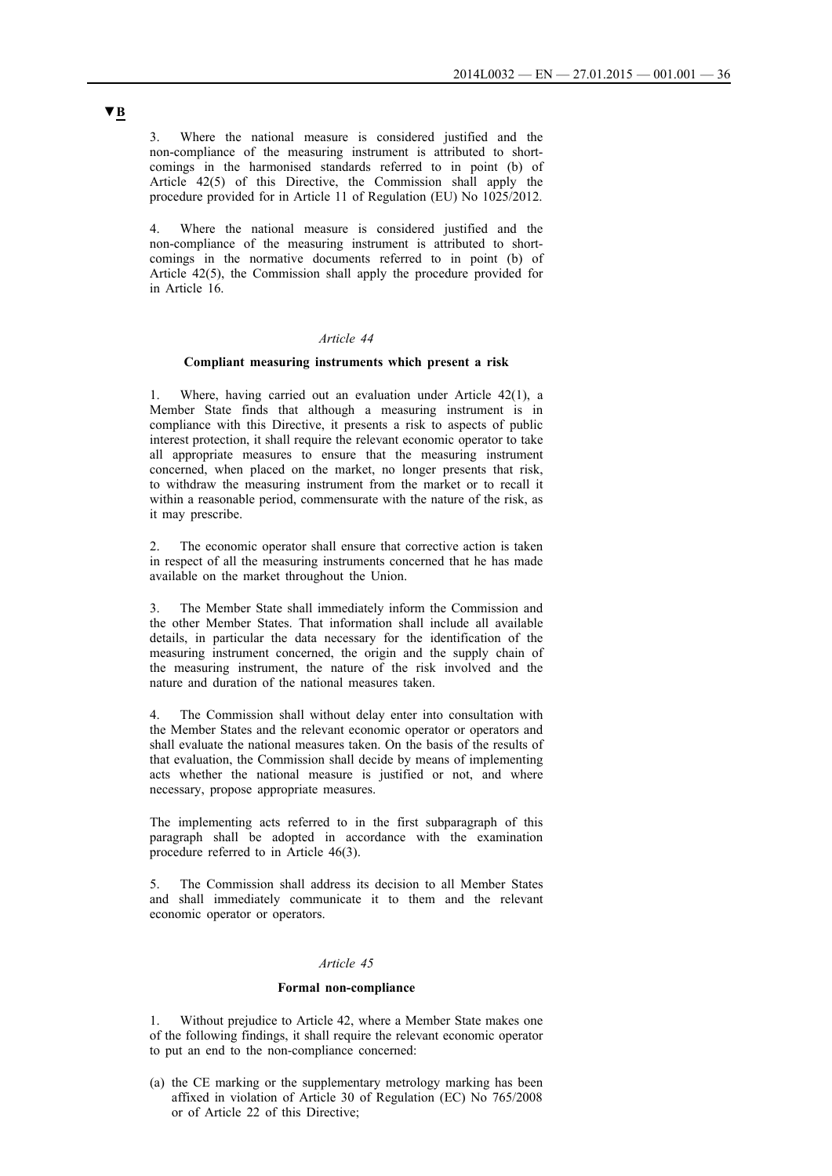3. Where the national measure is considered justified and the non-compliance of the measuring instrument is attributed to shortcomings in the harmonised standards referred to in point (b) of Article 42(5) of this Directive, the Commission shall apply the procedure provided for in Article 11 of Regulation (EU) No 1025/2012.

4. Where the national measure is considered justified and the non-compliance of the measuring instrument is attributed to shortcomings in the normative documents referred to in point (b) of Article 42(5), the Commission shall apply the procedure provided for in Article 16.

### *Article 44*

### **Compliant measuring instruments which present a risk**

Where, having carried out an evaluation under Article  $42(1)$ , a Member State finds that although a measuring instrument is in compliance with this Directive, it presents a risk to aspects of public interest protection, it shall require the relevant economic operator to take all appropriate measures to ensure that the measuring instrument concerned, when placed on the market, no longer presents that risk, to withdraw the measuring instrument from the market or to recall it within a reasonable period, commensurate with the nature of the risk, as it may prescribe.

2. The economic operator shall ensure that corrective action is taken in respect of all the measuring instruments concerned that he has made available on the market throughout the Union.

3. The Member State shall immediately inform the Commission and the other Member States. That information shall include all available details, in particular the data necessary for the identification of the measuring instrument concerned, the origin and the supply chain of the measuring instrument, the nature of the risk involved and the nature and duration of the national measures taken.

4. The Commission shall without delay enter into consultation with the Member States and the relevant economic operator or operators and shall evaluate the national measures taken. On the basis of the results of that evaluation, the Commission shall decide by means of implementing acts whether the national measure is justified or not, and where necessary, propose appropriate measures.

The implementing acts referred to in the first subparagraph of this paragraph shall be adopted in accordance with the examination procedure referred to in Article 46(3).

5. The Commission shall address its decision to all Member States and shall immediately communicate it to them and the relevant economic operator or operators.

### *Article 45*

#### **Formal non-compliance**

1. Without prejudice to Article 42, where a Member State makes one of the following findings, it shall require the relevant economic operator to put an end to the non-compliance concerned:

(a) the CE marking or the supplementary metrology marking has been affixed in violation of Article 30 of Regulation (EC) No 765/2008 or of Article 22 of this Directive;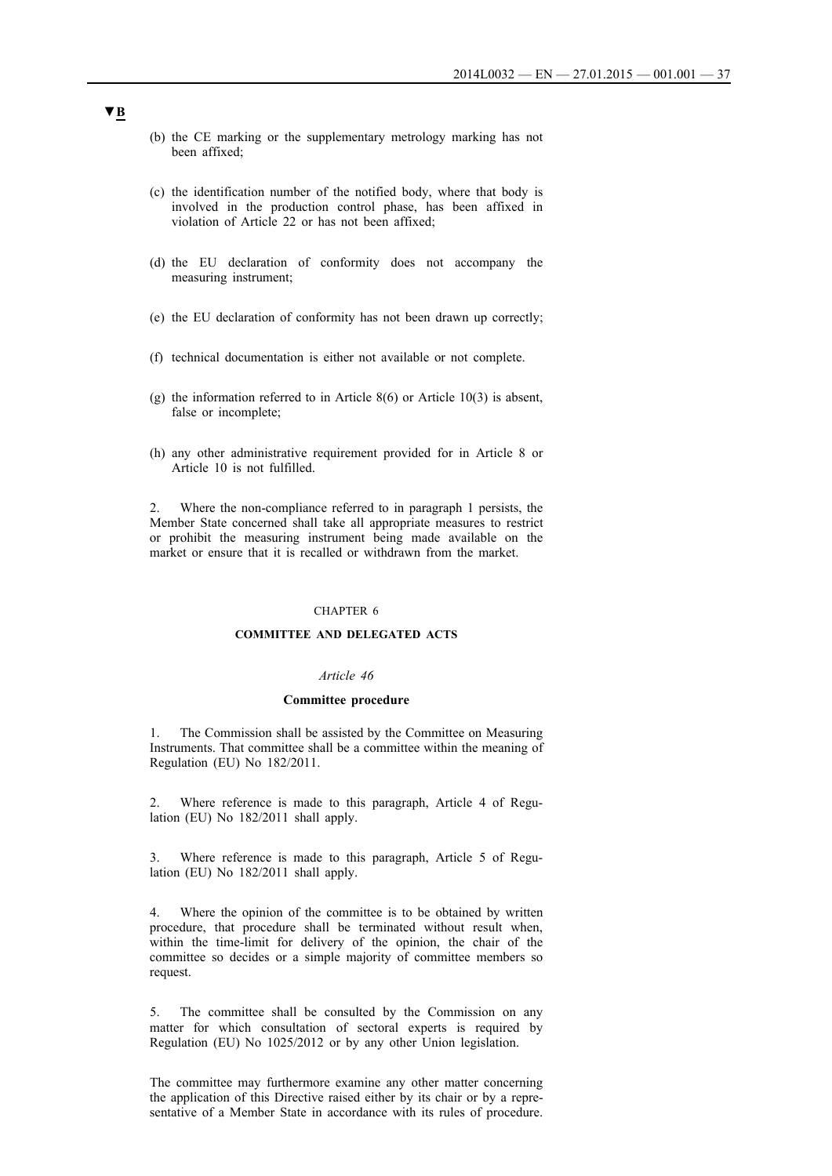- (b) the CE marking or the supplementary metrology marking has not been affixed;
- (c) the identification number of the notified body, where that body is involved in the production control phase, has been affixed in violation of Article 22 or has not been affixed;
- (d) the EU declaration of conformity does not accompany the measuring instrument;
- (e) the EU declaration of conformity has not been drawn up correctly;
- (f) technical documentation is either not available or not complete.
- (g) the information referred to in Article 8(6) or Article 10(3) is absent, false or incomplete;
- (h) any other administrative requirement provided for in Article 8 or Article 10 is not fulfilled.

2. Where the non-compliance referred to in paragraph 1 persists, the Member State concerned shall take all appropriate measures to restrict or prohibit the measuring instrument being made available on the market or ensure that it is recalled or withdrawn from the market.

## CHAPTER 6

### **COMMITTEE AND DELEGATED ACTS**

#### *Article 46*

#### **Committee procedure**

1. The Commission shall be assisted by the Committee on Measuring Instruments. That committee shall be a committee within the meaning of Regulation (EU) No 182/2011.

2. Where reference is made to this paragraph, Article 4 of Regulation (EU) No 182/2011 shall apply.

3. Where reference is made to this paragraph, Article 5 of Regulation (EU) No 182/2011 shall apply.

4. Where the opinion of the committee is to be obtained by written procedure, that procedure shall be terminated without result when, within the time-limit for delivery of the opinion, the chair of the committee so decides or a simple majority of committee members so request.

5. The committee shall be consulted by the Commission on any matter for which consultation of sectoral experts is required by Regulation (EU) No 1025/2012 or by any other Union legislation.

The committee may furthermore examine any other matter concerning the application of this Directive raised either by its chair or by a representative of a Member State in accordance with its rules of procedure.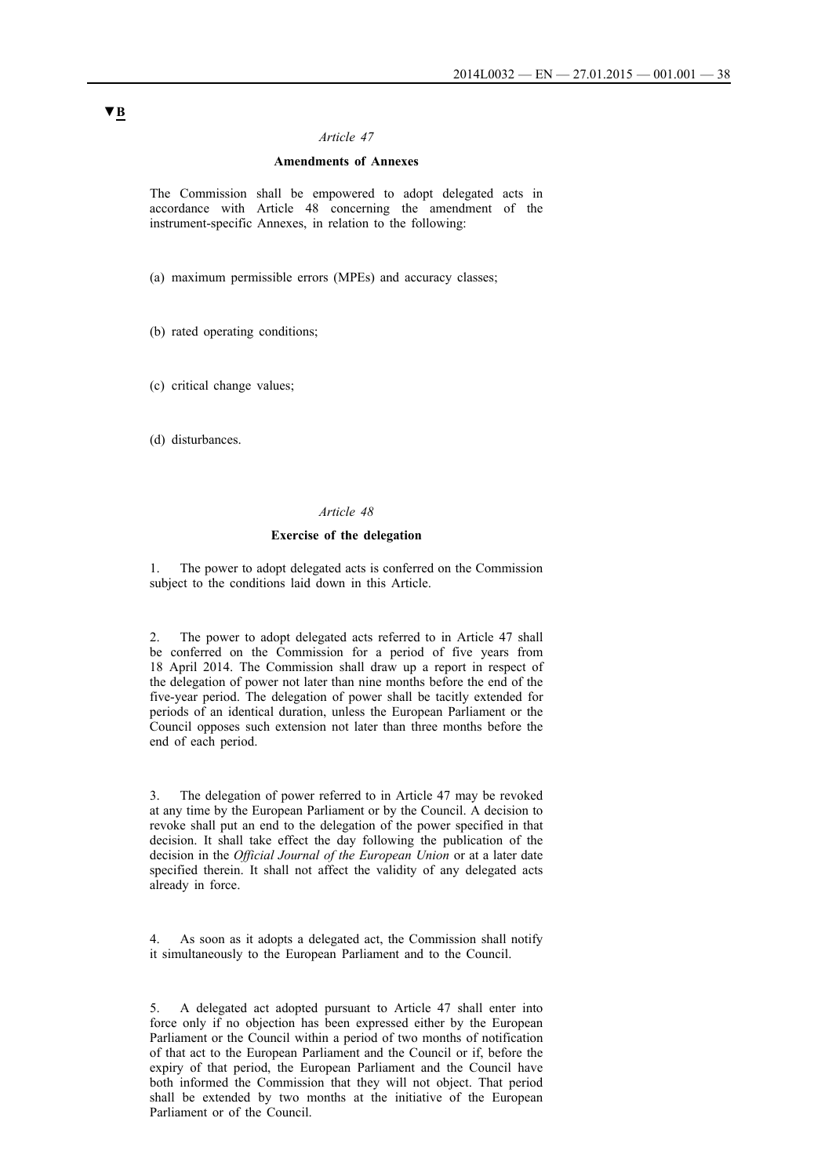## *Article 47*

## **Amendments of Annexes**

The Commission shall be empowered to adopt delegated acts in accordance with Article 48 concerning the amendment of the instrument-specific Annexes, in relation to the following:

(a) maximum permissible errors (MPEs) and accuracy classes;

(b) rated operating conditions;

(c) critical change values;

(d) disturbances.

## *Article 48*

#### **Exercise of the delegation**

The power to adopt delegated acts is conferred on the Commission subject to the conditions laid down in this Article.

2. The power to adopt delegated acts referred to in Article 47 shall be conferred on the Commission for a period of five years from 18 April 2014. The Commission shall draw up a report in respect of the delegation of power not later than nine months before the end of the five-year period. The delegation of power shall be tacitly extended for periods of an identical duration, unless the European Parliament or the Council opposes such extension not later than three months before the end of each period.

3. The delegation of power referred to in Article 47 may be revoked at any time by the European Parliament or by the Council. A decision to revoke shall put an end to the delegation of the power specified in that decision. It shall take effect the day following the publication of the decision in the *Official Journal of the European Union* or at a later date specified therein. It shall not affect the validity of any delegated acts already in force.

4. As soon as it adopts a delegated act, the Commission shall notify it simultaneously to the European Parliament and to the Council.

5. A delegated act adopted pursuant to Article 47 shall enter into force only if no objection has been expressed either by the European Parliament or the Council within a period of two months of notification of that act to the European Parliament and the Council or if, before the expiry of that period, the European Parliament and the Council have both informed the Commission that they will not object. That period shall be extended by two months at the initiative of the European Parliament or of the Council.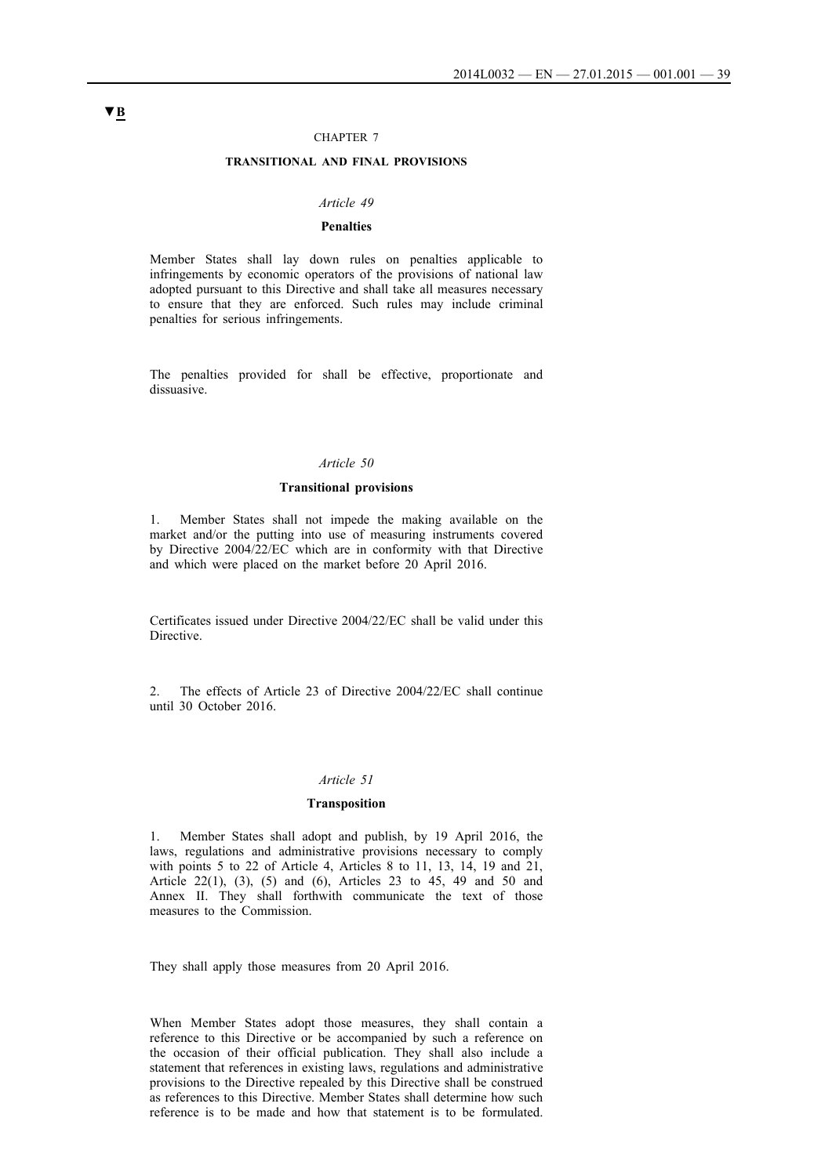#### CHAPTER 7

## **TRANSITIONAL AND FINAL PROVISIONS**

#### *Article 49*

## **Penalties**

Member States shall lay down rules on penalties applicable to infringements by economic operators of the provisions of national law adopted pursuant to this Directive and shall take all measures necessary to ensure that they are enforced. Such rules may include criminal penalties for serious infringements.

The penalties provided for shall be effective, proportionate and dissuasive.

### *Article 50*

## **Transitional provisions**

1. Member States shall not impede the making available on the market and/or the putting into use of measuring instruments covered by Directive 2004/22/EC which are in conformity with that Directive and which were placed on the market before 20 April 2016.

Certificates issued under Directive 2004/22/EC shall be valid under this Directive.

2. The effects of Article 23 of Directive 2004/22/EC shall continue until 30 October 2016.

#### *Article 51*

## **Transposition**

1. Member States shall adopt and publish, by 19 April 2016, the laws, regulations and administrative provisions necessary to comply with points 5 to 22 of Article 4, Articles 8 to 11, 13, 14, 19 and 21, Article 22(1), (3), (5) and (6), Articles 23 to 45, 49 and 50 and Annex II. They shall forthwith communicate the text of those measures to the Commission.

They shall apply those measures from 20 April 2016.

When Member States adopt those measures, they shall contain a reference to this Directive or be accompanied by such a reference on the occasion of their official publication. They shall also include a statement that references in existing laws, regulations and administrative provisions to the Directive repealed by this Directive shall be construed as references to this Directive. Member States shall determine how such reference is to be made and how that statement is to be formulated.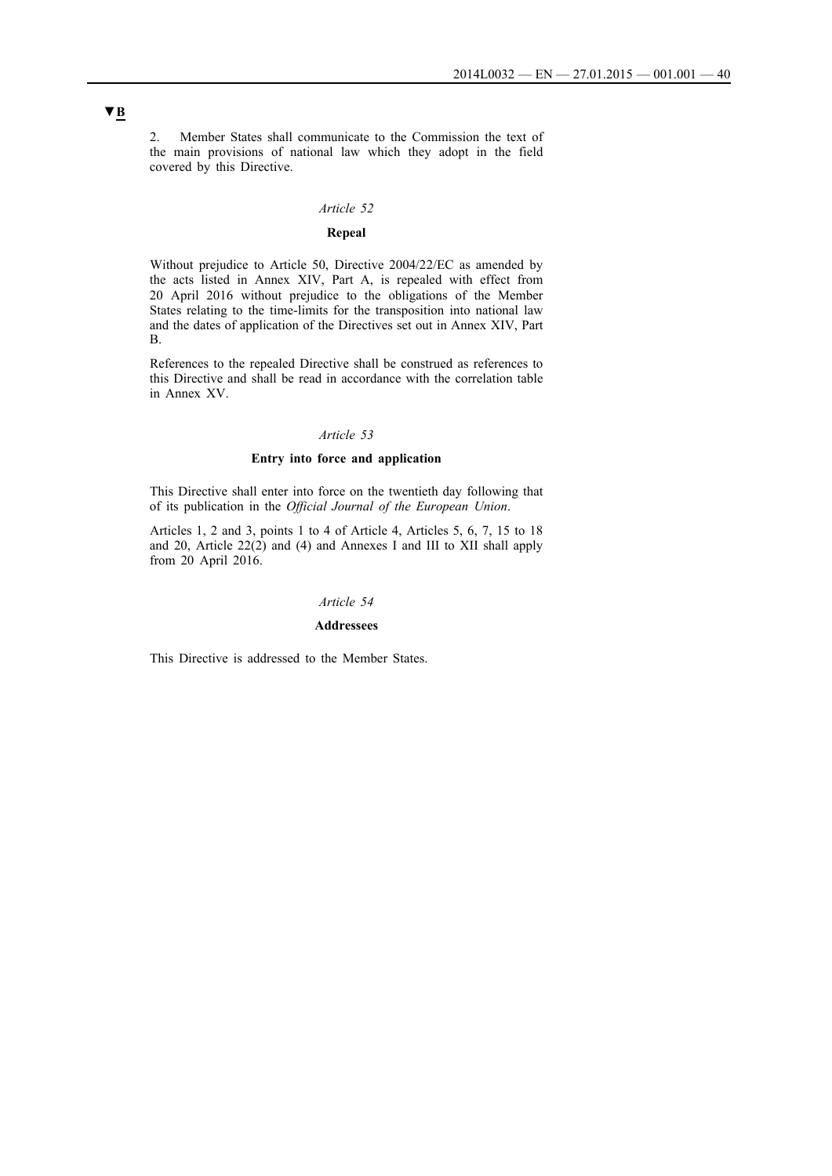2. Member States shall communicate to the Commission the text of the main provisions of national law which they adopt in the field covered by this Directive.

## *Article 52*

## **Repeal**

Without prejudice to Article 50, Directive 2004/22/EC as amended by the acts listed in Annex XIV, Part A, is repealed with effect from 20 April 2016 without prejudice to the obligations of the Member States relating to the time-limits for the transposition into national law and the dates of application of the Directives set out in Annex XIV, Part B.

References to the repealed Directive shall be construed as references to this Directive and shall be read in accordance with the correlation table in Annex XV.

## *Article 53*

## **Entry into force and application**

This Directive shall enter into force on the twentieth day following that of its publication in the *Official Journal of the European Union*.

Articles 1, 2 and 3, points 1 to 4 of Article 4, Articles 5, 6, 7, 15 to 18 and 20, Article 22(2) and (4) and Annexes I and III to XII shall apply from 20 April 2016.

## *Article 54*

#### **Addressees**

This Directive is addressed to the Member States.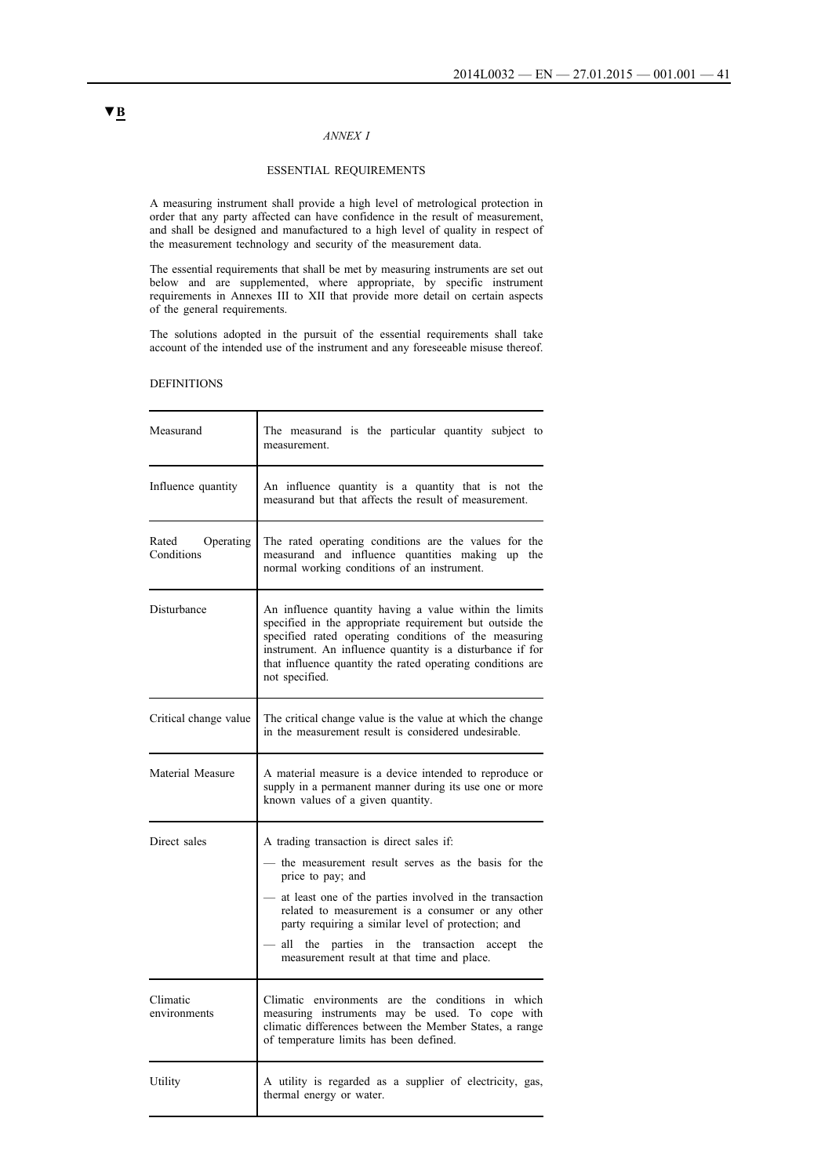## *ANNEX I*

## ESSENTIAL REQUIREMENTS

A measuring instrument shall provide a high level of metrological protection in order that any party affected can have confidence in the result of measurement, and shall be designed and manufactured to a high level of quality in respect of the measurement technology and security of the measurement data.

The essential requirements that shall be met by measuring instruments are set out below and are supplemented, where appropriate, by specific instrument requirements in Annexes III to XII that provide more detail on certain aspects of the general requirements.

The solutions adopted in the pursuit of the essential requirements shall take account of the intended use of the instrument and any foreseeable misuse thereof.

### DEFINITIONS

| Measurand                        | The measurand is the particular quantity subject to<br>measurement.                                                                                                                                                                                                                                                                                                                           |  |
|----------------------------------|-----------------------------------------------------------------------------------------------------------------------------------------------------------------------------------------------------------------------------------------------------------------------------------------------------------------------------------------------------------------------------------------------|--|
| Influence quantity               | An influence quantity is a quantity that is not the<br>measurand but that affects the result of measurement.                                                                                                                                                                                                                                                                                  |  |
| Operating<br>Rated<br>Conditions | The rated operating conditions are the values for the<br>measurand and influence quantities making up the<br>normal working conditions of an instrument.                                                                                                                                                                                                                                      |  |
| Disturbance                      | An influence quantity having a value within the limits<br>specified in the appropriate requirement but outside the<br>specified rated operating conditions of the measuring<br>instrument. An influence quantity is a disturbance if for<br>that influence quantity the rated operating conditions are<br>not specified.                                                                      |  |
| Critical change value            | The critical change value is the value at which the change<br>in the measurement result is considered undesirable.                                                                                                                                                                                                                                                                            |  |
| Material Measure                 | A material measure is a device intended to reproduce or<br>supply in a permanent manner during its use one or more<br>known values of a given quantity.                                                                                                                                                                                                                                       |  |
| Direct sales                     | A trading transaction is direct sales if:<br>- the measurement result serves as the basis for the<br>price to pay; and<br>- at least one of the parties involved in the transaction<br>related to measurement is a consumer or any other<br>party requiring a similar level of protection; and<br>all the parties in the transaction accept the<br>measurement result at that time and place. |  |
| Climatic<br>environments         | Climatic environments are the conditions in which<br>measuring instruments may be used. To cope with<br>climatic differences between the Member States, a range<br>of temperature limits has been defined.                                                                                                                                                                                    |  |
| Utility                          | A utility is regarded as a supplier of electricity, gas,<br>thermal energy or water.                                                                                                                                                                                                                                                                                                          |  |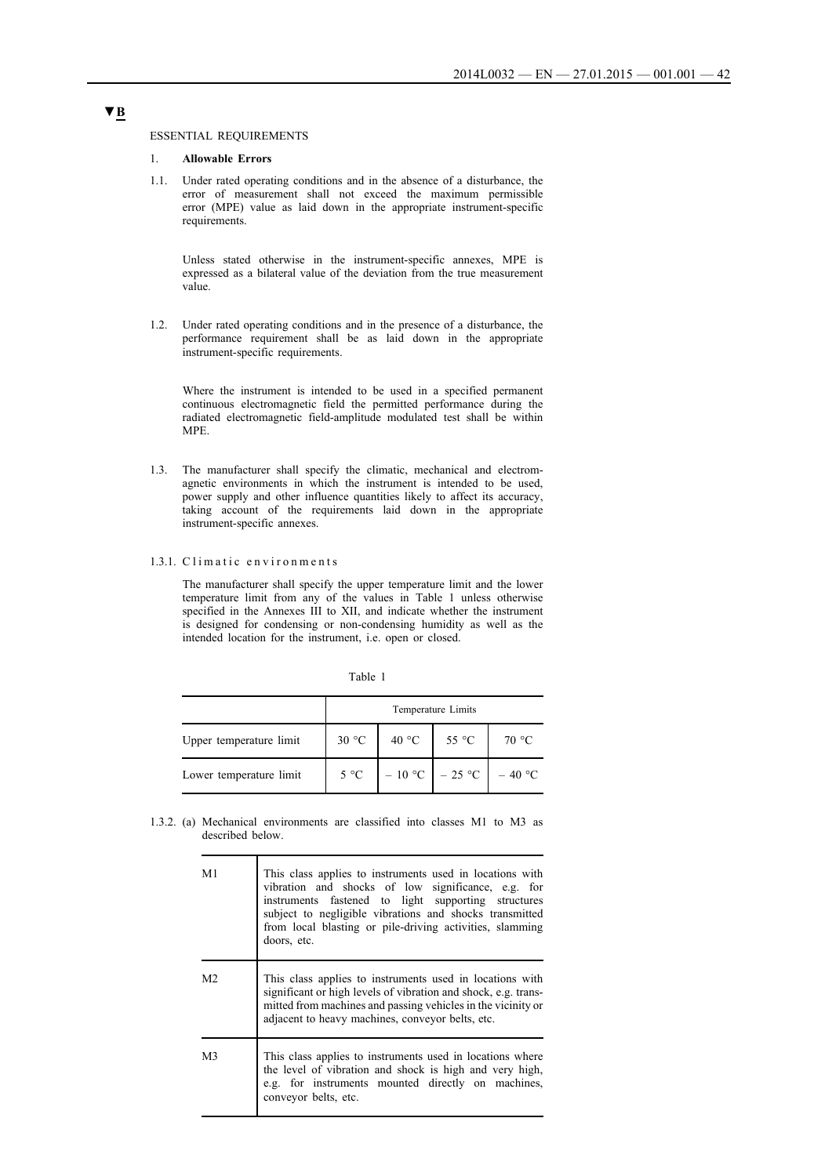### ESSENTIAL REQUIREMENTS

## 1. **Allowable Errors**

1.1. Under rated operating conditions and in the absence of a disturbance, the error of measurement shall not exceed the maximum permissible error (MPE) value as laid down in the appropriate instrument-specific requirements.

Unless stated otherwise in the instrument-specific annexes, MPE is expressed as a bilateral value of the deviation from the true measurement value.

1.2. Under rated operating conditions and in the presence of a disturbance, the performance requirement shall be as laid down in the appropriate instrument-specific requirements.

Where the instrument is intended to be used in a specified permanent continuous electromagnetic field the permitted performance during the radiated electromagnetic field-amplitude modulated test shall be within MPE.

1.3. The manufacturer shall specify the climatic, mechanical and electromagnetic environments in which the instrument is intended to be used, power supply and other influence quantities likely to affect its accuracy, taking account of the requirements laid down in the appropriate instrument-specific annexes.

## 1.3.1. Climatic environments

The manufacturer shall specify the upper temperature limit and the lower temperature limit from any of the values in Table 1 unless otherwise specified in the Annexes III to XII, and indicate whether the instrument is designed for condensing or non-condensing humidity as well as the intended location for the instrument, i.e. open or closed.

| able |  |
|------|--|
|      |  |

|                         |       |       | Temperature Limits         |       |
|-------------------------|-------|-------|----------------------------|-------|
| Upper temperature limit | 30 °C | 40 °C | 55 °C                      | 70 °C |
| Lower temperature limit | 5 °C  |       | $-10$ °C $-25$ °C $-40$ °C |       |

1.3.2. (a) Mechanical environments are classified into classes M1 to M3 as described below.

| M1             | This class applies to instruments used in locations with<br>vibration and shocks of low significance, e.g. for<br>instruments fastened to light supporting structures<br>subject to negligible vibrations and shocks transmitted<br>from local blasting or pile-driving activities, slamming<br>doors, etc. |
|----------------|-------------------------------------------------------------------------------------------------------------------------------------------------------------------------------------------------------------------------------------------------------------------------------------------------------------|
| M <sub>2</sub> | This class applies to instruments used in locations with<br>significant or high levels of vibration and shock, e.g. trans-<br>mitted from machines and passing vehicles in the vicinity or<br>adjacent to heavy machines, conveyor belts, etc.                                                              |
| M3             | This class applies to instruments used in locations where<br>the level of vibration and shock is high and very high,<br>e.g. for instruments mounted directly on machines,<br>conveyor belts, etc.                                                                                                          |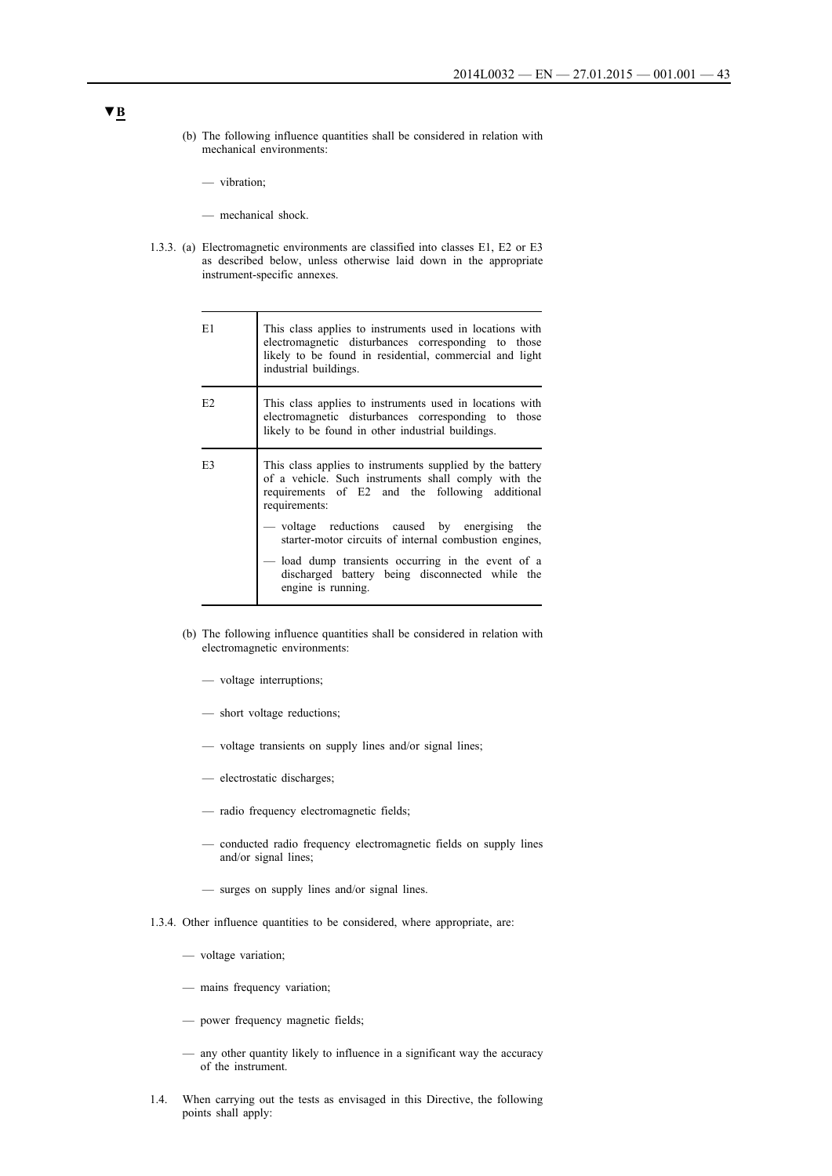- (b) The following influence quantities shall be considered in relation with mechanical environments:
	- vibration;
	- mechanical shock.
- 1.3.3. (a) Electromagnetic environments are classified into classes E1, E2 or E3 as described below, unless otherwise laid down in the appropriate instrument-specific annexes.

| E1             | This class applies to instruments used in locations with<br>electromagnetic disturbances corresponding to those<br>likely to be found in residential, commercial and light<br>industrial buildings.                                                                                                                                                                                                                           |
|----------------|-------------------------------------------------------------------------------------------------------------------------------------------------------------------------------------------------------------------------------------------------------------------------------------------------------------------------------------------------------------------------------------------------------------------------------|
| E2             | This class applies to instruments used in locations with<br>electromagnetic disturbances corresponding to those<br>likely to be found in other industrial buildings.                                                                                                                                                                                                                                                          |
| E <sub>3</sub> | This class applies to instruments supplied by the battery<br>of a vehicle. Such instruments shall comply with the<br>requirements of E2 and the following additional<br>requirements:<br>— voltage reductions caused by energising the<br>starter-motor circuits of internal combustion engines,<br>load dump transients occurring in the event of a<br>discharged battery being disconnected while the<br>engine is running. |

- (b) The following influence quantities shall be considered in relation with electromagnetic environments:
	- voltage interruptions;
	- short voltage reductions;
	- voltage transients on supply lines and/or signal lines;
	- electrostatic discharges;
	- radio frequency electromagnetic fields;
	- conducted radio frequency electromagnetic fields on supply lines and/or signal lines;
	- surges on supply lines and/or signal lines.
- 1.3.4. Other influence quantities to be considered, where appropriate, are:
	- voltage variation;
	- mains frequency variation;
	- power frequency magnetic fields;
	- any other quantity likely to influence in a significant way the accuracy of the instrument.
- 1.4. When carrying out the tests as envisaged in this Directive, the following points shall apply: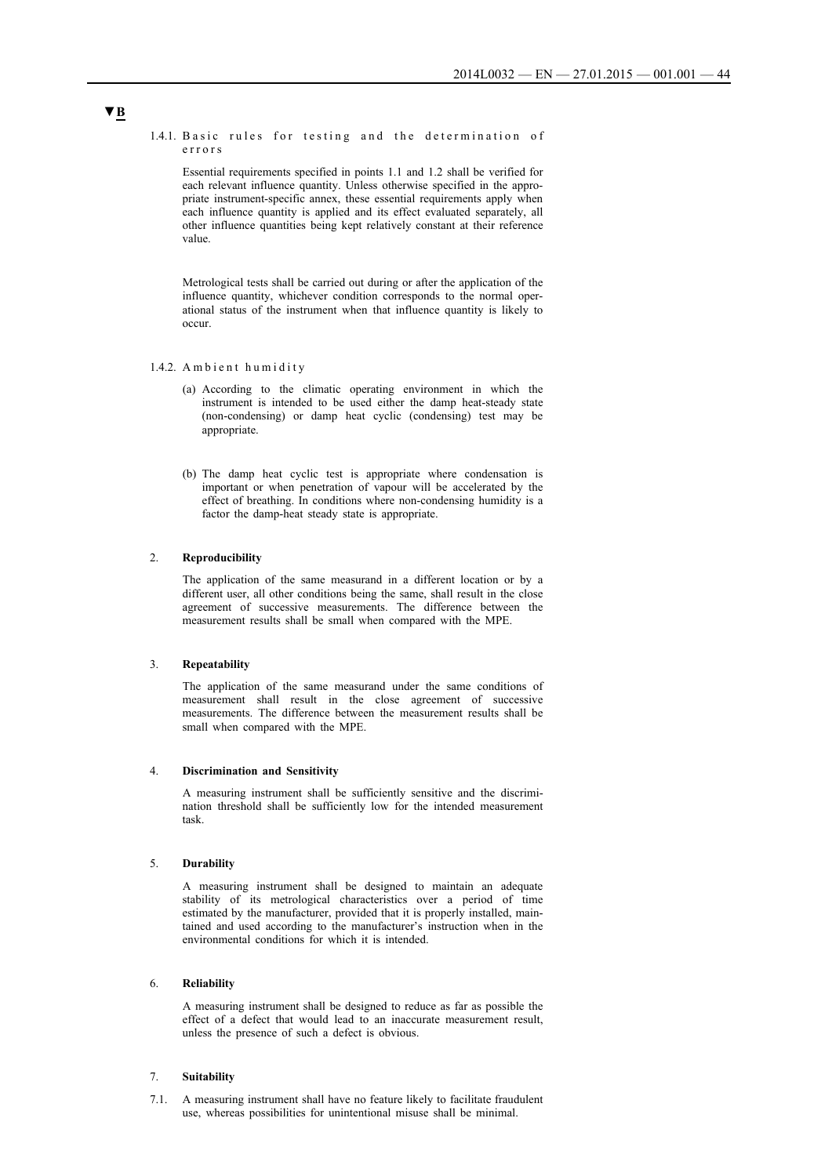#### 1.4.1. Basic rules for testing and the determination of e r r o r s

Essential requirements specified in points 1.1 and 1.2 shall be verified for each relevant influence quantity. Unless otherwise specified in the appropriate instrument-specific annex, these essential requirements apply when each influence quantity is applied and its effect evaluated separately, all other influence quantities being kept relatively constant at their reference value.

Metrological tests shall be carried out during or after the application of the influence quantity, whichever condition corresponds to the normal operational status of the instrument when that influence quantity is likely to occur.

### 1.4.2. A m bient humidity

- (a) According to the climatic operating environment in which the instrument is intended to be used either the damp heat-steady state (non-condensing) or damp heat cyclic (condensing) test may be appropriate.
- (b) The damp heat cyclic test is appropriate where condensation is important or when penetration of vapour will be accelerated by the effect of breathing. In conditions where non-condensing humidity is a factor the damp-heat steady state is appropriate.

### 2. **Reproducibility**

The application of the same measurand in a different location or by a different user, all other conditions being the same, shall result in the close agreement of successive measurements. The difference between the measurement results shall be small when compared with the MPE.

### 3. **Repeatability**

The application of the same measurand under the same conditions of measurement shall result in the close agreement of successive measurements. The difference between the measurement results shall be small when compared with the MPE.

#### 4. **Discrimination and Sensitivity**

A measuring instrument shall be sufficiently sensitive and the discrimination threshold shall be sufficiently low for the intended measurement task.

#### 5. **Durability**

A measuring instrument shall be designed to maintain an adequate stability of its metrological characteristics over a period of time estimated by the manufacturer, provided that it is properly installed, maintained and used according to the manufacturer's instruction when in the environmental conditions for which it is intended.

## 6. **Reliability**

A measuring instrument shall be designed to reduce as far as possible the effect of a defect that would lead to an inaccurate measurement result, unless the presence of such a defect is obvious.

### 7. **Suitability**

7.1. A measuring instrument shall have no feature likely to facilitate fraudulent use, whereas possibilities for unintentional misuse shall be minimal.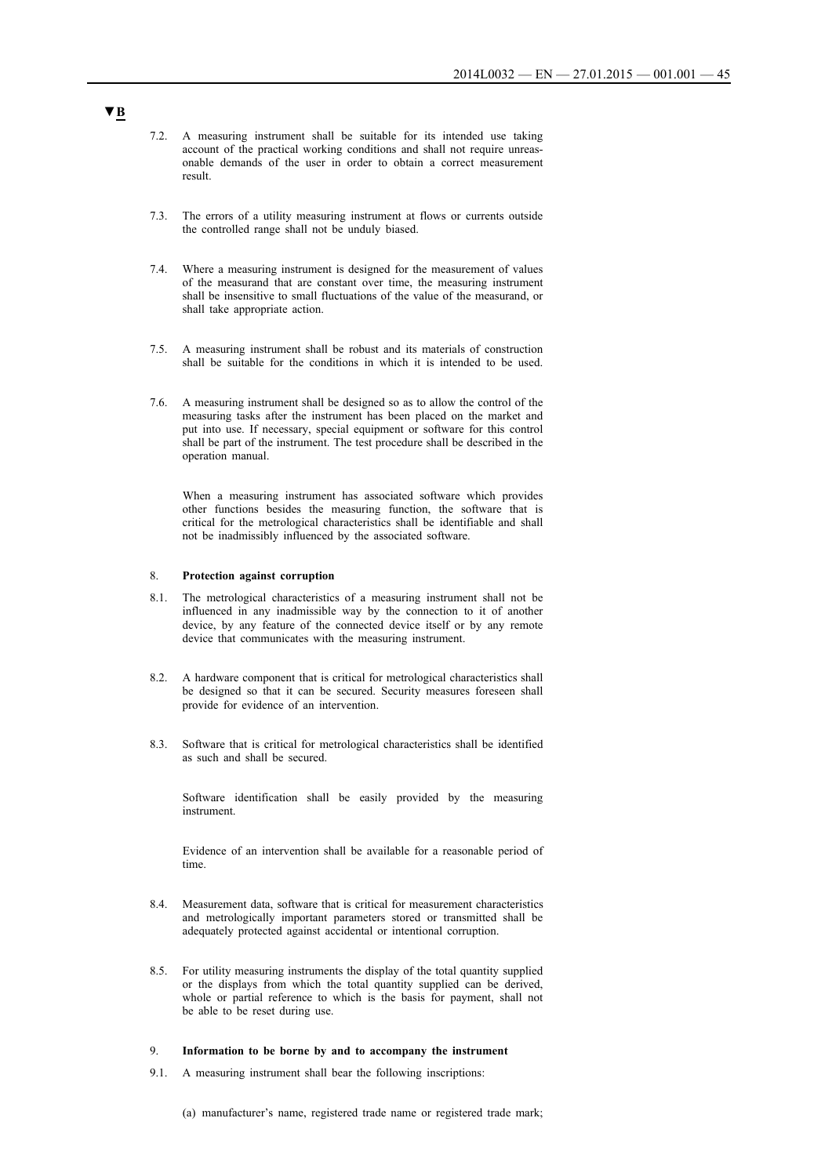- 7.2. A measuring instrument shall be suitable for its intended use taking account of the practical working conditions and shall not require unreasonable demands of the user in order to obtain a correct measurement result.
- 7.3. The errors of a utility measuring instrument at flows or currents outside the controlled range shall not be unduly biased.
- 7.4. Where a measuring instrument is designed for the measurement of values of the measurand that are constant over time, the measuring instrument shall be insensitive to small fluctuations of the value of the measurand, or shall take appropriate action.
- 7.5. A measuring instrument shall be robust and its materials of construction shall be suitable for the conditions in which it is intended to be used.
- 7.6. A measuring instrument shall be designed so as to allow the control of the measuring tasks after the instrument has been placed on the market and put into use. If necessary, special equipment or software for this control shall be part of the instrument. The test procedure shall be described in the operation manual.

When a measuring instrument has associated software which provides other functions besides the measuring function, the software that is critical for the metrological characteristics shall be identifiable and shall not be inadmissibly influenced by the associated software.

#### 8. **Protection against corruption**

- 8.1. The metrological characteristics of a measuring instrument shall not be influenced in any inadmissible way by the connection to it of another device, by any feature of the connected device itself or by any remote device that communicates with the measuring instrument.
- 8.2. A hardware component that is critical for metrological characteristics shall be designed so that it can be secured. Security measures foreseen shall provide for evidence of an intervention.
- 8.3. Software that is critical for metrological characteristics shall be identified as such and shall be secured.

Software identification shall be easily provided by the measuring instrument.

Evidence of an intervention shall be available for a reasonable period of time.

- 8.4. Measurement data, software that is critical for measurement characteristics and metrologically important parameters stored or transmitted shall be adequately protected against accidental or intentional corruption.
- 8.5. For utility measuring instruments the display of the total quantity supplied or the displays from which the total quantity supplied can be derived, whole or partial reference to which is the basis for payment, shall not be able to be reset during use.

## 9. **Information to be borne by and to accompany the instrument**

- 9.1. A measuring instrument shall bear the following inscriptions:
	- (a) manufacturer's name, registered trade name or registered trade mark;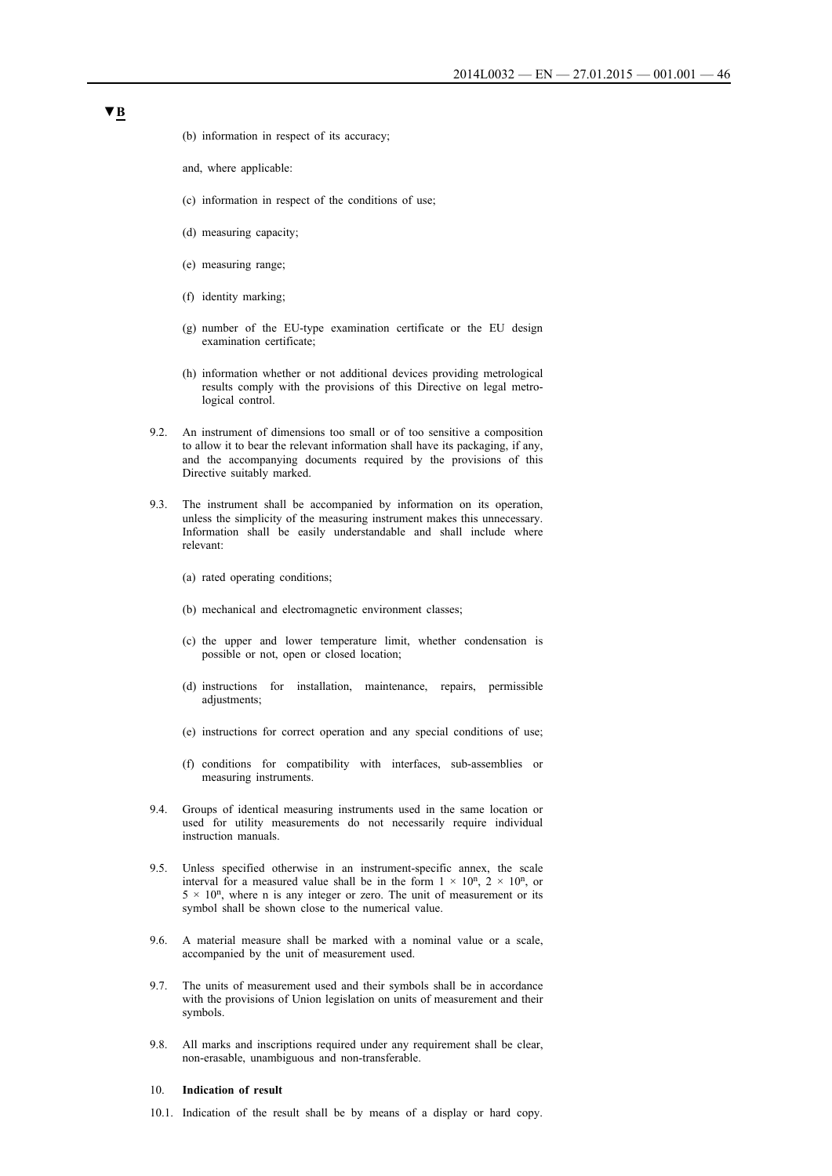- (b) information in respect of its accuracy;
- and, where applicable:
- (c) information in respect of the conditions of use;
- (d) measuring capacity;
- (e) measuring range;
- (f) identity marking;
- (g) number of the EU-type examination certificate or the EU design examination certificate;
- (h) information whether or not additional devices providing metrological results comply with the provisions of this Directive on legal metrological control.
- 9.2. An instrument of dimensions too small or of too sensitive a composition to allow it to bear the relevant information shall have its packaging, if any, and the accompanying documents required by the provisions of this Directive suitably marked.
- 9.3. The instrument shall be accompanied by information on its operation, unless the simplicity of the measuring instrument makes this unnecessary. Information shall be easily understandable and shall include where relevant:
	- (a) rated operating conditions;
	- (b) mechanical and electromagnetic environment classes;
	- (c) the upper and lower temperature limit, whether condensation is possible or not, open or closed location;
	- (d) instructions for installation, maintenance, repairs, permissible adjustments;
	- (e) instructions for correct operation and any special conditions of use;
	- (f) conditions for compatibility with interfaces, sub-assemblies or measuring instruments.
- 9.4. Groups of identical measuring instruments used in the same location or used for utility measurements do not necessarily require individual instruction manuals.
- 9.5. Unless specified otherwise in an instrument-specific annex, the scale interval for a measured value shall be in the form  $1 \times 10^n$ ,  $2 \times 10^n$ , or  $5 \times 10^n$ , where n is any integer or zero. The unit of measurement or its symbol shall be shown close to the numerical value.
- 9.6. A material measure shall be marked with a nominal value or a scale, accompanied by the unit of measurement used.
- 9.7. The units of measurement used and their symbols shall be in accordance with the provisions of Union legislation on units of measurement and their symbols.
- 9.8. All marks and inscriptions required under any requirement shall be clear, non-erasable, unambiguous and non-transferable.

## 10. **Indication of result**

10.1. Indication of the result shall be by means of a display or hard copy.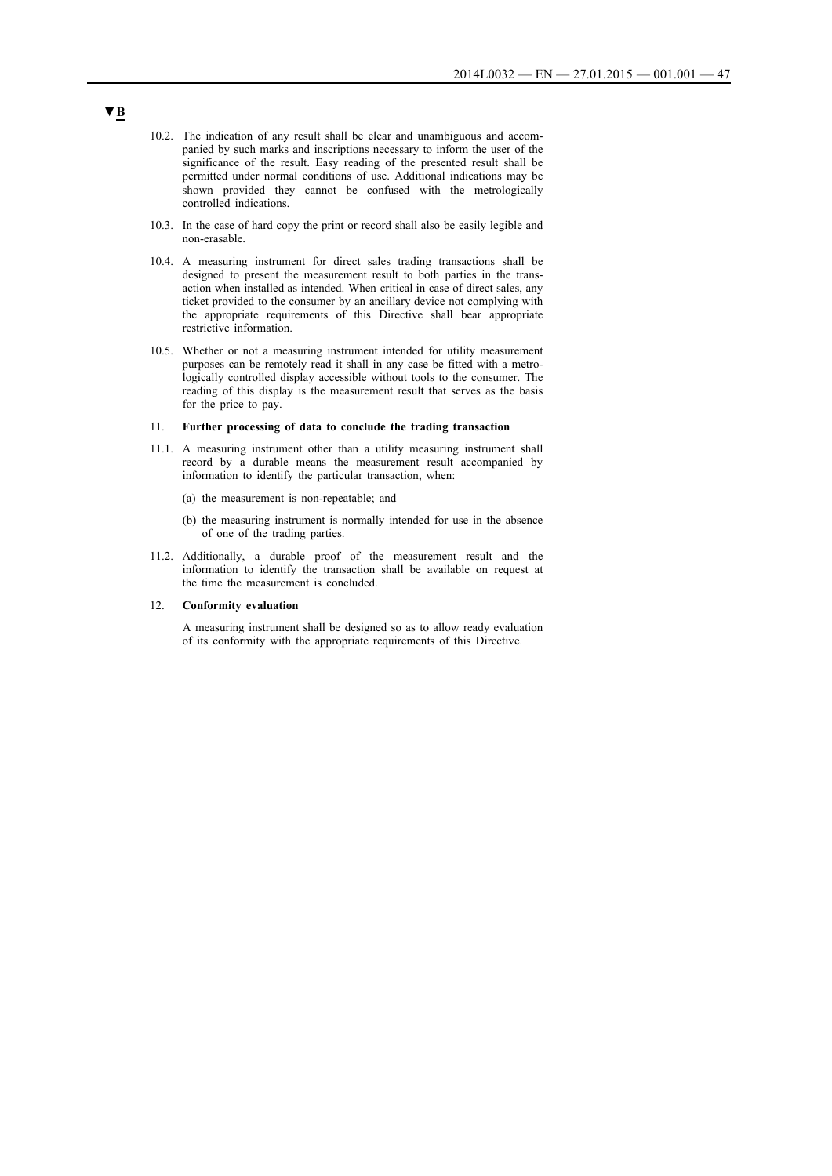- 10.2. The indication of any result shall be clear and unambiguous and accompanied by such marks and inscriptions necessary to inform the user of the significance of the result. Easy reading of the presented result shall be permitted under normal conditions of use. Additional indications may be shown provided they cannot be confused with the metrologically controlled indications.
- 10.3. In the case of hard copy the print or record shall also be easily legible and non-erasable.
- 10.4. A measuring instrument for direct sales trading transactions shall be designed to present the measurement result to both parties in the transaction when installed as intended. When critical in case of direct sales, any ticket provided to the consumer by an ancillary device not complying with the appropriate requirements of this Directive shall bear appropriate restrictive information.
- 10.5. Whether or not a measuring instrument intended for utility measurement purposes can be remotely read it shall in any case be fitted with a metrologically controlled display accessible without tools to the consumer. The reading of this display is the measurement result that serves as the basis for the price to pay.

#### 11. **Further processing of data to conclude the trading transaction**

- 11.1. A measuring instrument other than a utility measuring instrument shall record by a durable means the measurement result accompanied by information to identify the particular transaction, when:
	- (a) the measurement is non-repeatable; and
	- (b) the measuring instrument is normally intended for use in the absence of one of the trading parties.
- 11.2. Additionally, a durable proof of the measurement result and the information to identify the transaction shall be available on request at the time the measurement is concluded.

### 12. **Conformity evaluation**

A measuring instrument shall be designed so as to allow ready evaluation of its conformity with the appropriate requirements of this Directive.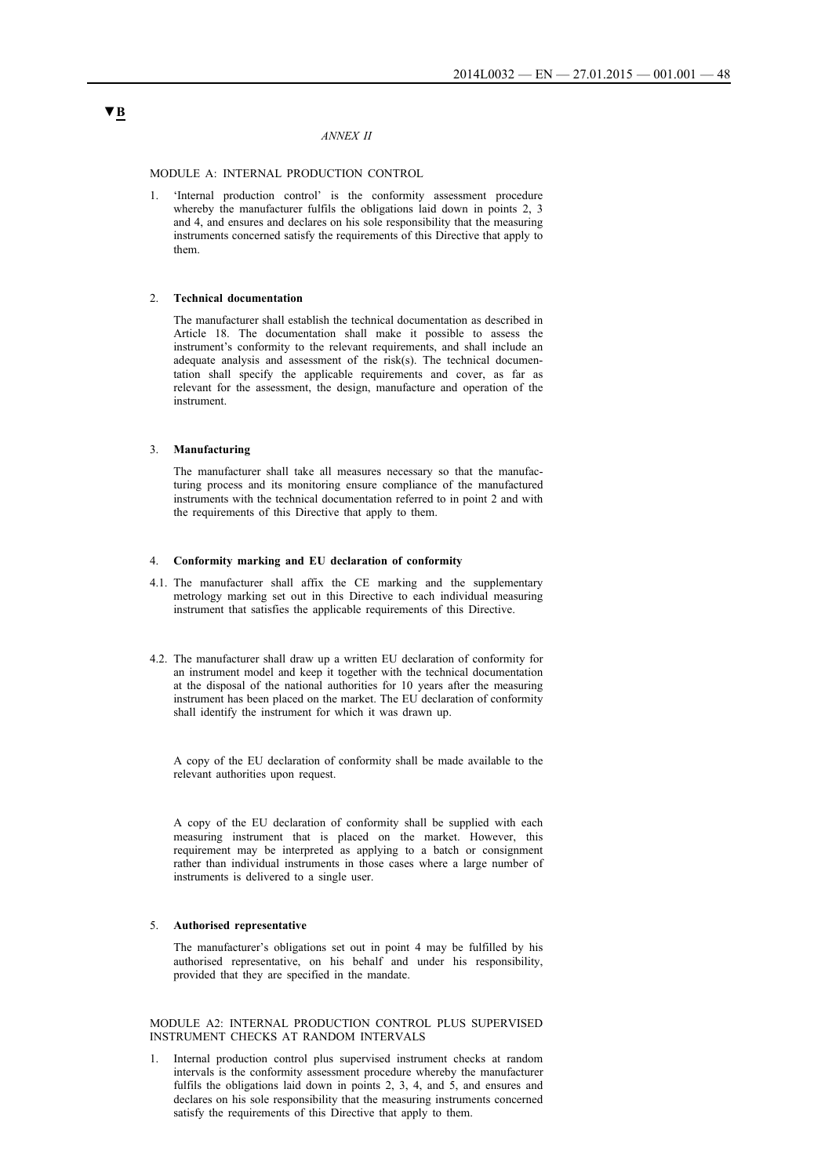### *ANNEX II*

MODULE A: INTERNAL PRODUCTION CONTROL

1. 'Internal production control' is the conformity assessment procedure whereby the manufacturer fulfils the obligations laid down in points 2, 3 and 4, and ensures and declares on his sole responsibility that the measuring instruments concerned satisfy the requirements of this Directive that apply to them.

### 2. **Technical documentation**

The manufacturer shall establish the technical documentation as described in Article 18. The documentation shall make it possible to assess the instrument's conformity to the relevant requirements, and shall include an adequate analysis and assessment of the risk(s). The technical documentation shall specify the applicable requirements and cover, as far as relevant for the assessment, the design, manufacture and operation of the instrument.

#### 3. **Manufacturing**

The manufacturer shall take all measures necessary so that the manufacturing process and its monitoring ensure compliance of the manufactured instruments with the technical documentation referred to in point 2 and with the requirements of this Directive that apply to them.

### 4. **Conformity marking and EU declaration of conformity**

- 4.1. The manufacturer shall affix the CE marking and the supplementary metrology marking set out in this Directive to each individual measuring instrument that satisfies the applicable requirements of this Directive.
- 4.2. The manufacturer shall draw up a written EU declaration of conformity for an instrument model and keep it together with the technical documentation at the disposal of the national authorities for 10 years after the measuring instrument has been placed on the market. The EU declaration of conformity shall identify the instrument for which it was drawn up.

A copy of the EU declaration of conformity shall be made available to the relevant authorities upon request.

A copy of the EU declaration of conformity shall be supplied with each measuring instrument that is placed on the market. However, this requirement may be interpreted as applying to a batch or consignment rather than individual instruments in those cases where a large number of instruments is delivered to a single user.

#### 5. **Authorised representative**

The manufacturer's obligations set out in point 4 may be fulfilled by his authorised representative, on his behalf and under his responsibility, provided that they are specified in the mandate.

### MODULE A2: INTERNAL PRODUCTION CONTROL PLUS SUPERVISED INSTRUMENT CHECKS AT RANDOM INTERVALS

1. Internal production control plus supervised instrument checks at random intervals is the conformity assessment procedure whereby the manufacturer fulfils the obligations laid down in points 2, 3, 4, and 5, and ensures and declares on his sole responsibility that the measuring instruments concerned satisfy the requirements of this Directive that apply to them.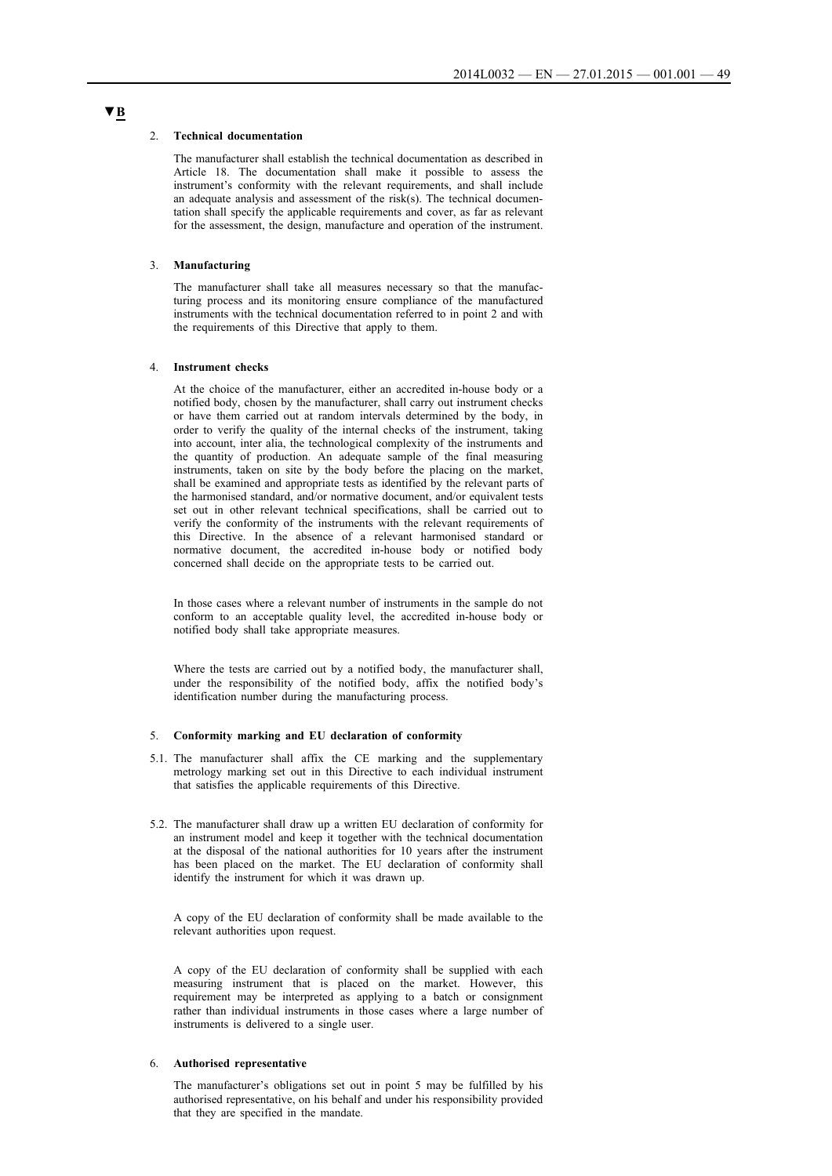#### 2. **Technical documentation**

The manufacturer shall establish the technical documentation as described in Article 18. The documentation shall make it possible to assess the instrument's conformity with the relevant requirements, and shall include an adequate analysis and assessment of the risk(s). The technical documentation shall specify the applicable requirements and cover, as far as relevant for the assessment, the design, manufacture and operation of the instrument.

### 3. **Manufacturing**

The manufacturer shall take all measures necessary so that the manufacturing process and its monitoring ensure compliance of the manufactured instruments with the technical documentation referred to in point 2 and with the requirements of this Directive that apply to them.

## 4. **Instrument checks**

At the choice of the manufacturer, either an accredited in-house body or a notified body, chosen by the manufacturer, shall carry out instrument checks or have them carried out at random intervals determined by the body, in order to verify the quality of the internal checks of the instrument, taking into account, inter alia, the technological complexity of the instruments and the quantity of production. An adequate sample of the final measuring instruments, taken on site by the body before the placing on the market, shall be examined and appropriate tests as identified by the relevant parts of the harmonised standard, and/or normative document, and/or equivalent tests set out in other relevant technical specifications, shall be carried out to verify the conformity of the instruments with the relevant requirements of this Directive. In the absence of a relevant harmonised standard or normative document, the accredited in-house body or notified body concerned shall decide on the appropriate tests to be carried out.

In those cases where a relevant number of instruments in the sample do not conform to an acceptable quality level, the accredited in-house body or notified body shall take appropriate measures.

Where the tests are carried out by a notified body, the manufacturer shall, under the responsibility of the notified body, affix the notified body's identification number during the manufacturing process.

#### 5. **Conformity marking and EU declaration of conformity**

- 5.1. The manufacturer shall affix the CE marking and the supplementary metrology marking set out in this Directive to each individual instrument that satisfies the applicable requirements of this Directive.
- 5.2. The manufacturer shall draw up a written EU declaration of conformity for an instrument model and keep it together with the technical documentation at the disposal of the national authorities for 10 years after the instrument has been placed on the market. The EU declaration of conformity shall identify the instrument for which it was drawn up.

A copy of the EU declaration of conformity shall be made available to the relevant authorities upon request.

A copy of the EU declaration of conformity shall be supplied with each measuring instrument that is placed on the market. However, this requirement may be interpreted as applying to a batch or consignment rather than individual instruments in those cases where a large number of instruments is delivered to a single user.

## 6. **Authorised representative**

The manufacturer's obligations set out in point 5 may be fulfilled by his authorised representative, on his behalf and under his responsibility provided that they are specified in the mandate.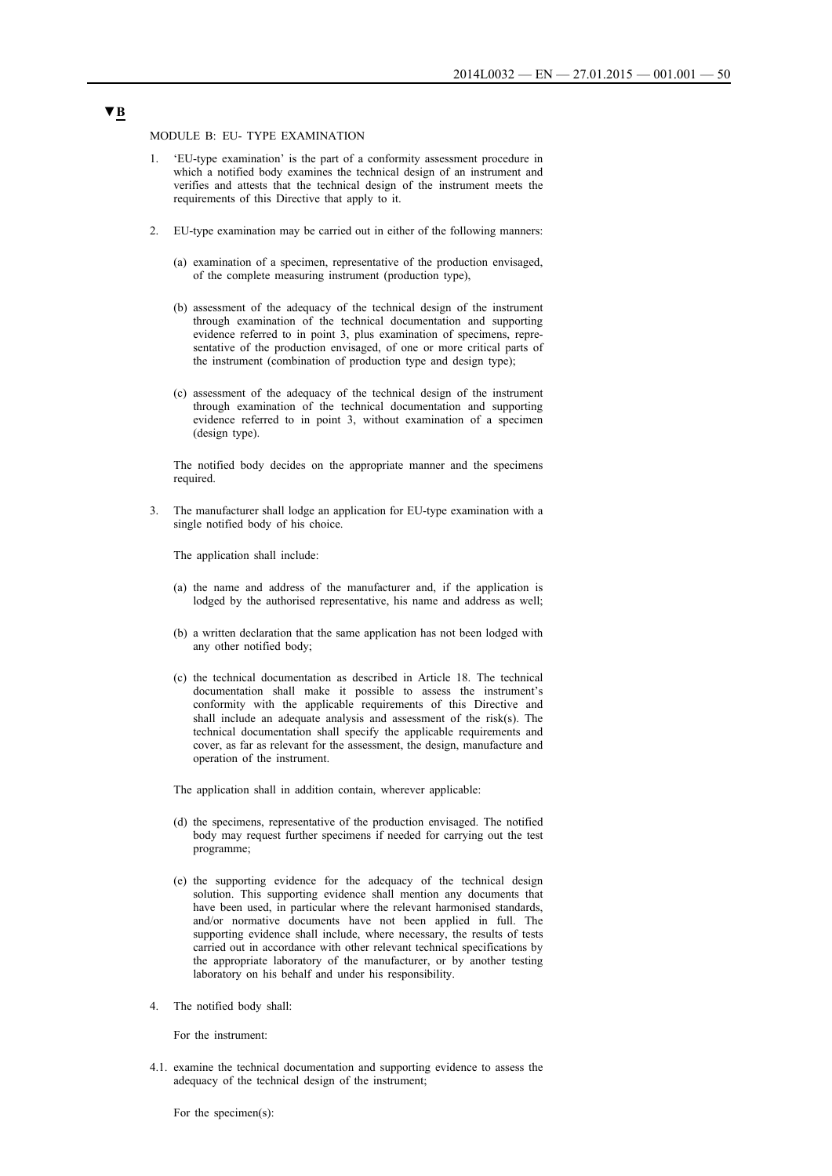MODULE B: EU- TYPE EXAMINATION

- 1. 'EU-type examination' is the part of a conformity assessment procedure in which a notified body examines the technical design of an instrument and verifies and attests that the technical design of the instrument meets the requirements of this Directive that apply to it.
- 2. EU-type examination may be carried out in either of the following manners:
	- (a) examination of a specimen, representative of the production envisaged, of the complete measuring instrument (production type),
	- (b) assessment of the adequacy of the technical design of the instrument through examination of the technical documentation and supporting evidence referred to in point 3, plus examination of specimens, representative of the production envisaged, of one or more critical parts of the instrument (combination of production type and design type);
	- (c) assessment of the adequacy of the technical design of the instrument through examination of the technical documentation and supporting evidence referred to in point 3, without examination of a specimen (design type).

The notified body decides on the appropriate manner and the specimens required.

3. The manufacturer shall lodge an application for EU-type examination with a single notified body of his choice.

The application shall include:

- (a) the name and address of the manufacturer and, if the application is lodged by the authorised representative, his name and address as well;
- (b) a written declaration that the same application has not been lodged with any other notified body;
- (c) the technical documentation as described in Article 18. The technical documentation shall make it possible to assess the instrument's conformity with the applicable requirements of this Directive and shall include an adequate analysis and assessment of the risk(s). The technical documentation shall specify the applicable requirements and cover, as far as relevant for the assessment, the design, manufacture and operation of the instrument.

The application shall in addition contain, wherever applicable:

- (d) the specimens, representative of the production envisaged. The notified body may request further specimens if needed for carrying out the test programme;
- (e) the supporting evidence for the adequacy of the technical design solution. This supporting evidence shall mention any documents that have been used, in particular where the relevant harmonised standards, and/or normative documents have not been applied in full. The supporting evidence shall include, where necessary, the results of tests carried out in accordance with other relevant technical specifications by the appropriate laboratory of the manufacturer, or by another testing laboratory on his behalf and under his responsibility.
- 4. The notified body shall:

For the instrument:

4.1. examine the technical documentation and supporting evidence to assess the adequacy of the technical design of the instrument;

For the specimen(s):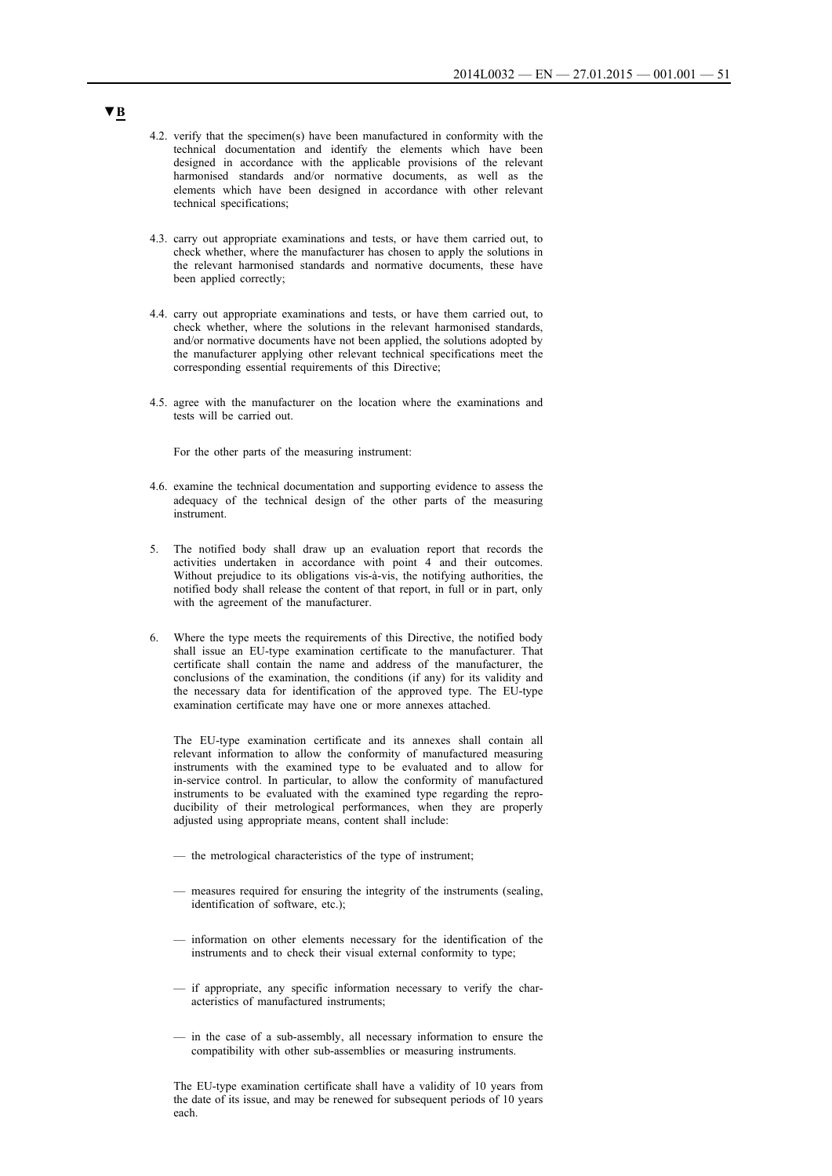- 4.2. verify that the specimen(s) have been manufactured in conformity with the technical documentation and identify the elements which have been designed in accordance with the applicable provisions of the relevant harmonised standards and/or normative documents, as well as the elements which have been designed in accordance with other relevant technical specifications;
- 4.3. carry out appropriate examinations and tests, or have them carried out, to check whether, where the manufacturer has chosen to apply the solutions in the relevant harmonised standards and normative documents, these have been applied correctly;
- 4.4. carry out appropriate examinations and tests, or have them carried out, to check whether, where the solutions in the relevant harmonised standards, and/or normative documents have not been applied, the solutions adopted by the manufacturer applying other relevant technical specifications meet the corresponding essential requirements of this Directive;
- 4.5. agree with the manufacturer on the location where the examinations and tests will be carried out.

For the other parts of the measuring instrument:

- 4.6. examine the technical documentation and supporting evidence to assess the adequacy of the technical design of the other parts of the measuring instrument.
- 5. The notified body shall draw up an evaluation report that records the activities undertaken in accordance with point 4 and their outcomes. Without prejudice to its obligations vis-à-vis, the notifying authorities, the notified body shall release the content of that report, in full or in part, only with the agreement of the manufacturer.
- 6. Where the type meets the requirements of this Directive, the notified body shall issue an EU-type examination certificate to the manufacturer. That certificate shall contain the name and address of the manufacturer, the conclusions of the examination, the conditions (if any) for its validity and the necessary data for identification of the approved type. The EU-type examination certificate may have one or more annexes attached.

The EU-type examination certificate and its annexes shall contain all relevant information to allow the conformity of manufactured measuring instruments with the examined type to be evaluated and to allow for in-service control. In particular, to allow the conformity of manufactured instruments to be evaluated with the examined type regarding the reproducibility of their metrological performances, when they are properly adjusted using appropriate means, content shall include:

- the metrological characteristics of the type of instrument;
- measures required for ensuring the integrity of the instruments (sealing, identification of software, etc.);
- information on other elements necessary for the identification of the instruments and to check their visual external conformity to type;
- if appropriate, any specific information necessary to verify the characteristics of manufactured instruments;
- in the case of a sub-assembly, all necessary information to ensure the compatibility with other sub-assemblies or measuring instruments.

The EU-type examination certificate shall have a validity of 10 years from the date of its issue, and may be renewed for subsequent periods of 10 years each.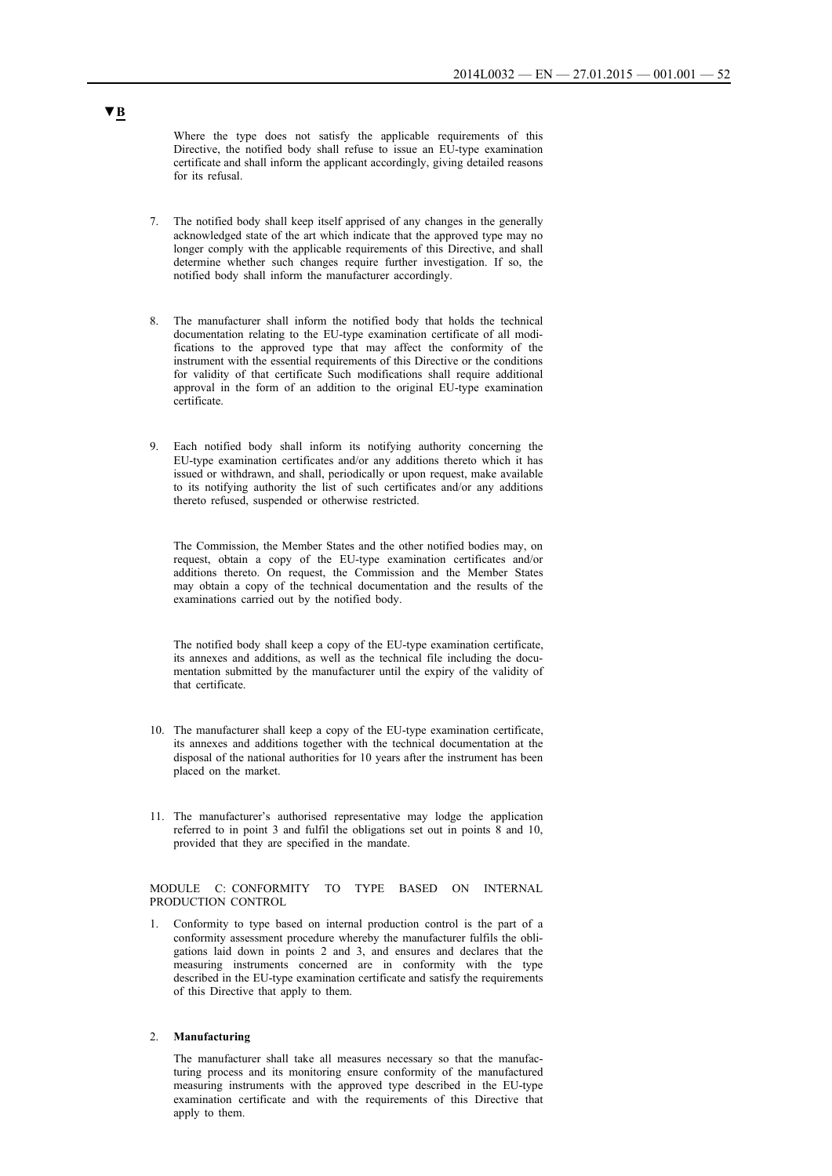Where the type does not satisfy the applicable requirements of this Directive, the notified body shall refuse to issue an EU-type examination certificate and shall inform the applicant accordingly, giving detailed reasons for its refusal.

- 7. The notified body shall keep itself apprised of any changes in the generally acknowledged state of the art which indicate that the approved type may no longer comply with the applicable requirements of this Directive, and shall determine whether such changes require further investigation. If so, the notified body shall inform the manufacturer accordingly.
- 8. The manufacturer shall inform the notified body that holds the technical documentation relating to the EU-type examination certificate of all modifications to the approved type that may affect the conformity of the instrument with the essential requirements of this Directive or the conditions for validity of that certificate Such modifications shall require additional approval in the form of an addition to the original EU-type examination certificate.
- 9. Each notified body shall inform its notifying authority concerning the EU-type examination certificates and/or any additions thereto which it has issued or withdrawn, and shall, periodically or upon request, make available to its notifying authority the list of such certificates and/or any additions thereto refused, suspended or otherwise restricted.

The Commission, the Member States and the other notified bodies may, on request, obtain a copy of the EU-type examination certificates and/or additions thereto. On request, the Commission and the Member States may obtain a copy of the technical documentation and the results of the examinations carried out by the notified body.

The notified body shall keep a copy of the EU-type examination certificate, its annexes and additions, as well as the technical file including the documentation submitted by the manufacturer until the expiry of the validity of that certificate.

- 10. The manufacturer shall keep a copy of the EU-type examination certificate, its annexes and additions together with the technical documentation at the disposal of the national authorities for 10 years after the instrument has been placed on the market.
- 11. The manufacturer's authorised representative may lodge the application referred to in point 3 and fulfil the obligations set out in points 8 and 10, provided that they are specified in the mandate.

MODULE C: CONFORMITY TO TYPE BASED ON INTERNAL PRODUCTION CONTROL

Conformity to type based on internal production control is the part of a conformity assessment procedure whereby the manufacturer fulfils the obligations laid down in points 2 and 3, and ensures and declares that the measuring instruments concerned are in conformity with the type described in the EU-type examination certificate and satisfy the requirements of this Directive that apply to them.

#### 2. **Manufacturing**

The manufacturer shall take all measures necessary so that the manufacturing process and its monitoring ensure conformity of the manufactured measuring instruments with the approved type described in the EU-type examination certificate and with the requirements of this Directive that apply to them.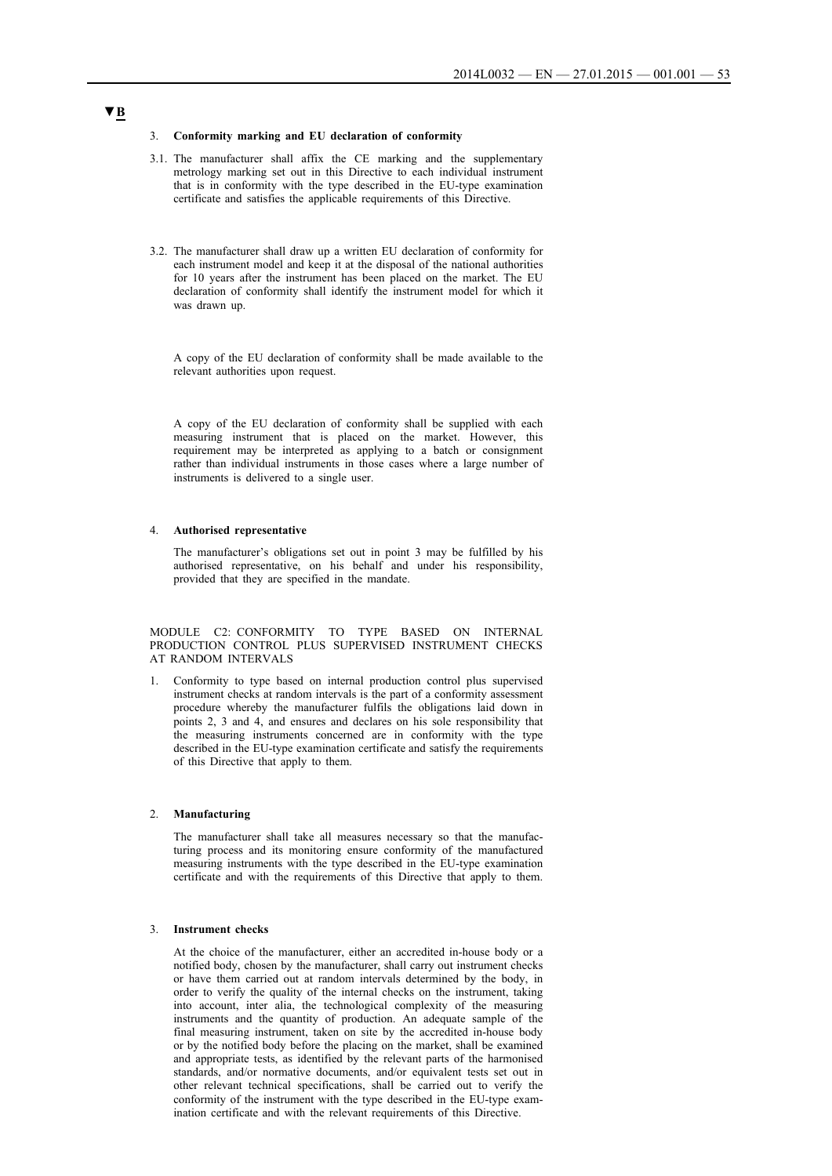#### 3. **Conformity marking and EU declaration of conformity**

- 3.1. The manufacturer shall affix the CE marking and the supplementary metrology marking set out in this Directive to each individual instrument that is in conformity with the type described in the EU-type examination certificate and satisfies the applicable requirements of this Directive.
- 3.2. The manufacturer shall draw up a written EU declaration of conformity for each instrument model and keep it at the disposal of the national authorities for 10 years after the instrument has been placed on the market. The EU declaration of conformity shall identify the instrument model for which it was drawn up.

A copy of the EU declaration of conformity shall be made available to the relevant authorities upon request.

A copy of the EU declaration of conformity shall be supplied with each measuring instrument that is placed on the market. However, this requirement may be interpreted as applying to a batch or consignment rather than individual instruments in those cases where a large number of instruments is delivered to a single user.

## 4. **Authorised representative**

The manufacturer's obligations set out in point 3 may be fulfilled by his authorised representative, on his behalf and under his responsibility, provided that they are specified in the mandate.

MODULE C2: CONFORMITY TO TYPE BASED ON INTERNAL PRODUCTION CONTROL PLUS SUPERVISED INSTRUMENT CHECKS AT RANDOM INTERVALS

1. Conformity to type based on internal production control plus supervised instrument checks at random intervals is the part of a conformity assessment procedure whereby the manufacturer fulfils the obligations laid down in points 2, 3 and 4, and ensures and declares on his sole responsibility that the measuring instruments concerned are in conformity with the type described in the EU-type examination certificate and satisfy the requirements of this Directive that apply to them.

## 2. **Manufacturing**

The manufacturer shall take all measures necessary so that the manufacturing process and its monitoring ensure conformity of the manufactured measuring instruments with the type described in the EU-type examination certificate and with the requirements of this Directive that apply to them.

#### 3. **Instrument checks**

At the choice of the manufacturer, either an accredited in-house body or a notified body, chosen by the manufacturer, shall carry out instrument checks or have them carried out at random intervals determined by the body, in order to verify the quality of the internal checks on the instrument, taking into account, inter alia, the technological complexity of the measuring instruments and the quantity of production. An adequate sample of the final measuring instrument, taken on site by the accredited in-house body or by the notified body before the placing on the market, shall be examined and appropriate tests, as identified by the relevant parts of the harmonised standards, and/or normative documents, and/or equivalent tests set out in other relevant technical specifications, shall be carried out to verify the conformity of the instrument with the type described in the EU-type examination certificate and with the relevant requirements of this Directive.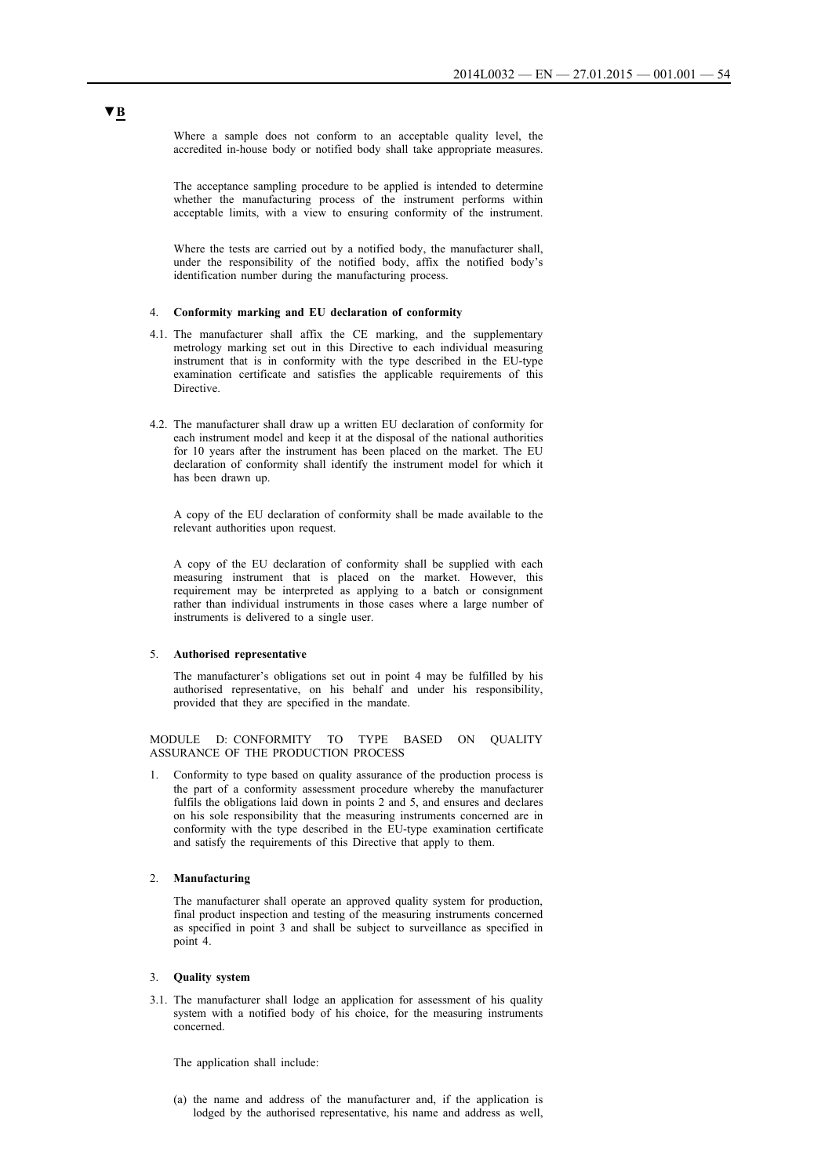Where a sample does not conform to an acceptable quality level, the accredited in-house body or notified body shall take appropriate measures.

The acceptance sampling procedure to be applied is intended to determine whether the manufacturing process of the instrument performs within acceptable limits, with a view to ensuring conformity of the instrument.

Where the tests are carried out by a notified body, the manufacturer shall, under the responsibility of the notified body, affix the notified body's identification number during the manufacturing process.

#### 4. **Conformity marking and EU declaration of conformity**

- 4.1. The manufacturer shall affix the CE marking, and the supplementary metrology marking set out in this Directive to each individual measuring instrument that is in conformity with the type described in the EU-type examination certificate and satisfies the applicable requirements of this **Directive**
- 4.2. The manufacturer shall draw up a written EU declaration of conformity for each instrument model and keep it at the disposal of the national authorities for 10 years after the instrument has been placed on the market. The EU declaration of conformity shall identify the instrument model for which it has been drawn up.

A copy of the EU declaration of conformity shall be made available to the relevant authorities upon request.

A copy of the EU declaration of conformity shall be supplied with each measuring instrument that is placed on the market. However, this requirement may be interpreted as applying to a batch or consignment rather than individual instruments in those cases where a large number of instruments is delivered to a single user.

### 5. **Authorised representative**

The manufacturer's obligations set out in point 4 may be fulfilled by his authorised representative, on his behalf and under his responsibility, provided that they are specified in the mandate.

MODULE D: CONFORMITY TO TYPE BASED ON QUALITY ASSURANCE OF THE PRODUCTION PROCESS

1. Conformity to type based on quality assurance of the production process is the part of a conformity assessment procedure whereby the manufacturer fulfils the obligations laid down in points 2 and 5, and ensures and declares on his sole responsibility that the measuring instruments concerned are in conformity with the type described in the EU-type examination certificate and satisfy the requirements of this Directive that apply to them.

## 2. **Manufacturing**

The manufacturer shall operate an approved quality system for production, final product inspection and testing of the measuring instruments concerned as specified in point 3 and shall be subject to surveillance as specified in point 4.

## 3. **Quality system**

3.1. The manufacturer shall lodge an application for assessment of his quality system with a notified body of his choice, for the measuring instruments concerned.

The application shall include:

(a) the name and address of the manufacturer and, if the application is lodged by the authorised representative, his name and address as well,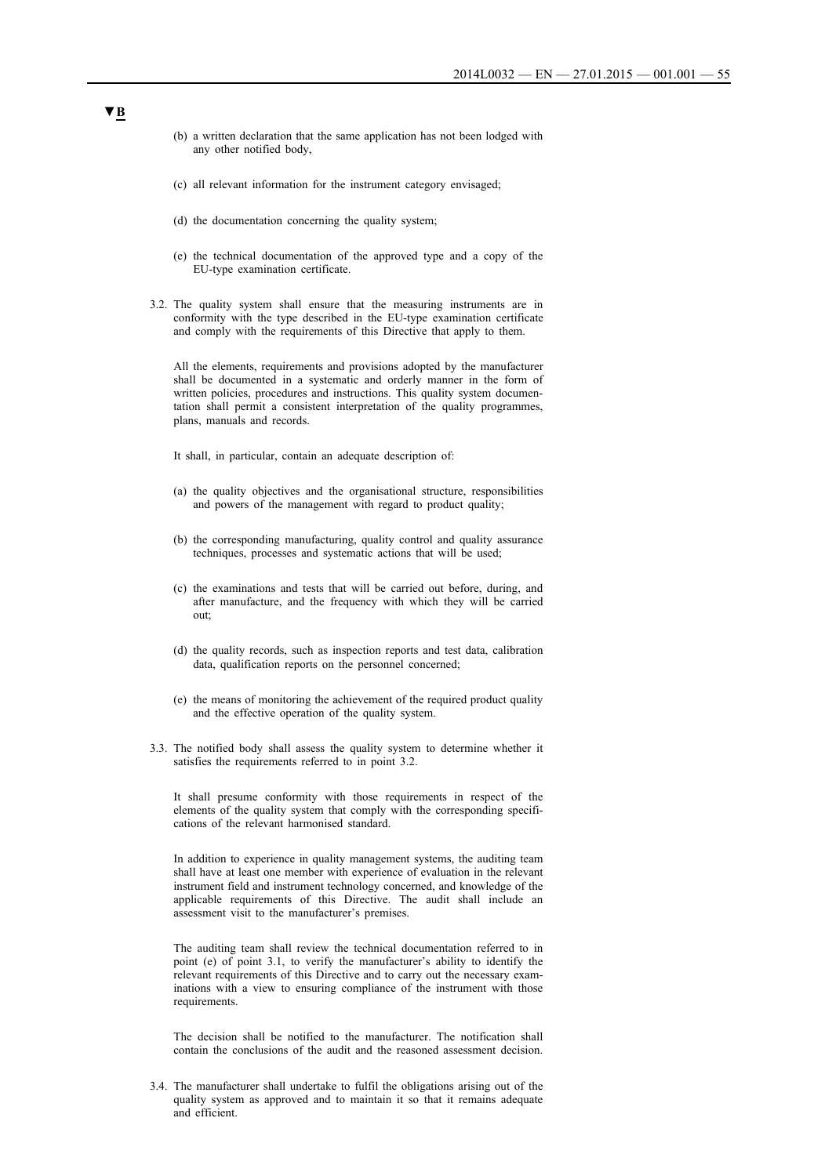- (b) a written declaration that the same application has not been lodged with any other notified body,
- (c) all relevant information for the instrument category envisaged;
- (d) the documentation concerning the quality system;
- (e) the technical documentation of the approved type and a copy of the EU-type examination certificate.
- 3.2. The quality system shall ensure that the measuring instruments are in conformity with the type described in the EU-type examination certificate and comply with the requirements of this Directive that apply to them.

All the elements, requirements and provisions adopted by the manufacturer shall be documented in a systematic and orderly manner in the form of written policies, procedures and instructions. This quality system documentation shall permit a consistent interpretation of the quality programmes, plans, manuals and records.

It shall, in particular, contain an adequate description of:

- (a) the quality objectives and the organisational structure, responsibilities and powers of the management with regard to product quality;
- (b) the corresponding manufacturing, quality control and quality assurance techniques, processes and systematic actions that will be used;
- (c) the examinations and tests that will be carried out before, during, and after manufacture, and the frequency with which they will be carried out;
- (d) the quality records, such as inspection reports and test data, calibration data, qualification reports on the personnel concerned;
- (e) the means of monitoring the achievement of the required product quality and the effective operation of the quality system.
- 3.3. The notified body shall assess the quality system to determine whether it satisfies the requirements referred to in point 3.2.

It shall presume conformity with those requirements in respect of the elements of the quality system that comply with the corresponding specifications of the relevant harmonised standard.

In addition to experience in quality management systems, the auditing team shall have at least one member with experience of evaluation in the relevant instrument field and instrument technology concerned, and knowledge of the applicable requirements of this Directive. The audit shall include an assessment visit to the manufacturer's premises.

The auditing team shall review the technical documentation referred to in point (e) of point 3.1, to verify the manufacturer's ability to identify the relevant requirements of this Directive and to carry out the necessary examinations with a view to ensuring compliance of the instrument with those requirements.

The decision shall be notified to the manufacturer. The notification shall contain the conclusions of the audit and the reasoned assessment decision.

3.4. The manufacturer shall undertake to fulfil the obligations arising out of the quality system as approved and to maintain it so that it remains adequate and efficient.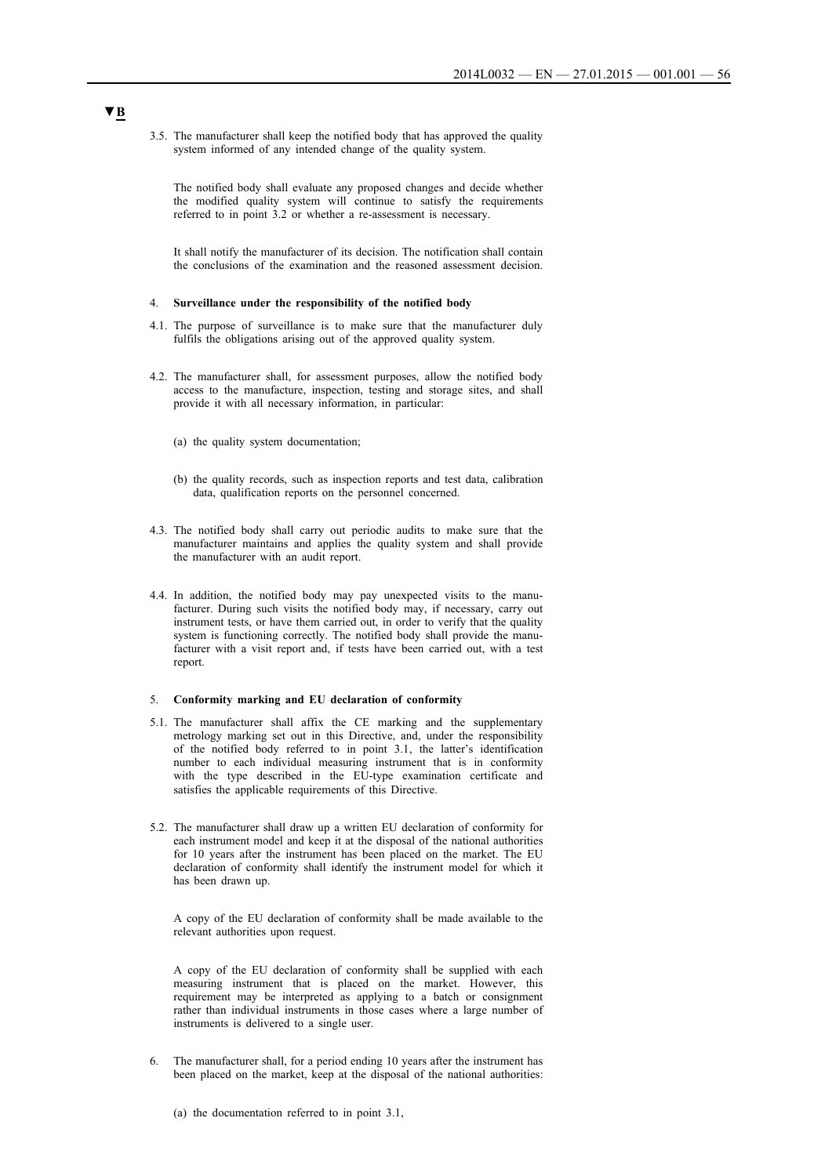3.5. The manufacturer shall keep the notified body that has approved the quality system informed of any intended change of the quality system.

The notified body shall evaluate any proposed changes and decide whether the modified quality system will continue to satisfy the requirements referred to in point 3.2 or whether a re-assessment is necessary.

It shall notify the manufacturer of its decision. The notification shall contain the conclusions of the examination and the reasoned assessment decision.

## 4. **Surveillance under the responsibility of the notified body**

- 4.1. The purpose of surveillance is to make sure that the manufacturer duly fulfils the obligations arising out of the approved quality system.
- 4.2. The manufacturer shall, for assessment purposes, allow the notified body access to the manufacture, inspection, testing and storage sites, and shall provide it with all necessary information, in particular:
	- (a) the quality system documentation;
	- (b) the quality records, such as inspection reports and test data, calibration data, qualification reports on the personnel concerned.
- 4.3. The notified body shall carry out periodic audits to make sure that the manufacturer maintains and applies the quality system and shall provide the manufacturer with an audit report.
- 4.4. In addition, the notified body may pay unexpected visits to the manufacturer. During such visits the notified body may, if necessary, carry out instrument tests, or have them carried out, in order to verify that the quality system is functioning correctly. The notified body shall provide the manufacturer with a visit report and, if tests have been carried out, with a test report.

#### 5. **Conformity marking and EU declaration of conformity**

- 5.1. The manufacturer shall affix the CE marking and the supplementary metrology marking set out in this Directive, and, under the responsibility of the notified body referred to in point 3.1, the latter's identification number to each individual measuring instrument that is in conformity with the type described in the EU-type examination certificate and satisfies the applicable requirements of this Directive.
- 5.2. The manufacturer shall draw up a written EU declaration of conformity for each instrument model and keep it at the disposal of the national authorities for 10 years after the instrument has been placed on the market. The EU declaration of conformity shall identify the instrument model for which it has been drawn up.

A copy of the EU declaration of conformity shall be made available to the relevant authorities upon request.

A copy of the EU declaration of conformity shall be supplied with each measuring instrument that is placed on the market. However, this requirement may be interpreted as applying to a batch or consignment rather than individual instruments in those cases where a large number of instruments is delivered to a single user.

6. The manufacturer shall, for a period ending 10 years after the instrument has been placed on the market, keep at the disposal of the national authorities:

(a) the documentation referred to in point 3.1,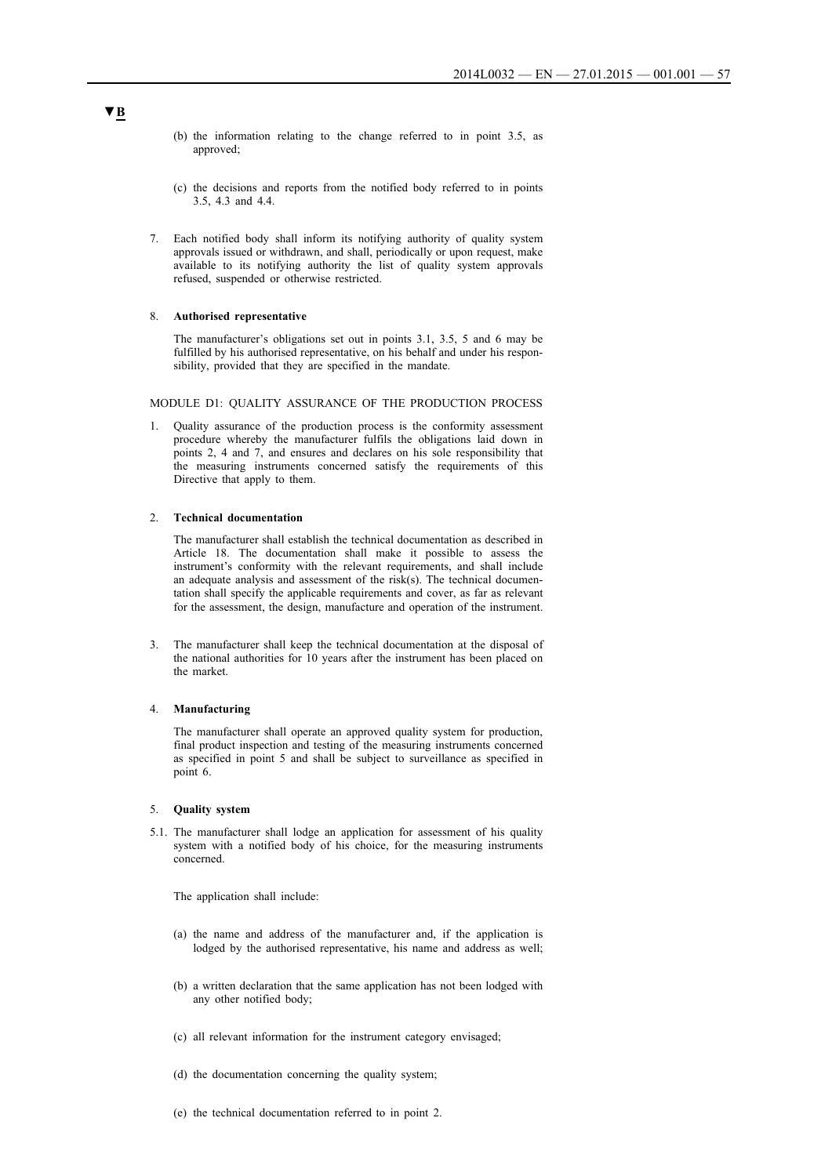- (b) the information relating to the change referred to in point 3.5, as approved;
- (c) the decisions and reports from the notified body referred to in points 3.5, 4.3 and 4.4.
- 7. Each notified body shall inform its notifying authority of quality system approvals issued or withdrawn, and shall, periodically or upon request, make available to its notifying authority the list of quality system approvals refused, suspended or otherwise restricted.

### 8. **Authorised representative**

The manufacturer's obligations set out in points 3.1, 3.5, 5 and 6 may be fulfilled by his authorised representative, on his behalf and under his responsibility, provided that they are specified in the mandate.

MODULE D1: QUALITY ASSURANCE OF THE PRODUCTION PROCESS

1. Quality assurance of the production process is the conformity assessment procedure whereby the manufacturer fulfils the obligations laid down in points 2, 4 and 7, and ensures and declares on his sole responsibility that the measuring instruments concerned satisfy the requirements of this Directive that apply to them.

## 2. **Technical documentation**

The manufacturer shall establish the technical documentation as described in Article 18. The documentation shall make it possible to assess the instrument's conformity with the relevant requirements, and shall include an adequate analysis and assessment of the risk(s). The technical documentation shall specify the applicable requirements and cover, as far as relevant for the assessment, the design, manufacture and operation of the instrument.

3. The manufacturer shall keep the technical documentation at the disposal of the national authorities for 10 years after the instrument has been placed on the market.

## 4. **Manufacturing**

The manufacturer shall operate an approved quality system for production, final product inspection and testing of the measuring instruments concerned as specified in point 5 and shall be subject to surveillance as specified in point 6.

#### 5. **Quality system**

5.1. The manufacturer shall lodge an application for assessment of his quality system with a notified body of his choice, for the measuring instruments concerned.

The application shall include:

- (a) the name and address of the manufacturer and, if the application is lodged by the authorised representative, his name and address as well;
- (b) a written declaration that the same application has not been lodged with any other notified body;
- (c) all relevant information for the instrument category envisaged;
- (d) the documentation concerning the quality system;
- (e) the technical documentation referred to in point 2.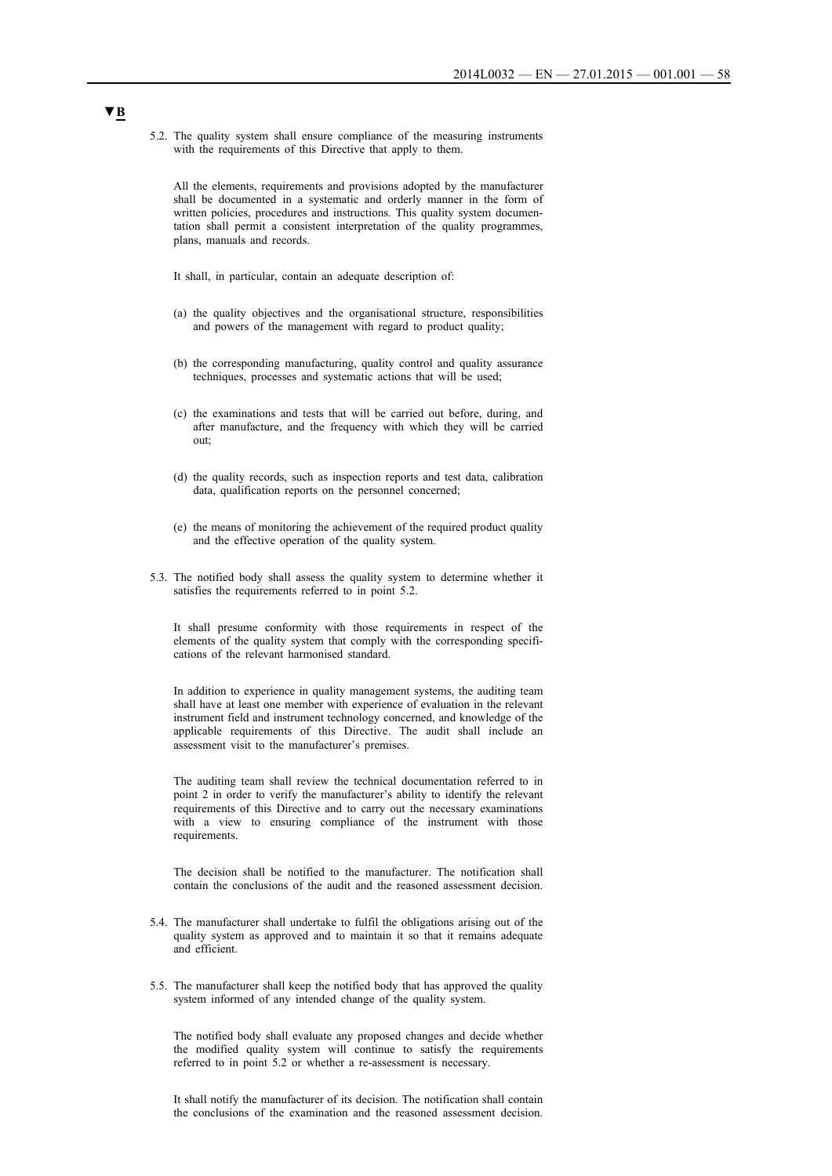5.2. The quality system shall ensure compliance of the measuring instruments with the requirements of this Directive that apply to them.

All the elements, requirements and provisions adopted by the manufacturer shall be documented in a systematic and orderly manner in the form of written policies, procedures and instructions. This quality system documentation shall permit a consistent interpretation of the quality programmes, plans, manuals and records.

It shall, in particular, contain an adequate description of:

- (a) the quality objectives and the organisational structure, responsibilities and powers of the management with regard to product quality;
- (b) the corresponding manufacturing, quality control and quality assurance techniques, processes and systematic actions that will be used;
- (c) the examinations and tests that will be carried out before, during, and after manufacture, and the frequency with which they will be carried out;
- (d) the quality records, such as inspection reports and test data, calibration data, qualification reports on the personnel concerned;
- (e) the means of monitoring the achievement of the required product quality and the effective operation of the quality system.
- 5.3. The notified body shall assess the quality system to determine whether it satisfies the requirements referred to in point 5.2.

It shall presume conformity with those requirements in respect of the elements of the quality system that comply with the corresponding specifications of the relevant harmonised standard.

In addition to experience in quality management systems, the auditing team shall have at least one member with experience of evaluation in the relevant instrument field and instrument technology concerned, and knowledge of the applicable requirements of this Directive. The audit shall include an assessment visit to the manufacturer's premises.

The auditing team shall review the technical documentation referred to in point 2 in order to verify the manufacturer's ability to identify the relevant requirements of this Directive and to carry out the necessary examinations with a view to ensuring compliance of the instrument with those requirements.

The decision shall be notified to the manufacturer. The notification shall contain the conclusions of the audit and the reasoned assessment decision.

- 5.4. The manufacturer shall undertake to fulfil the obligations arising out of the quality system as approved and to maintain it so that it remains adequate and efficient.
- 5.5. The manufacturer shall keep the notified body that has approved the quality system informed of any intended change of the quality system.

The notified body shall evaluate any proposed changes and decide whether the modified quality system will continue to satisfy the requirements referred to in point 5.2 or whether a re-assessment is necessary.

It shall notify the manufacturer of its decision. The notification shall contain the conclusions of the examination and the reasoned assessment decision.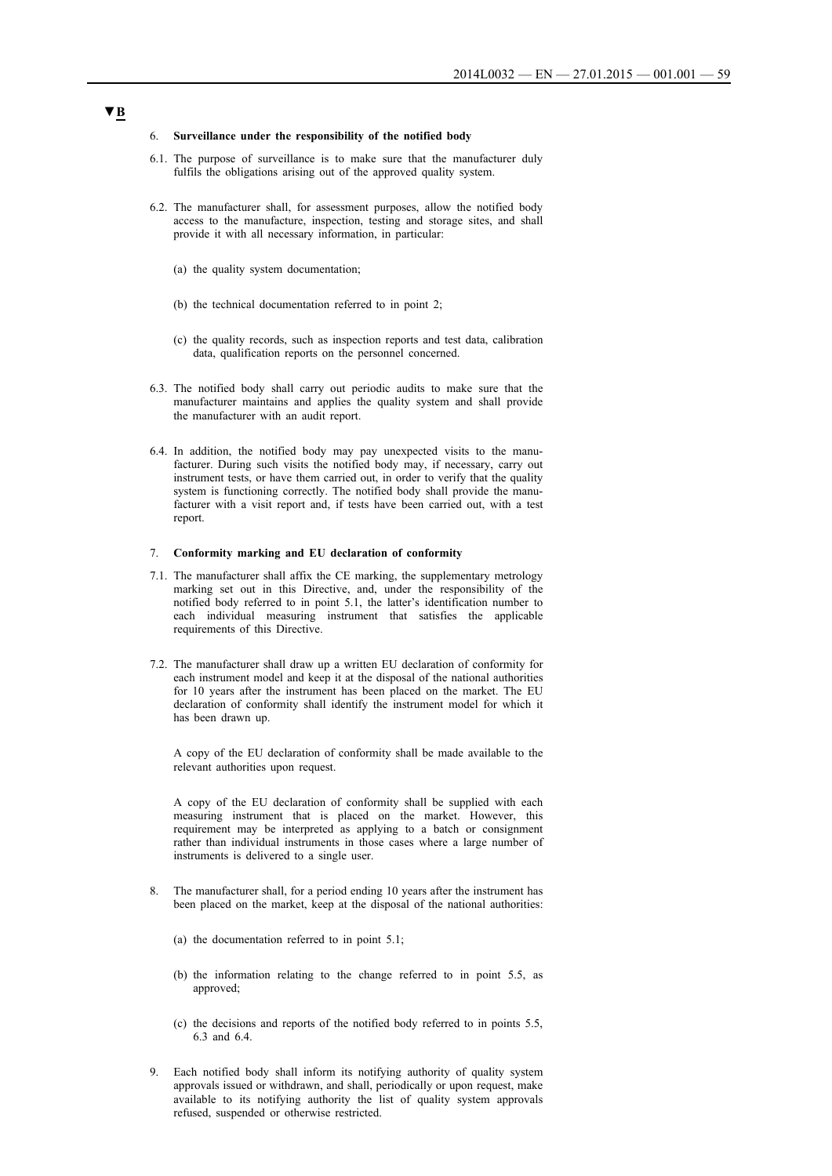#### 6. **Surveillance under the responsibility of the notified body**

- 6.1. The purpose of surveillance is to make sure that the manufacturer duly fulfils the obligations arising out of the approved quality system.
- 6.2. The manufacturer shall, for assessment purposes, allow the notified body access to the manufacture, inspection, testing and storage sites, and shall provide it with all necessary information, in particular:
	- (a) the quality system documentation;
	- (b) the technical documentation referred to in point 2;
	- (c) the quality records, such as inspection reports and test data, calibration data, qualification reports on the personnel concerned.
- 6.3. The notified body shall carry out periodic audits to make sure that the manufacturer maintains and applies the quality system and shall provide the manufacturer with an audit report.
- 6.4. In addition, the notified body may pay unexpected visits to the manufacturer. During such visits the notified body may, if necessary, carry out instrument tests, or have them carried out, in order to verify that the quality system is functioning correctly. The notified body shall provide the manufacturer with a visit report and, if tests have been carried out, with a test report.

#### 7. **Conformity marking and EU declaration of conformity**

- 7.1. The manufacturer shall affix the CE marking, the supplementary metrology marking set out in this Directive, and, under the responsibility of the notified body referred to in point 5.1, the latter's identification number to each individual measuring instrument that satisfies the applicable requirements of this Directive.
- 7.2. The manufacturer shall draw up a written EU declaration of conformity for each instrument model and keep it at the disposal of the national authorities for 10 years after the instrument has been placed on the market. The EU declaration of conformity shall identify the instrument model for which it has been drawn up.

A copy of the EU declaration of conformity shall be made available to the relevant authorities upon request.

A copy of the EU declaration of conformity shall be supplied with each measuring instrument that is placed on the market. However, this requirement may be interpreted as applying to a batch or consignment rather than individual instruments in those cases where a large number of instruments is delivered to a single user.

- 8. The manufacturer shall, for a period ending 10 years after the instrument has been placed on the market, keep at the disposal of the national authorities:
	- (a) the documentation referred to in point 5.1;
	- (b) the information relating to the change referred to in point 5.5, as approved;
	- (c) the decisions and reports of the notified body referred to in points 5.5, 6.3 and 6.4.
- 9. Each notified body shall inform its notifying authority of quality system approvals issued or withdrawn, and shall, periodically or upon request, make available to its notifying authority the list of quality system approvals refused, suspended or otherwise restricted.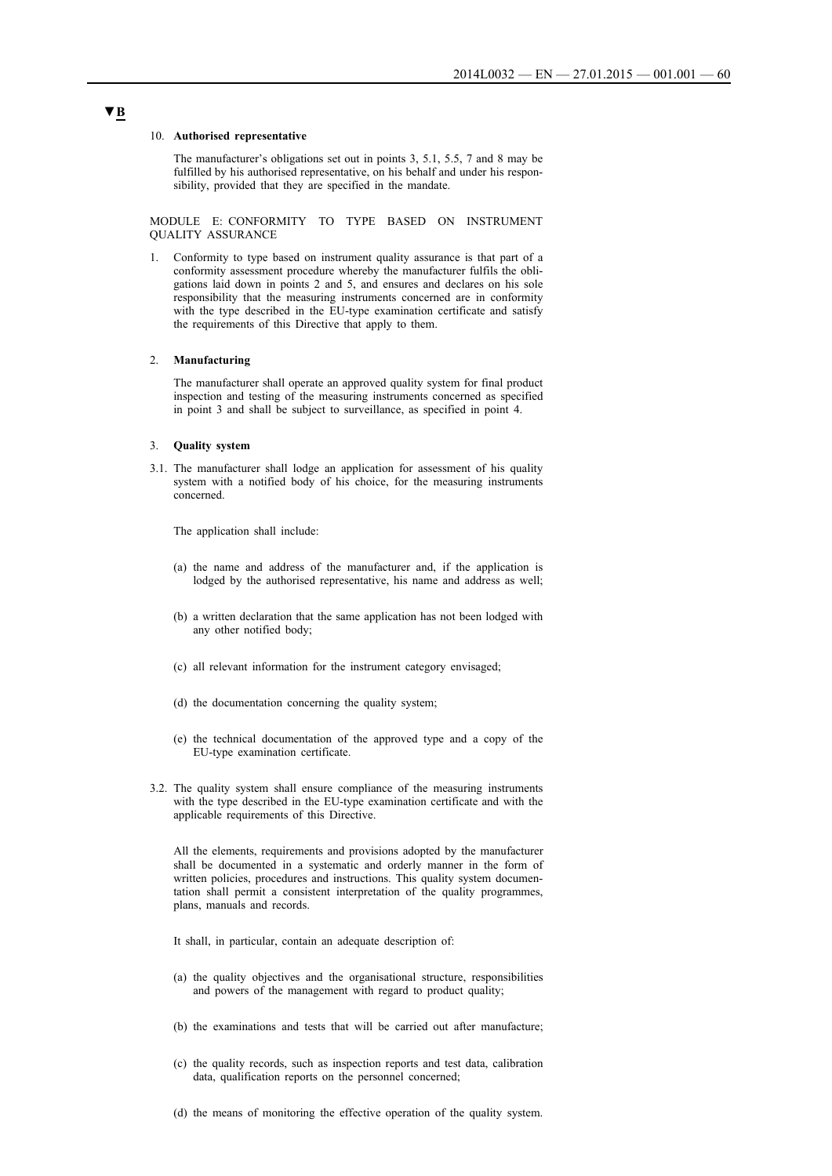#### 10. **Authorised representative**

The manufacturer's obligations set out in points 3, 5.1, 5.5, 7 and 8 may be fulfilled by his authorised representative, on his behalf and under his responsibility, provided that they are specified in the mandate.

MODULE E: CONFORMITY TO TYPE BASED ON INSTRUMENT QUALITY ASSURANCE

1. Conformity to type based on instrument quality assurance is that part of a conformity assessment procedure whereby the manufacturer fulfils the obligations laid down in points 2 and 5, and ensures and declares on his sole responsibility that the measuring instruments concerned are in conformity with the type described in the EU-type examination certificate and satisfy the requirements of this Directive that apply to them.

## 2. **Manufacturing**

The manufacturer shall operate an approved quality system for final product inspection and testing of the measuring instruments concerned as specified in point 3 and shall be subject to surveillance, as specified in point 4.

#### 3. **Quality system**

3.1. The manufacturer shall lodge an application for assessment of his quality system with a notified body of his choice, for the measuring instruments concerned.

The application shall include:

- (a) the name and address of the manufacturer and, if the application is lodged by the authorised representative, his name and address as well;
- (b) a written declaration that the same application has not been lodged with any other notified body;
- (c) all relevant information for the instrument category envisaged;
- (d) the documentation concerning the quality system;
- (e) the technical documentation of the approved type and a copy of the EU-type examination certificate.
- 3.2. The quality system shall ensure compliance of the measuring instruments with the type described in the EU-type examination certificate and with the applicable requirements of this Directive.

All the elements, requirements and provisions adopted by the manufacturer shall be documented in a systematic and orderly manner in the form of written policies, procedures and instructions. This quality system documentation shall permit a consistent interpretation of the quality programmes, plans, manuals and records.

It shall, in particular, contain an adequate description of:

- (a) the quality objectives and the organisational structure, responsibilities and powers of the management with regard to product quality;
- (b) the examinations and tests that will be carried out after manufacture;
- (c) the quality records, such as inspection reports and test data, calibration data, qualification reports on the personnel concerned;
- (d) the means of monitoring the effective operation of the quality system.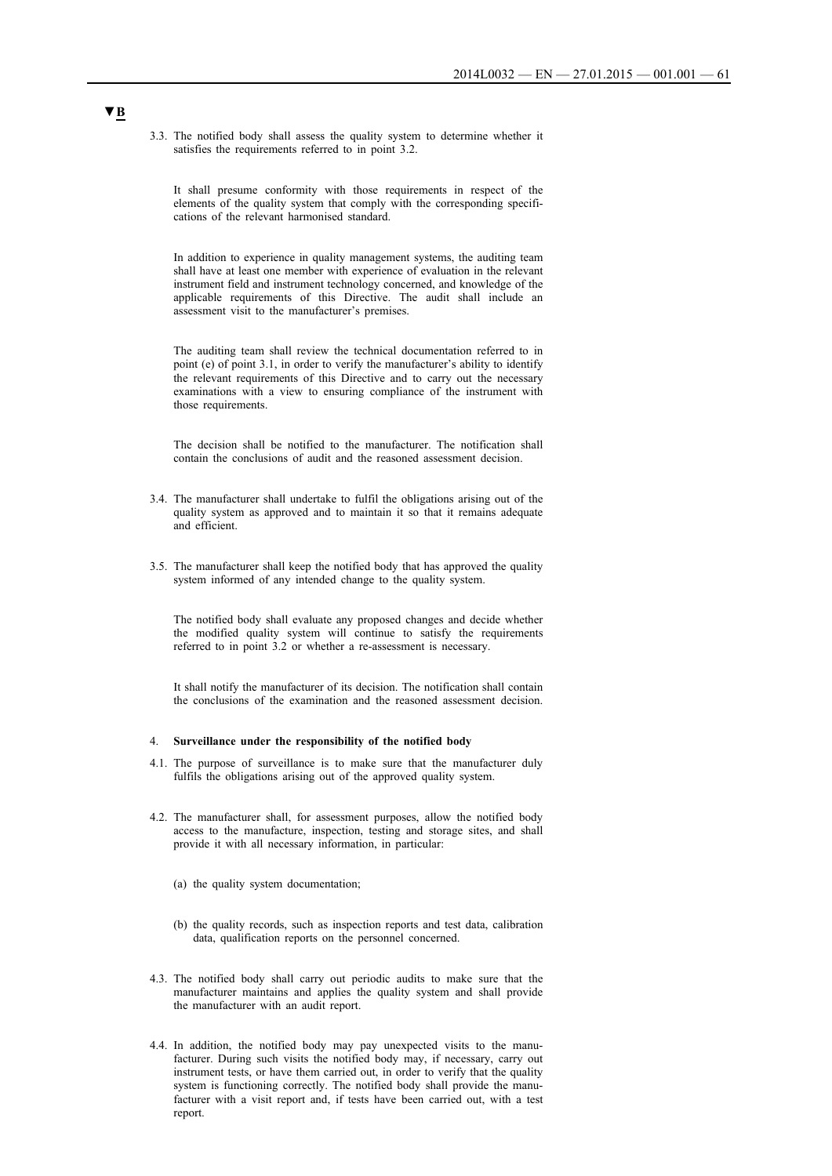3.3. The notified body shall assess the quality system to determine whether it satisfies the requirements referred to in point 3.2.

It shall presume conformity with those requirements in respect of the elements of the quality system that comply with the corresponding specifications of the relevant harmonised standard.

In addition to experience in quality management systems, the auditing team shall have at least one member with experience of evaluation in the relevant instrument field and instrument technology concerned, and knowledge of the applicable requirements of this Directive. The audit shall include an assessment visit to the manufacturer's premises.

The auditing team shall review the technical documentation referred to in point (e) of point 3.1, in order to verify the manufacturer's ability to identify the relevant requirements of this Directive and to carry out the necessary examinations with a view to ensuring compliance of the instrument with those requirements.

The decision shall be notified to the manufacturer. The notification shall contain the conclusions of audit and the reasoned assessment decision.

- 3.4. The manufacturer shall undertake to fulfil the obligations arising out of the quality system as approved and to maintain it so that it remains adequate and efficient.
- 3.5. The manufacturer shall keep the notified body that has approved the quality system informed of any intended change to the quality system.

The notified body shall evaluate any proposed changes and decide whether the modified quality system will continue to satisfy the requirements referred to in point 3.2 or whether a re-assessment is necessary.

It shall notify the manufacturer of its decision. The notification shall contain the conclusions of the examination and the reasoned assessment decision.

### 4. **Surveillance under the responsibility of the notified body**

- 4.1. The purpose of surveillance is to make sure that the manufacturer duly fulfils the obligations arising out of the approved quality system.
- 4.2. The manufacturer shall, for assessment purposes, allow the notified body access to the manufacture, inspection, testing and storage sites, and shall provide it with all necessary information, in particular:
	- (a) the quality system documentation;
	- (b) the quality records, such as inspection reports and test data, calibration data, qualification reports on the personnel concerned.
- 4.3. The notified body shall carry out periodic audits to make sure that the manufacturer maintains and applies the quality system and shall provide the manufacturer with an audit report.
- 4.4. In addition, the notified body may pay unexpected visits to the manufacturer. During such visits the notified body may, if necessary, carry out instrument tests, or have them carried out, in order to verify that the quality system is functioning correctly. The notified body shall provide the manufacturer with a visit report and, if tests have been carried out, with a test report.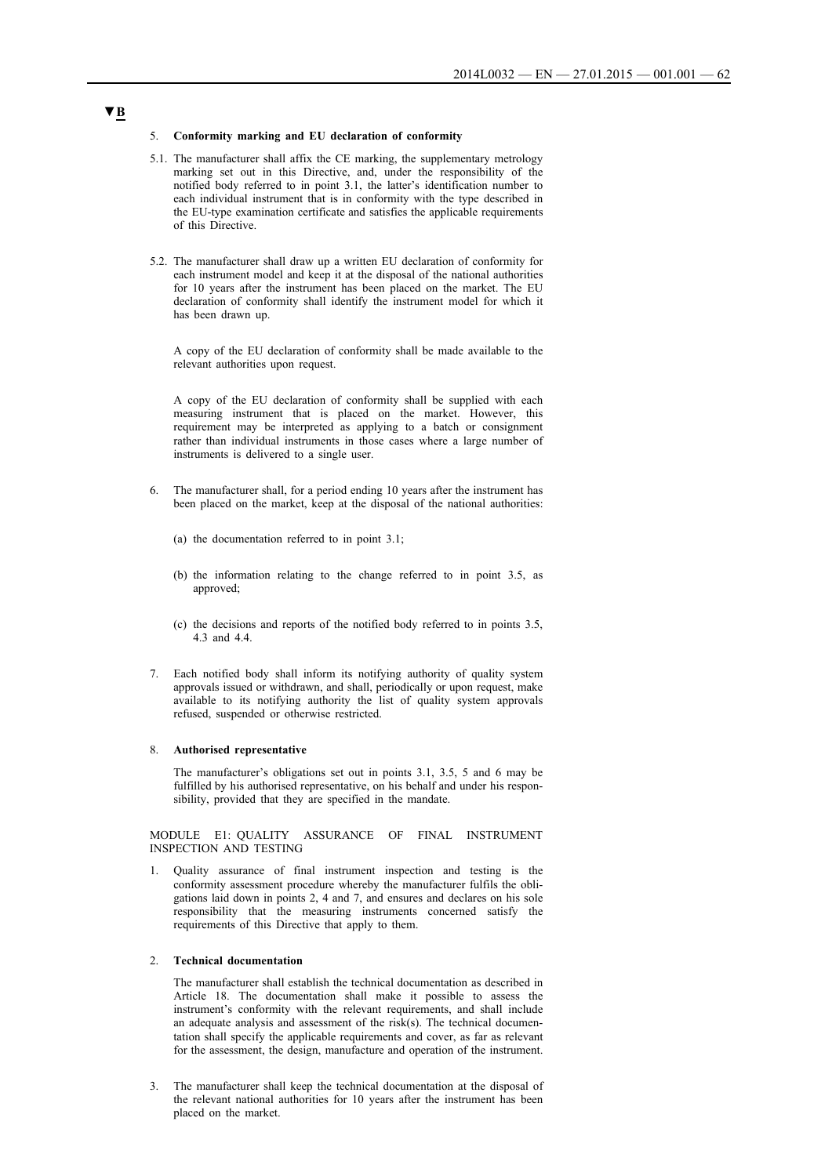#### 5. **Conformity marking and EU declaration of conformity**

- 5.1. The manufacturer shall affix the CE marking, the supplementary metrology marking set out in this Directive, and, under the responsibility of the notified body referred to in point 3.1, the latter's identification number to each individual instrument that is in conformity with the type described in the EU-type examination certificate and satisfies the applicable requirements of this Directive.
- 5.2. The manufacturer shall draw up a written EU declaration of conformity for each instrument model and keep it at the disposal of the national authorities for 10 years after the instrument has been placed on the market. The EU declaration of conformity shall identify the instrument model for which it has been drawn up.

A copy of the EU declaration of conformity shall be made available to the relevant authorities upon request.

A copy of the EU declaration of conformity shall be supplied with each measuring instrument that is placed on the market. However, this requirement may be interpreted as applying to a batch or consignment rather than individual instruments in those cases where a large number of instruments is delivered to a single user.

- 6. The manufacturer shall, for a period ending 10 years after the instrument has been placed on the market, keep at the disposal of the national authorities:
	- (a) the documentation referred to in point 3.1;
	- (b) the information relating to the change referred to in point 3.5, as approved;
	- (c) the decisions and reports of the notified body referred to in points 3.5, 4.3 and 4.4.
- 7. Each notified body shall inform its notifying authority of quality system approvals issued or withdrawn, and shall, periodically or upon request, make available to its notifying authority the list of quality system approvals refused, suspended or otherwise restricted.

#### 8. **Authorised representative**

The manufacturer's obligations set out in points 3.1, 3.5, 5 and 6 may be fulfilled by his authorised representative, on his behalf and under his responsibility, provided that they are specified in the mandate.

MODULE E1: QUALITY ASSURANCE OF FINAL INSTRUMENT INSPECTION AND TESTING

1. Quality assurance of final instrument inspection and testing is the conformity assessment procedure whereby the manufacturer fulfils the obligations laid down in points 2, 4 and 7, and ensures and declares on his sole responsibility that the measuring instruments concerned satisfy the requirements of this Directive that apply to them.

## 2. **Technical documentation**

The manufacturer shall establish the technical documentation as described in Article 18. The documentation shall make it possible to assess the instrument's conformity with the relevant requirements, and shall include an adequate analysis and assessment of the risk(s). The technical documentation shall specify the applicable requirements and cover, as far as relevant for the assessment, the design, manufacture and operation of the instrument.

3. The manufacturer shall keep the technical documentation at the disposal of the relevant national authorities for 10 years after the instrument has been placed on the market.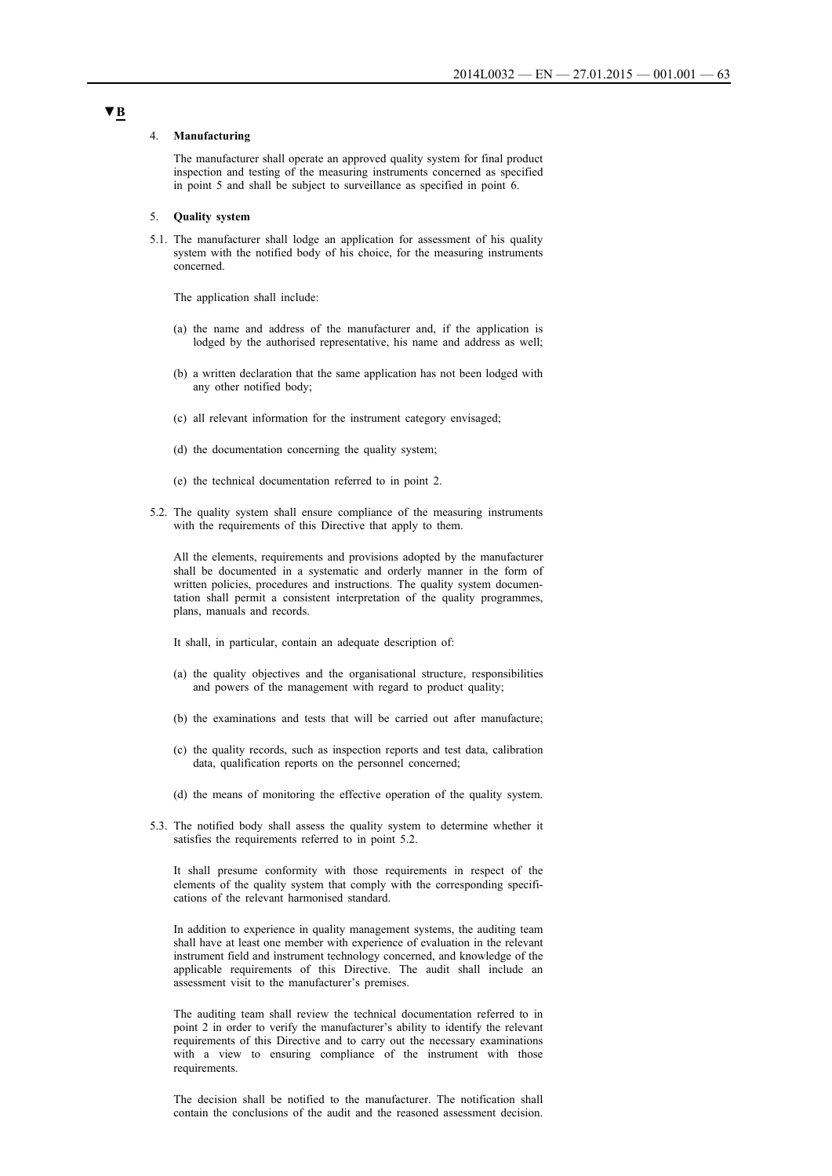#### 4. **Manufacturing**

The manufacturer shall operate an approved quality system for final product inspection and testing of the measuring instruments concerned as specified in point 5 and shall be subject to surveillance as specified in point 6.

#### 5. **Quality system**

5.1. The manufacturer shall lodge an application for assessment of his quality system with the notified body of his choice, for the measuring instruments concerned.

The application shall include:

- (a) the name and address of the manufacturer and, if the application is lodged by the authorised representative, his name and address as well;
- (b) a written declaration that the same application has not been lodged with any other notified body;
- (c) all relevant information for the instrument category envisaged;
- (d) the documentation concerning the quality system;
- (e) the technical documentation referred to in point 2.
- 5.2. The quality system shall ensure compliance of the measuring instruments with the requirements of this Directive that apply to them.

All the elements, requirements and provisions adopted by the manufacturer shall be documented in a systematic and orderly manner in the form of written policies, procedures and instructions. The quality system documentation shall permit a consistent interpretation of the quality programmes, plans, manuals and records.

It shall, in particular, contain an adequate description of:

- (a) the quality objectives and the organisational structure, responsibilities and powers of the management with regard to product quality;
- (b) the examinations and tests that will be carried out after manufacture;
- (c) the quality records, such as inspection reports and test data, calibration data, qualification reports on the personnel concerned;
- (d) the means of monitoring the effective operation of the quality system.
- 5.3. The notified body shall assess the quality system to determine whether it satisfies the requirements referred to in point 5.2.

It shall presume conformity with those requirements in respect of the elements of the quality system that comply with the corresponding specifications of the relevant harmonised standard.

In addition to experience in quality management systems, the auditing team shall have at least one member with experience of evaluation in the relevant instrument field and instrument technology concerned, and knowledge of the applicable requirements of this Directive. The audit shall include an assessment visit to the manufacturer's premises.

The auditing team shall review the technical documentation referred to in point 2 in order to verify the manufacturer's ability to identify the relevant requirements of this Directive and to carry out the necessary examinations with a view to ensuring compliance of the instrument with those requirements.

The decision shall be notified to the manufacturer. The notification shall contain the conclusions of the audit and the reasoned assessment decision.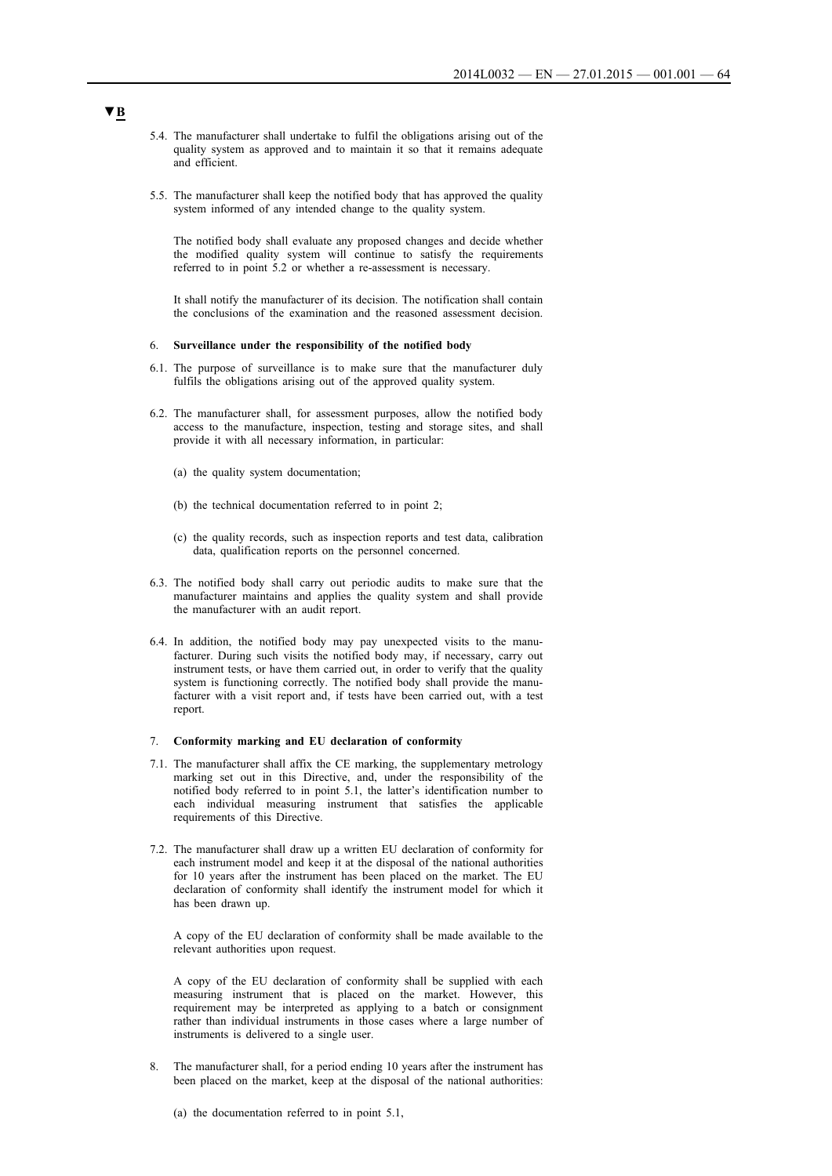- 5.4. The manufacturer shall undertake to fulfil the obligations arising out of the quality system as approved and to maintain it so that it remains adequate and efficient.
- 5.5. The manufacturer shall keep the notified body that has approved the quality system informed of any intended change to the quality system.

The notified body shall evaluate any proposed changes and decide whether the modified quality system will continue to satisfy the requirements referred to in point 5.2 or whether a re-assessment is necessary.

It shall notify the manufacturer of its decision. The notification shall contain the conclusions of the examination and the reasoned assessment decision.

### 6. **Surveillance under the responsibility of the notified body**

- 6.1. The purpose of surveillance is to make sure that the manufacturer duly fulfils the obligations arising out of the approved quality system.
- 6.2. The manufacturer shall, for assessment purposes, allow the notified body access to the manufacture, inspection, testing and storage sites, and shall provide it with all necessary information, in particular:
	- (a) the quality system documentation;
	- (b) the technical documentation referred to in point 2;
	- (c) the quality records, such as inspection reports and test data, calibration data, qualification reports on the personnel concerned.
- 6.3. The notified body shall carry out periodic audits to make sure that the manufacturer maintains and applies the quality system and shall provide the manufacturer with an audit report.
- 6.4. In addition, the notified body may pay unexpected visits to the manufacturer. During such visits the notified body may, if necessary, carry out instrument tests, or have them carried out, in order to verify that the quality system is functioning correctly. The notified body shall provide the manufacturer with a visit report and, if tests have been carried out, with a test report.

### 7. **Conformity marking and EU declaration of conformity**

- 7.1. The manufacturer shall affix the CE marking, the supplementary metrology marking set out in this Directive, and, under the responsibility of the notified body referred to in point 5.1, the latter's identification number to each individual measuring instrument that satisfies the applicable requirements of this Directive.
- 7.2. The manufacturer shall draw up a written EU declaration of conformity for each instrument model and keep it at the disposal of the national authorities for 10 years after the instrument has been placed on the market. The EU declaration of conformity shall identify the instrument model for which it has been drawn up.

A copy of the EU declaration of conformity shall be made available to the relevant authorities upon request.

A copy of the EU declaration of conformity shall be supplied with each measuring instrument that is placed on the market. However, this requirement may be interpreted as applying to a batch or consignment rather than individual instruments in those cases where a large number of instruments is delivered to a single user.

8. The manufacturer shall, for a period ending 10 years after the instrument has been placed on the market, keep at the disposal of the national authorities:

(a) the documentation referred to in point 5.1,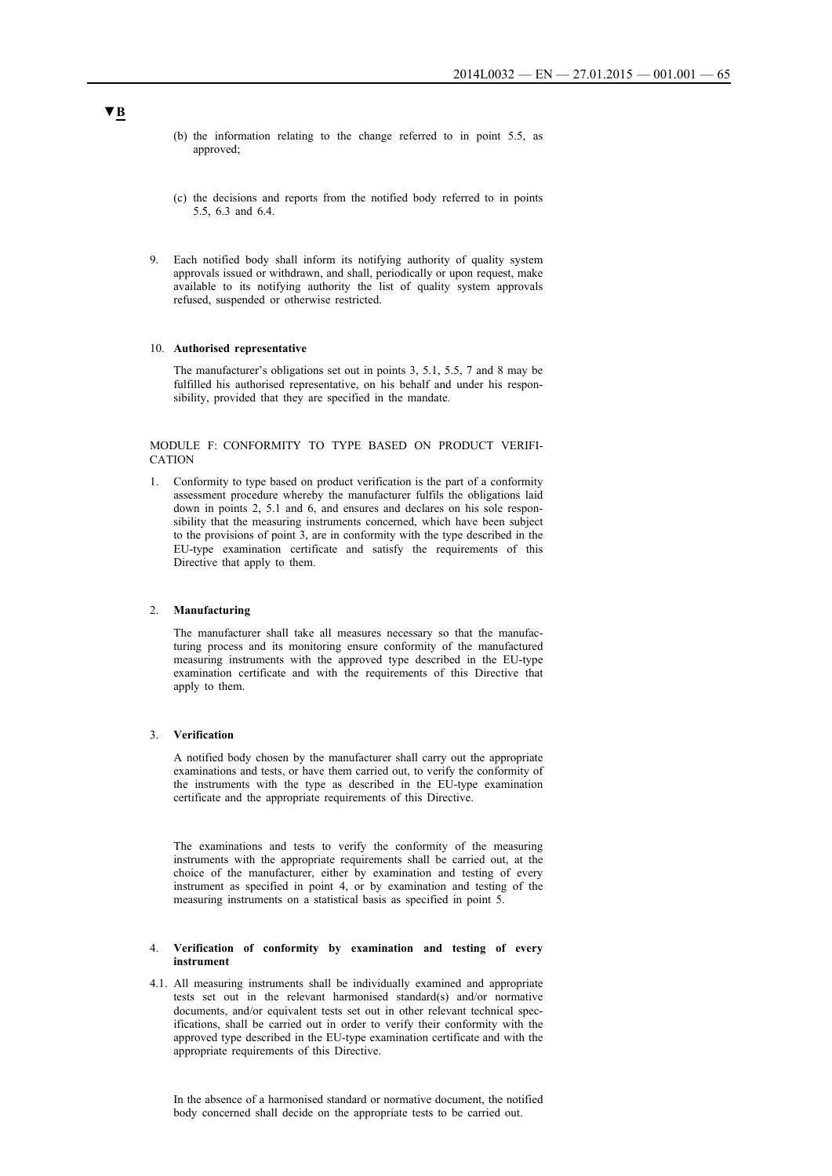- (b) the information relating to the change referred to in point 5.5, as approved;
- (c) the decisions and reports from the notified body referred to in points 5.5, 6.3 and 6.4.
- 9. Each notified body shall inform its notifying authority of quality system approvals issued or withdrawn, and shall, periodically or upon request, make available to its notifying authority the list of quality system approvals refused, suspended or otherwise restricted.

#### 10. **Authorised representative**

The manufacturer's obligations set out in points 3, 5.1, 5.5, 7 and 8 may be fulfilled his authorised representative, on his behalf and under his responsibility, provided that they are specified in the mandate.

MODULE F: CONFORMITY TO TYPE BASED ON PRODUCT VERIFI-CATION

1. Conformity to type based on product verification is the part of a conformity assessment procedure whereby the manufacturer fulfils the obligations laid down in points 2, 5.1 and 6, and ensures and declares on his sole responsibility that the measuring instruments concerned, which have been subject to the provisions of point 3, are in conformity with the type described in the EU-type examination certificate and satisfy the requirements of this Directive that apply to them.

### 2. **Manufacturing**

The manufacturer shall take all measures necessary so that the manufacturing process and its monitoring ensure conformity of the manufactured measuring instruments with the approved type described in the EU-type examination certificate and with the requirements of this Directive that apply to them.

## 3. **Verification**

A notified body chosen by the manufacturer shall carry out the appropriate examinations and tests, or have them carried out, to verify the conformity of the instruments with the type as described in the EU-type examination certificate and the appropriate requirements of this Directive.

The examinations and tests to verify the conformity of the measuring instruments with the appropriate requirements shall be carried out, at the choice of the manufacturer, either by examination and testing of every instrument as specified in point 4, or by examination and testing of the measuring instruments on a statistical basis as specified in point 5.

#### 4. **Verification of conformity by examination and testing of every instrument**

4.1. All measuring instruments shall be individually examined and appropriate tests set out in the relevant harmonised standard(s) and/or normative documents, and/or equivalent tests set out in other relevant technical specifications, shall be carried out in order to verify their conformity with the approved type described in the EU-type examination certificate and with the appropriate requirements of this Directive.

In the absence of a harmonised standard or normative document, the notified body concerned shall decide on the appropriate tests to be carried out.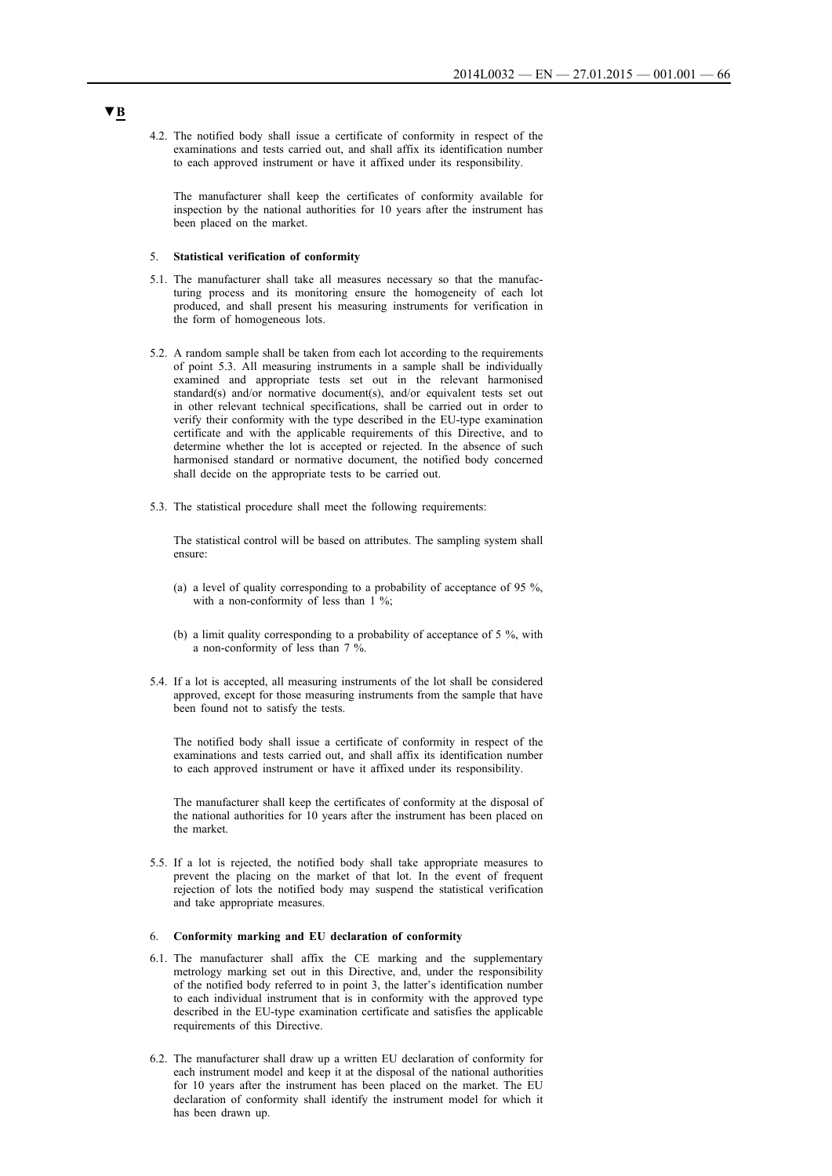4.2. The notified body shall issue a certificate of conformity in respect of the examinations and tests carried out, and shall affix its identification number to each approved instrument or have it affixed under its responsibility.

The manufacturer shall keep the certificates of conformity available for inspection by the national authorities for 10 years after the instrument has been placed on the market.

#### 5. **Statistical verification of conformity**

- 5.1. The manufacturer shall take all measures necessary so that the manufacturing process and its monitoring ensure the homogeneity of each lot produced, and shall present his measuring instruments for verification in the form of homogeneous lots.
- 5.2. A random sample shall be taken from each lot according to the requirements of point 5.3. All measuring instruments in a sample shall be individually examined and appropriate tests set out in the relevant harmonised standard(s) and/or normative document(s), and/or equivalent tests set out in other relevant technical specifications, shall be carried out in order to verify their conformity with the type described in the EU-type examination certificate and with the applicable requirements of this Directive, and to determine whether the lot is accepted or rejected. In the absence of such harmonised standard or normative document, the notified body concerned shall decide on the appropriate tests to be carried out.
- 5.3. The statistical procedure shall meet the following requirements:

The statistical control will be based on attributes. The sampling system shall ensure:

- (a) a level of quality corresponding to a probability of acceptance of 95 %, with a non-conformity of less than 1 %;
- (b) a limit quality corresponding to a probability of acceptance of 5 %, with a non-conformity of less than 7 %.
- 5.4. If a lot is accepted, all measuring instruments of the lot shall be considered approved, except for those measuring instruments from the sample that have been found not to satisfy the tests.

The notified body shall issue a certificate of conformity in respect of the examinations and tests carried out, and shall affix its identification number to each approved instrument or have it affixed under its responsibility.

The manufacturer shall keep the certificates of conformity at the disposal of the national authorities for 10 years after the instrument has been placed on the market.

5.5. If a lot is rejected, the notified body shall take appropriate measures to prevent the placing on the market of that lot. In the event of frequent rejection of lots the notified body may suspend the statistical verification and take appropriate measures.

#### 6. **Conformity marking and EU declaration of conformity**

- 6.1. The manufacturer shall affix the CE marking and the supplementary metrology marking set out in this Directive, and, under the responsibility of the notified body referred to in point 3, the latter's identification number to each individual instrument that is in conformity with the approved type described in the EU-type examination certificate and satisfies the applicable requirements of this Directive.
- 6.2. The manufacturer shall draw up a written EU declaration of conformity for each instrument model and keep it at the disposal of the national authorities for 10 years after the instrument has been placed on the market. The EU declaration of conformity shall identify the instrument model for which it has been drawn up.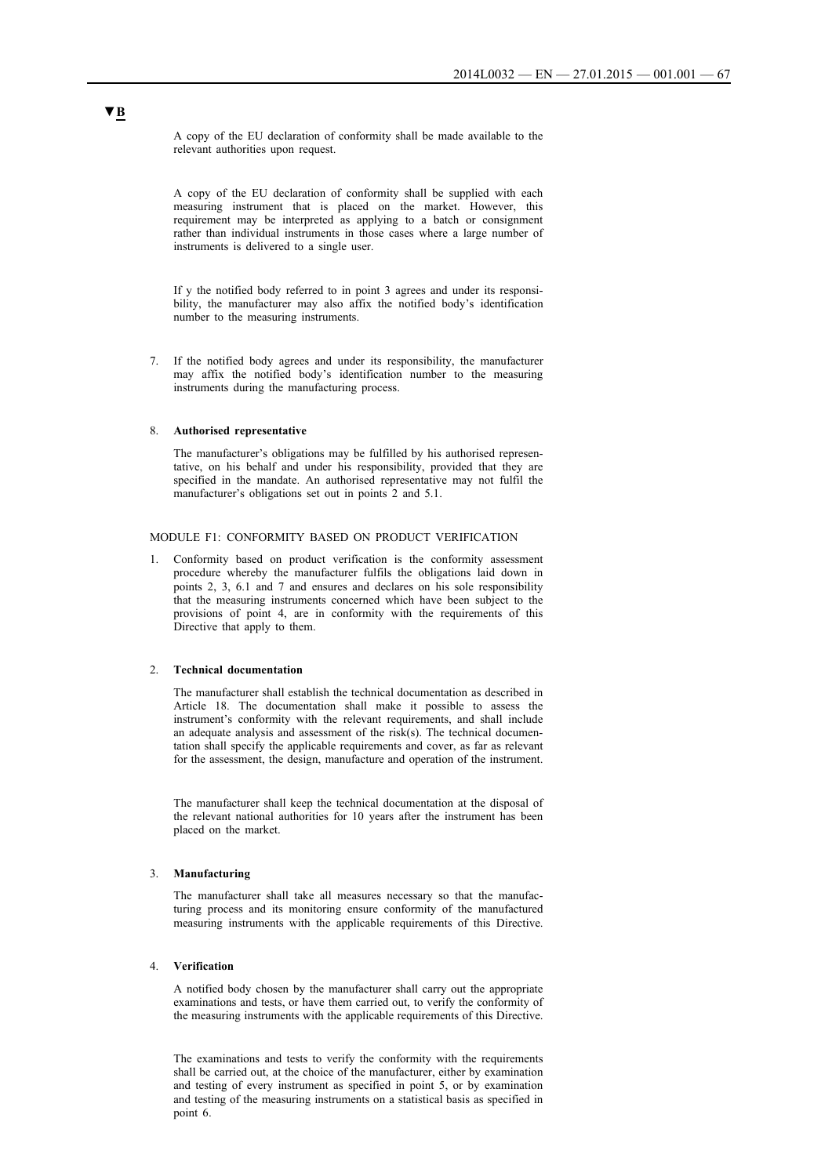A copy of the EU declaration of conformity shall be made available to the relevant authorities upon request.

A copy of the EU declaration of conformity shall be supplied with each measuring instrument that is placed on the market. However, this requirement may be interpreted as applying to a batch or consignment rather than individual instruments in those cases where a large number of instruments is delivered to a single user.

If y the notified body referred to in point 3 agrees and under its responsibility, the manufacturer may also affix the notified body's identification number to the measuring instruments.

7. If the notified body agrees and under its responsibility, the manufacturer may affix the notified body's identification number to the measuring instruments during the manufacturing process.

#### 8. **Authorised representative**

The manufacturer's obligations may be fulfilled by his authorised representative, on his behalf and under his responsibility, provided that they are specified in the mandate. An authorised representative may not fulfil the manufacturer's obligations set out in points 2 and 5.1.

## MODULE F1: CONFORMITY BASED ON PRODUCT VERIFICATION

1. Conformity based on product verification is the conformity assessment procedure whereby the manufacturer fulfils the obligations laid down in points 2, 3, 6.1 and 7 and ensures and declares on his sole responsibility that the measuring instruments concerned which have been subject to the provisions of point 4, are in conformity with the requirements of this Directive that apply to them.

### 2. **Technical documentation**

The manufacturer shall establish the technical documentation as described in Article 18. The documentation shall make it possible to assess the instrument's conformity with the relevant requirements, and shall include an adequate analysis and assessment of the risk(s). The technical documentation shall specify the applicable requirements and cover, as far as relevant for the assessment, the design, manufacture and operation of the instrument.

The manufacturer shall keep the technical documentation at the disposal of the relevant national authorities for 10 years after the instrument has been placed on the market.

### 3. **Manufacturing**

The manufacturer shall take all measures necessary so that the manufacturing process and its monitoring ensure conformity of the manufactured measuring instruments with the applicable requirements of this Directive.

### 4. **Verification**

A notified body chosen by the manufacturer shall carry out the appropriate examinations and tests, or have them carried out, to verify the conformity of the measuring instruments with the applicable requirements of this Directive.

The examinations and tests to verify the conformity with the requirements shall be carried out, at the choice of the manufacturer, either by examination and testing of every instrument as specified in point 5, or by examination and testing of the measuring instruments on a statistical basis as specified in point 6.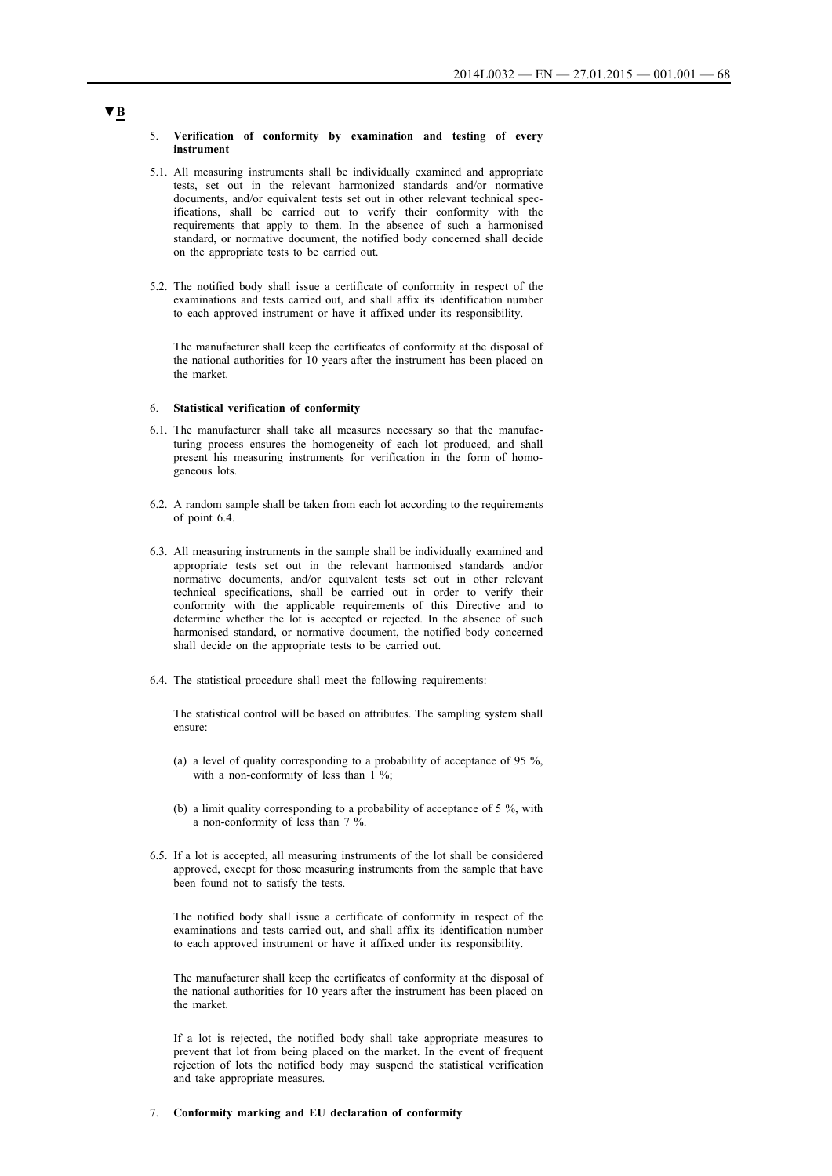#### 5. **Verification of conformity by examination and testing of every instrument**

- 5.1. All measuring instruments shall be individually examined and appropriate tests, set out in the relevant harmonized standards and/or normative documents, and/or equivalent tests set out in other relevant technical specifications, shall be carried out to verify their conformity with the requirements that apply to them. In the absence of such a harmonised standard, or normative document, the notified body concerned shall decide on the appropriate tests to be carried out.
- 5.2. The notified body shall issue a certificate of conformity in respect of the examinations and tests carried out, and shall affix its identification number to each approved instrument or have it affixed under its responsibility.

The manufacturer shall keep the certificates of conformity at the disposal of the national authorities for 10 years after the instrument has been placed on the market.

## 6. **Statistical verification of conformity**

- 6.1. The manufacturer shall take all measures necessary so that the manufacturing process ensures the homogeneity of each lot produced, and shall present his measuring instruments for verification in the form of homogeneous lots.
- 6.2. A random sample shall be taken from each lot according to the requirements of point 6.4.
- 6.3. All measuring instruments in the sample shall be individually examined and appropriate tests set out in the relevant harmonised standards and/or normative documents, and/or equivalent tests set out in other relevant technical specifications, shall be carried out in order to verify their conformity with the applicable requirements of this Directive and to determine whether the lot is accepted or rejected. In the absence of such harmonised standard, or normative document, the notified body concerned shall decide on the appropriate tests to be carried out.
- 6.4. The statistical procedure shall meet the following requirements:

The statistical control will be based on attributes. The sampling system shall ensure:

- (a) a level of quality corresponding to a probability of acceptance of 95 %, with a non-conformity of less than 1 %;
- (b) a limit quality corresponding to a probability of acceptance of 5 %, with a non-conformity of less than 7 %.
- 6.5. If a lot is accepted, all measuring instruments of the lot shall be considered approved, except for those measuring instruments from the sample that have been found not to satisfy the tests.

The notified body shall issue a certificate of conformity in respect of the examinations and tests carried out, and shall affix its identification number to each approved instrument or have it affixed under its responsibility.

The manufacturer shall keep the certificates of conformity at the disposal of the national authorities for 10 years after the instrument has been placed on the market.

If a lot is rejected, the notified body shall take appropriate measures to prevent that lot from being placed on the market. In the event of frequent rejection of lots the notified body may suspend the statistical verification and take appropriate measures.

### 7. **Conformity marking and EU declaration of conformity**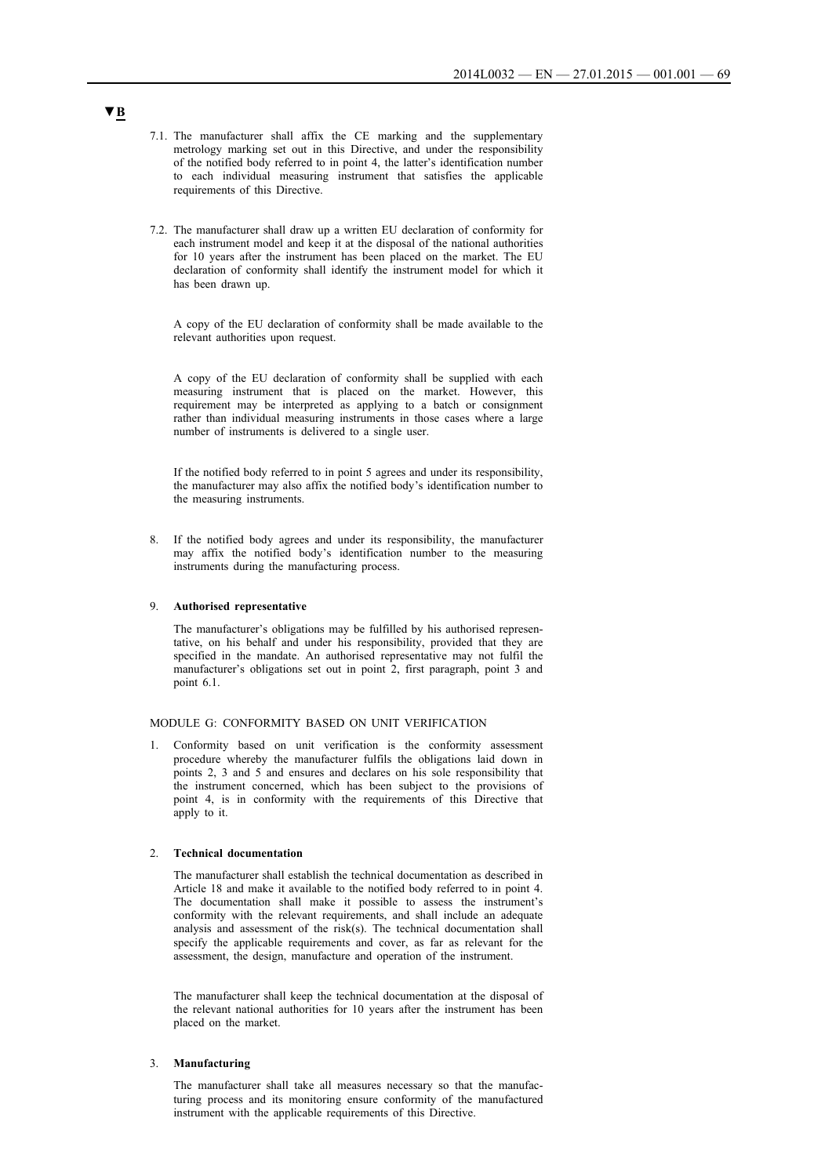- 7.1. The manufacturer shall affix the CE marking and the supplementary metrology marking set out in this Directive, and under the responsibility of the notified body referred to in point 4, the latter's identification number to each individual measuring instrument that satisfies the applicable requirements of this Directive.
- 7.2. The manufacturer shall draw up a written EU declaration of conformity for each instrument model and keep it at the disposal of the national authorities for 10 years after the instrument has been placed on the market. The EU declaration of conformity shall identify the instrument model for which it has been drawn up.

A copy of the EU declaration of conformity shall be made available to the relevant authorities upon request.

A copy of the EU declaration of conformity shall be supplied with each measuring instrument that is placed on the market. However, this requirement may be interpreted as applying to a batch or consignment rather than individual measuring instruments in those cases where a large number of instruments is delivered to a single user.

If the notified body referred to in point 5 agrees and under its responsibility, the manufacturer may also affix the notified body's identification number to the measuring instruments.

8. If the notified body agrees and under its responsibility, the manufacturer may affix the notified body's identification number to the measuring instruments during the manufacturing process.

#### 9. **Authorised representative**

The manufacturer's obligations may be fulfilled by his authorised representative, on his behalf and under his responsibility, provided that they are specified in the mandate. An authorised representative may not fulfil the manufacturer's obligations set out in point 2, first paragraph, point 3 and point 6.1.

## MODULE G: CONFORMITY BASED ON UNIT VERIFICATION

1. Conformity based on unit verification is the conformity assessment procedure whereby the manufacturer fulfils the obligations laid down in points 2, 3 and 5 and ensures and declares on his sole responsibility that the instrument concerned, which has been subject to the provisions of point 4, is in conformity with the requirements of this Directive that apply to it.

### 2. **Technical documentation**

The manufacturer shall establish the technical documentation as described in Article 18 and make it available to the notified body referred to in point 4. The documentation shall make it possible to assess the instrument's conformity with the relevant requirements, and shall include an adequate analysis and assessment of the risk(s). The technical documentation shall specify the applicable requirements and cover, as far as relevant for the assessment, the design, manufacture and operation of the instrument.

The manufacturer shall keep the technical documentation at the disposal of the relevant national authorities for 10 years after the instrument has been placed on the market.

## 3. **Manufacturing**

The manufacturer shall take all measures necessary so that the manufacturing process and its monitoring ensure conformity of the manufactured instrument with the applicable requirements of this Directive.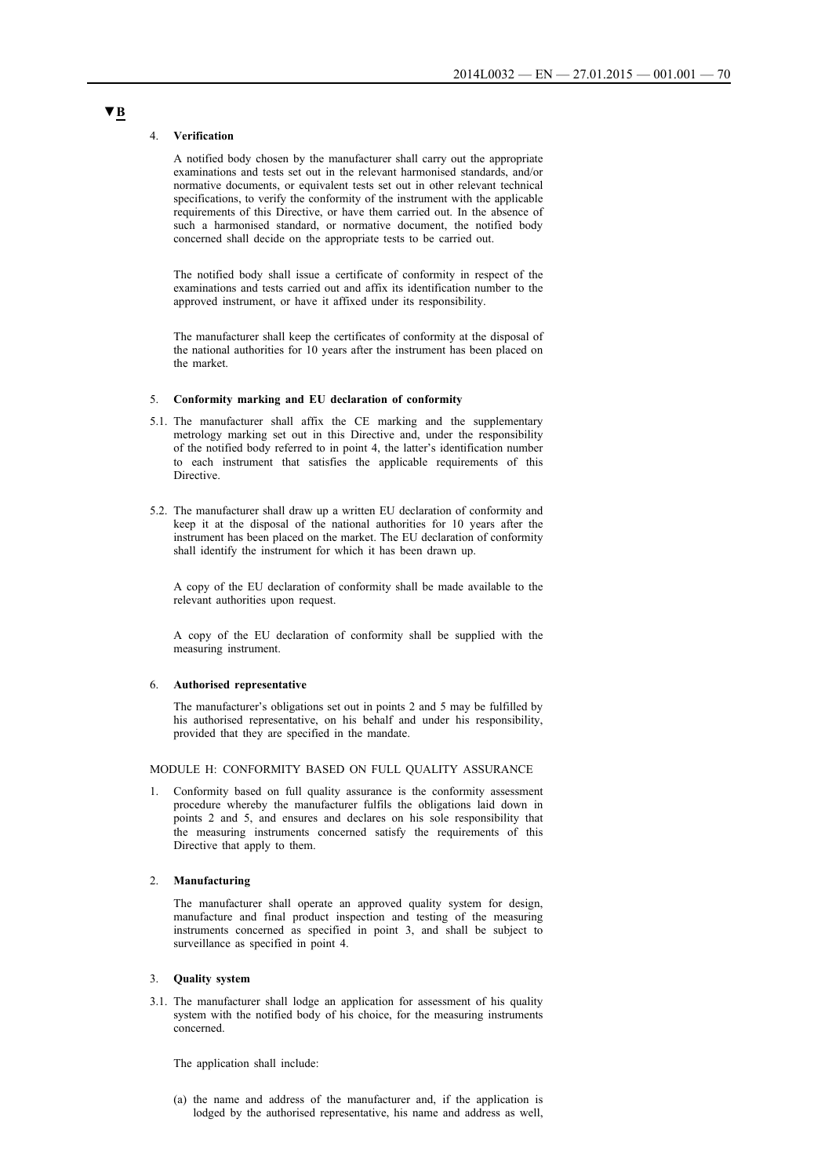#### 4. **Verification**

A notified body chosen by the manufacturer shall carry out the appropriate examinations and tests set out in the relevant harmonised standards, and/or normative documents, or equivalent tests set out in other relevant technical specifications, to verify the conformity of the instrument with the applicable requirements of this Directive, or have them carried out. In the absence of such a harmonised standard, or normative document, the notified body concerned shall decide on the appropriate tests to be carried out.

The notified body shall issue a certificate of conformity in respect of the examinations and tests carried out and affix its identification number to the approved instrument, or have it affixed under its responsibility.

The manufacturer shall keep the certificates of conformity at the disposal of the national authorities for 10 years after the instrument has been placed on the market.

#### 5. **Conformity marking and EU declaration of conformity**

- 5.1. The manufacturer shall affix the CE marking and the supplementary metrology marking set out in this Directive and, under the responsibility of the notified body referred to in point 4, the latter's identification number to each instrument that satisfies the applicable requirements of this **Directive**
- 5.2. The manufacturer shall draw up a written EU declaration of conformity and keep it at the disposal of the national authorities for 10 years after the instrument has been placed on the market. The EU declaration of conformity shall identify the instrument for which it has been drawn up.

A copy of the EU declaration of conformity shall be made available to the relevant authorities upon request.

A copy of the EU declaration of conformity shall be supplied with the measuring instrument.

#### 6. **Authorised representative**

The manufacturer's obligations set out in points 2 and 5 may be fulfilled by his authorised representative, on his behalf and under his responsibility, provided that they are specified in the mandate.

#### MODULE H: CONFORMITY BASED ON FULL QUALITY ASSURANCE

1. Conformity based on full quality assurance is the conformity assessment procedure whereby the manufacturer fulfils the obligations laid down in points 2 and 5, and ensures and declares on his sole responsibility that the measuring instruments concerned satisfy the requirements of this Directive that apply to them.

### 2. **Manufacturing**

The manufacturer shall operate an approved quality system for design, manufacture and final product inspection and testing of the measuring instruments concerned as specified in point 3, and shall be subject to surveillance as specified in point 4.

### 3. **Quality system**

3.1. The manufacturer shall lodge an application for assessment of his quality system with the notified body of his choice, for the measuring instruments concerned.

The application shall include:

(a) the name and address of the manufacturer and, if the application is lodged by the authorised representative, his name and address as well,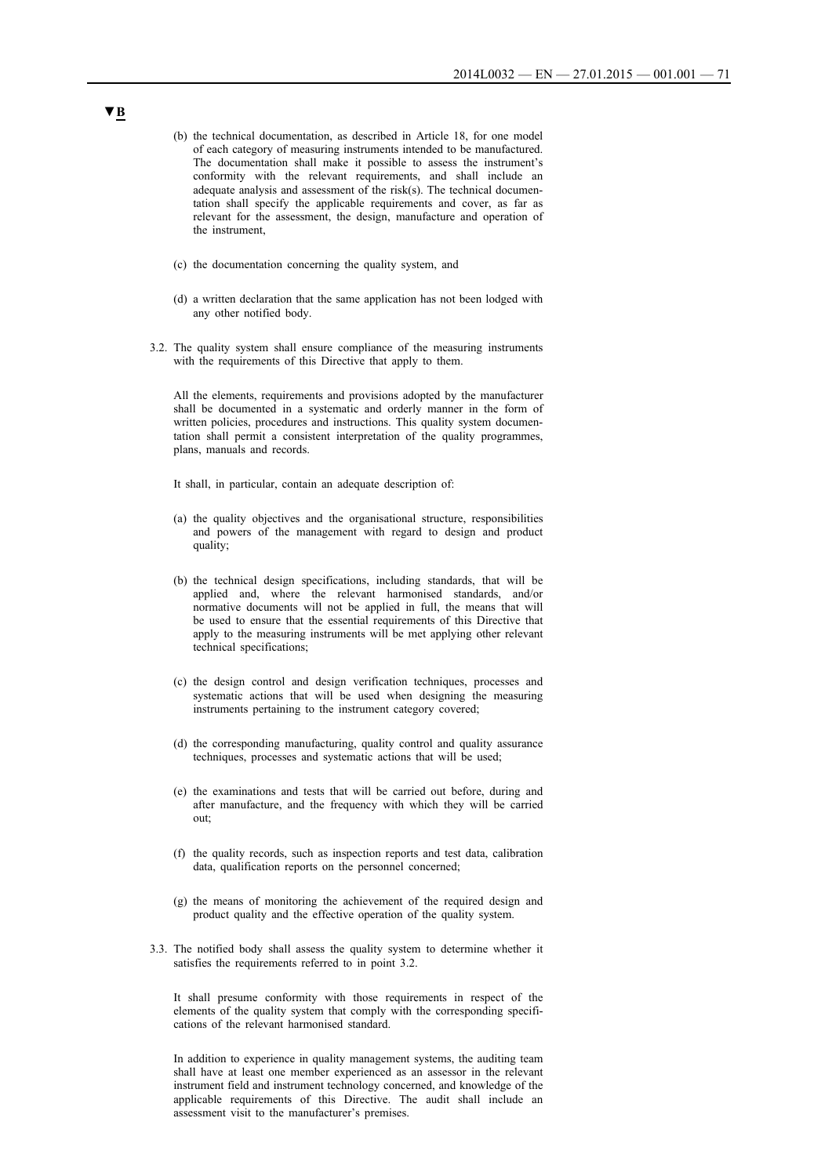- (b) the technical documentation, as described in Article 18, for one model of each category of measuring instruments intended to be manufactured. The documentation shall make it possible to assess the instrument's conformity with the relevant requirements, and shall include an adequate analysis and assessment of the risk(s). The technical documentation shall specify the applicable requirements and cover, as far as relevant for the assessment, the design, manufacture and operation of the instrument,
- (c) the documentation concerning the quality system, and
- (d) a written declaration that the same application has not been lodged with any other notified body.
- 3.2. The quality system shall ensure compliance of the measuring instruments with the requirements of this Directive that apply to them.

All the elements, requirements and provisions adopted by the manufacturer shall be documented in a systematic and orderly manner in the form of written policies, procedures and instructions. This quality system documentation shall permit a consistent interpretation of the quality programmes, plans, manuals and records.

It shall, in particular, contain an adequate description of:

- (a) the quality objectives and the organisational structure, responsibilities and powers of the management with regard to design and product quality;
- (b) the technical design specifications, including standards, that will be applied and, where the relevant harmonised standards, and/or normative documents will not be applied in full, the means that will be used to ensure that the essential requirements of this Directive that apply to the measuring instruments will be met applying other relevant technical specifications;
- (c) the design control and design verification techniques, processes and systematic actions that will be used when designing the measuring instruments pertaining to the instrument category covered;
- (d) the corresponding manufacturing, quality control and quality assurance techniques, processes and systematic actions that will be used;
- (e) the examinations and tests that will be carried out before, during and after manufacture, and the frequency with which they will be carried out;
- (f) the quality records, such as inspection reports and test data, calibration data, qualification reports on the personnel concerned;
- (g) the means of monitoring the achievement of the required design and product quality and the effective operation of the quality system.
- 3.3. The notified body shall assess the quality system to determine whether it satisfies the requirements referred to in point 3.2.

It shall presume conformity with those requirements in respect of the elements of the quality system that comply with the corresponding specifications of the relevant harmonised standard.

In addition to experience in quality management systems, the auditing team shall have at least one member experienced as an assessor in the relevant instrument field and instrument technology concerned, and knowledge of the applicable requirements of this Directive. The audit shall include an assessment visit to the manufacturer's premises.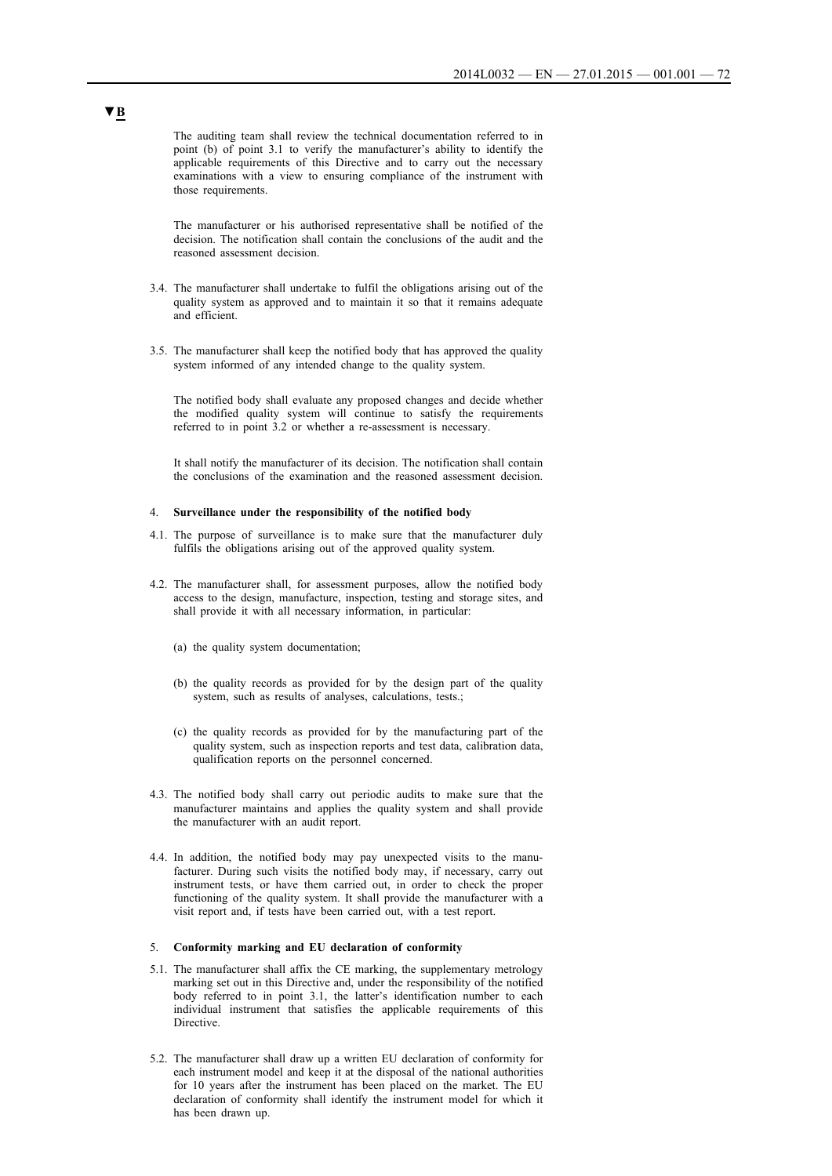The auditing team shall review the technical documentation referred to in point (b) of point 3.1 to verify the manufacturer's ability to identify the applicable requirements of this Directive and to carry out the necessary examinations with a view to ensuring compliance of the instrument with those requirements.

The manufacturer or his authorised representative shall be notified of the decision. The notification shall contain the conclusions of the audit and the reasoned assessment decision.

- 3.4. The manufacturer shall undertake to fulfil the obligations arising out of the quality system as approved and to maintain it so that it remains adequate and efficient.
- 3.5. The manufacturer shall keep the notified body that has approved the quality system informed of any intended change to the quality system.

The notified body shall evaluate any proposed changes and decide whether the modified quality system will continue to satisfy the requirements referred to in point 3.2 or whether a re-assessment is necessary.

It shall notify the manufacturer of its decision. The notification shall contain the conclusions of the examination and the reasoned assessment decision.

#### 4. **Surveillance under the responsibility of the notified body**

- 4.1. The purpose of surveillance is to make sure that the manufacturer duly fulfils the obligations arising out of the approved quality system.
- 4.2. The manufacturer shall, for assessment purposes, allow the notified body access to the design, manufacture, inspection, testing and storage sites, and shall provide it with all necessary information, in particular:
	- (a) the quality system documentation;
	- (b) the quality records as provided for by the design part of the quality system, such as results of analyses, calculations, tests.;
	- (c) the quality records as provided for by the manufacturing part of the quality system, such as inspection reports and test data, calibration data, qualification reports on the personnel concerned.
- 4.3. The notified body shall carry out periodic audits to make sure that the manufacturer maintains and applies the quality system and shall provide the manufacturer with an audit report.
- 4.4. In addition, the notified body may pay unexpected visits to the manufacturer. During such visits the notified body may, if necessary, carry out instrument tests, or have them carried out, in order to check the proper functioning of the quality system. It shall provide the manufacturer with a visit report and, if tests have been carried out, with a test report.

#### 5. **Conformity marking and EU declaration of conformity**

- 5.1. The manufacturer shall affix the CE marking, the supplementary metrology marking set out in this Directive and, under the responsibility of the notified body referred to in point 3.1, the latter's identification number to each individual instrument that satisfies the applicable requirements of this **Directive**
- 5.2. The manufacturer shall draw up a written EU declaration of conformity for each instrument model and keep it at the disposal of the national authorities for 10 years after the instrument has been placed on the market. The EU declaration of conformity shall identify the instrument model for which it has been drawn up.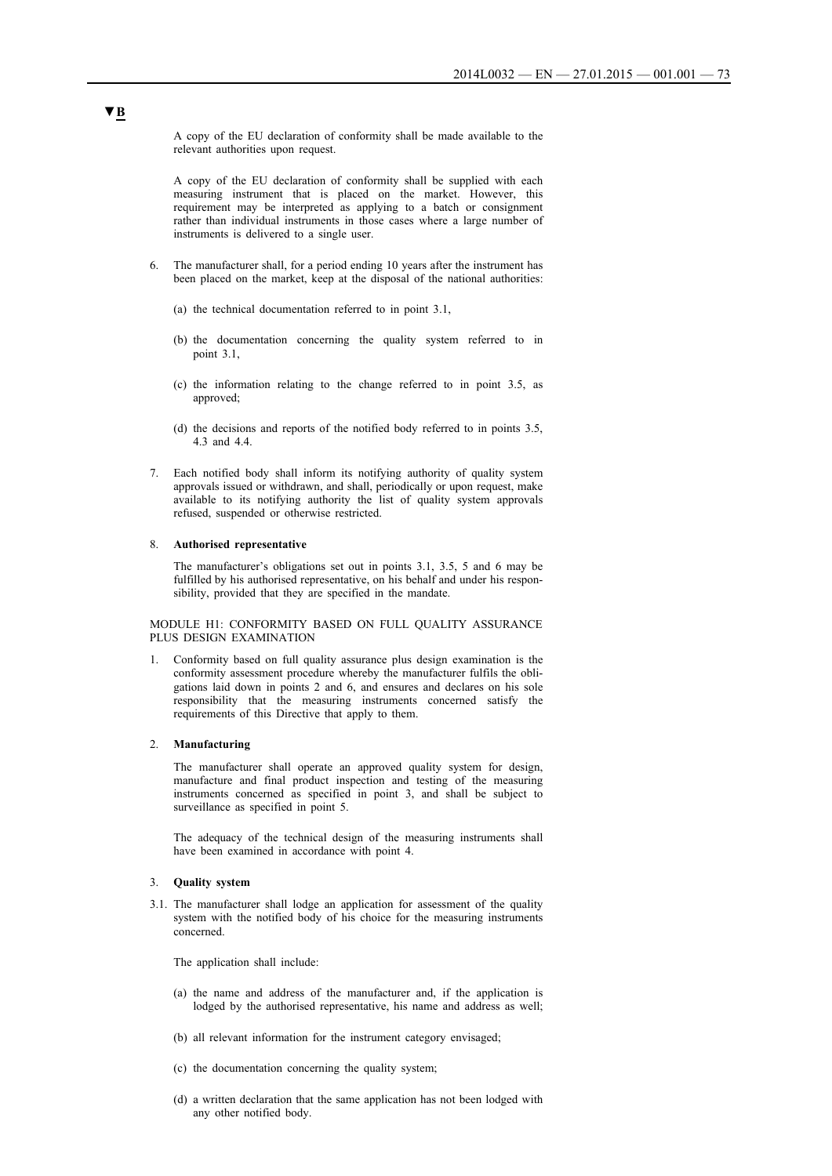A copy of the EU declaration of conformity shall be made available to the relevant authorities upon request.

A copy of the EU declaration of conformity shall be supplied with each measuring instrument that is placed on the market. However, this requirement may be interpreted as applying to a batch or consignment rather than individual instruments in those cases where a large number of instruments is delivered to a single user.

- 6. The manufacturer shall, for a period ending 10 years after the instrument has been placed on the market, keep at the disposal of the national authorities:
	- (a) the technical documentation referred to in point 3.1,
	- (b) the documentation concerning the quality system referred to in point 3.1,
	- (c) the information relating to the change referred to in point 3.5, as approved;
	- (d) the decisions and reports of the notified body referred to in points 3.5, 4.3 and 4.4.
- 7. Each notified body shall inform its notifying authority of quality system approvals issued or withdrawn, and shall, periodically or upon request, make available to its notifying authority the list of quality system approvals refused, suspended or otherwise restricted.

#### 8. **Authorised representative**

The manufacturer's obligations set out in points 3.1, 3.5, 5 and 6 may be fulfilled by his authorised representative, on his behalf and under his responsibility, provided that they are specified in the mandate.

MODULE H1: CONFORMITY BASED ON FULL QUALITY ASSURANCE PLUS DESIGN EXAMINATION

1. Conformity based on full quality assurance plus design examination is the conformity assessment procedure whereby the manufacturer fulfils the obligations laid down in points 2 and 6, and ensures and declares on his sole responsibility that the measuring instruments concerned satisfy the requirements of this Directive that apply to them.

### 2. **Manufacturing**

The manufacturer shall operate an approved quality system for design, manufacture and final product inspection and testing of the measuring instruments concerned as specified in point 3, and shall be subject to surveillance as specified in point 5.

The adequacy of the technical design of the measuring instruments shall have been examined in accordance with point 4.

## 3. **Quality system**

3.1. The manufacturer shall lodge an application for assessment of the quality system with the notified body of his choice for the measuring instruments concerned.

The application shall include:

- (a) the name and address of the manufacturer and, if the application is lodged by the authorised representative, his name and address as well;
- (b) all relevant information for the instrument category envisaged;
- (c) the documentation concerning the quality system;
- (d) a written declaration that the same application has not been lodged with any other notified body.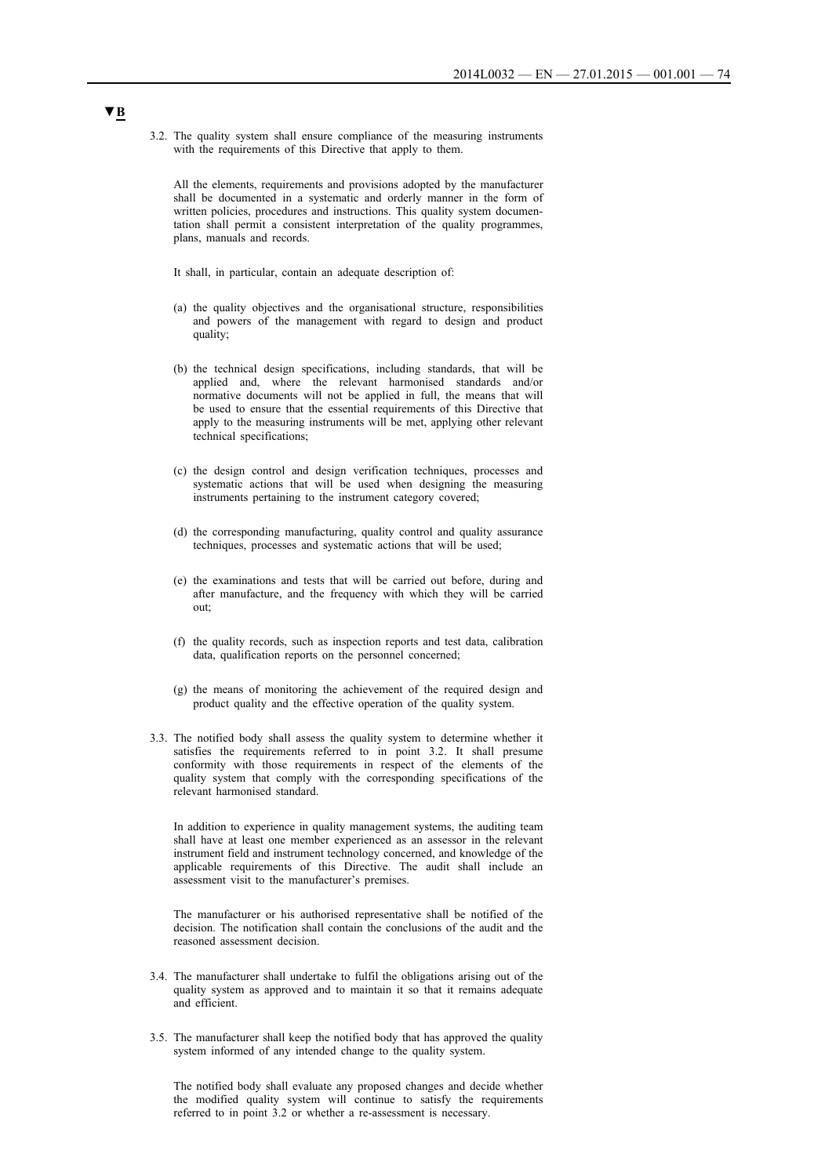3.2. The quality system shall ensure compliance of the measuring instruments with the requirements of this Directive that apply to them.

All the elements, requirements and provisions adopted by the manufacturer shall be documented in a systematic and orderly manner in the form of written policies, procedures and instructions. This quality system documentation shall permit a consistent interpretation of the quality programmes, plans, manuals and records.

It shall, in particular, contain an adequate description of:

- (a) the quality objectives and the organisational structure, responsibilities and powers of the management with regard to design and product quality;
- (b) the technical design specifications, including standards, that will be applied and, where the relevant harmonised standards and/or normative documents will not be applied in full, the means that will be used to ensure that the essential requirements of this Directive that apply to the measuring instruments will be met, applying other relevant technical specifications;
- (c) the design control and design verification techniques, processes and systematic actions that will be used when designing the measuring instruments pertaining to the instrument category covered;
- (d) the corresponding manufacturing, quality control and quality assurance techniques, processes and systematic actions that will be used;
- (e) the examinations and tests that will be carried out before, during and after manufacture, and the frequency with which they will be carried out;
- (f) the quality records, such as inspection reports and test data, calibration data, qualification reports on the personnel concerned;
- (g) the means of monitoring the achievement of the required design and product quality and the effective operation of the quality system.
- 3.3. The notified body shall assess the quality system to determine whether it satisfies the requirements referred to in point 3.2. It shall presume conformity with those requirements in respect of the elements of the quality system that comply with the corresponding specifications of the relevant harmonised standard.

In addition to experience in quality management systems, the auditing team shall have at least one member experienced as an assessor in the relevant instrument field and instrument technology concerned, and knowledge of the applicable requirements of this Directive. The audit shall include an assessment visit to the manufacturer's premises.

The manufacturer or his authorised representative shall be notified of the decision. The notification shall contain the conclusions of the audit and the reasoned assessment decision.

- 3.4. The manufacturer shall undertake to fulfil the obligations arising out of the quality system as approved and to maintain it so that it remains adequate and efficient.
- 3.5. The manufacturer shall keep the notified body that has approved the quality system informed of any intended change to the quality system.

The notified body shall evaluate any proposed changes and decide whether the modified quality system will continue to satisfy the requirements referred to in point 3.2 or whether a re-assessment is necessary.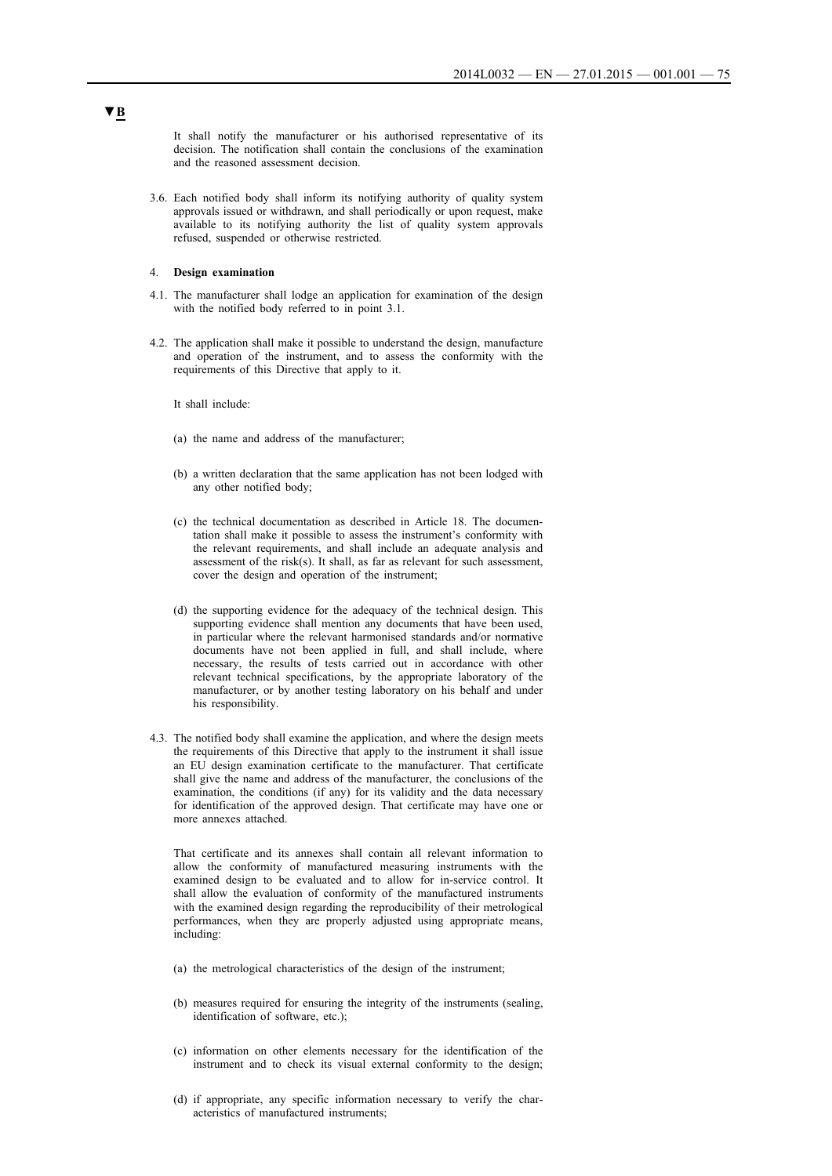It shall notify the manufacturer or his authorised representative of its decision. The notification shall contain the conclusions of the examination and the reasoned assessment decision.

3.6. Each notified body shall inform its notifying authority of quality system approvals issued or withdrawn, and shall periodically or upon request, make available to its notifying authority the list of quality system approvals refused, suspended or otherwise restricted.

### 4. **Design examination**

- 4.1. The manufacturer shall lodge an application for examination of the design with the notified body referred to in point 3.1.
- 4.2. The application shall make it possible to understand the design, manufacture and operation of the instrument, and to assess the conformity with the requirements of this Directive that apply to it.

It shall include:

- (a) the name and address of the manufacturer;
- (b) a written declaration that the same application has not been lodged with any other notified body;
- (c) the technical documentation as described in Article 18. The documentation shall make it possible to assess the instrument's conformity with the relevant requirements, and shall include an adequate analysis and assessment of the risk(s). It shall, as far as relevant for such assessment, cover the design and operation of the instrument;
- (d) the supporting evidence for the adequacy of the technical design. This supporting evidence shall mention any documents that have been used, in particular where the relevant harmonised standards and/or normative documents have not been applied in full, and shall include, where necessary, the results of tests carried out in accordance with other relevant technical specifications, by the appropriate laboratory of the manufacturer, or by another testing laboratory on his behalf and under his responsibility.
- 4.3. The notified body shall examine the application, and where the design meets the requirements of this Directive that apply to the instrument it shall issue an EU design examination certificate to the manufacturer. That certificate shall give the name and address of the manufacturer, the conclusions of the examination, the conditions (if any) for its validity and the data necessary for identification of the approved design. That certificate may have one or more annexes attached.

That certificate and its annexes shall contain all relevant information to allow the conformity of manufactured measuring instruments with the examined design to be evaluated and to allow for in-service control. It shall allow the evaluation of conformity of the manufactured instruments with the examined design regarding the reproducibility of their metrological performances, when they are properly adjusted using appropriate means, including:

- (a) the metrological characteristics of the design of the instrument;
- (b) measures required for ensuring the integrity of the instruments (sealing, identification of software, etc.);
- (c) information on other elements necessary for the identification of the instrument and to check its visual external conformity to the design;
- (d) if appropriate, any specific information necessary to verify the characteristics of manufactured instruments;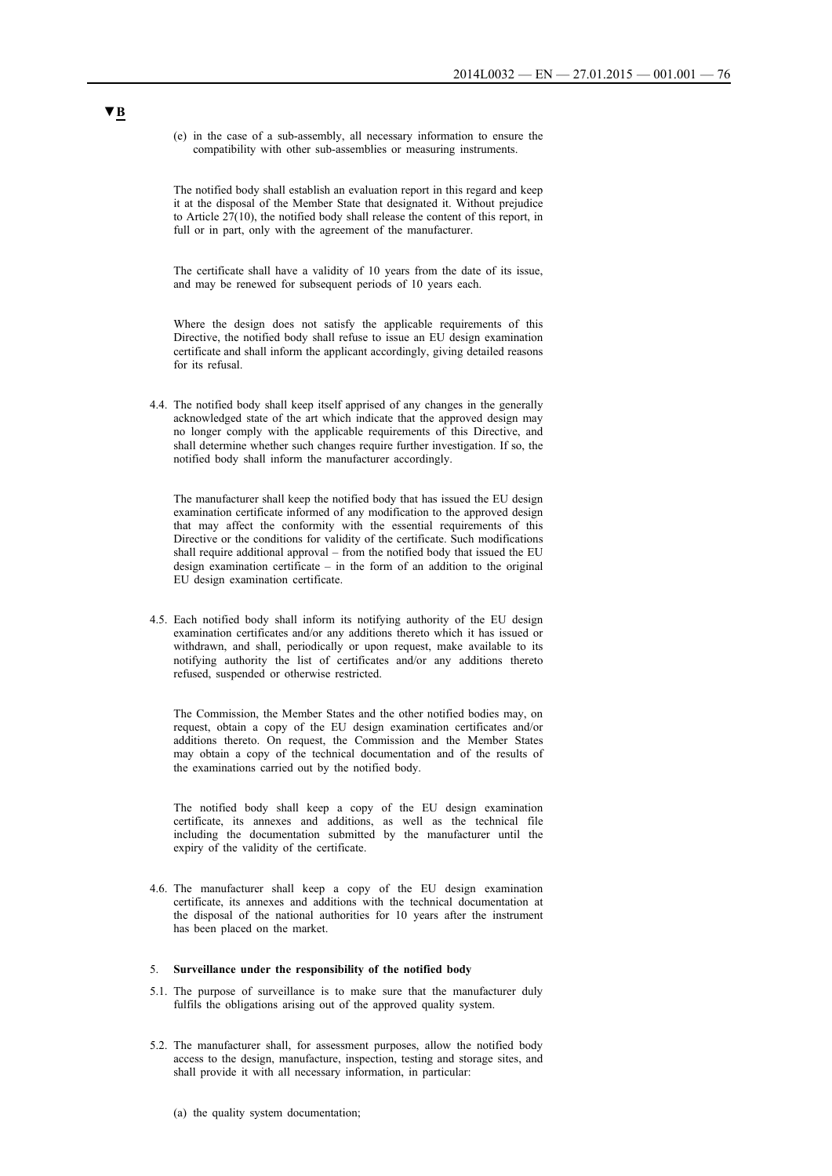(e) in the case of a sub-assembly, all necessary information to ensure the compatibility with other sub-assemblies or measuring instruments.

The notified body shall establish an evaluation report in this regard and keep it at the disposal of the Member State that designated it. Without prejudice to Article 27(10), the notified body shall release the content of this report, in full or in part, only with the agreement of the manufacturer.

The certificate shall have a validity of 10 years from the date of its issue, and may be renewed for subsequent periods of 10 years each.

Where the design does not satisfy the applicable requirements of this Directive, the notified body shall refuse to issue an EU design examination certificate and shall inform the applicant accordingly, giving detailed reasons for its refusal.

4.4. The notified body shall keep itself apprised of any changes in the generally acknowledged state of the art which indicate that the approved design may no longer comply with the applicable requirements of this Directive, and shall determine whether such changes require further investigation. If so, the notified body shall inform the manufacturer accordingly.

The manufacturer shall keep the notified body that has issued the EU design examination certificate informed of any modification to the approved design that may affect the conformity with the essential requirements of this Directive or the conditions for validity of the certificate. Such modifications shall require additional approval – from the notified body that issued the EU design examination certificate – in the form of an addition to the original EU design examination certificate.

4.5. Each notified body shall inform its notifying authority of the EU design examination certificates and/or any additions thereto which it has issued or withdrawn, and shall, periodically or upon request, make available to its notifying authority the list of certificates and/or any additions thereto refused, suspended or otherwise restricted.

The Commission, the Member States and the other notified bodies may, on request, obtain a copy of the EU design examination certificates and/or additions thereto. On request, the Commission and the Member States may obtain a copy of the technical documentation and of the results of the examinations carried out by the notified body.

The notified body shall keep a copy of the EU design examination certificate, its annexes and additions, as well as the technical file including the documentation submitted by the manufacturer until the expiry of the validity of the certificate.

4.6. The manufacturer shall keep a copy of the EU design examination certificate, its annexes and additions with the technical documentation at the disposal of the national authorities for 10 years after the instrument has been placed on the market.

## 5. **Surveillance under the responsibility of the notified body**

- 5.1. The purpose of surveillance is to make sure that the manufacturer duly fulfils the obligations arising out of the approved quality system.
- 5.2. The manufacturer shall, for assessment purposes, allow the notified body access to the design, manufacture, inspection, testing and storage sites, and shall provide it with all necessary information, in particular:
	- (a) the quality system documentation;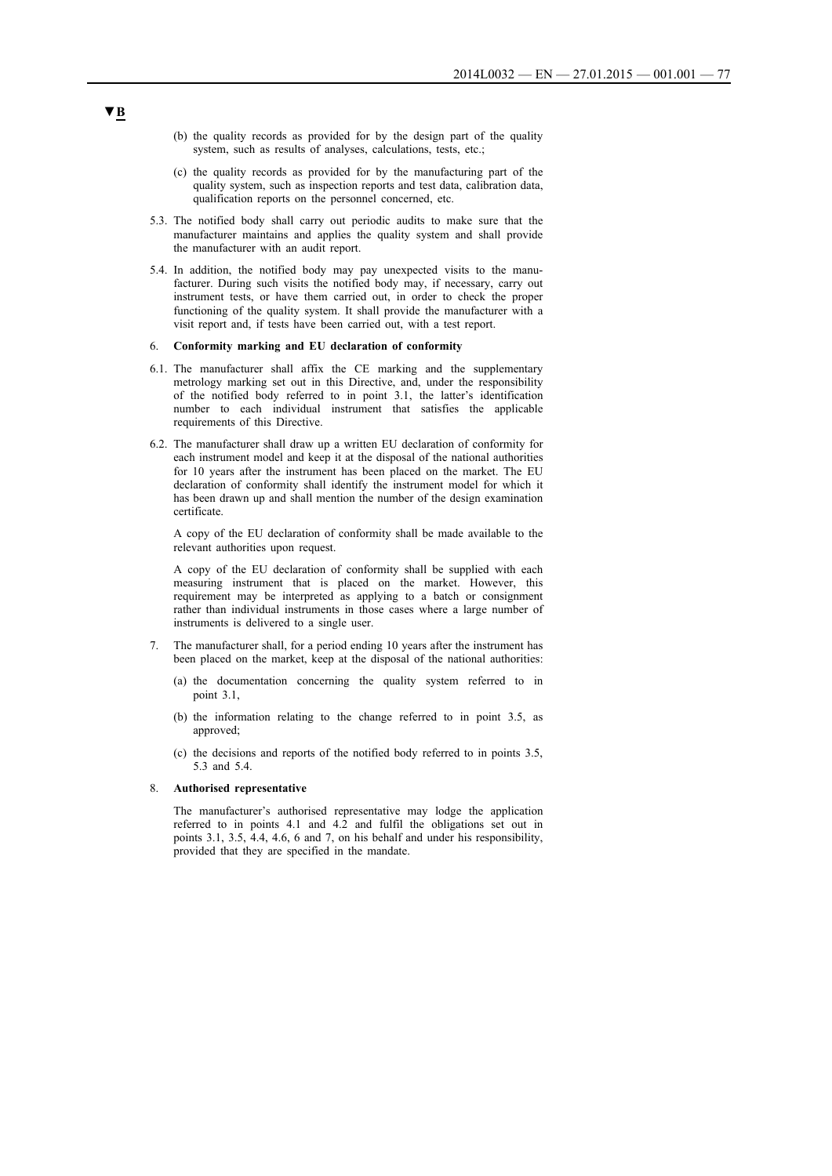- (b) the quality records as provided for by the design part of the quality system, such as results of analyses, calculations, tests, etc.;
- (c) the quality records as provided for by the manufacturing part of the quality system, such as inspection reports and test data, calibration data, qualification reports on the personnel concerned, etc.
- 5.3. The notified body shall carry out periodic audits to make sure that the manufacturer maintains and applies the quality system and shall provide the manufacturer with an audit report.
- 5.4. In addition, the notified body may pay unexpected visits to the manufacturer. During such visits the notified body may, if necessary, carry out instrument tests, or have them carried out, in order to check the proper functioning of the quality system. It shall provide the manufacturer with a visit report and, if tests have been carried out, with a test report.

## 6. **Conformity marking and EU declaration of conformity**

- 6.1. The manufacturer shall affix the CE marking and the supplementary metrology marking set out in this Directive, and, under the responsibility of the notified body referred to in point 3.1, the latter's identification number to each individual instrument that satisfies the applicable requirements of this Directive.
- 6.2. The manufacturer shall draw up a written EU declaration of conformity for each instrument model and keep it at the disposal of the national authorities for 10 years after the instrument has been placed on the market. The EU declaration of conformity shall identify the instrument model for which it has been drawn up and shall mention the number of the design examination certificate.

A copy of the EU declaration of conformity shall be made available to the relevant authorities upon request.

A copy of the EU declaration of conformity shall be supplied with each measuring instrument that is placed on the market. However, this requirement may be interpreted as applying to a batch or consignment rather than individual instruments in those cases where a large number of instruments is delivered to a single user.

- 7. The manufacturer shall, for a period ending 10 years after the instrument has been placed on the market, keep at the disposal of the national authorities:
	- (a) the documentation concerning the quality system referred to in point 3.1,
	- (b) the information relating to the change referred to in point 3.5, as approved:
	- (c) the decisions and reports of the notified body referred to in points 3.5, 5.3 and 5.4.

### 8. **Authorised representative**

The manufacturer's authorised representative may lodge the application referred to in points 4.1 and 4.2 and fulfil the obligations set out in points 3.1, 3.5, 4.4, 4.6, 6 and 7, on his behalf and under his responsibility, provided that they are specified in the mandate.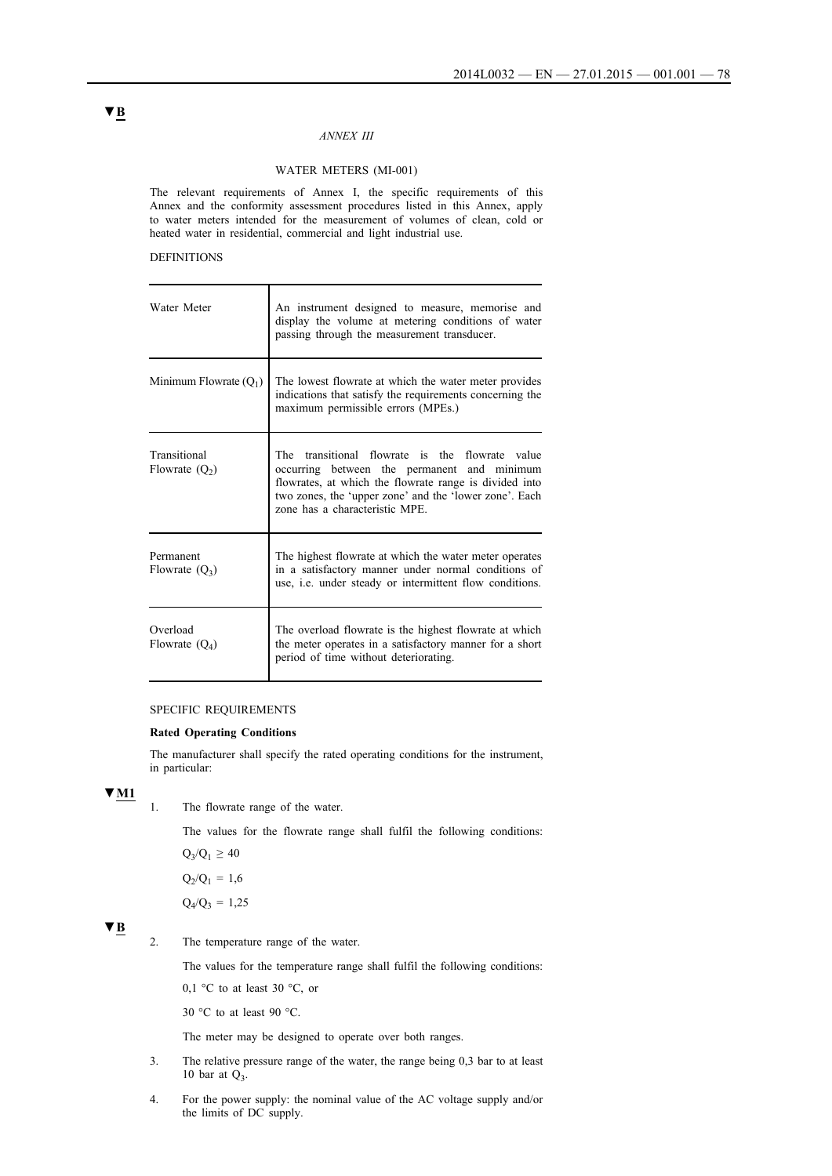## *ANNEX III*

## WATER METERS (MI-001)

The relevant requirements of Annex I, the specific requirements of this Annex and the conformity assessment procedures listed in this Annex, apply to water meters intended for the measurement of volumes of clean, cold or heated water in residential, commercial and light industrial use.

### DEFINITIONS

| Water Meter                      | An instrument designed to measure, memorise and<br>display the volume at metering conditions of water<br>passing through the measurement transducer.                                                                                                       |
|----------------------------------|------------------------------------------------------------------------------------------------------------------------------------------------------------------------------------------------------------------------------------------------------------|
| Minimum Flowrate $(Q_1)$         | The lowest flowrate at which the water meter provides<br>indications that satisfy the requirements concerning the<br>maximum permissible errors (MPEs.)                                                                                                    |
| Transitional<br>Flowrate $(Q_2)$ | transitional flowrate is the<br>flowrate value<br>The<br>occurring between the permanent and minimum<br>flowrates, at which the flowrate range is divided into<br>two zones, the 'upper zone' and the 'lower zone'. Each<br>zone has a characteristic MPE. |
| Permanent<br>Flowrate $(Q_3)$    | The highest flowrate at which the water meter operates<br>in a satisfactory manner under normal conditions of<br>use, <i>i.e.</i> under steady or intermittent flow conditions.                                                                            |
| Overload<br>Flowrate $(Q_4)$     | The overload flowrate is the highest flowrate at which<br>the meter operates in a satisfactory manner for a short<br>period of time without deteriorating.                                                                                                 |

## SPECIFIC REQUIREMENTS

### **Rated Operating Conditions**

The manufacturer shall specify the rated operating conditions for the instrument, in particular:

# **▼M1**

1. The flowrate range of the water.

The values for the flowrate range shall fulfil the following conditions:

 $Q_3/Q_1 \ge 40$  $Q_2/Q_1 = 1,6$ 

 $Q_4/Q_3 = 1,25$ 

# **▼B**

2. The temperature range of the water.

The values for the temperature range shall fulfil the following conditions:

0.1 °C to at least 30 °C, or

30 °C to at least 90 °C.

The meter may be designed to operate over both ranges.

- 3. The relative pressure range of the water, the range being 0,3 bar to at least 10 bar at  $Q_3$ .
- 4. For the power supply: the nominal value of the AC voltage supply and/or the limits of DC supply.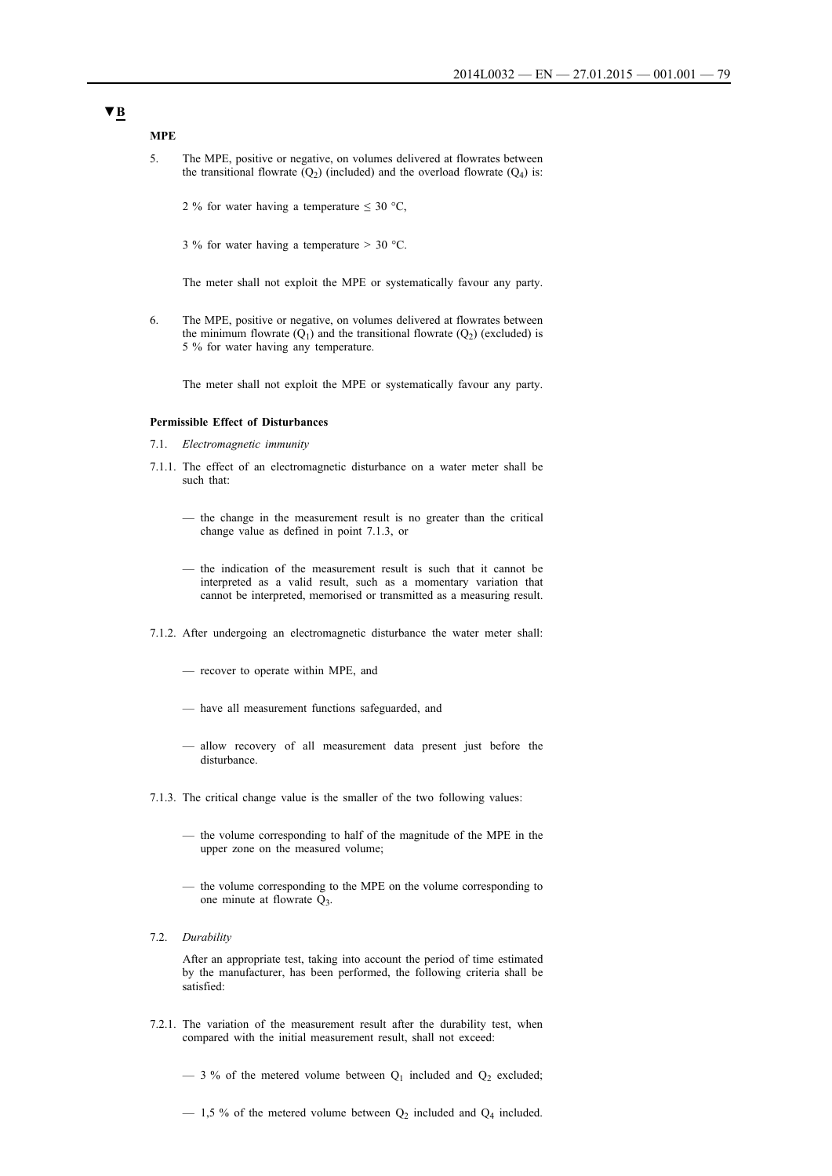**MPE**

- 5. The MPE, positive or negative, on volumes delivered at flowrates between the transitional flowrate  $(Q_2)$  (included) and the overload flowrate  $(Q_4)$  is:
	- 2 % for water having a temperature  $\leq 30$  °C,
	- 3 % for water having a temperature  $> 30$  °C.

The meter shall not exploit the MPE or systematically favour any party.

6. The MPE, positive or negative, on volumes delivered at flowrates between the minimum flowrate  $(Q_1)$  and the transitional flowrate  $(Q_2)$  (excluded) is 5 % for water having any temperature.

The meter shall not exploit the MPE or systematically favour any party.

### **Permissible Effect of Disturbances**

- 7.1. *Electromagnetic immunity*
- 7.1.1. The effect of an electromagnetic disturbance on a water meter shall be such that:
	- the change in the measurement result is no greater than the critical change value as defined in point 7.1.3, or
	- the indication of the measurement result is such that it cannot be interpreted as a valid result, such as a momentary variation that cannot be interpreted, memorised or transmitted as a measuring result.
- 7.1.2. After undergoing an electromagnetic disturbance the water meter shall:
	- recover to operate within MPE, and
	- have all measurement functions safeguarded, and
	- allow recovery of all measurement data present just before the disturbance.
- 7.1.3. The critical change value is the smaller of the two following values:
	- the volume corresponding to half of the magnitude of the MPE in the upper zone on the measured volume;
	- the volume corresponding to the MPE on the volume corresponding to one minute at flowrate  $Q_3$ .
- 7.2. *Durability*

After an appropriate test, taking into account the period of time estimated by the manufacturer, has been performed, the following criteria shall be satisfied:

- 7.2.1. The variation of the measurement result after the durability test, when compared with the initial measurement result, shall not exceed:
	- $-$  3 % of the metered volume between  $Q_1$  included and  $Q_2$  excluded;
	- $-$  1,5 % of the metered volume between  $Q_2$  included and  $Q_4$  included.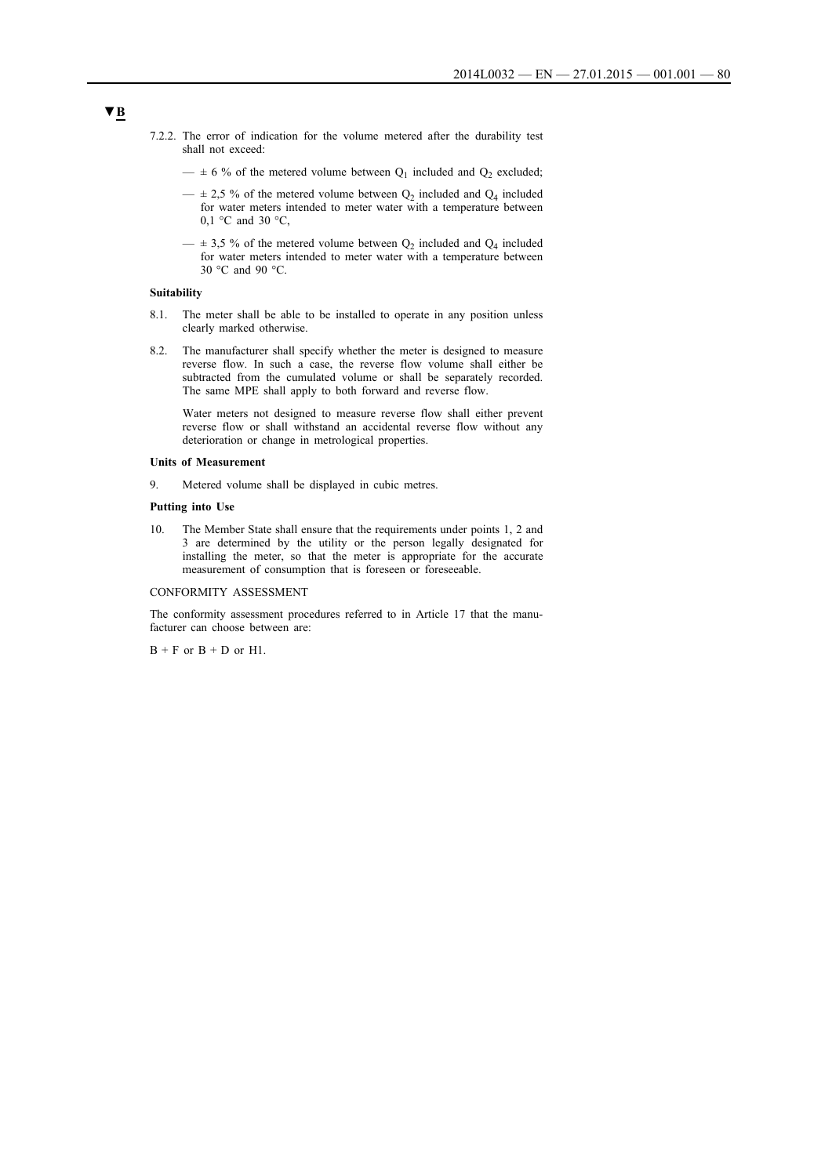- 7.2.2. The error of indication for the volume metered after the durability test shall not exceed:
	- $\pm$  6 % of the metered volume between  $Q_1$  included and  $Q_2$  excluded;
	- $\pm$  2,5 % of the metered volume between  $Q_2$  included and  $Q_4$  included for water meters intended to meter water with a temperature between 0,1 °C and 30 °C,
	- $\pm$  3,5 % of the metered volume between  $Q_2$  included and  $Q_4$  included for water meters intended to meter water with a temperature between 30 °C and 90 °C.

### **Suitability**

- 8.1. The meter shall be able to be installed to operate in any position unless clearly marked otherwise.
- 8.2. The manufacturer shall specify whether the meter is designed to measure reverse flow. In such a case, the reverse flow volume shall either be subtracted from the cumulated volume or shall be separately recorded. The same MPE shall apply to both forward and reverse flow.

Water meters not designed to measure reverse flow shall either prevent reverse flow or shall withstand an accidental reverse flow without any deterioration or change in metrological properties.

### **Units of Measurement**

9. Metered volume shall be displayed in cubic metres.

### **Putting into Use**

10. The Member State shall ensure that the requirements under points 1, 2 and 3 are determined by the utility or the person legally designated for installing the meter, so that the meter is appropriate for the accurate measurement of consumption that is foreseen or foreseeable.

### CONFORMITY ASSESSMENT

The conformity assessment procedures referred to in Article 17 that the manufacturer can choose between are:

 $B + F$  or  $B + D$  or  $H1$ .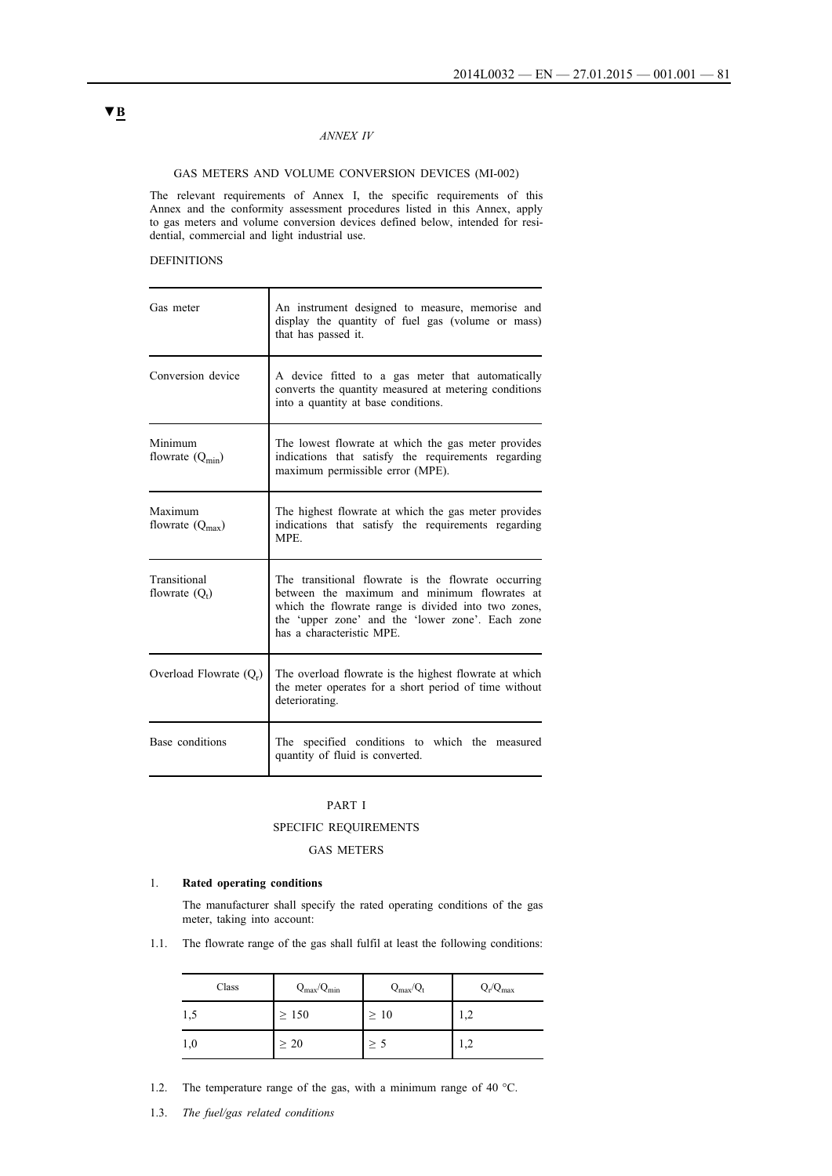## *ANNEX IV*

### GAS METERS AND VOLUME CONVERSION DEVICES (MI-002)

The relevant requirements of Annex I, the specific requirements of this Annex and the conformity assessment procedures listed in this Annex, apply to gas meters and volume conversion devices defined below, intended for residential, commercial and light industrial use.

## DEFINITIONS

| Gas meter                                     | An instrument designed to measure, memorise and<br>display the quantity of fuel gas (volume or mass)<br>that has passed it.                                                                                                                 |
|-----------------------------------------------|---------------------------------------------------------------------------------------------------------------------------------------------------------------------------------------------------------------------------------------------|
| Conversion device                             | A device fitted to a gas meter that automatically<br>converts the quantity measured at metering conditions<br>into a quantity at base conditions.                                                                                           |
| Minimum<br>flowrate $(Q_{\text{min}})$        | The lowest flowrate at which the gas meter provides<br>indications that satisfy the requirements regarding<br>maximum permissible error (MPE).                                                                                              |
| <b>Maximum</b><br>flowrate $(Q_{\text{max}})$ | The highest flowrate at which the gas meter provides<br>indications that satisfy the requirements regarding<br><b>MPE</b>                                                                                                                   |
| Transitional<br>flowrate $(Q_t)$              | The transitional flowrate is the flowrate occurring<br>between the maximum and minimum flowrates at<br>which the flowrate range is divided into two zones,<br>the 'upper zone' and the 'lower zone'. Each zone<br>has a characteristic MPE. |
| Overload Flowrate $(Q_r)$                     | The overload flowrate is the highest flowrate at which<br>the meter operates for a short period of time without<br>deteriorating.                                                                                                           |
| Base conditions                               | The specified conditions to which the measured<br>quantity of fluid is converted.                                                                                                                                                           |

### PART I

### SPECIFIC REQUIREMENTS

## GAS METERS

## 1. **Rated operating conditions**

The manufacturer shall specify the rated operating conditions of the gas meter, taking into account:

1.1. The flowrate range of the gas shall fulfil at least the following conditions:

| Class | $Q_{\text{max}}/Q_{\text{min}}$ | $Q_{max}/Q_t$ | $Q_r/Q_{max}$ |
|-------|---------------------------------|---------------|---------------|
| 1,5   | $\geq 150$                      | $\geq 10$     | 1,2           |
| 1,0   | $\geq 20$                       | $\geq$ 5      | 1,2           |

- 1.2. The temperature range of the gas, with a minimum range of 40 °C.
- 1.3. *The fuel/gas related conditions*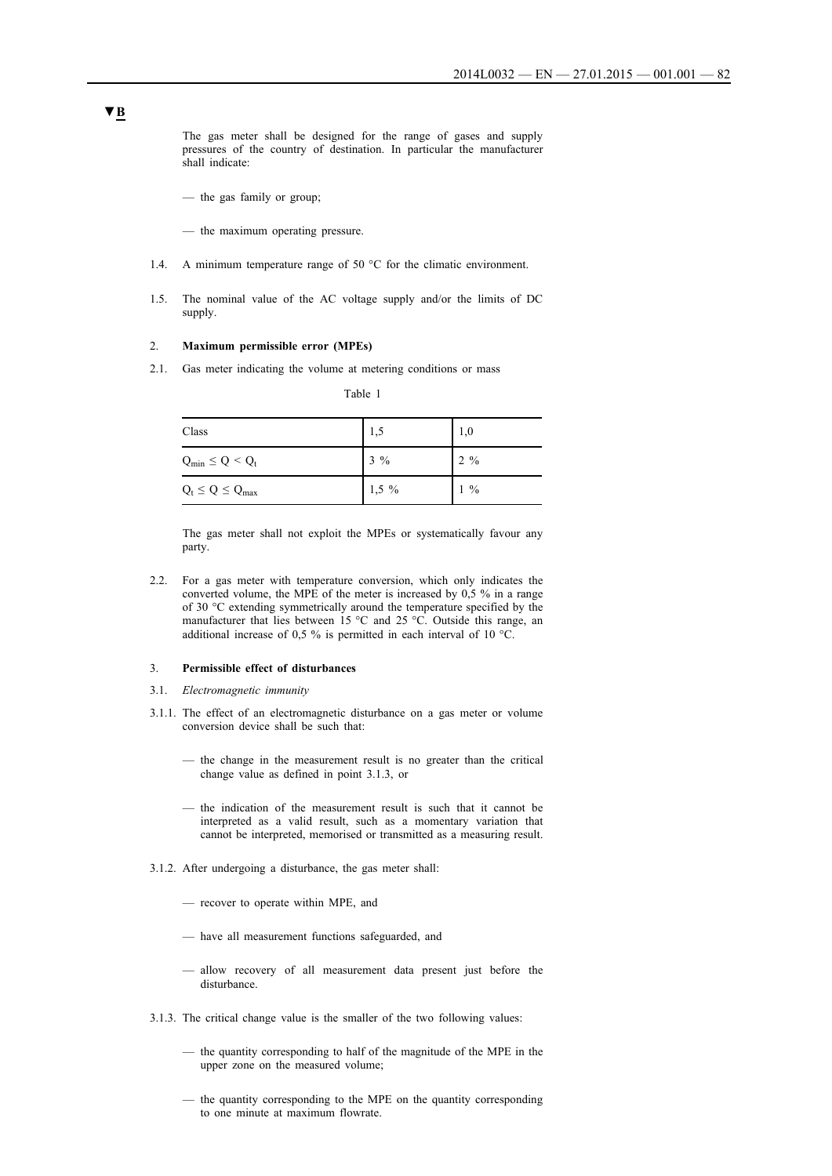The gas meter shall be designed for the range of gases and supply pressures of the country of destination. In particular the manufacturer shall indicate:

- the gas family or group;
- the maximum operating pressure.
- 1.4. A minimum temperature range of 50 °C for the climatic environment.
- 1.5. The nominal value of the AC voltage supply and/or the limits of DC supply.

### 2. **Maximum permissible error (MPEs)**

2.1. Gas meter indicating the volume at metering conditions or mass

| Table |  |
|-------|--|
|       |  |

| Class                   | 1,5     | 1,0            |
|-------------------------|---------|----------------|
| $Q_{min} \le Q < Q_t$   | $3\%$   | $2\frac{9}{6}$ |
| $Q_t \le Q \le Q_{max}$ | $1,5\%$ | $1\%$          |

The gas meter shall not exploit the MPEs or systematically favour any party.

2.2. For a gas meter with temperature conversion, which only indicates the converted volume, the MPE of the meter is increased by 0,5 % in a range of 30 °C extending symmetrically around the temperature specified by the manufacturer that lies between 15 °C and 25 °C. Outside this range, an additional increase of 0,5 % is permitted in each interval of 10 °C.

### 3. **Permissible effect of disturbances**

- 3.1. *Electromagnetic immunity*
- 3.1.1. The effect of an electromagnetic disturbance on a gas meter or volume conversion device shall be such that:
	- the change in the measurement result is no greater than the critical change value as defined in point 3.1.3, or
	- the indication of the measurement result is such that it cannot be interpreted as a valid result, such as a momentary variation that cannot be interpreted, memorised or transmitted as a measuring result.
- 3.1.2. After undergoing a disturbance, the gas meter shall:
	- recover to operate within MPE, and
	- have all measurement functions safeguarded, and
	- allow recovery of all measurement data present just before the disturbance.
- 3.1.3. The critical change value is the smaller of the two following values:
	- the quantity corresponding to half of the magnitude of the MPE in the upper zone on the measured volume;
	- the quantity corresponding to the MPE on the quantity corresponding to one minute at maximum flowrate.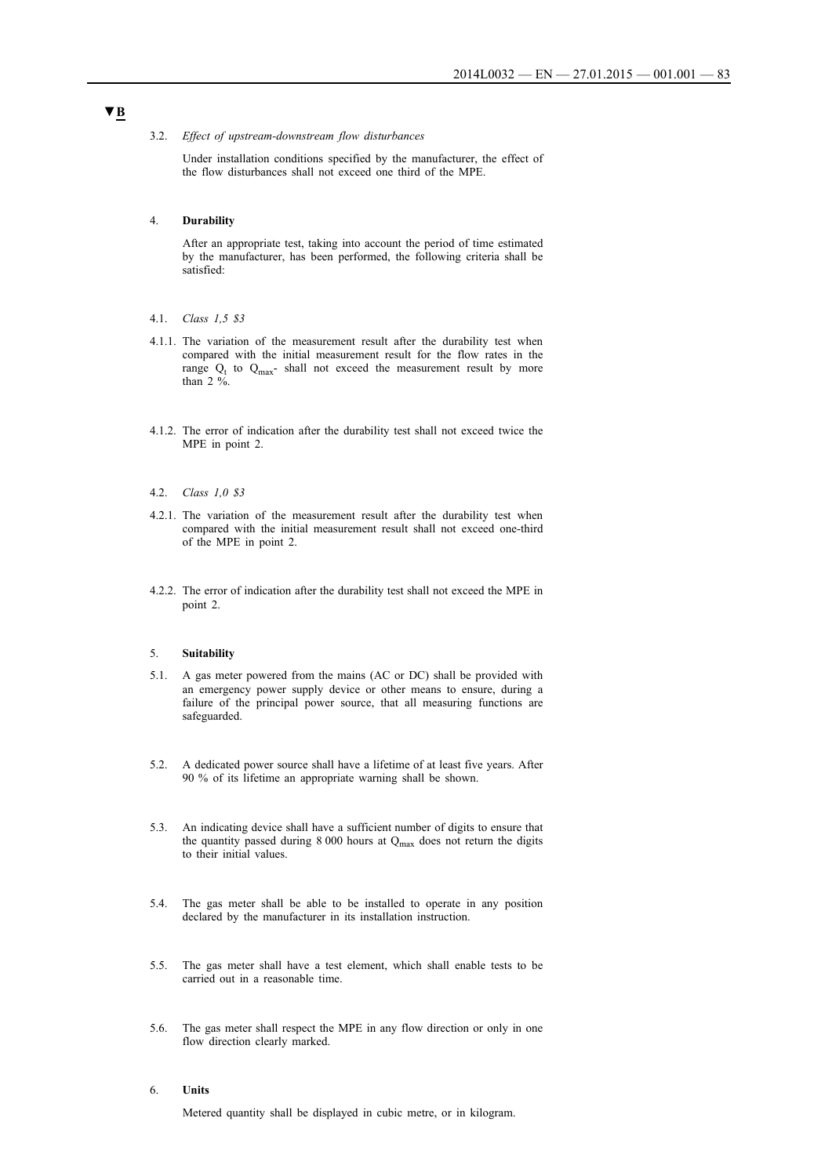#### 3.2. *Effect of upstream-downstream flow disturbances*

Under installation conditions specified by the manufacturer, the effect of the flow disturbances shall not exceed one third of the MPE.

### 4. **Durability**

After an appropriate test, taking into account the period of time estimated by the manufacturer, has been performed, the following criteria shall be satisfied:

- 4.1. *Class 1,5 \$3*
- 4.1.1. The variation of the measurement result after the durability test when compared with the initial measurement result for the flow rates in the range  $Q_t$  to  $Q_{max}$ - shall not exceed the measurement result by more than 2 %.
- 4.1.2. The error of indication after the durability test shall not exceed twice the MPE in point 2.
- 4.2. *Class 1,0 \$3*
- 4.2.1. The variation of the measurement result after the durability test when compared with the initial measurement result shall not exceed one-third of the MPE in point 2.
- 4.2.2. The error of indication after the durability test shall not exceed the MPE in point 2.

#### 5. **Suitability**

- 5.1. A gas meter powered from the mains (AC or DC) shall be provided with an emergency power supply device or other means to ensure, during a failure of the principal power source, that all measuring functions are safeguarded.
- 5.2. A dedicated power source shall have a lifetime of at least five years. After 90 % of its lifetime an appropriate warning shall be shown.
- 5.3. An indicating device shall have a sufficient number of digits to ensure that the quantity passed during 8 000 hours at  $Q_{\text{max}}$  does not return the digits to their initial values.
- 5.4. The gas meter shall be able to be installed to operate in any position declared by the manufacturer in its installation instruction.
- 5.5. The gas meter shall have a test element, which shall enable tests to be carried out in a reasonable time.
- 5.6. The gas meter shall respect the MPE in any flow direction or only in one flow direction clearly marked.

## 6. **Units**

Metered quantity shall be displayed in cubic metre, or in kilogram.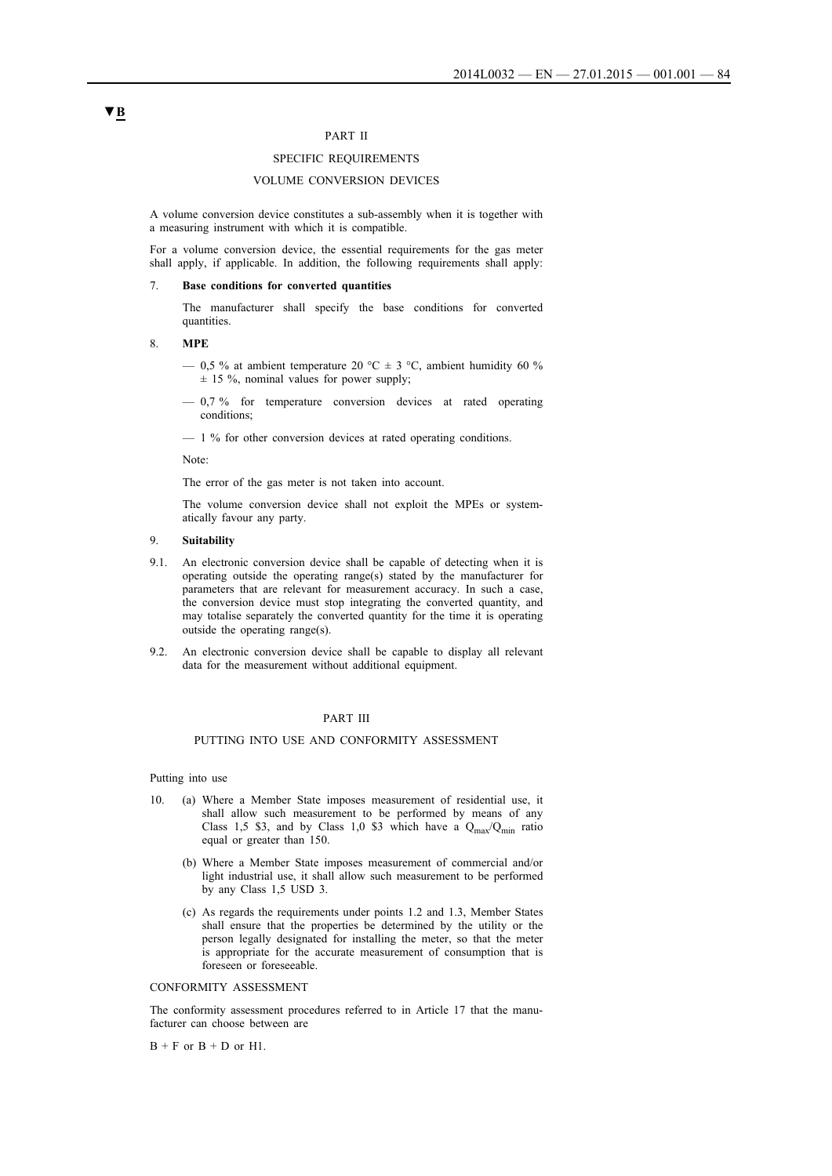## PART II

## SPECIFIC REQUIREMENTS

## VOLUME CONVERSION DEVICES

A volume conversion device constitutes a sub-assembly when it is together with a measuring instrument with which it is compatible.

For a volume conversion device, the essential requirements for the gas meter shall apply, if applicable. In addition, the following requirements shall apply:

#### 7. **Base conditions for converted quantities**

The manufacturer shall specify the base conditions for converted quantities.

### 8. **MPE**

- 0,5 % at ambient temperature 20 °C  $\pm$  3 °C, ambient humidity 60 %  $\pm$  15 %, nominal values for power supply;
- 0,7 % for temperature conversion devices at rated operating conditions;

— 1 % for other conversion devices at rated operating conditions.

Note:

The error of the gas meter is not taken into account.

The volume conversion device shall not exploit the MPEs or systematically favour any party.

## 9. **Suitability**

- 9.1. An electronic conversion device shall be capable of detecting when it is operating outside the operating range(s) stated by the manufacturer for parameters that are relevant for measurement accuracy. In such a case, the conversion device must stop integrating the converted quantity, and may totalise separately the converted quantity for the time it is operating outside the operating range(s).
- 9.2. An electronic conversion device shall be capable to display all relevant data for the measurement without additional equipment.

## PART III

### PUTTING INTO USE AND CONFORMITY ASSESSMENT

### Putting into use

- 10. (a) Where a Member State imposes measurement of residential use, it shall allow such measurement to be performed by means of any Class 1,5 \$3, and by Class 1,0 \$3 which have a  $Q_{max}/Q_{min}$  ratio equal or greater than 150.
	- (b) Where a Member State imposes measurement of commercial and/or light industrial use, it shall allow such measurement to be performed by any Class 1,5 USD 3.
	- (c) As regards the requirements under points 1.2 and 1.3, Member States shall ensure that the properties be determined by the utility or the person legally designated for installing the meter, so that the meter is appropriate for the accurate measurement of consumption that is foreseen or foreseeable.

### CONFORMITY ASSESSMENT

The conformity assessment procedures referred to in Article 17 that the manufacturer can choose between are

 $B + F$  or  $B + D$  or  $H1$ .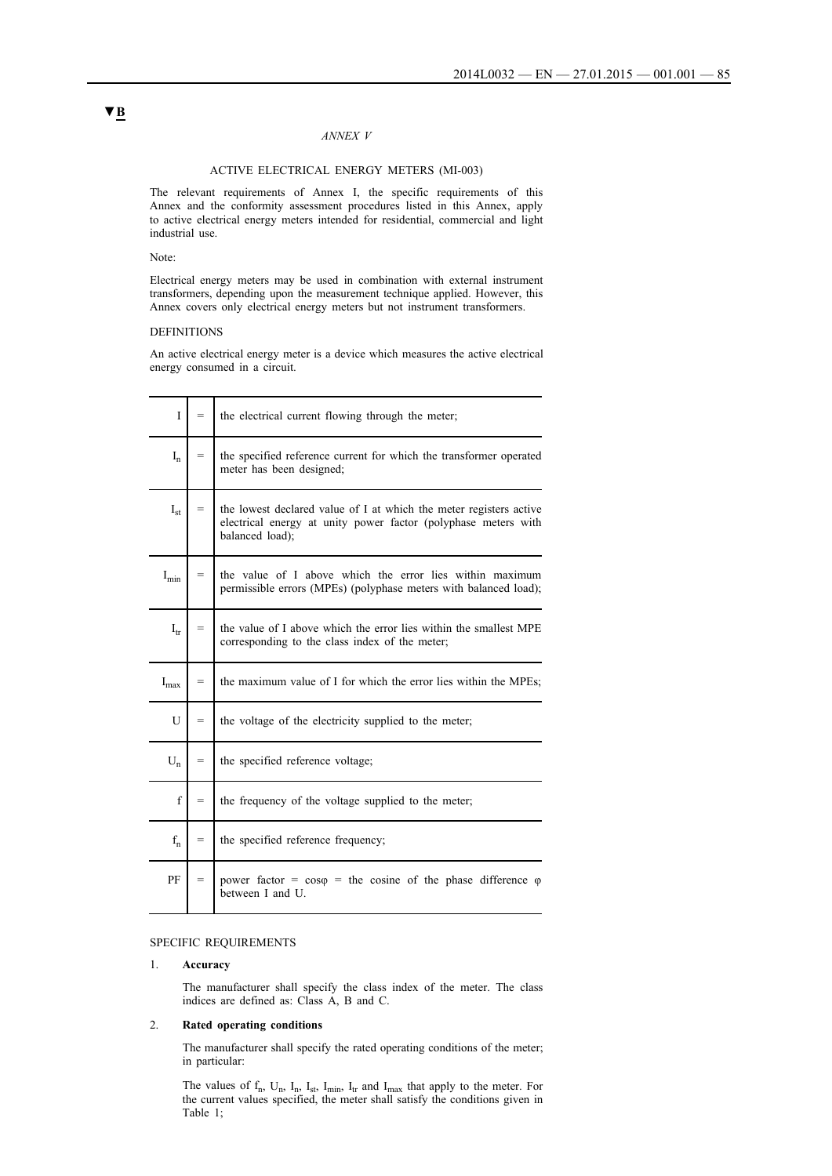## *ANNEX V*

## ACTIVE ELECTRICAL ENERGY METERS (MI-003)

The relevant requirements of Annex I, the specific requirements of this Annex and the conformity assessment procedures listed in this Annex, apply to active electrical energy meters intended for residential, commercial and light industrial use.

### Note:

Electrical energy meters may be used in combination with external instrument transformers, depending upon the measurement technique applied. However, this Annex covers only electrical energy meters but not instrument transformers.

## DEFINITIONS

An active electrical energy meter is a device which measures the active electrical energy consumed in a circuit.

| I                         | $=$ | the electrical current flowing through the meter;                                                                                                       |
|---------------------------|-----|---------------------------------------------------------------------------------------------------------------------------------------------------------|
| $I_n$                     | $=$ | the specified reference current for which the transformer operated<br>meter has been designed;                                                          |
| $I_{st}$                  | $=$ | the lowest declared value of I at which the meter registers active<br>electrical energy at unity power factor (polyphase meters with<br>balanced load); |
| $I_{\min}$                | $=$ | the value of I above which the error lies within maximum<br>permissible errors (MPEs) (polyphase meters with balanced load);                            |
| $I_{tr}$                  | $=$ | the value of I above which the error lies within the smallest MPE<br>corresponding to the class index of the meter;                                     |
| $\mathbf{I}_{\text{max}}$ | $=$ | the maximum value of I for which the error lies within the MPEs;                                                                                        |
| $\mathbf{U}$              | $=$ | the voltage of the electricity supplied to the meter;                                                                                                   |
| $U_n$                     | $=$ | the specified reference voltage;                                                                                                                        |
| $\mathbf f$               | $=$ | the frequency of the voltage supplied to the meter;                                                                                                     |
| $f_{n}$                   | $=$ | the specified reference frequency;                                                                                                                      |
| PF                        | $=$ | power factor = $\cos \varphi$ = the cosine of the phase difference $\varphi$<br>between I and U.                                                        |

## SPECIFIC REQUIREMENTS

### 1. **Accuracy**

The manufacturer shall specify the class index of the meter. The class indices are defined as: Class A, B and C.

## 2. **Rated operating conditions**

The manufacturer shall specify the rated operating conditions of the meter; in particular:

The values of  $f_n$ ,  $U_n$ ,  $I_n$ ,  $I_{st}$ ,  $I_{min}$ ,  $I_t$  and  $I_{max}$  that apply to the meter. For the current values specified, the meter shall satisfy the conditions given in Table 1;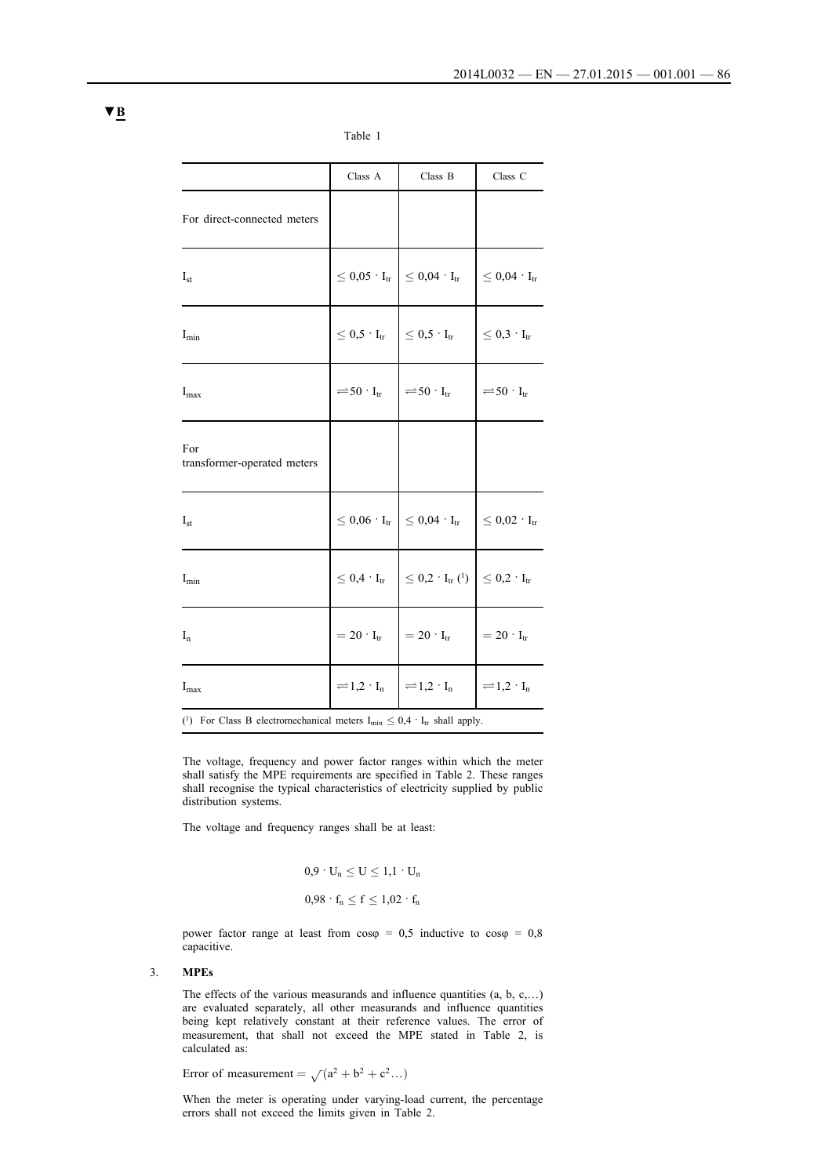|                                                                                       | $\rm Class\ A$                                                                              | Class B                                                                                  | Class C                                          |
|---------------------------------------------------------------------------------------|---------------------------------------------------------------------------------------------|------------------------------------------------------------------------------------------|--------------------------------------------------|
| For direct-connected meters                                                           |                                                                                             |                                                                                          |                                                  |
| $I_{st}$                                                                              |                                                                                             | $\leq 0.05 \cdot I_{tr}$ $\leq 0.04 \cdot I_{tr}$                                        | $\vert \leq 0.04 \cdot \mathrm{I}_{\mathrm{tr}}$ |
| $I_{min}$                                                                             | $\leq 0.5 \cdot I_{tr}$ $\Big  \leq 0.5 \cdot I_{tr}$                                       |                                                                                          | $\vert \leq 0.3 \cdot \mathrm{I}_{\mathrm{tr}}$  |
| $I_{max}$                                                                             | $\rightleftharpoons$ 50 · I <sub>tr</sub> $\vert$ $\rightleftharpoons$ 50 · I <sub>tr</sub> |                                                                                          | $\rightleftharpoons$ 50 · I <sub>tr</sub>        |
| For<br>transformer-operated meters                                                    |                                                                                             |                                                                                          |                                                  |
| $I_{st}$                                                                              |                                                                                             | $\leq 0.06 \cdot \rm{I}_{tr} \; \Big  \leq 0.04 \cdot \rm{I}_{tr}$                       | $\vert \leq 0.02 \cdot I_{tr}$                   |
| $I_{min}$                                                                             |                                                                                             | $\leq 0.4 \cdot I_{tr}$ $\leq 0.2 \cdot I_{tr}$ ( <sup>1</sup> ) $\leq 0.2 \cdot I_{tr}$ |                                                  |
| $I_n$                                                                                 |                                                                                             | $=20 \cdot I_{tr}$ $=20 \cdot I_{tr}$                                                    | $=20 \cdot I_{tr}$                               |
| $I_{max}$                                                                             | $=1,2 \cdot I_n$ $=1,2 \cdot I_n$                                                           |                                                                                          | $\vert = 1, 2 \cdot I_n$                         |
| (1) For Class B electromechanical meters $I_{min} \leq 0.4 \cdot I_{tr}$ shall apply. |                                                                                             |                                                                                          |                                                  |

Table 1

The voltage, frequency and power factor ranges within which the meter shall satisfy the MPE requirements are specified in Table 2. These ranges shall recognise the typical characteristics of electricity supplied by public distribution systems.

The voltage and frequency ranges shall be at least:

 $0.9 \cdot U_n \leq U \leq 1.1 \cdot U_n$  $0.98 \cdot f_n \le f \le 1.02 \cdot f_n$ 

power factor range at least from  $\cos\varphi = 0.5$  inductive to  $\cos\varphi = 0.8$ capacitive.

## 3. **MPEs**

The effects of the various measurands and influence quantities  $(a, b, c, \ldots)$ are evaluated separately, all other measurands and influence quantities being kept relatively constant at their reference values. The error of measurement, that shall not exceed the MPE stated in Table 2, is calculated as:

Error of measurement  $= \sqrt{a^2 + b^2 + c^2} ...$ 

When the meter is operating under varying-load current, the percentage errors shall not exceed the limits given in Table 2.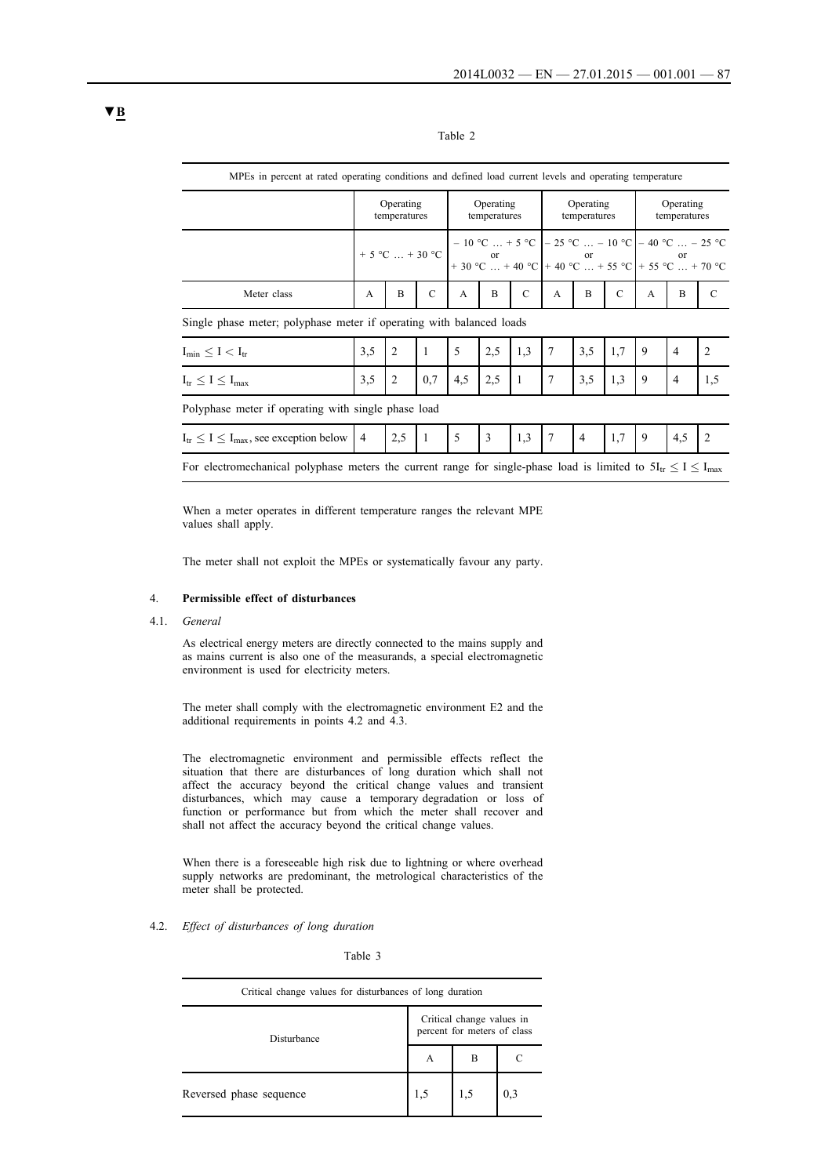| able |  |
|------|--|
|      |  |

| MPEs in percent at rated operating conditions and defined load current levels and operating temperature              |                                                                                                                                                                                                                                                                                                                                       |                |               |                           |                |                                                                  |                           |                |               |                           |                |                |
|----------------------------------------------------------------------------------------------------------------------|---------------------------------------------------------------------------------------------------------------------------------------------------------------------------------------------------------------------------------------------------------------------------------------------------------------------------------------|----------------|---------------|---------------------------|----------------|------------------------------------------------------------------|---------------------------|----------------|---------------|---------------------------|----------------|----------------|
|                                                                                                                      | Operating<br>temperatures                                                                                                                                                                                                                                                                                                             |                |               | Operating<br>temperatures |                |                                                                  | Operating<br>temperatures |                |               | Operating<br>temperatures |                |                |
|                                                                                                                      | + 5 °C  + 30 °C $\begin{vmatrix} -10 \ ^{\circ}\text{C} & \dots & + \ ^{\circ} \text{C} \\ +30 \ ^{\circ}\text{C} & \dots & +40 \ ^{\circ}\text{C} \end{vmatrix}$ + 40 °C  + 55 °C $\begin{vmatrix} +55 \ ^{\circ}\text{C} & \dots & +70 \ ^{\circ}\text{C} \\ +55 \ ^{\circ}\text{C} & \dots & +70 \ ^{\circ}\text{C} \end{vmatrix}$ |                |               |                           |                | $-10$ °C  + 5 °C $\vert -25$ °C  - 10 °C $\vert -40$ °C  - 25 °C |                           |                |               |                           |                |                |
| Meter class                                                                                                          | $\mathsf{A}$                                                                                                                                                                                                                                                                                                                          | B              | $\mathcal{C}$ | A                         | B              | $\mathcal{C}$                                                    | $\overline{A}$            | B              | $\mathcal{C}$ | $\mathbf{A}$              | B              | $\mathcal{C}$  |
| Single phase meter; polyphase meter if operating with balanced loads                                                 |                                                                                                                                                                                                                                                                                                                                       |                |               |                           |                |                                                                  |                           |                |               |                           |                |                |
| $I_{\min} \leq I \leq I_{tr}$                                                                                        | 3,5                                                                                                                                                                                                                                                                                                                                   | $\overline{2}$ | $\mathbf{1}$  | 5                         | 2,5            | 1,3                                                              | $\overline{7}$            | 3,5            | 1.7           | 9                         | $\overline{4}$ | $\overline{2}$ |
| $I_{tr} \leq I \leq I_{max}$                                                                                         | 3,5                                                                                                                                                                                                                                                                                                                                   | 2              | 0.7           | 4,5                       | 2,5            | $\overline{1}$                                                   | 7                         | 3,5            | 1.3           | 9                         | $\overline{4}$ | 1,5            |
| Polyphase meter if operating with single phase load                                                                  |                                                                                                                                                                                                                                                                                                                                       |                |               |                           |                |                                                                  |                           |                |               |                           |                |                |
| $I_{tr} \leq I \leq I_{max}$ , see exception below   4                                                               |                                                                                                                                                                                                                                                                                                                                       | 2,5            |               | 5                         | $\overline{3}$ | 1,3                                                              | $\overline{7}$            | $\overline{4}$ | 1,7           | $\mathbf{Q}$              | 4,5            | 2              |
| For electromechanical polyphase meters the current range for single-phase load is limited to $5I_{tr} < I < I_{max}$ |                                                                                                                                                                                                                                                                                                                                       |                |               |                           |                |                                                                  |                           |                |               |                           |                |                |

When a meter operates in different temperature ranges the relevant MPE values shall apply.

The meter shall not exploit the MPEs or systematically favour any party.

### 4. **Permissible effect of disturbances**

4.1. *General*

As electrical energy meters are directly connected to the mains supply and as mains current is also one of the measurands, a special electromagnetic environment is used for electricity meters.

The meter shall comply with the electromagnetic environment E2 and the additional requirements in points 4.2 and 4.3.

The electromagnetic environment and permissible effects reflect the situation that there are disturbances of long duration which shall not affect the accuracy beyond the critical change values and transient disturbances, which may cause a temporary degradation or loss of function or performance but from which the meter shall recover and shall not affect the accuracy beyond the critical change values.

When there is a foreseeable high risk due to lightning or where overhead supply networks are predominant, the metrological characteristics of the meter shall be protected.

## 4.2. *Effect of disturbances of long duration*

Table 3

| Critical change values for disturbances of long duration |                                                          |   |     |  |
|----------------------------------------------------------|----------------------------------------------------------|---|-----|--|
| Disturbance                                              | Critical change values in<br>percent for meters of class |   |     |  |
|                                                          | А                                                        | B |     |  |
| Reversed phase sequence                                  | 1,5                                                      |   | 0,3 |  |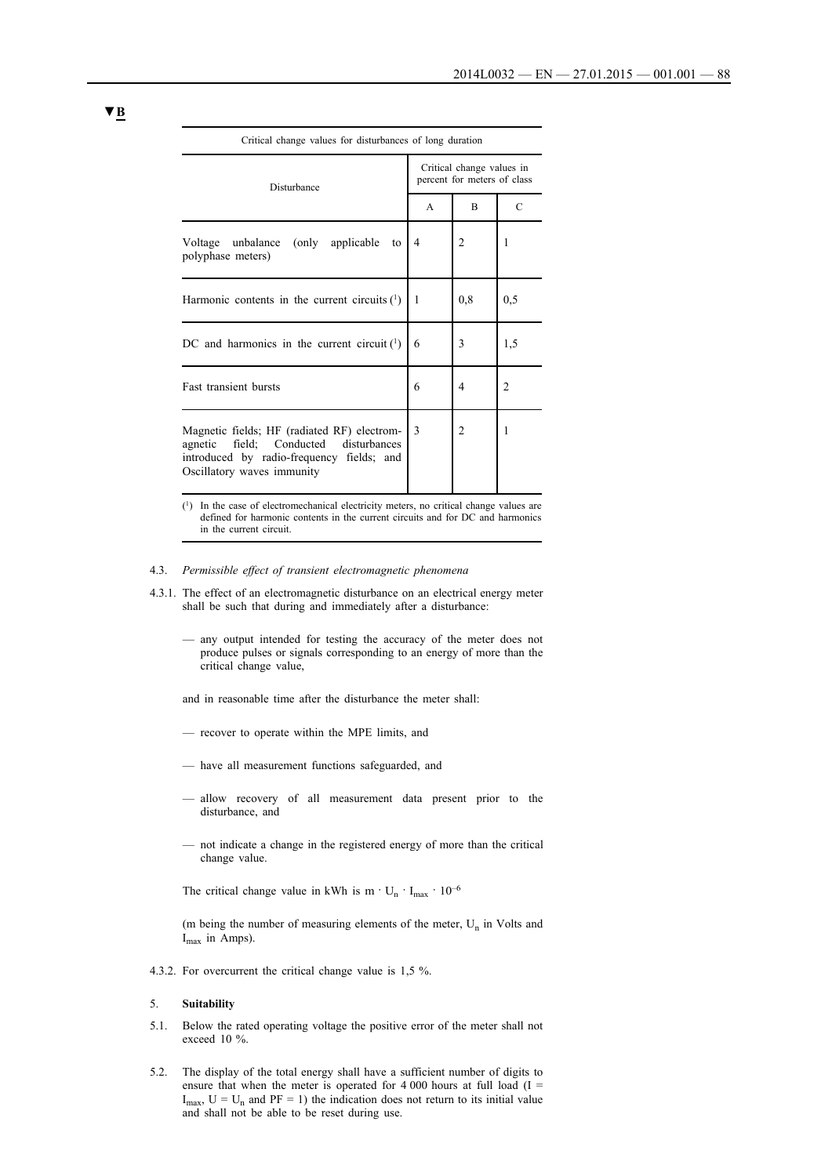| Critical change values for disturbances of long duration                                                                                                           |              |                                                          |                |  |  |
|--------------------------------------------------------------------------------------------------------------------------------------------------------------------|--------------|----------------------------------------------------------|----------------|--|--|
| Disturbance                                                                                                                                                        |              | Critical change values in<br>percent for meters of class |                |  |  |
|                                                                                                                                                                    | $\mathsf{A}$ | B                                                        | C              |  |  |
| Voltage unbalance (only applicable<br>to<br>polyphase meters)                                                                                                      | 4            | 2                                                        | 1              |  |  |
| Harmonic contents in the current circuits $(1)$                                                                                                                    | 1            | 0,8                                                      | 0,5            |  |  |
| DC and harmonics in the current circuit $(1)$                                                                                                                      | 6            | 3                                                        | 1,5            |  |  |
| <b>Fast transient bursts</b>                                                                                                                                       | 6            | 4                                                        | $\overline{c}$ |  |  |
| Magnetic fields; HF (radiated RF) electrom-<br>field; Conducted disturbances<br>agnetic<br>introduced by radio-frequency fields; and<br>Oscillatory waves immunity | 3            | 2                                                        | 1              |  |  |

(1) In the case of electromechanical electricity meters, no critical change values are defined for harmonic contents in the current circuits and for DC and harmonics in the current circuit.

- 4.3. *Permissible effect of transient electromagnetic phenomena*
- 4.3.1. The effect of an electromagnetic disturbance on an electrical energy meter shall be such that during and immediately after a disturbance:
	- any output intended for testing the accuracy of the meter does not produce pulses or signals corresponding to an energy of more than the critical change value,
	- and in reasonable time after the disturbance the meter shall:
	- recover to operate within the MPE limits, and
	- have all measurement functions safeguarded, and
	- allow recovery of all measurement data present prior to the disturbance, and
	- not indicate a change in the registered energy of more than the critical change value.

The critical change value in kWh is  $m \cdot U_n \cdot I_{max} \cdot 10^{-6}$ 

(m being the number of measuring elements of the meter,  $U_n$  in Volts and  $I_{max}$  in Amps).

4.3.2. For overcurrent the critical change value is 1,5 %.

### 5. **Suitability**

- 5.1. Below the rated operating voltage the positive error of the meter shall not exceed 10 %.
- 5.2. The display of the total energy shall have a sufficient number of digits to ensure that when the meter is operated for 4 000 hours at full load  $(I =$  $I_{\text{max}}$ ,  $U = U_n$  and PF = 1) the indication does not return to its initial value and shall not be able to be reset during use.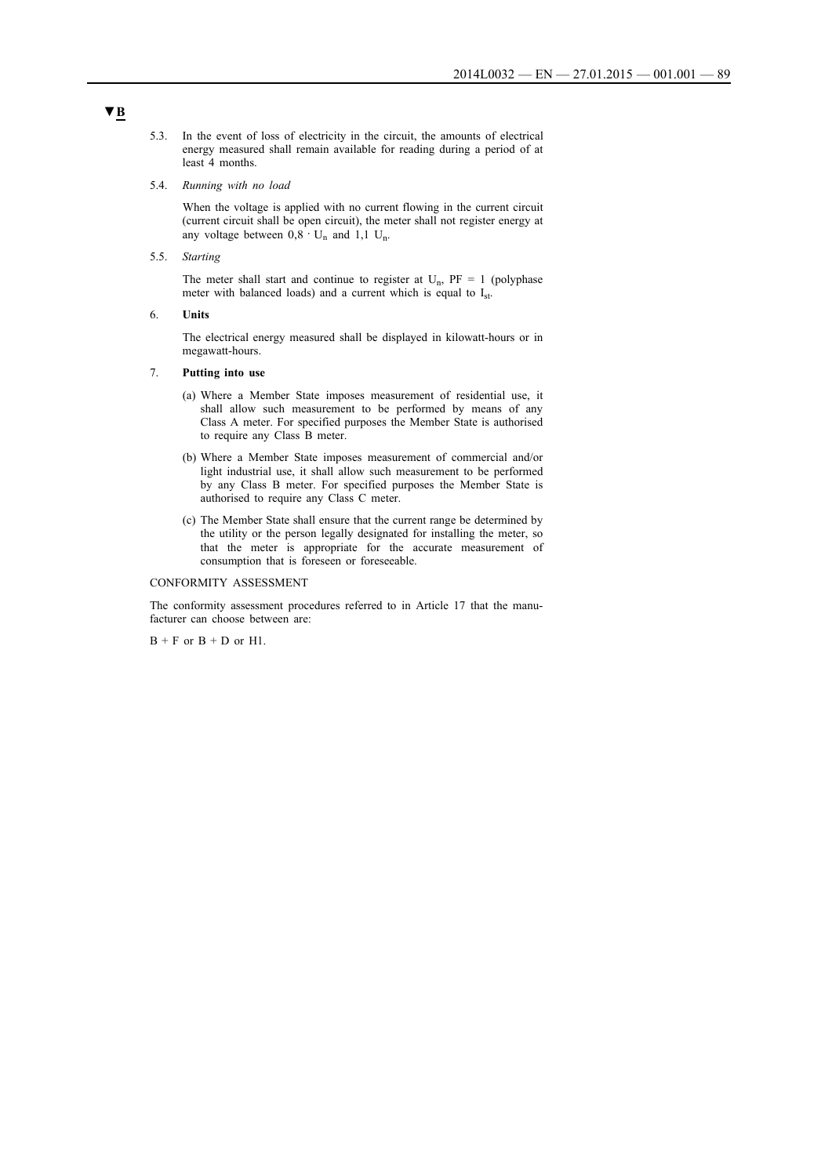- 5.3. In the event of loss of electricity in the circuit, the amounts of electrical energy measured shall remain available for reading during a period of at least 4 months.
- 5.4. *Running with no load*

When the voltage is applied with no current flowing in the current circuit (current circuit shall be open circuit), the meter shall not register energy at any voltage between  $0,8 \cdot U_n$  and 1,1 U<sub>n</sub>.

5.5. *Starting*

The meter shall start and continue to register at  $U_n$ ,  $PF = 1$  (polyphase meter with balanced loads) and a current which is equal to I<sub>st</sub>.

6. **Units**

The electrical energy measured shall be displayed in kilowatt-hours or in megawatt-hours.

## 7. **Putting into use**

- (a) Where a Member State imposes measurement of residential use, it shall allow such measurement to be performed by means of any Class A meter. For specified purposes the Member State is authorised to require any Class B meter.
- (b) Where a Member State imposes measurement of commercial and/or light industrial use, it shall allow such measurement to be performed by any Class B meter. For specified purposes the Member State is authorised to require any Class C meter.
- (c) The Member State shall ensure that the current range be determined by the utility or the person legally designated for installing the meter, so that the meter is appropriate for the accurate measurement of consumption that is foreseen or foreseeable.

### CONFORMITY ASSESSMENT

The conformity assessment procedures referred to in Article 17 that the manufacturer can choose between are:

 $B + F$  or  $B + D$  or  $H1$ .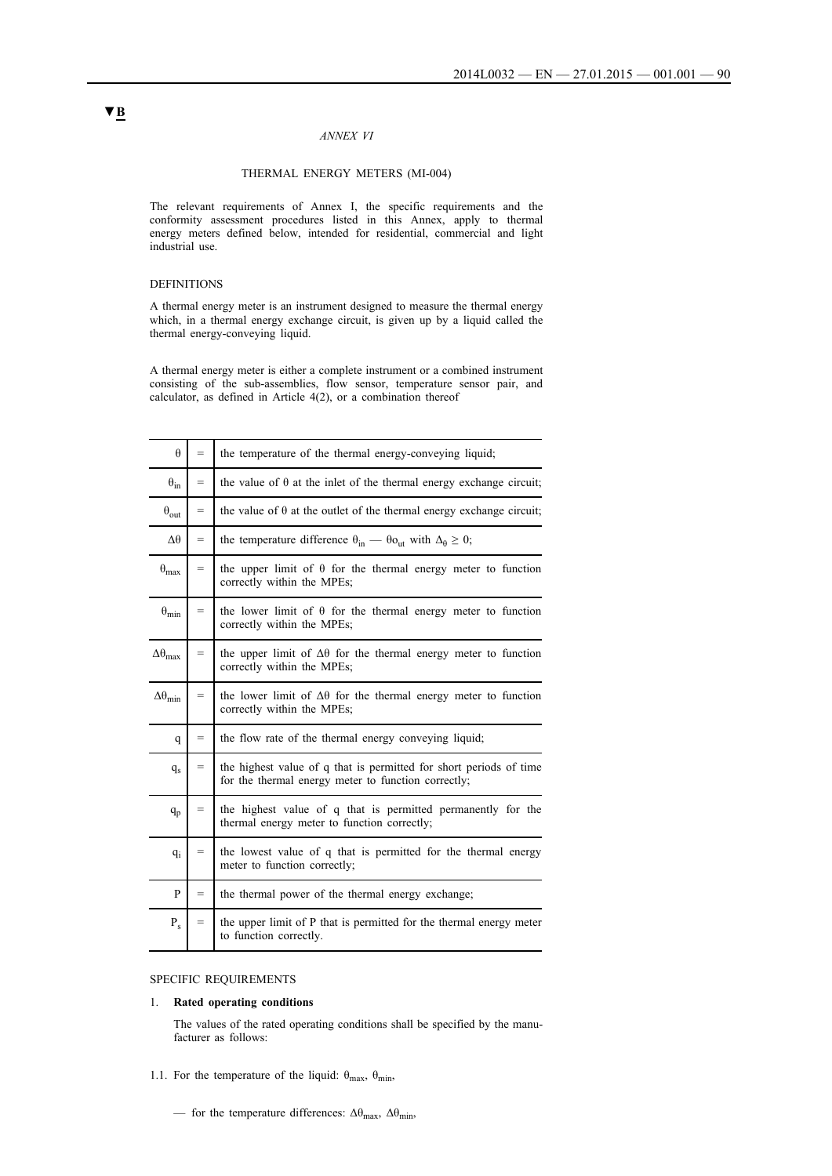### *ANNEX VI*

### THERMAL ENERGY METERS (MI-004)

The relevant requirements of Annex I, the specific requirements and the conformity assessment procedures listed in this Annex, apply to thermal energy meters defined below, intended for residential, commercial and light industrial use.

## DEFINITIONS

A thermal energy meter is an instrument designed to measure the thermal energy which, in a thermal energy exchange circuit, is given up by a liquid called the thermal energy-conveying liquid.

A thermal energy meter is either a complete instrument or a combined instrument consisting of the sub-assemblies, flow sensor, temperature sensor pair, and calculator, as defined in Article  $4(2)$ , or a combination thereof

| $\theta$                 | $=$ | the temperature of the thermal energy-conveying liquid;                                                                   |
|--------------------------|-----|---------------------------------------------------------------------------------------------------------------------------|
| $\theta_{\rm in}$        | $=$ | the value of $\theta$ at the inlet of the thermal energy exchange circuit;                                                |
| $\theta_{\text{out}}$    | $=$ | the value of $\theta$ at the outlet of the thermal energy exchange circuit;                                               |
| $\Delta\theta$           | $=$ | the temperature difference $\theta_{in}$ — $\theta_{out}$ with $\Delta_{\theta} \ge 0$ ;                                  |
| $\theta_{\text{max}}$    | $=$ | the upper limit of $\theta$ for the thermal energy meter to function<br>correctly within the MPEs;                        |
| $\theta_{\min}$          | $=$ | the lower limit of $\theta$ for the thermal energy meter to function<br>correctly within the MPEs;                        |
| $\Delta\theta_{\rm max}$ | $=$ | the upper limit of $\Delta\theta$ for the thermal energy meter to function<br>correctly within the MPEs;                  |
| $\Delta\theta_{min}$     | $=$ | the lower limit of $\Delta\theta$ for the thermal energy meter to function<br>correctly within the MPEs;                  |
| q                        | $=$ | the flow rate of the thermal energy conveying liquid;                                                                     |
| $q_{\rm s}$              | $=$ | the highest value of q that is permitted for short periods of time<br>for the thermal energy meter to function correctly; |
| $q_p$                    | $=$ | the highest value of q that is permitted permanently for the<br>thermal energy meter to function correctly;               |
| $q_i$                    | $=$ | the lowest value of q that is permitted for the thermal energy<br>meter to function correctly;                            |
| P                        | $=$ | the thermal power of the thermal energy exchange;                                                                         |
| $P_{s}$                  | $=$ | the upper limit of P that is permitted for the thermal energy meter<br>to function correctly.                             |

### SPECIFIC REQUIREMENTS

#### 1. **Rated operating conditions**

The values of the rated operating conditions shall be specified by the manufacturer as follows:

- 1.1. For the temperature of the liquid:  $\theta_{max}$ ,  $\theta_{min}$ ,
	- for the temperature differences:  $\Delta\theta_{max}$ ,  $\Delta\theta_{min}$ ,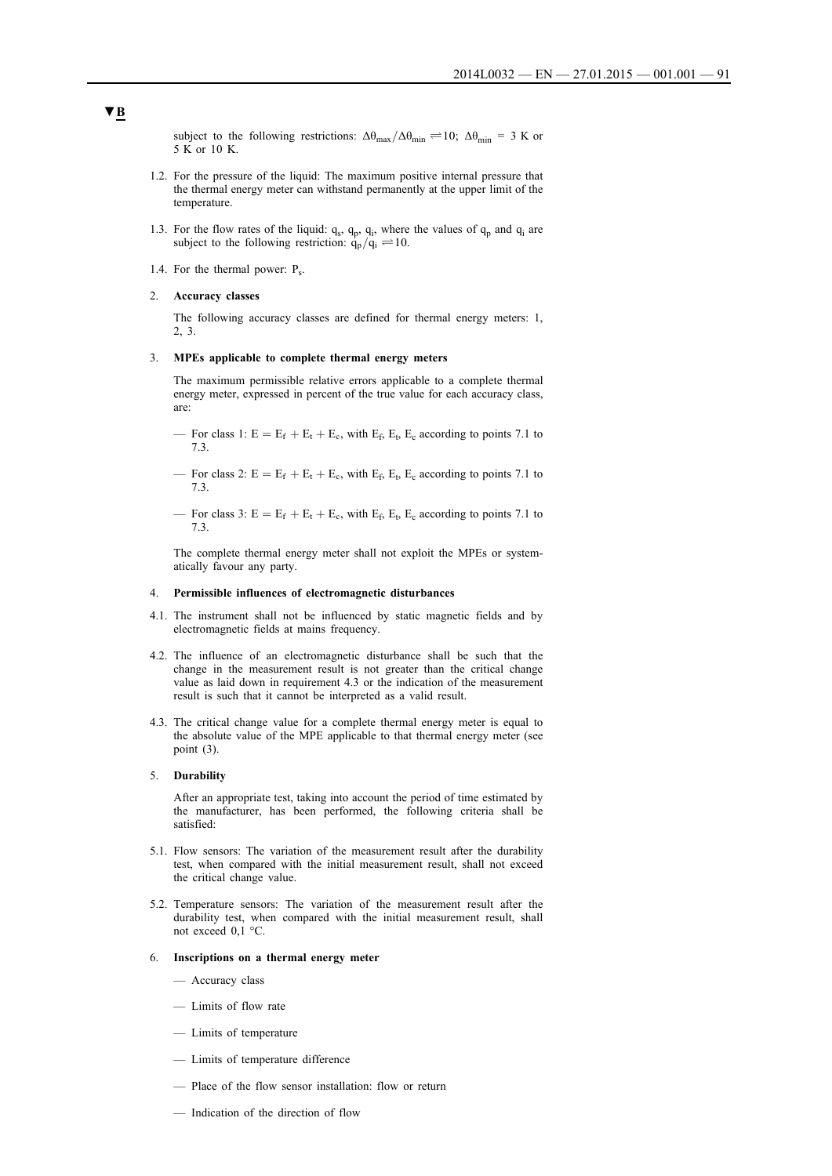subject to the following restrictions:  $\Delta\theta_{\text{max}}/\Delta\theta_{\text{min}} \rightleftharpoons 10$ ;  $\Delta\theta_{\text{min}} = 3$  K or 5 K or 10 K.

- 1.2. For the pressure of the liquid: The maximum positive internal pressure that the thermal energy meter can withstand permanently at the upper limit of the temperature.
- 1.3. For the flow rates of the liquid:  $q_s$ ,  $q_p$ ,  $q_i$ , where the values of  $q_p$  and  $q_i$  are subject to the following restriction:  $q_p/q_i \rightleftharpoons 10$ .
- 1.4. For the thermal power:  $P_s$ .

### 2. **Accuracy classes**

The following accuracy classes are defined for thermal energy meters: 1, 2, 3.

### 3. **MPEs applicable to complete thermal energy meters**

The maximum permissible relative errors applicable to a complete thermal energy meter, expressed in percent of the true value for each accuracy class, are:

- For class 1:  $E = E_f + E_t + E_c$ , with  $E_f$ ,  $E_t$ ,  $E_c$  according to points 7.1 to 7.3.
- For class 2:  $E = E_f + E_t + E_c$ , with  $E_f$ ,  $E_t$ ,  $E_c$  according to points 7.1 to 7.3.
- For class 3:  $E = E_f + E_t + E_c$ , with  $E_f$ ,  $E_t$ ,  $E_c$  according to points 7.1 to 7.3.

The complete thermal energy meter shall not exploit the MPEs or systematically favour any party.

### 4. **Permissible influences of electromagnetic disturbances**

- 4.1. The instrument shall not be influenced by static magnetic fields and by electromagnetic fields at mains frequency.
- 4.2. The influence of an electromagnetic disturbance shall be such that the change in the measurement result is not greater than the critical change value as laid down in requirement 4.3 or the indication of the measurement result is such that it cannot be interpreted as a valid result.
- 4.3. The critical change value for a complete thermal energy meter is equal to the absolute value of the MPE applicable to that thermal energy meter (see point (3).

#### 5. **Durability**

After an appropriate test, taking into account the period of time estimated by the manufacturer, has been performed, the following criteria shall be satisfied:

- 5.1. Flow sensors: The variation of the measurement result after the durability test, when compared with the initial measurement result, shall not exceed the critical change value.
- 5.2. Temperature sensors: The variation of the measurement result after the durability test, when compared with the initial measurement result, shall not exceed 0,1 °C.
- 6. **Inscriptions on a thermal energy meter**
	- Accuracy class
	- Limits of flow rate
	- Limits of temperature
	- Limits of temperature difference
	- Place of the flow sensor installation: flow or return
	- Indication of the direction of flow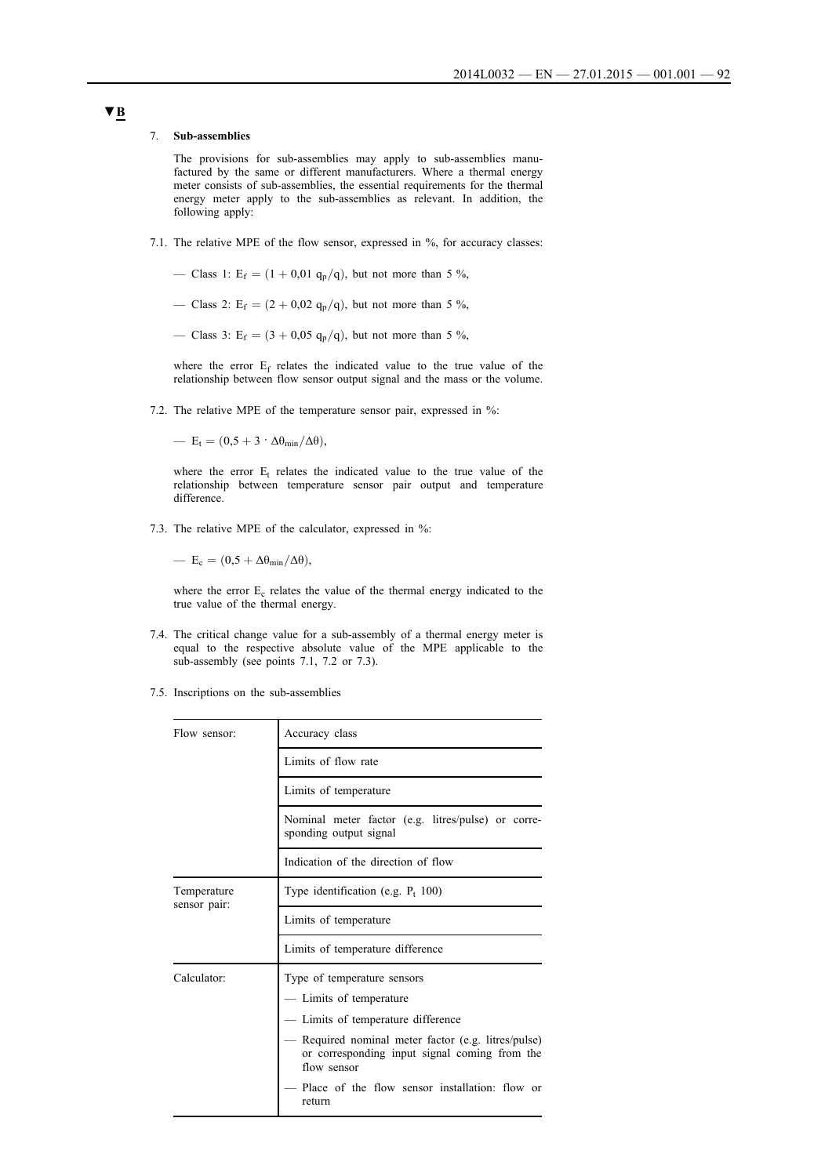### 7. **Sub-assemblies**

The provisions for sub-assemblies may apply to sub-assemblies manufactured by the same or different manufacturers. Where a thermal energy meter consists of sub-assemblies, the essential requirements for the thermal energy meter apply to the sub-assemblies as relevant. In addition, the following apply:

- 7.1. The relative MPE of the flow sensor, expressed in %, for accuracy classes:
	- Class 1:  $E_f = (1 + 0.01 q_p/q)$ , but not more than 5 %,
	- Class 2: E<sub>f</sub> =  $(2 + 0.02 q_p/q)$ , but not more than 5 %,

— Class 3: E<sub>f</sub> =  $(3 + 0.05 \text{ q}_p/\text{q})$ , but not more than 5 %,

where the error Ef relates the indicated value to the true value of the relationship between flow sensor output signal and the mass or the volume.

7.2. The relative MPE of the temperature sensor pair, expressed in %:

—  $E_t = (0.5 + 3 \cdot \Delta \theta_{min}/\Delta \theta),$ 

where the error  $E_t$  relates the indicated value to the true value of the relationship between temperature sensor pair output and temperature difference.

7.3. The relative MPE of the calculator, expressed in %:

—  $E_c = (0.5 + \Delta\theta_{min}/\Delta\theta),$ 

where the error  $E_c$  relates the value of the thermal energy indicated to the true value of the thermal energy.

- 7.4. The critical change value for a sub-assembly of a thermal energy meter is equal to the respective absolute value of the MPE applicable to the sub-assembly (see points 7.1, 7.2 or 7.3).
- 7.5. Inscriptions on the sub-assemblies

| Flow sensor:                | Accuracy class                                                                                                    |  |  |
|-----------------------------|-------------------------------------------------------------------------------------------------------------------|--|--|
|                             | Limits of flow rate                                                                                               |  |  |
|                             | Limits of temperature                                                                                             |  |  |
|                             | Nominal meter factor (e.g. litres/pulse) or corre-<br>sponding output signal                                      |  |  |
|                             | Indication of the direction of flow                                                                               |  |  |
| Temperature<br>sensor pair: | Type identification (e.g. $P_t$ 100)                                                                              |  |  |
|                             | Limits of temperature                                                                                             |  |  |
|                             | Limits of temperature difference                                                                                  |  |  |
| Calculator <sup>.</sup>     | Type of temperature sensors                                                                                       |  |  |
|                             | — Limits of temperature                                                                                           |  |  |
|                             | — Limits of temperature difference                                                                                |  |  |
|                             | Required nominal meter factor (e.g. litres/pulse)<br>or corresponding input signal coming from the<br>flow sensor |  |  |
|                             | Place of the flow sensor installation: flow or<br>return                                                          |  |  |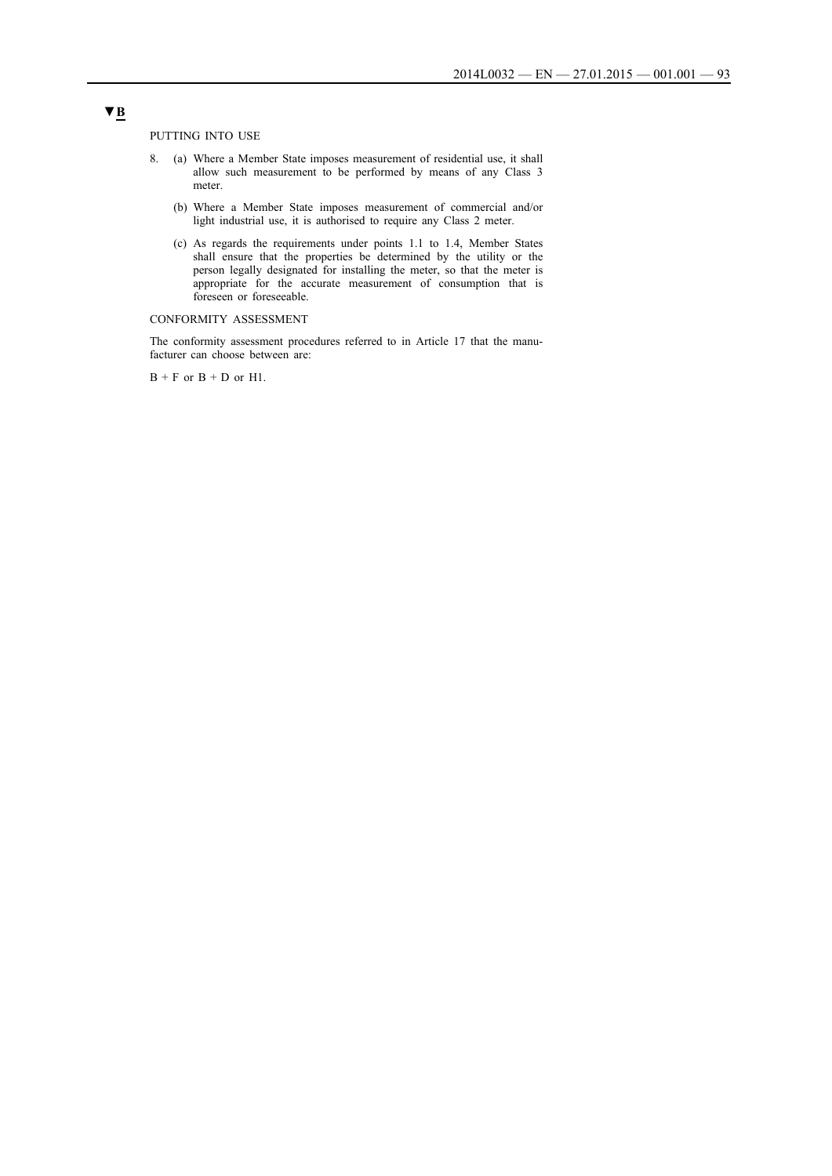PUTTING INTO USE

- 8. (a) Where a Member State imposes measurement of residential use, it shall allow such measurement to be performed by means of any Class 3 meter.
	- (b) Where a Member State imposes measurement of commercial and/or light industrial use, it is authorised to require any Class 2 meter.
	- (c) As regards the requirements under points 1.1 to 1.4, Member States shall ensure that the properties be determined by the utility or the person legally designated for installing the meter, so that the meter is appropriate for the accurate measurement of consumption that is foreseen or foreseeable.

## CONFORMITY ASSESSMENT

The conformity assessment procedures referred to in Article 17 that the manufacturer can choose between are:

 $B + F$  or  $B + D$  or H1.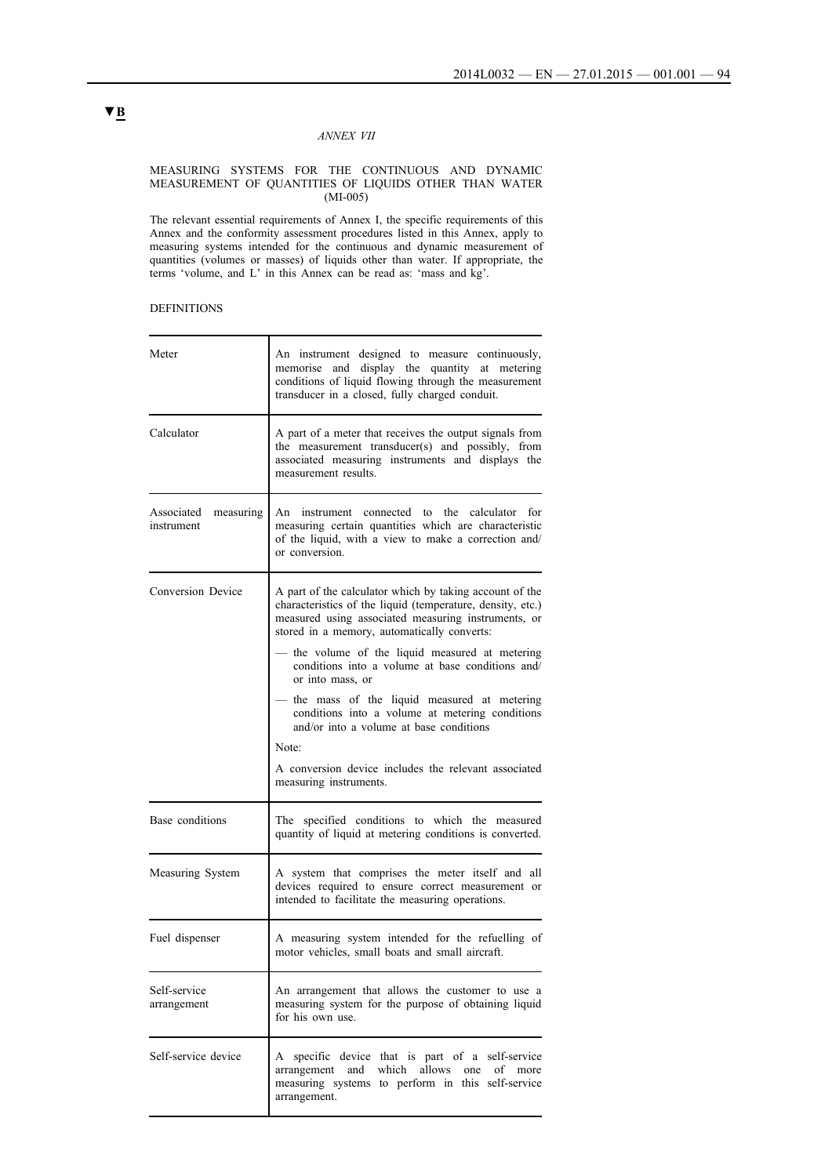## *ANNEX VII*

#### MEASURING SYSTEMS FOR THE CONTINUOUS AND DYNAMIC MEASUREMENT OF QUANTITIES OF LIQUIDS OTHER THAN WATER (MI-005)

The relevant essential requirements of Annex I, the specific requirements of this Annex and the conformity assessment procedures listed in this Annex, apply to measuring systems intended for the continuous and dynamic measurement of quantities (volumes or masses) of liquids other than water. If appropriate, the terms 'volume, and L' in this Annex can be read as: 'mass and kg'.

## DEFINITIONS

| Meter                                 | An instrument designed to measure continuously,<br>memorise and display the quantity at metering<br>conditions of liquid flowing through the measurement<br>transducer in a closed, fully charged conduit.                  |  |  |
|---------------------------------------|-----------------------------------------------------------------------------------------------------------------------------------------------------------------------------------------------------------------------------|--|--|
| Calculator                            | A part of a meter that receives the output signals from<br>the measurement transducer(s) and possibly, from<br>associated measuring instruments and displays the<br>measurement results.                                    |  |  |
| measuring<br>Associated<br>instrument | An instrument connected to the calculator for<br>measuring certain quantities which are characteristic<br>of the liquid, with a view to make a correction and/<br>or conversion.                                            |  |  |
| Conversion Device                     | A part of the calculator which by taking account of the<br>characteristics of the liquid (temperature, density, etc.)<br>measured using associated measuring instruments, or<br>stored in a memory, automatically converts: |  |  |
|                                       | the volume of the liquid measured at metering<br>conditions into a volume at base conditions and/<br>or into mass, or                                                                                                       |  |  |
|                                       | — the mass of the liquid measured at metering<br>conditions into a volume at metering conditions<br>and/or into a volume at base conditions<br>Note:                                                                        |  |  |
|                                       | A conversion device includes the relevant associated<br>measuring instruments.                                                                                                                                              |  |  |
| Base conditions                       | The specified conditions to which the measured<br>quantity of liquid at metering conditions is converted.                                                                                                                   |  |  |
| Measuring System                      | A system that comprises the meter itself and all<br>devices required to ensure correct measurement or<br>intended to facilitate the measuring operations.                                                                   |  |  |
| Fuel dispenser                        | A measuring system intended for the refuelling of<br>motor vehicles, small boats and small aircraft.                                                                                                                        |  |  |
| Self-service<br>arrangement           | An arrangement that allows the customer to use a<br>measuring system for the purpose of obtaining liquid<br>for his own use.                                                                                                |  |  |
| Self-service device                   | A specific device that is part of a self-service<br>and which allows<br>one<br>arrangement<br>of<br>more<br>measuring systems to perform in this self-service<br>arrangement.                                               |  |  |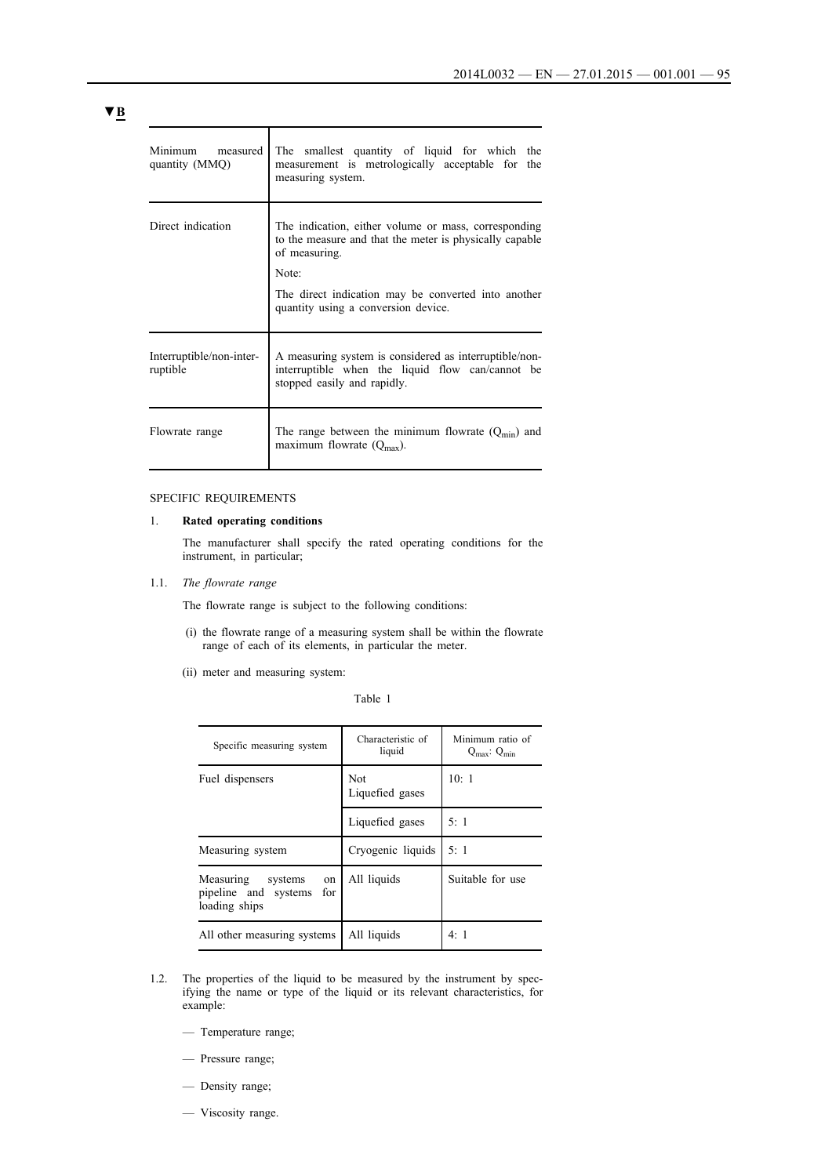| Minimum measured<br>quantity (MMQ)   | The smallest quantity of liquid for which the<br>measurement is metrologically acceptable for<br>the<br>measuring system.                 |
|--------------------------------------|-------------------------------------------------------------------------------------------------------------------------------------------|
| Direct indication                    | The indication, either volume or mass, corresponding<br>to the measure and that the meter is physically capable<br>of measuring.<br>Note: |
|                                      | The direct indication may be converted into another<br>quantity using a conversion device.                                                |
| Interruptible/non-inter-<br>ruptible | A measuring system is considered as interruptible/non-<br>interruptible when the liquid flow can/cannot be<br>stopped easily and rapidly. |
| Flowrate range                       | The range between the minimum flowrate $(Q_{\text{min}})$ and<br>maximum flowrate $(Q_{\text{max}})$ .                                    |

## SPECIFIC REQUIREMENTS

### 1. **Rated operating conditions**

The manufacturer shall specify the rated operating conditions for the instrument, in particular;

1.1. *The flowrate range*

The flowrate range is subject to the following conditions:

- (i) the flowrate range of a measuring system shall be within the flowrate range of each of its elements, in particular the meter.
- (ii) meter and measuring system:

Table 1

| Specific measuring system                                               | Characteristic of<br>liquid | Minimum ratio of<br>$Q_{\text{max}}$ : $Q_{\text{min}}$ |
|-------------------------------------------------------------------------|-----------------------------|---------------------------------------------------------|
| Fuel dispensers                                                         | Not<br>Liquefied gases      | 10:1                                                    |
|                                                                         | Liquefied gases             | 5:1                                                     |
| Measuring system                                                        | Cryogenic liquids           | 5:1                                                     |
| Measuring systems<br>on<br>pipeline and systems<br>for<br>loading ships | All liquids                 | Suitable for use                                        |
| All other measuring systems                                             | All liquids                 | 4:1                                                     |

- 1.2. The properties of the liquid to be measured by the instrument by specifying the name or type of the liquid or its relevant characteristics, for example:
	- Temperature range;
	- Pressure range;
	- Density range;
	- Viscosity range.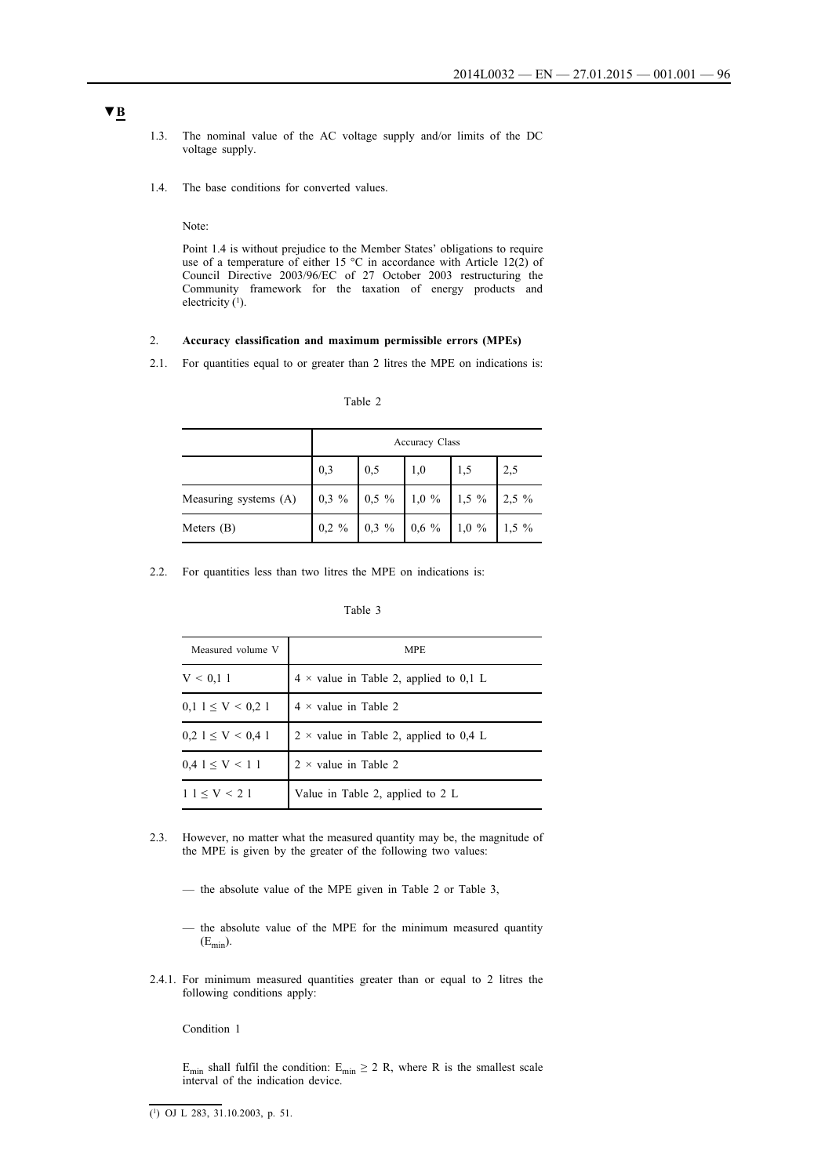- 1.3. The nominal value of the AC voltage supply and/or limits of the DC voltage supply.
- 1.4. The base conditions for converted values.

Note:

Point 1.4 is without prejudice to the Member States' obligations to require use of a temperature of either 15 °C in accordance with Article 12(2) of Council Directive 2003/96/EC of 27 October 2003 restructuring the Community framework for the taxation of energy products and electricity  $(1)$ .

#### 2. **Accuracy classification and maximum permissible errors (MPEs)**

2.1. For quantities equal to or greater than 2 litres the MPE on indications is:

|                       | <b>Accuracy Class</b> |     |  |  |
|-----------------------|-----------------------|-----|--|--|
|                       | 0,3                   | 0.5 |  |  |
| Measuring systems (A) |                       |     |  |  |

Meters (B) 0,2 % 0,3 % 0,6 % 1,0 % 1,5 %

Table 2

2.2. For quantities less than two litres the MPE on indications is:

| Measured volume V               | <b>MPE</b>                                    |
|---------------------------------|-----------------------------------------------|
| V < 0.11                        | $4 \times$ value in Table 2, applied to 0,1 L |
| $0,1$ 1 $\leq$ V $\leq$ 0.2 1   | $4 \times$ value in Table 2                   |
| $0.2 \, 1 \leq V \leq 0.4 \, 1$ | $2 \times$ value in Table 2, applied to 0,4 L |
| $0.41 \le V \le 11$             | $2 \times$ value in Table 2                   |
| $11 \le V < 21$                 | Value in Table 2, applied to $2 L$            |

- 2.3. However, no matter what the measured quantity may be, the magnitude of the MPE is given by the greater of the following two values:
	- the absolute value of the MPE given in Table 2 or Table 3,
	- the absolute value of the MPE for the minimum measured quantity  $(E_{min})$ .
- 2.4.1. For minimum measured quantities greater than or equal to 2 litres the following conditions apply:

Condition 1

E<sub>min</sub> shall fulfil the condition: E<sub>min</sub>  $\geq$  2 R, where R is the smallest scale interval of the indication device.

 $(1)$  OJ L 283, 31.10.2003, p. 51.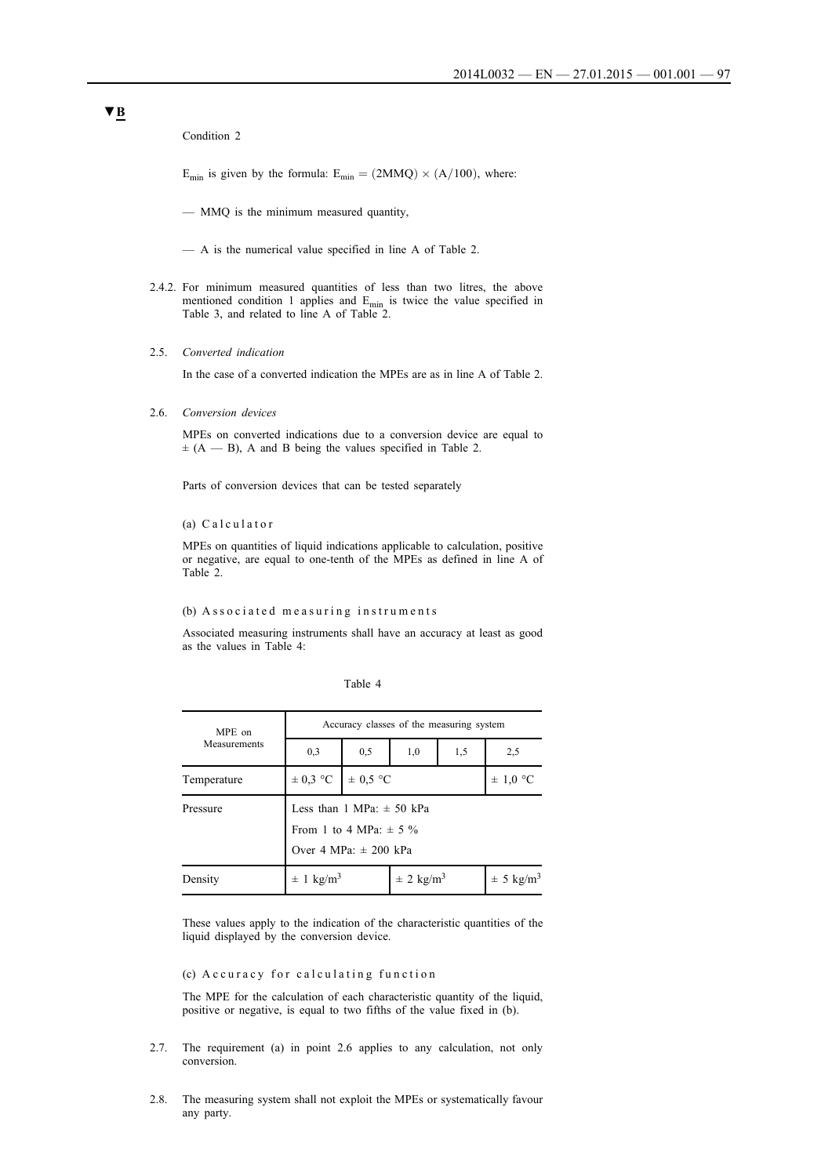Condition 2

 $E_{\text{min}}$  is given by the formula:  $E_{\text{min}} = (2MMQ) \times (A/100)$ , where:

— MMQ is the minimum measured quantity,

— A is the numerical value specified in line A of Table 2.

- 2.4.2. For minimum measured quantities of less than two litres, the above mentioned condition 1 applies and  $E_{min}$  is twice the value specified in Table 3, and related to line A of Table 2.
- 2.5. *Converted indication*

In the case of a converted indication the MPEs are as in line A of Table 2.

2.6. *Conversion devices*

MPEs on converted indications due to a conversion device are equal to  $\pm$  (A — B), A and B being the values specified in Table 2.

Parts of conversion devices that can be tested separately

(a) Calculator

MPEs on quantities of liquid indications applicable to calculation, positive or negative, are equal to one-tenth of the MPEs as defined in line A of Table 2.

#### (b) Associated measuring instruments

Associated measuring instruments shall have an accuracy at least as good as the values in Table 4:

| Table |  |  |  |  |
|-------|--|--|--|--|
|-------|--|--|--|--|

| MPE on<br>Measurements | Accuracy classes of the measuring system                                                                  |              |                           |     |                           |
|------------------------|-----------------------------------------------------------------------------------------------------------|--------------|---------------------------|-----|---------------------------|
|                        | 0,3                                                                                                       | 0,5          | 1,0                       | 1,5 | 2,5                       |
| Temperature            | $\pm$ 0.3 °C                                                                                              | $\pm$ 0.5 °C |                           |     | $\pm$ 1,0 °C              |
| Pressure               | Less than $1 \text{ MPa: } \pm 50 \text{ kPa}$<br>From 1 to 4 MPa: $\pm$ 5 %<br>Over 4 MPa: $\pm$ 200 kPa |              |                           |     |                           |
| Density                | $\pm$ 1 kg/m <sup>3</sup>                                                                                 |              | $\pm$ 2 kg/m <sup>3</sup> |     | $\pm$ 5 kg/m <sup>3</sup> |

These values apply to the indication of the characteristic quantities of the liquid displayed by the conversion device.

## (c) A c curacy for calculating function

The MPE for the calculation of each characteristic quantity of the liquid, positive or negative, is equal to two fifths of the value fixed in (b).

- 2.7. The requirement (a) in point 2.6 applies to any calculation, not only conversion.
- 2.8. The measuring system shall not exploit the MPEs or systematically favour any party.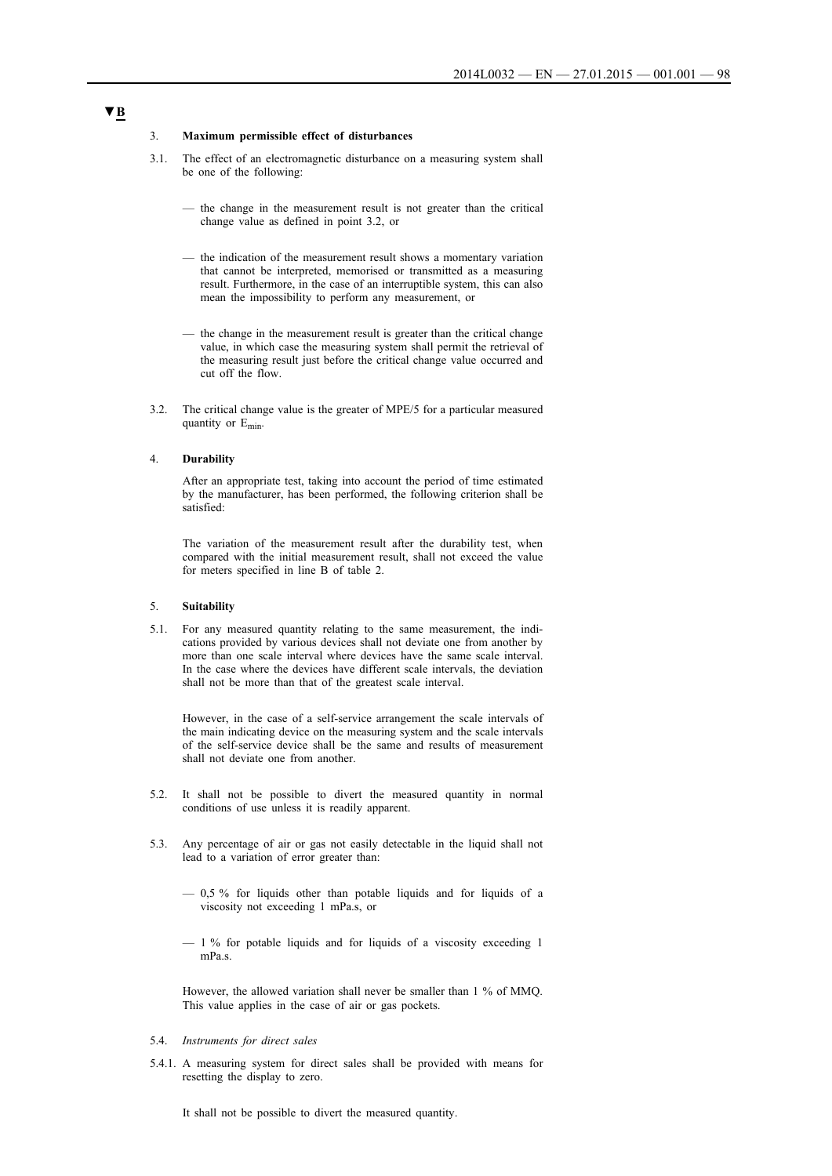#### 3. **Maximum permissible effect of disturbances**

- 3.1. The effect of an electromagnetic disturbance on a measuring system shall be one of the following:
	- the change in the measurement result is not greater than the critical change value as defined in point 3.2, or
	- the indication of the measurement result shows a momentary variation that cannot be interpreted, memorised or transmitted as a measuring result. Furthermore, in the case of an interruptible system, this can also mean the impossibility to perform any measurement, or
	- the change in the measurement result is greater than the critical change value, in which case the measuring system shall permit the retrieval of the measuring result just before the critical change value occurred and cut off the flow.
- 3.2. The critical change value is the greater of MPE/5 for a particular measured quantity or Emin.

## 4. **Durability**

After an appropriate test, taking into account the period of time estimated by the manufacturer, has been performed, the following criterion shall be satisfied:

The variation of the measurement result after the durability test, when compared with the initial measurement result, shall not exceed the value for meters specified in line B of table 2.

#### 5. **Suitability**

5.1. For any measured quantity relating to the same measurement, the indications provided by various devices shall not deviate one from another by more than one scale interval where devices have the same scale interval. In the case where the devices have different scale intervals, the deviation shall not be more than that of the greatest scale interval.

However, in the case of a self-service arrangement the scale intervals of the main indicating device on the measuring system and the scale intervals of the self-service device shall be the same and results of measurement shall not deviate one from another.

- 5.2. It shall not be possible to divert the measured quantity in normal conditions of use unless it is readily apparent.
- 5.3. Any percentage of air or gas not easily detectable in the liquid shall not lead to a variation of error greater than:
	- 0,5 % for liquids other than potable liquids and for liquids of a viscosity not exceeding 1 mPa.s, or
	- 1 % for potable liquids and for liquids of a viscosity exceeding 1 mPa.s.

However, the allowed variation shall never be smaller than 1 % of MMQ. This value applies in the case of air or gas pockets.

# 5.4. *Instruments for direct sales*

5.4.1. A measuring system for direct sales shall be provided with means for resetting the display to zero.

It shall not be possible to divert the measured quantity.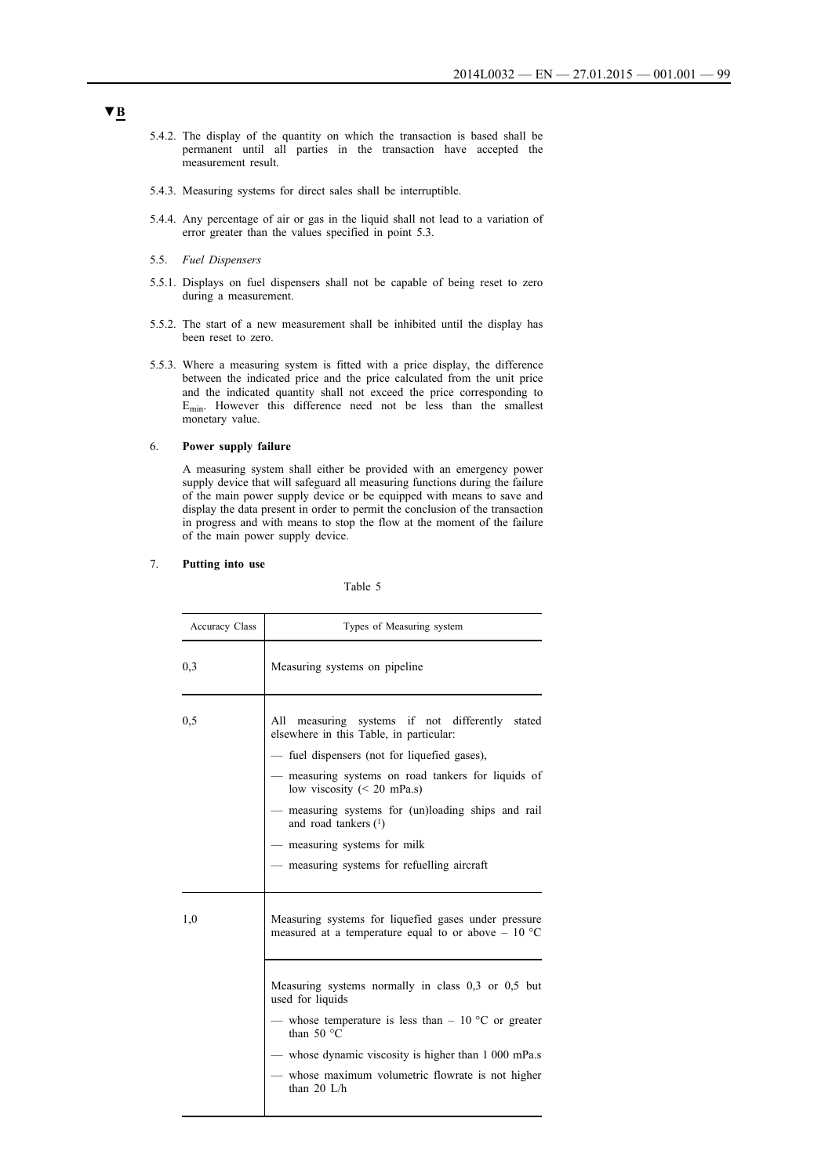- 5.4.2. The display of the quantity on which the transaction is based shall be permanent until all parties in the transaction have accepted the measurement result.
- 5.4.3. Measuring systems for direct sales shall be interruptible.
- 5.4.4. Any percentage of air or gas in the liquid shall not lead to a variation of error greater than the values specified in point 5.3.
- 5.5. *Fuel Dispensers*
- 5.5.1. Displays on fuel dispensers shall not be capable of being reset to zero during a measurement.
- 5.5.2. The start of a new measurement shall be inhibited until the display has been reset to zero.
- 5.5.3. Where a measuring system is fitted with a price display, the difference between the indicated price and the price calculated from the unit price and the indicated quantity shall not exceed the price corresponding to Emin. However this difference need not be less than the smallest monetary value.

### 6. **Power supply failure**

A measuring system shall either be provided with an emergency power supply device that will safeguard all measuring functions during the failure of the main power supply device or be equipped with means to save and display the data present in order to permit the conclusion of the transaction in progress and with means to stop the flow at the moment of the failure of the main power supply device.

### 7. **Putting into use**

#### Table 5

| Accuracy Class | Types of Measuring system                                                                                                                                                                                                                                                                                                                                                                         |
|----------------|---------------------------------------------------------------------------------------------------------------------------------------------------------------------------------------------------------------------------------------------------------------------------------------------------------------------------------------------------------------------------------------------------|
| 0,3            | Measuring systems on pipeline                                                                                                                                                                                                                                                                                                                                                                     |
| 0,5            | All measuring systems if not differently stated<br>elsewhere in this Table, in particular:<br>- fuel dispensers (not for liquefied gases),<br>— measuring systems on road tankers for liquids of<br>low viscosity $(< 20$ mPa.s)<br>- measuring systems for (un)loading ships and rail<br>and road tankers $(1)$<br>- measuring systems for milk<br>— measuring systems for refuelling aircraft   |
| 1,0            | Measuring systems for liquefied gases under pressure<br>measured at a temperature equal to or above $-10$ °C<br>Measuring systems normally in class 0,3 or 0,5 but<br>used for liquids<br>— whose temperature is less than $-10$ °C or greater<br>than 50 $\degree$ C<br>— whose dynamic viscosity is higher than 1 000 mPa.s<br>whose maximum volumetric flowrate is not higher<br>than $20$ L/h |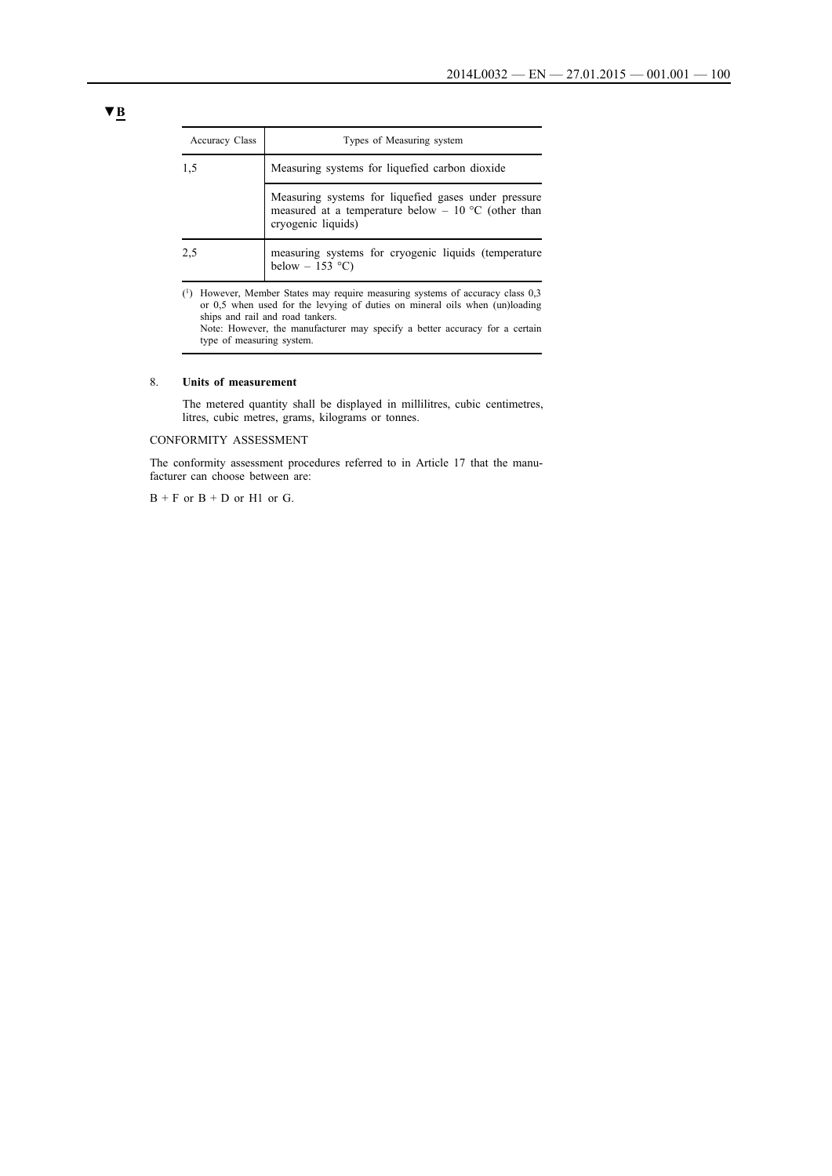| <b>Accuracy Class</b> | Types of Measuring system                                                                                                         |
|-----------------------|-----------------------------------------------------------------------------------------------------------------------------------|
| 1,5                   | Measuring systems for liquefied carbon dioxide                                                                                    |
|                       | Measuring systems for liquefied gases under pressure<br>measured at a temperature below - 10 °C (other than<br>cryogenic liquids) |
| 2.5                   | measuring systems for cryogenic liquids (temperature<br>below $-153$ °C)                                                          |

(1) However, Member States may require measuring systems of accuracy class 0,3 or 0,5 when used for the levying of duties on mineral oils when (un)loading ships and rail and road tankers. Note: However, the manufacturer may specify a better accuracy for a certain

type of measuring system.

### 8. **Units of measurement**

The metered quantity shall be displayed in millilitres, cubic centimetres, litres, cubic metres, grams, kilograms or tonnes.

CONFORMITY ASSESSMENT

The conformity assessment procedures referred to in Article 17 that the manufacturer can choose between are:

 $B + F$  or  $B + D$  or  $H1$  or  $G$ .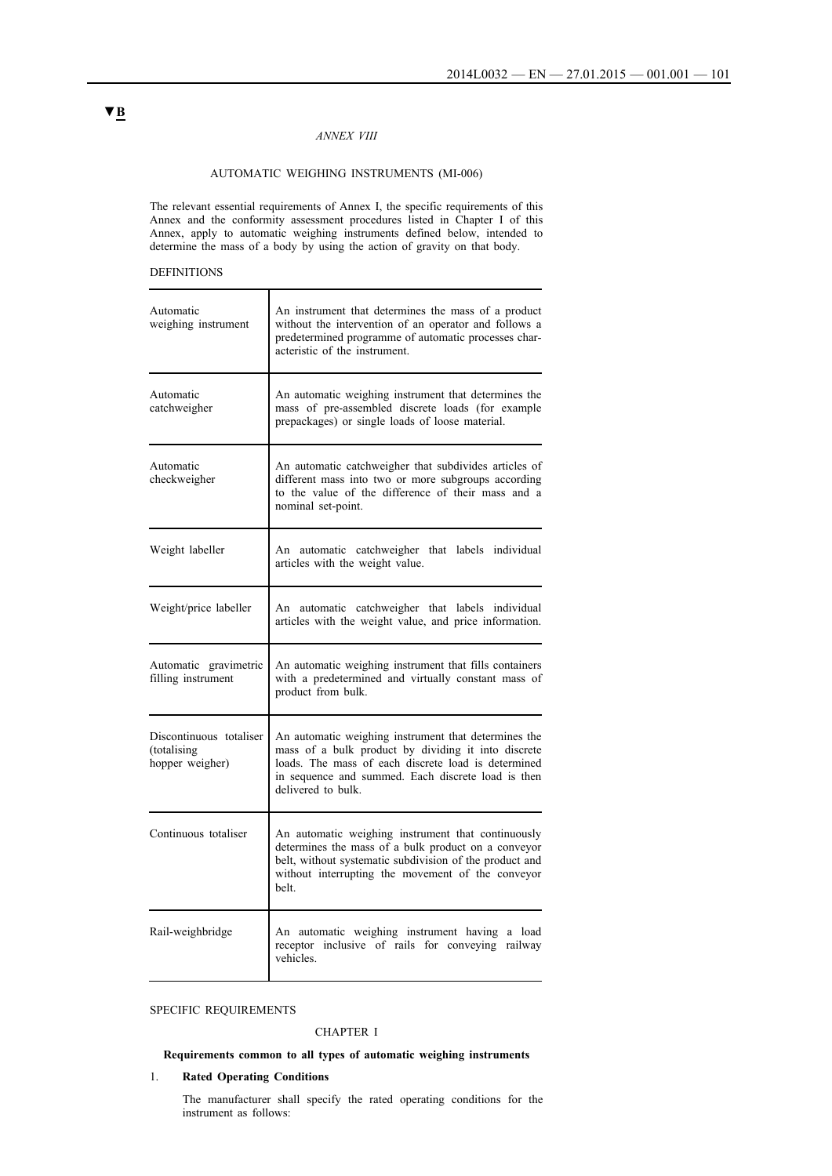### *ANNEX VIII*

## AUTOMATIC WEIGHING INSTRUMENTS (MI-006)

The relevant essential requirements of Annex I, the specific requirements of this Annex and the conformity assessment procedures listed in Chapter I of this Annex, apply to automatic weighing instruments defined below, intended to determine the mass of a body by using the action of gravity on that body.

## DEFINITIONS

| Automatic<br>weighing instrument                          | An instrument that determines the mass of a product<br>without the intervention of an operator and follows a<br>predetermined programme of automatic processes char-<br>acteristic of the instrument.                                          |
|-----------------------------------------------------------|------------------------------------------------------------------------------------------------------------------------------------------------------------------------------------------------------------------------------------------------|
| Automatic<br>catchweigher                                 | An automatic weighing instrument that determines the<br>mass of pre-assembled discrete loads (for example<br>prepackages) or single loads of loose material.                                                                                   |
| Automatic<br>checkweigher                                 | An automatic catchweigher that subdivides articles of<br>different mass into two or more subgroups according<br>to the value of the difference of their mass and a<br>nominal set-point.                                                       |
| Weight labeller                                           | An automatic catchweigher that labels individual<br>articles with the weight value.                                                                                                                                                            |
| Weight/price labeller                                     | An automatic catchweigher that labels individual<br>articles with the weight value, and price information.                                                                                                                                     |
| Automatic gravimetric<br>filling instrument               | An automatic weighing instrument that fills containers<br>with a predetermined and virtually constant mass of<br>product from bulk.                                                                                                            |
| Discontinuous totaliser<br>(totalising<br>hopper weigher) | An automatic weighing instrument that determines the<br>mass of a bulk product by dividing it into discrete<br>loads. The mass of each discrete load is determined<br>in sequence and summed. Each discrete load is then<br>delivered to bulk. |
| Continuous totaliser                                      | An automatic weighing instrument that continuously<br>determines the mass of a bulk product on a conveyor<br>belt, without systematic subdivision of the product and<br>without interrupting the movement of the conveyor<br>belt.             |
| Rail-weighbridge                                          | An automatic weighing instrument having a load<br>receptor inclusive of rails for conveying railway<br>vehicles.                                                                                                                               |

## SPECIFIC REQUIREMENTS

## CHAPTER I

## **Requirements common to all types of automatic weighing instruments**

## 1. **Rated Operating Conditions**

The manufacturer shall specify the rated operating conditions for the instrument as follows: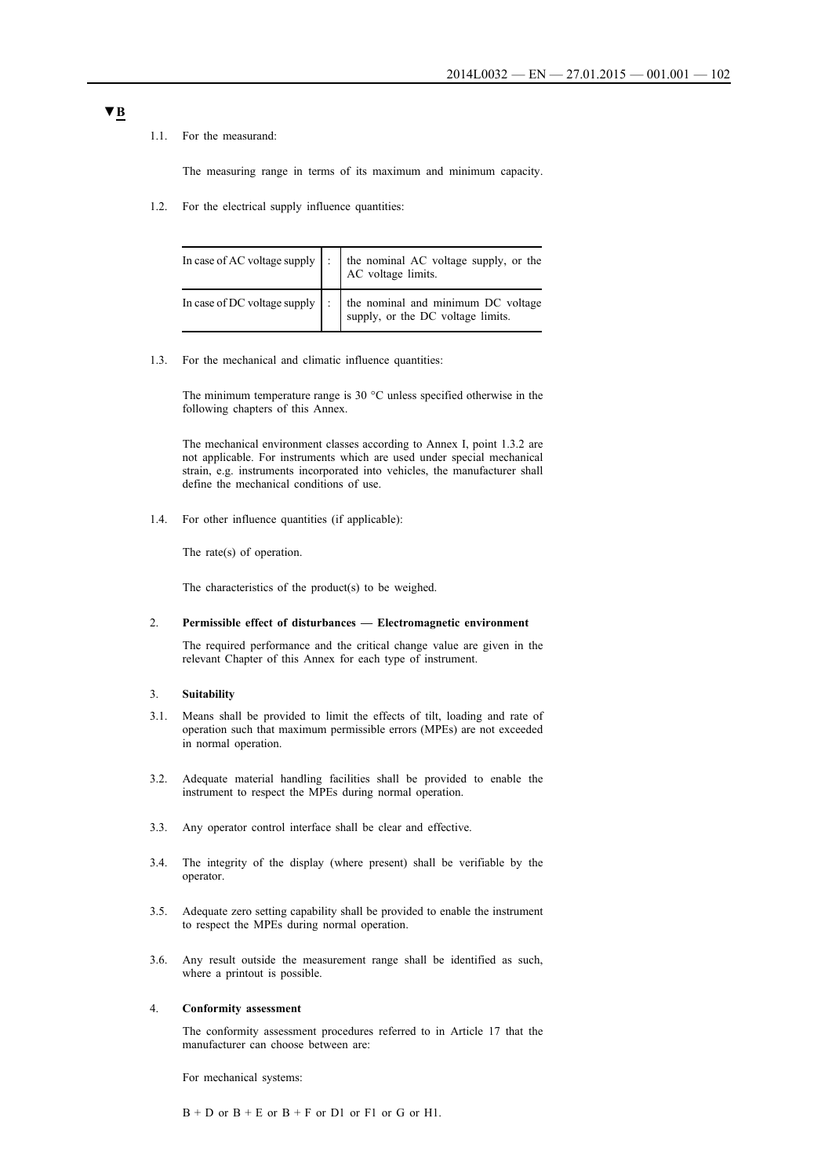### 1.1. For the measurand:

The measuring range in terms of its maximum and minimum capacity.

1.2. For the electrical supply influence quantities:

|  | In case of AC voltage supply $\begin{vmatrix} \cdot \\ \cdot \end{vmatrix}$ the nominal AC voltage supply, or the AC voltage limits. |
|--|--------------------------------------------------------------------------------------------------------------------------------------|
|  | In case of DC voltage supply $\Big $ : $\Big $ the nominal and minimum DC voltage $\Big $ supply, or the DC voltage limits.          |

1.3. For the mechanical and climatic influence quantities:

The minimum temperature range is 30 °C unless specified otherwise in the following chapters of this Annex.

The mechanical environment classes according to Annex I, point 1.3.2 are not applicable. For instruments which are used under special mechanical strain, e.g. instruments incorporated into vehicles, the manufacturer shall define the mechanical conditions of use.

1.4. For other influence quantities (if applicable):

The rate(s) of operation.

The characteristics of the product(s) to be weighed.

### 2. **Permissible effect of disturbances — Electromagnetic environment**

The required performance and the critical change value are given in the relevant Chapter of this Annex for each type of instrument.

## 3. **Suitability**

- 3.1. Means shall be provided to limit the effects of tilt, loading and rate of operation such that maximum permissible errors (MPEs) are not exceeded in normal operation.
- 3.2. Adequate material handling facilities shall be provided to enable the instrument to respect the MPEs during normal operation.
- 3.3. Any operator control interface shall be clear and effective.
- 3.4. The integrity of the display (where present) shall be verifiable by the operator.
- 3.5. Adequate zero setting capability shall be provided to enable the instrument to respect the MPEs during normal operation.
- 3.6. Any result outside the measurement range shall be identified as such, where a printout is possible.

## 4. **Conformity assessment**

The conformity assessment procedures referred to in Article 17 that the manufacturer can choose between are:

For mechanical systems:

 $B + D$  or  $B + E$  or  $B + F$  or  $D1$  or  $F1$  or  $G$  or  $H1$ .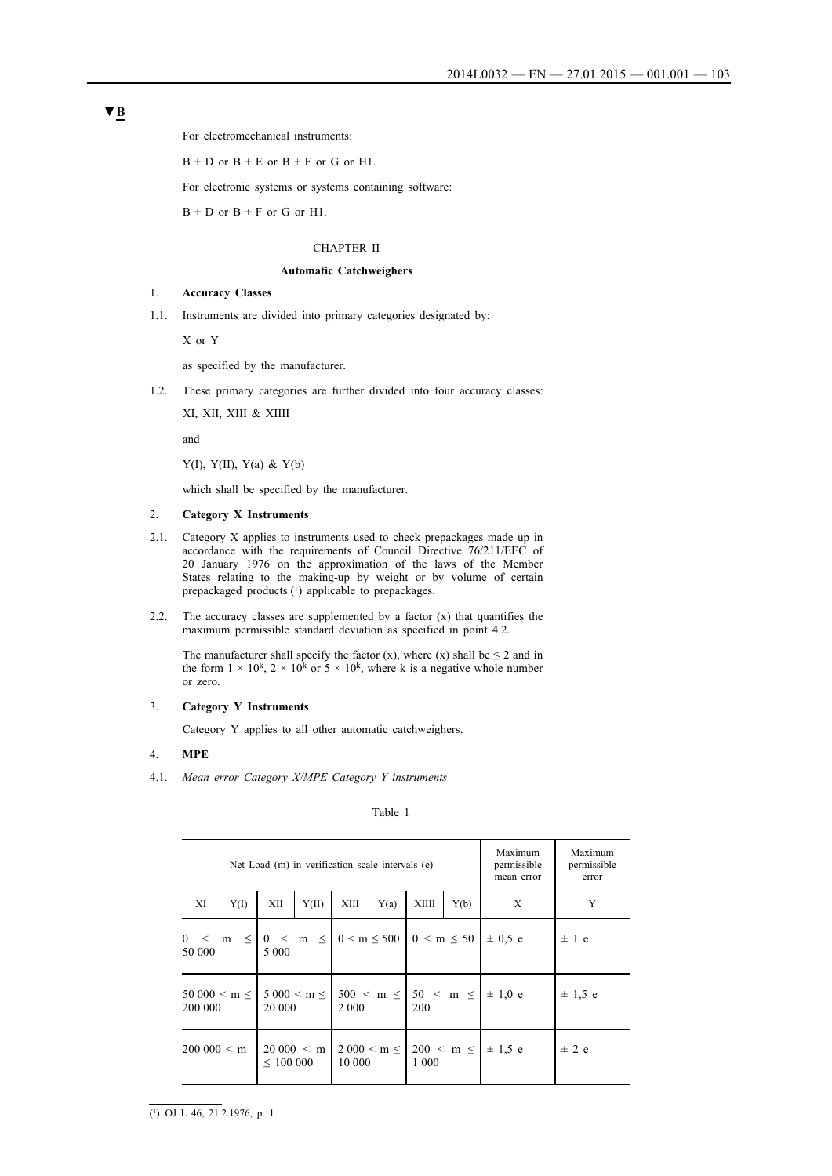For electromechanical instruments:

 $B + D$  or  $B + E$  or  $B + F$  or  $G$  or  $H1$ .

For electronic systems or systems containing software:

 $B + D$  or  $B + F$  or G or H1.

### CHAPTER II

### **Automatic Catchweighers**

## 1. **Accuracy Classes**

1.1. Instruments are divided into primary categories designated by:

X or Y

as specified by the manufacturer.

1.2. These primary categories are further divided into four accuracy classes:

XI, XII, XIII & XIIII

and

Y(I), Y(II), Y(a) & Y(b)

which shall be specified by the manufacturer.

## 2. **Category X Instruments**

- 2.1. Category X applies to instruments used to check prepackages made up in accordance with the requirements of Council Directive 76/211/EEC of 20 January 1976 on the approximation of the laws of the Member States relating to the making-up by weight or by volume of certain prepackaged products (1) applicable to prepackages.
- 2.2. The accuracy classes are supplemented by a factor  $(x)$  that quantifies the maximum permissible standard deviation as specified in point 4.2.

The manufacturer shall specify the factor  $(x)$ , where  $(x)$  shall be  $\leq 2$  and in the form  $1 \times 10^k$ ,  $2 \times 10^k$  or  $5 \times 10^k$ , where k is a negative whole number or zero.

## 3. **Category Y Instruments**

Category Y applies to all other automatic catchweighers.

## 4. **MPE**

4.1. *Mean error Category X/MPE Category Y instruments*

Table 1

| Net Load (m) in verification scale intervals (e)                     |      |               |               |         |      |         | Maximum<br>permissible<br>mean error | Maximum<br>permissible<br>error                                           |             |
|----------------------------------------------------------------------|------|---------------|---------------|---------|------|---------|--------------------------------------|---------------------------------------------------------------------------|-------------|
| XI                                                                   | Y(I) | XІI           | Y(II)         | XIII    | Y(a) | XIIII   | Y(b)                                 | X                                                                         | Y           |
| $0 < m \leq 0 < m \leq 0$ $0 < m \leq 500$ $0 < m \leq 50$<br>50 000 |      | 5 0 0 0       |               |         |      |         |                                      | $\pm$ 0.5 e                                                               | $\pm$ 1 e   |
| 200 000                                                              |      | 20 000        |               | 2 0 0 0 |      | 200     |                                      | $50\,000 < m \le   5\,000 < m \le   500 < m \le   50 < m \le   \pm 1.0$ e | $\pm$ 1.5 e |
| $200\,000 \leq m$                                                    |      | $\leq 100000$ | $20000 \le m$ | 10 000  |      | 1 0 0 0 |                                      | $2000 < m \le  200 < m \le   \pm 1.5 e$                                   | $\pm$ 2 e   |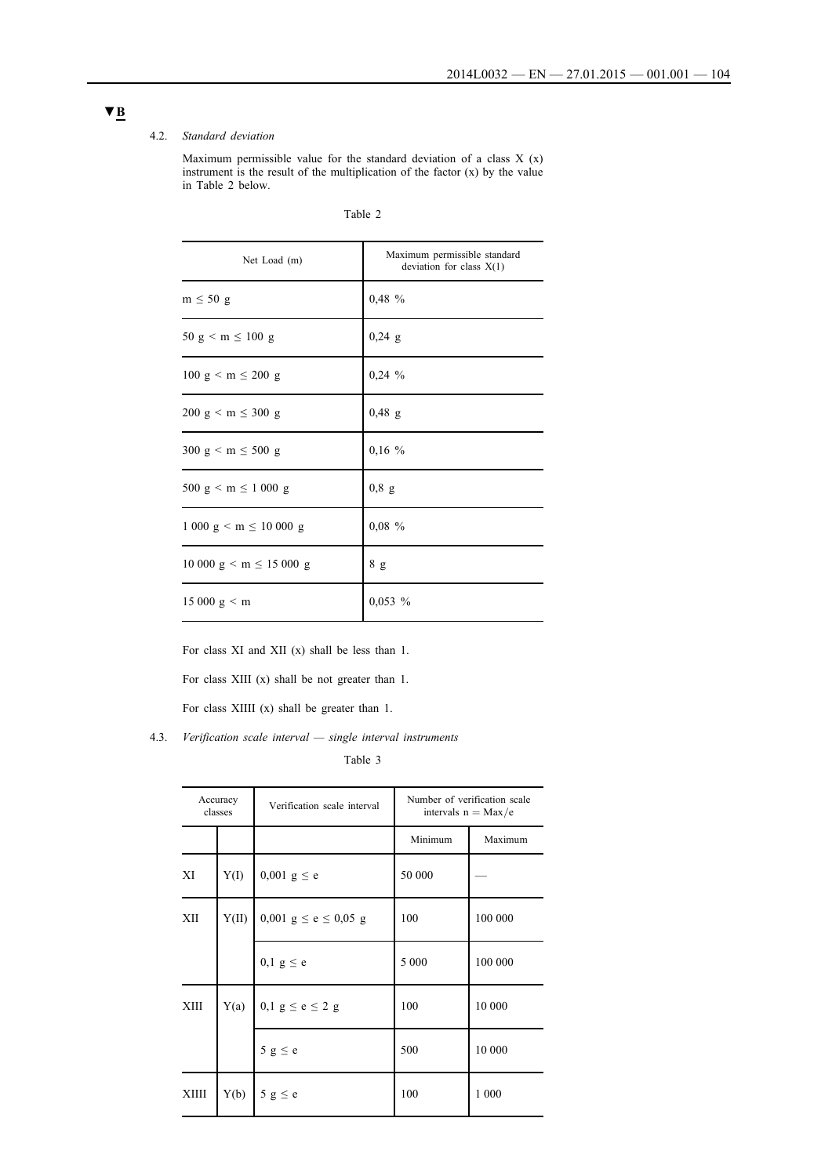### 4.2. *Standard deviation*

Maximum permissible value for the standard deviation of a class X (x) instrument is the result of the multiplication of the factor (x) by the value in Table 2 below.

| Net Load (m)                                             | Maximum permissible standard<br>deviation for class $X(1)$ |
|----------------------------------------------------------|------------------------------------------------------------|
| $m \leq 50$ g                                            | 0,48 %                                                     |
| $50 \text{ g} < \text{m} \le 100 \text{ g}$              | $0,24$ g                                                   |
| $100 \text{ g} < \text{m} \leq 200 \text{ g}$            | $0,24\%$                                                   |
| $200 \text{ g} < \text{m} \leq 300 \text{ g}$            | $0,48$ g                                                   |
| $300 \text{ g} < m \leq 500 \text{ g}$                   | $0,16\%$                                                   |
| 500 g $\leq$ m $\leq$ 1 000 g                            | $0,8$ g                                                    |
| $1000 \text{ g} < m \leq 10000 \text{ g}$                | $0.08 \%$                                                  |
| $10\ 000\ \text{g} \leq \text{m} \leq 15\ 000\ \text{g}$ | 8 g                                                        |
| $15000 \text{ g} \leq \text{m}$                          | $0,053\%$                                                  |

For class XI and XII (x) shall be less than 1.

For class XIII (x) shall be not greater than 1.

For class XIIII (x) shall be greater than 1.

4.3. *Verification scale interval — single interval instruments*

Table 3

| Accuracy<br>classes |       | Verification scale interval | Number of verification scale<br>intervals $n = Max/e$ |         |  |
|---------------------|-------|-----------------------------|-------------------------------------------------------|---------|--|
|                     |       |                             | Minimum                                               | Maximum |  |
| XI                  | Y(I)  | $0,001 \text{ g} \leq e$    | 50 000                                                |         |  |
| XІІ                 | Y(II) | 0,001 $g \le e \le 0,05$ g  | 100                                                   | 100 000 |  |
|                     |       | $0,1 \text{ g} \leq e$      | 5 0 0 0                                               | 100 000 |  |
| <b>XIII</b>         | Y(a)  | 0,1 $g \le e \le 2$ g       | 100                                                   | 10 000  |  |
|                     |       | $5 g \le e$                 | 500                                                   | 10 000  |  |
| XIIII               | Y(b)  | $5 g \le e$                 | 100                                                   | 1 000   |  |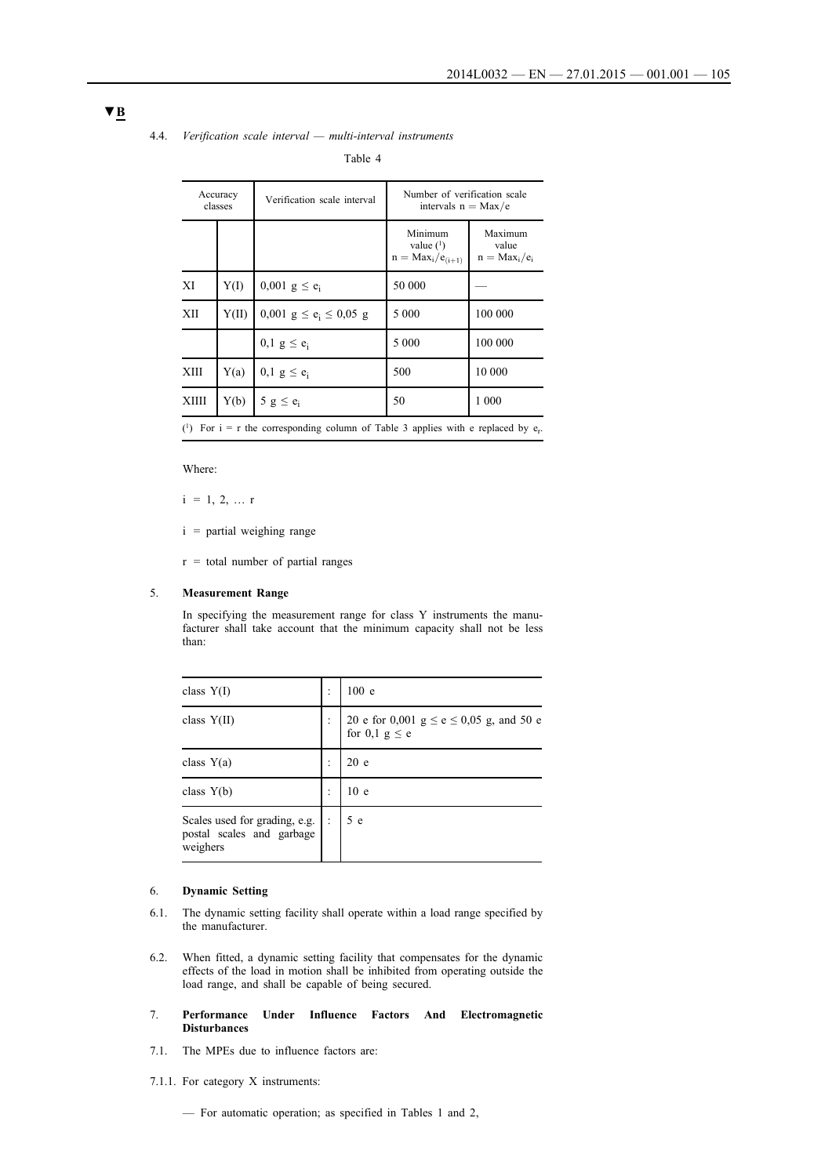## 4.4. *Verification scale interval — multi-interval instruments*

Table 4

| Accuracy<br>classes                                                                                 |       | Verification scale interval  | Number of verification scale<br>intervals $n = Max/e$ |                                     |  |
|-----------------------------------------------------------------------------------------------------|-------|------------------------------|-------------------------------------------------------|-------------------------------------|--|
|                                                                                                     |       |                              | Minimum<br>value $(1)$<br>$n = Max_i/e_{(i+1)}$       | Maximum<br>value<br>$n = Max_i/e_i$ |  |
| XI                                                                                                  | Y(I)  | 0,001 $g \le e_i$            | 50 000                                                |                                     |  |
| XП                                                                                                  | Y(II) | 0,001 $g \le e_i \le 0.05$ g | 5 0 0 0                                               | 100 000                             |  |
|                                                                                                     |       | $0,1 \text{ g} \leq e_i$     | 5 0 0 0                                               | 100 000                             |  |
| <b>XIII</b>                                                                                         | Y(a)  | $0.1$ g $\leq e_i$           | 500                                                   | 10 000                              |  |
| <b>XIIII</b>                                                                                        | Y(b)  | 5 $g \le e_i$                | 50                                                    | 1 000                               |  |
| ( <sup>1</sup> ) For $i = r$ the corresponding column of Table 3 applies with e replaced by $e_r$ . |       |                              |                                                       |                                     |  |

Where:

 $i = 1, 2, ... r$ 

- i = partial weighing range
- $r =$  total number of partial ranges

### 5. **Measurement Range**

In specifying the measurement range for class Y instruments the manufacturer shall take account that the minimum capacity shall not be less than:

| class $Y(I)$                                                              | ٠<br>$\ddot{\phantom{0}}$ | 100 e                                                                       |
|---------------------------------------------------------------------------|---------------------------|-----------------------------------------------------------------------------|
| class $Y(II)$                                                             |                           | 20 e for 0,001 $g \le e \le 0.05$ g, and 50 e<br>for $0,1 \text{ g} \leq e$ |
| class $Y(a)$                                                              |                           | 20e                                                                         |
| class $Y(b)$                                                              | ٠                         | 10 <sub>e</sub>                                                             |
| Scales used for grading, e.g.  :<br>postal scales and garbage<br>weighers |                           | 5 e                                                                         |

## 6. **Dynamic Setting**

- 6.1. The dynamic setting facility shall operate within a load range specified by the manufacturer.
- 6.2. When fitted, a dynamic setting facility that compensates for the dynamic effects of the load in motion shall be inhibited from operating outside the load range, and shall be capable of being secured.
- 7. **Performance Under Influence Factors And Electromagnetic Disturbances**
- 7.1. The MPEs due to influence factors are:
- 7.1.1. For category X instruments:
	- For automatic operation; as specified in Tables 1 and 2,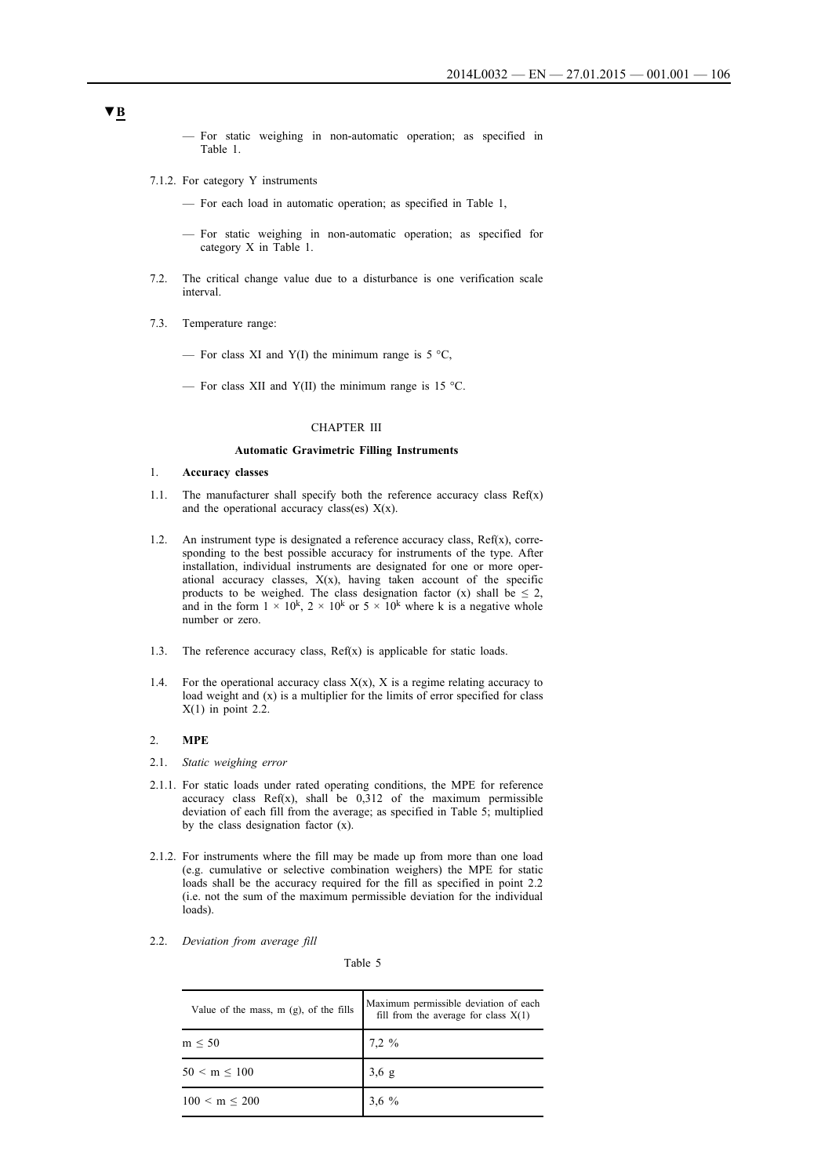- For static weighing in non-automatic operation; as specified in Table 1.
- 7.1.2. For category Y instruments
	- For each load in automatic operation; as specified in Table 1,
	- For static weighing in non-automatic operation; as specified for category X in Table 1.
- 7.2. The critical change value due to a disturbance is one verification scale interval.
- 7.3. Temperature range:
	- For class XI and Y(I) the minimum range is  $5^{\circ}$ C,
	- For class XII and Y(II) the minimum range is 15 °C.

## CHAPTER III

## **Automatic Gravimetric Filling Instruments**

- 1. **Accuracy classes**
- 1.1. The manufacturer shall specify both the reference accuracy class  $Ref(x)$ and the operational accuracy class(es)  $X(x)$ .
- 1.2. An instrument type is designated a reference accuracy class, Ref(x), corresponding to the best possible accuracy for instruments of the type. After installation, individual instruments are designated for one or more operational accuracy classes,  $X(x)$ , having taken account of the specific products to be weighed. The class designation factor (x) shall be  $\leq 2$ , and in the form  $1 \times 10^k$ ,  $2 \times 10^k$  or  $5 \times 10^k$  where k is a negative whole number or zero.
- 1.3. The reference accuracy class,  $Ref(x)$  is applicable for static loads.
- 1.4. For the operational accuracy class  $X(x)$ , X is a regime relating accuracy to load weight and (x) is a multiplier for the limits of error specified for class  $X(1)$  in point 2.2.

### 2. **MPE**

- 2.1. *Static weighing error*
- 2.1.1. For static loads under rated operating conditions, the MPE for reference accuracy class  $Ref(x)$ , shall be  $0,312$  of the maximum permissible deviation of each fill from the average; as specified in Table 5; multiplied by the class designation factor (x).
- 2.1.2. For instruments where the fill may be made up from more than one load (e.g. cumulative or selective combination weighers) the MPE for static loads shall be the accuracy required for the fill as specified in point 2.2 (i.e. not the sum of the maximum permissible deviation for the individual loads).
- 2.2. *Deviation from average fill*

Table 5

| Value of the mass, $m$ (g), of the fills | Maximum permissible deviation of each<br>fill from the average for class $X(1)$ |
|------------------------------------------|---------------------------------------------------------------------------------|
| $m \leq 50$                              | $7.2 \%$                                                                        |
| $50 < m \leq 100$                        | $3,6 \text{ g}$                                                                 |
| $100 < m \leq 200$                       |                                                                                 |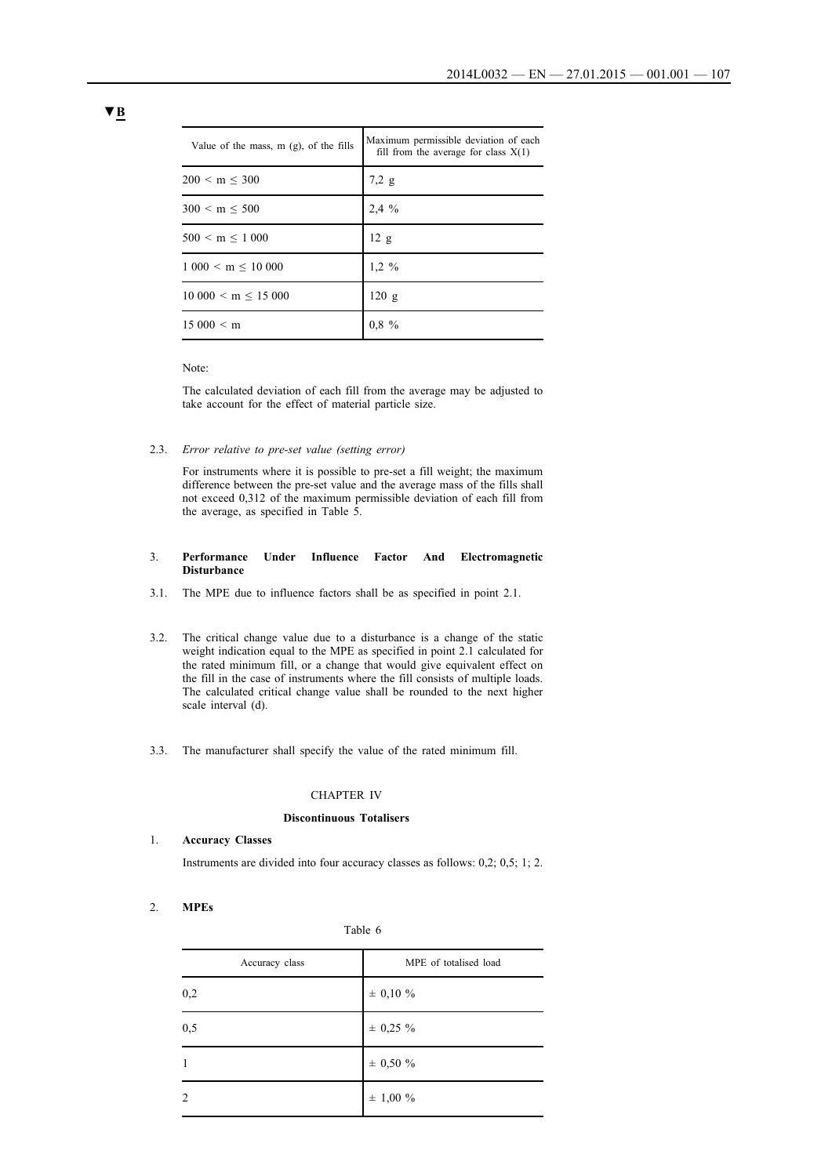| Value of the mass, $m$ (g), of the fills | Maximum permissible deviation of each<br>fill from the average for class $X(1)$ |
|------------------------------------------|---------------------------------------------------------------------------------|
| $200 < m \leq 300$                       | 7.2 g                                                                           |
| 300 < m < 500                            | $2.4\%$                                                                         |
| 500 < m < 1000                           | 12 g                                                                            |
| 1000 < m < 10000                         | $1.2 \%$                                                                        |
| $10\ 000 \le m \le 15\ 000$              | 120 g                                                                           |
| 15000 < m                                | 0,8,9                                                                           |

### Note:

The calculated deviation of each fill from the average may be adjusted to take account for the effect of material particle size.

2.3. *Error relative to pre-set value (setting error)*

For instruments where it is possible to pre-set a fill weight; the maximum difference between the pre-set value and the average mass of the fills shall not exceed 0,312 of the maximum permissible deviation of each fill from the average, as specified in Table 5.

### 3. **Performance Under Influence Factor And Electromagnetic Disturbance**

- 3.1. The MPE due to influence factors shall be as specified in point 2.1.
- 3.2. The critical change value due to a disturbance is a change of the static weight indication equal to the MPE as specified in point 2.1 calculated for the rated minimum fill, or a change that would give equivalent effect on the fill in the case of instruments where the fill consists of multiple loads. The calculated critical change value shall be rounded to the next higher scale interval (d).
- 3.3. The manufacturer shall specify the value of the rated minimum fill.

#### CHAPTER IV

#### **Discontinuous Totalisers**

1. **Accuracy Classes**

Instruments are divided into four accuracy classes as follows: 0,2; 0,5; 1; 2.

## 2. **MPEs**

|--|

| Accuracy class | MPE of totalised load |
|----------------|-----------------------|
| 0,2            | $\pm$ 0,10 %          |
| 0,5            | $± 0,25 \%$           |
| $\mathbf{1}$   | ± 0,50 %              |
| 2              | $\pm$ 1,00 $\%$       |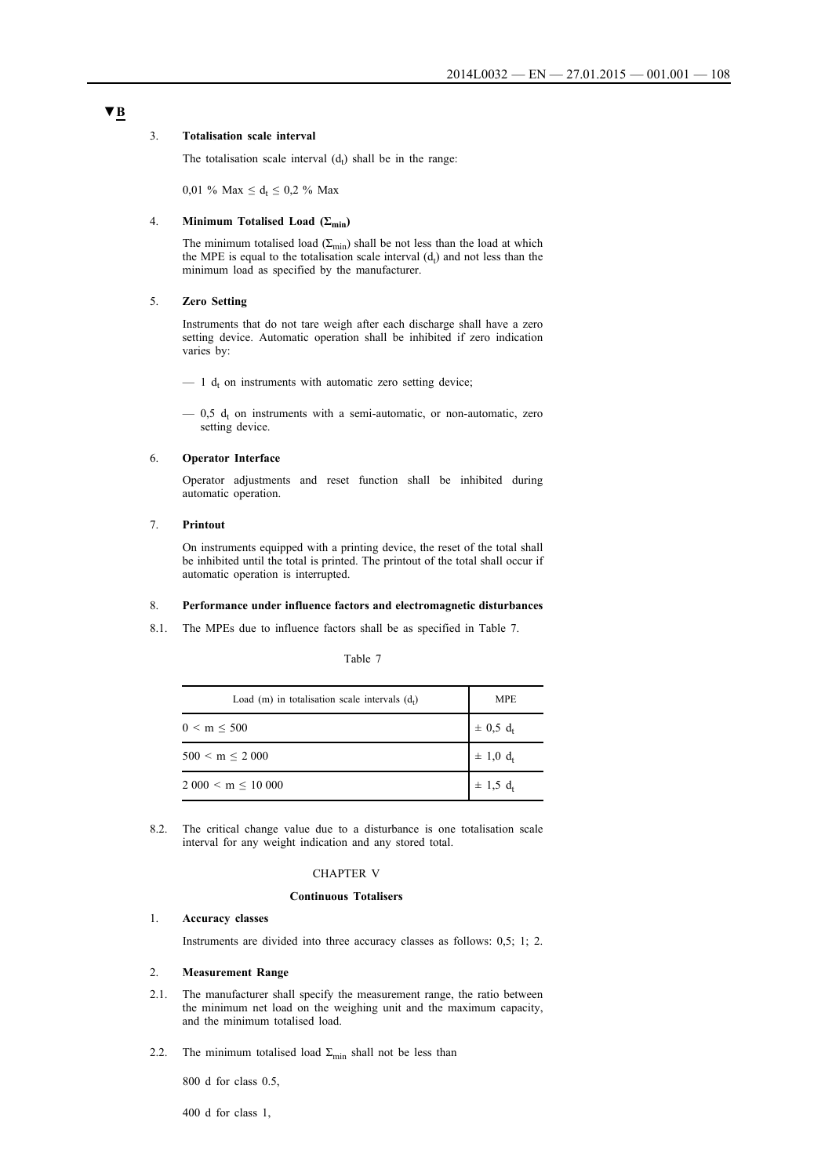### 3. **Totalisation scale interval**

The totalisation scale interval  $(d_t)$  shall be in the range:

0,01 % Max  $\leq d_t \leq 0.2$  % Max

## 4. **Minimum Totalised Load (Σmin)**

The minimum totalised load ( $\Sigma_{\rm min}$ ) shall be not less than the load at which the MPE is equal to the totalisation scale interval  $(d_t)$  and not less than the minimum load as specified by the manufacturer.

## 5. **Zero Setting**

Instruments that do not tare weigh after each discharge shall have a zero setting device. Automatic operation shall be inhibited if zero indication varies by:

 $-1$  d<sub>t</sub> on instruments with automatic zero setting device;

 $-$  0,5  $d_t$  on instruments with a semi-automatic, or non-automatic, zero setting device.

## 6. **Operator Interface**

Operator adjustments and reset function shall be inhibited during automatic operation.

## 7. **Printout**

On instruments equipped with a printing device, the reset of the total shall be inhibited until the total is printed. The printout of the total shall occur if automatic operation is interrupted.

### 8. **Performance under influence factors and electromagnetic disturbances**

8.1. The MPEs due to influence factors shall be as specified in Table 7.

## Table 7

| Load (m) in totalisation scale intervals $(d_t)$ | <b>MPE</b>               |
|--------------------------------------------------|--------------------------|
| $0 < m \leq 500$                                 | $\pm$ 0,5 d <sub>t</sub> |
| $500 < m \leq 2000$                              | $\pm$ 1,0 $d_t$          |
| $2000 < m \leq 10000$                            | $\pm$ 1,5 d <sub>t</sub> |

8.2. The critical change value due to a disturbance is one totalisation scale interval for any weight indication and any stored total.

### CHAPTER V

#### **Continuous Totalisers**

### 1. **Accuracy classes**

Instruments are divided into three accuracy classes as follows: 0,5; 1; 2.

### 2. **Measurement Range**

- 2.1. The manufacturer shall specify the measurement range, the ratio between the minimum net load on the weighing unit and the maximum capacity, and the minimum totalised load.
- 2.2. The minimum totalised load  $\Sigma_{\text{min}}$  shall not be less than

800 d for class 0.5,

400 d for class 1,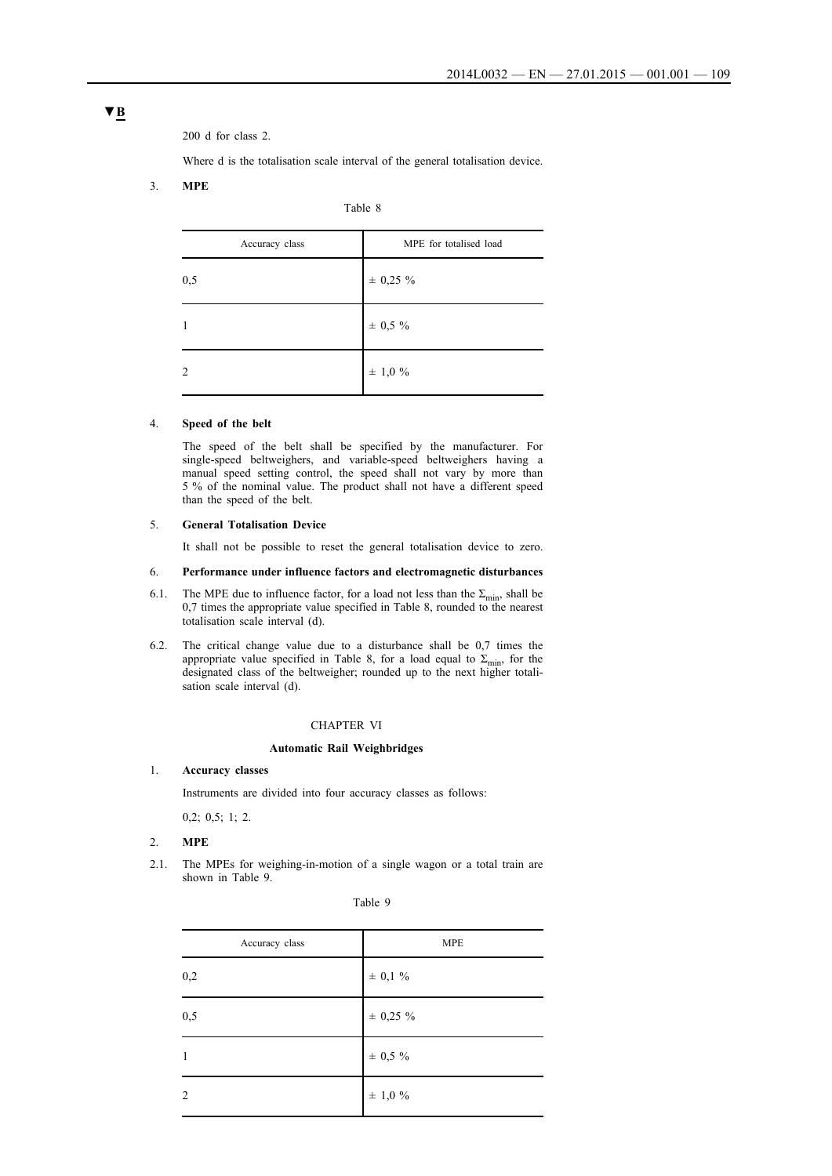200 d for class 2.

Where d is the totalisation scale interval of the general totalisation device.

### 3. **MPE**

| l'able |  |
|--------|--|
|--------|--|

| Accuracy class | MPE for totalised load |  |
|----------------|------------------------|--|
| 0,5            | $± 0,25 \%$            |  |
|                | $\pm$ 0,5 $\%$         |  |
| 2              | $\pm$ 1,0 %            |  |

## 4. **Speed of the belt**

The speed of the belt shall be specified by the manufacturer. For single-speed beltweighers, and variable-speed beltweighers having a manual speed setting control, the speed shall not vary by more than 5 % of the nominal value. The product shall not have a different speed than the speed of the belt.

### 5. **General Totalisation Device**

It shall not be possible to reset the general totalisation device to zero.

#### 6. **Performance under influence factors and electromagnetic disturbances**

- 6.1. The MPE due to influence factor, for a load not less than the  $\Sigma_{\text{min}}$ , shall be 0,7 times the appropriate value specified in Table 8, rounded to the nearest totalisation scale interval (d).
- 6.2. The critical change value due to a disturbance shall be 0,7 times the appropriate value specified in Table 8, for a load equal to  $\Sigma_{\text{min}}$ , for the designated class of the beltweigher; rounded up to the next higher totalisation scale interval (d).

### CHAPTER VI

#### **Automatic Rail Weighbridges**

## 1. **Accuracy classes**

Instruments are divided into four accuracy classes as follows:

0,2; 0,5; 1; 2.

#### 2. **MPE**

2.1. The MPEs for weighing-in-motion of a single wagon or a total train are shown in Table 9.

| Table |  |
|-------|--|
|-------|--|

| Accuracy class | <b>MPE</b>     |
|----------------|----------------|
| $_{0,2}$       | $\pm$ 0,1 $\%$ |
| $_{0,5}$       | $\pm$ 0,25 %   |
| $\mathbf{1}$   | $\pm$ 0,5 $\%$ |
| $\overline{c}$ | $\pm$ 1,0 $\%$ |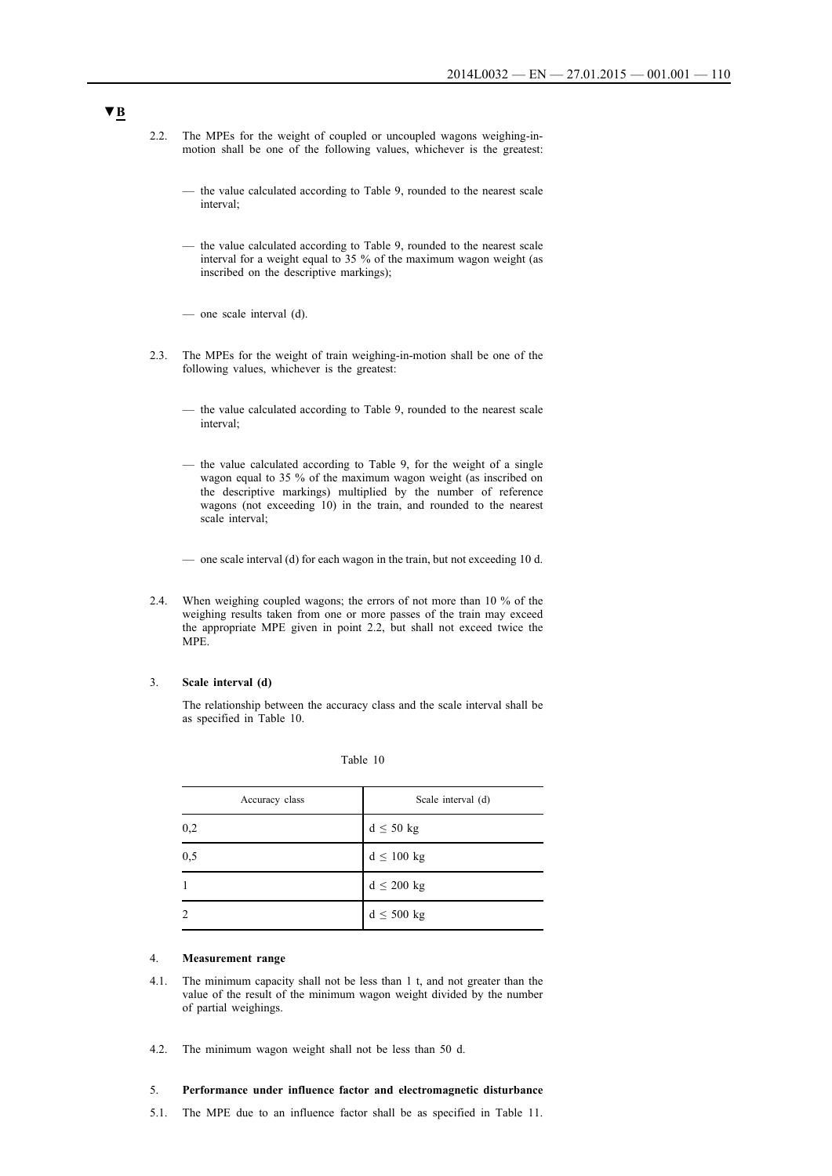- 2.2. The MPEs for the weight of coupled or uncoupled wagons weighing-inmotion shall be one of the following values, whichever is the greatest:
	- the value calculated according to Table 9, rounded to the nearest scale interval;
	- the value calculated according to Table 9, rounded to the nearest scale interval for a weight equal to 35 % of the maximum wagon weight (as inscribed on the descriptive markings);
	- one scale interval (d).
- 2.3. The MPEs for the weight of train weighing-in-motion shall be one of the following values, whichever is the greatest:
	- the value calculated according to Table 9, rounded to the nearest scale interval;
	- the value calculated according to Table 9, for the weight of a single wagon equal to 35 % of the maximum wagon weight (as inscribed on the descriptive markings) multiplied by the number of reference wagons (not exceeding 10) in the train, and rounded to the nearest scale interval;
	- one scale interval (d) for each wagon in the train, but not exceeding 10 d.
- 2.4. When weighing coupled wagons; the errors of not more than 10 % of the weighing results taken from one or more passes of the train may exceed the appropriate MPE given in point 2.2, but shall not exceed twice the MPE.

## 3. **Scale interval (d)**

The relationship between the accuracy class and the scale interval shall be as specified in Table 10.

| Table 10 |  |
|----------|--|
|----------|--|

| Accuracy class | Scale interval (d) |  |
|----------------|--------------------|--|
| 0,2            | $d \leq 50$ kg     |  |
| 0,5            | $d \leq 100$ kg    |  |
|                | $d \leq 200$ kg    |  |
|                | $d \leq 500$ kg    |  |

#### 4. **Measurement range**

- 4.1. The minimum capacity shall not be less than 1 t, and not greater than the value of the result of the minimum wagon weight divided by the number of partial weighings.
- 4.2. The minimum wagon weight shall not be less than 50 d.

## 5. **Performance under influence factor and electromagnetic disturbance**

5.1. The MPE due to an influence factor shall be as specified in Table 11.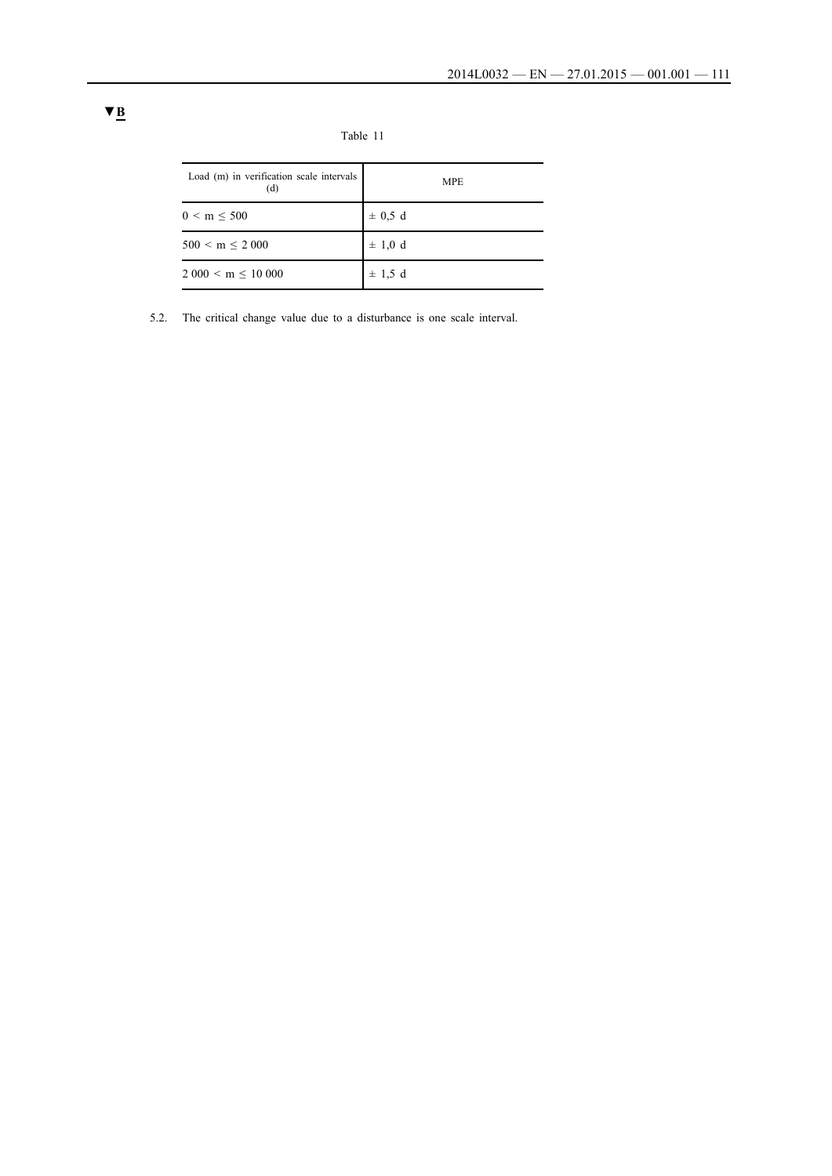| Load (m) in verification scale intervals<br>(d) | <b>MPE</b>  |
|-------------------------------------------------|-------------|
| 0 < m < 500                                     | $\pm$ 0.5 d |
| $500 < m \leq 2000$                             | $\pm$ 1,0 d |
| $2000 < m \leq 10000$                           | $\pm$ 1.5 d |

5.2. The critical change value due to a disturbance is one scale interval.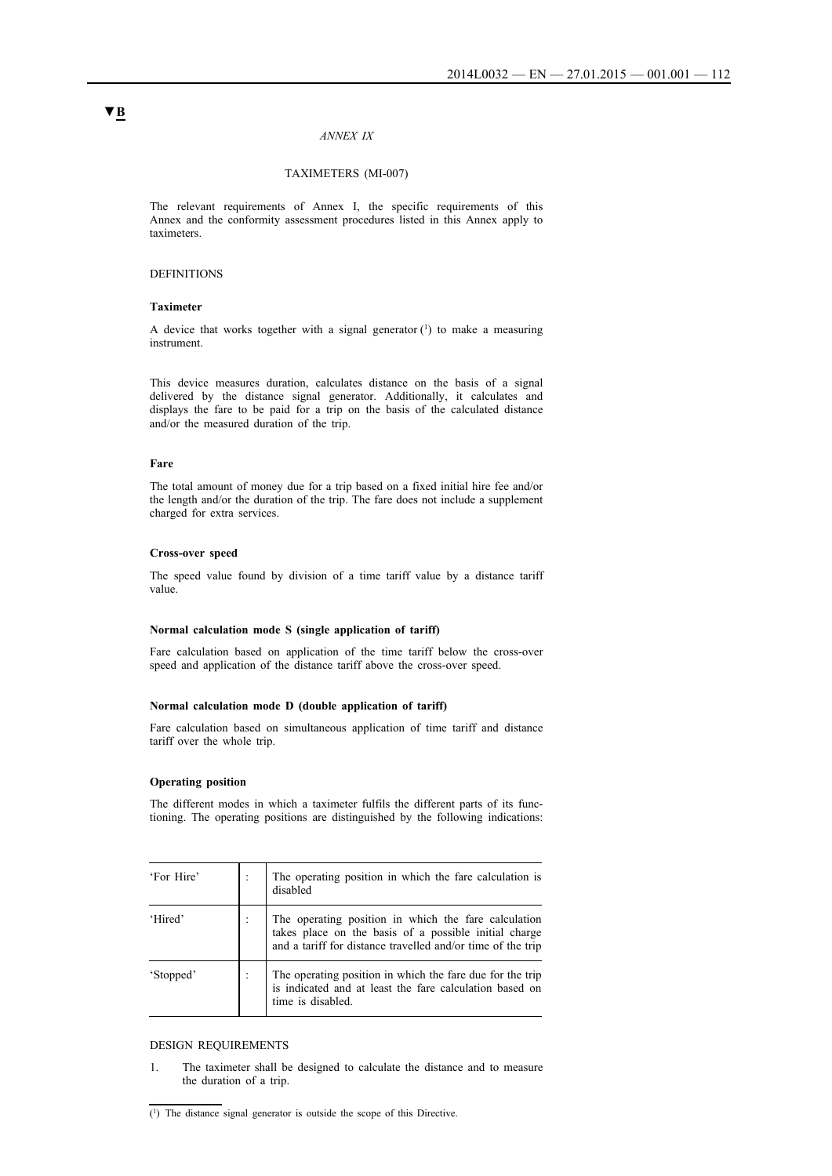#### *ANNEX IX*

### TAXIMETERS (MI-007)

The relevant requirements of Annex I, the specific requirements of this Annex and the conformity assessment procedures listed in this Annex apply to taximeters.

### DEFINITIONS

## **Taximeter**

A device that works together with a signal generator  $(1)$  to make a measuring instrument.

This device measures duration, calculates distance on the basis of a signal delivered by the distance signal generator. Additionally, it calculates and displays the fare to be paid for a trip on the basis of the calculated distance and/or the measured duration of the trip.

## **Fare**

The total amount of money due for a trip based on a fixed initial hire fee and/or the length and/or the duration of the trip. The fare does not include a supplement charged for extra services.

#### **Cross-over speed**

The speed value found by division of a time tariff value by a distance tariff value.

#### **Normal calculation mode S (single application of tariff)**

Fare calculation based on application of the time tariff below the cross-over speed and application of the distance tariff above the cross-over speed.

#### **Normal calculation mode D (double application of tariff)**

Fare calculation based on simultaneous application of time tariff and distance tariff over the whole trip.

#### **Operating position**

The different modes in which a taximeter fulfils the different parts of its functioning. The operating positions are distinguished by the following indications:

| 'For Hire' | The operating position in which the fare calculation is<br>disabled                                                                                                          |
|------------|------------------------------------------------------------------------------------------------------------------------------------------------------------------------------|
| 'Hired'    | The operating position in which the fare calculation<br>takes place on the basis of a possible initial charge<br>and a tariff for distance travelled and/or time of the trip |
| 'Stopped'  | The operating position in which the fare due for the trip<br>is indicated and at least the fare calculation based on<br>time is disabled.                                    |

#### DESIGN REQUIREMENTS

1. The taximeter shall be designed to calculate the distance and to measure the duration of a trip.

<sup>(1)</sup> The distance signal generator is outside the scope of this Directive.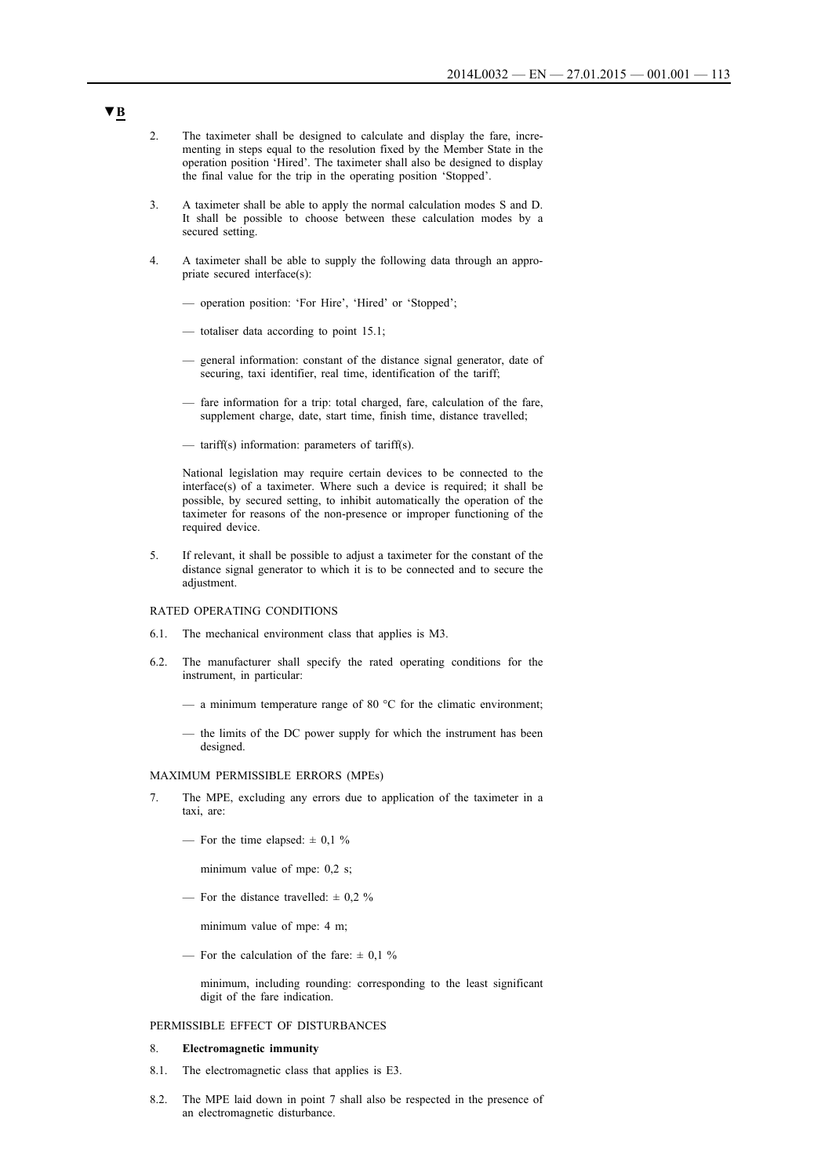- 2. The taximeter shall be designed to calculate and display the fare, incrementing in steps equal to the resolution fixed by the Member State in the operation position 'Hired'. The taximeter shall also be designed to display the final value for the trip in the operating position 'Stopped'.
- 3. A taximeter shall be able to apply the normal calculation modes S and D. It shall be possible to choose between these calculation modes by a secured setting.
- 4. A taximeter shall be able to supply the following data through an appropriate secured interface(s):
	- operation position: 'For Hire', 'Hired' or 'Stopped';
	- totaliser data according to point 15.1;
	- general information: constant of the distance signal generator, date of securing, taxi identifier, real time, identification of the tariff;
	- fare information for a trip: total charged, fare, calculation of the fare, supplement charge, date, start time, finish time, distance travelled;
	- tariff(s) information: parameters of tariff(s).

National legislation may require certain devices to be connected to the interface(s) of a taximeter. Where such a device is required; it shall be possible, by secured setting, to inhibit automatically the operation of the taximeter for reasons of the non-presence or improper functioning of the required device.

5. If relevant, it shall be possible to adjust a taximeter for the constant of the distance signal generator to which it is to be connected and to secure the adjustment.

#### RATED OPERATING CONDITIONS

- 6.1. The mechanical environment class that applies is M3.
- 6.2. The manufacturer shall specify the rated operating conditions for the instrument, in particular:
	- a minimum temperature range of 80  $^{\circ}$ C for the climatic environment;
	- the limits of the DC power supply for which the instrument has been designed.

#### MAXIMUM PERMISSIBLE ERRORS (MPEs)

- 7. The MPE, excluding any errors due to application of the taximeter in a taxi, are:
	- For the time elapsed:  $\pm$  0,1 %

minimum value of mpe: 0,2 s;

— For the distance travelled:  $\pm$  0,2 %

minimum value of mpe: 4 m;

— For the calculation of the fare:  $\pm$  0,1 %

minimum, including rounding: corresponding to the least significant digit of the fare indication.

#### PERMISSIBLE EFFECT OF DISTURBANCES

#### 8. **Electromagnetic immunity**

- 8.1. The electromagnetic class that applies is E3.
- 8.2. The MPE laid down in point 7 shall also be respected in the presence of an electromagnetic disturbance.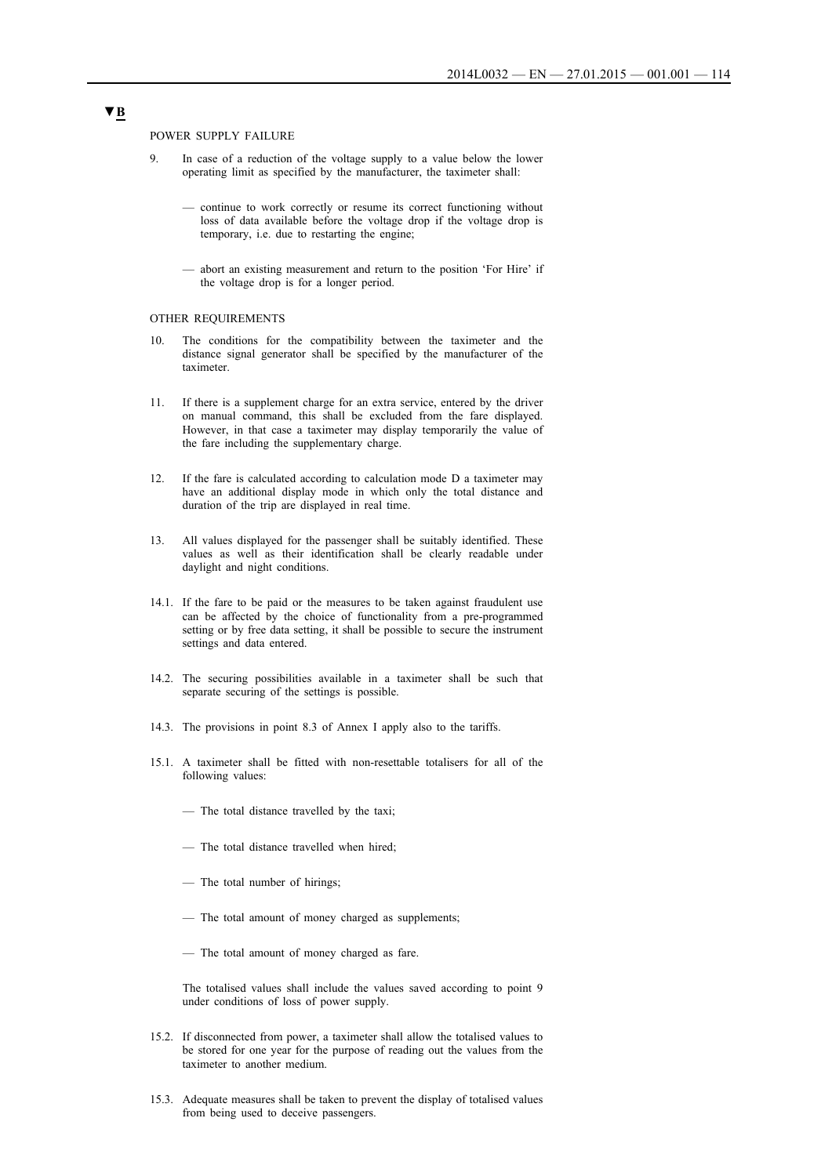POWER SUPPLY FAILURE

- 9. In case of a reduction of the voltage supply to a value below the lower operating limit as specified by the manufacturer, the taximeter shall:
	- continue to work correctly or resume its correct functioning without loss of data available before the voltage drop if the voltage drop is temporary, i.e. due to restarting the engine;
	- abort an existing measurement and return to the position 'For Hire' if the voltage drop is for a longer period.

#### OTHER REQUIREMENTS

- 10. The conditions for the compatibility between the taximeter and the distance signal generator shall be specified by the manufacturer of the taximeter.
- 11. If there is a supplement charge for an extra service, entered by the driver on manual command, this shall be excluded from the fare displayed. However, in that case a taximeter may display temporarily the value of the fare including the supplementary charge.
- 12. If the fare is calculated according to calculation mode D a taximeter may have an additional display mode in which only the total distance and duration of the trip are displayed in real time.
- 13. All values displayed for the passenger shall be suitably identified. These values as well as their identification shall be clearly readable under daylight and night conditions.
- 14.1. If the fare to be paid or the measures to be taken against fraudulent use can be affected by the choice of functionality from a pre-programmed setting or by free data setting, it shall be possible to secure the instrument settings and data entered.
- 14.2. The securing possibilities available in a taximeter shall be such that separate securing of the settings is possible.
- 14.3. The provisions in point 8.3 of Annex I apply also to the tariffs.
- 15.1. A taximeter shall be fitted with non-resettable totalisers for all of the following values:
	- The total distance travelled by the taxi;
	- The total distance travelled when hired;
	- The total number of hirings;
	- The total amount of money charged as supplements;
	- The total amount of money charged as fare.

The totalised values shall include the values saved according to point 9 under conditions of loss of power supply.

- 15.2. If disconnected from power, a taximeter shall allow the totalised values to be stored for one year for the purpose of reading out the values from the taximeter to another medium.
- 15.3. Adequate measures shall be taken to prevent the display of totalised values from being used to deceive passengers.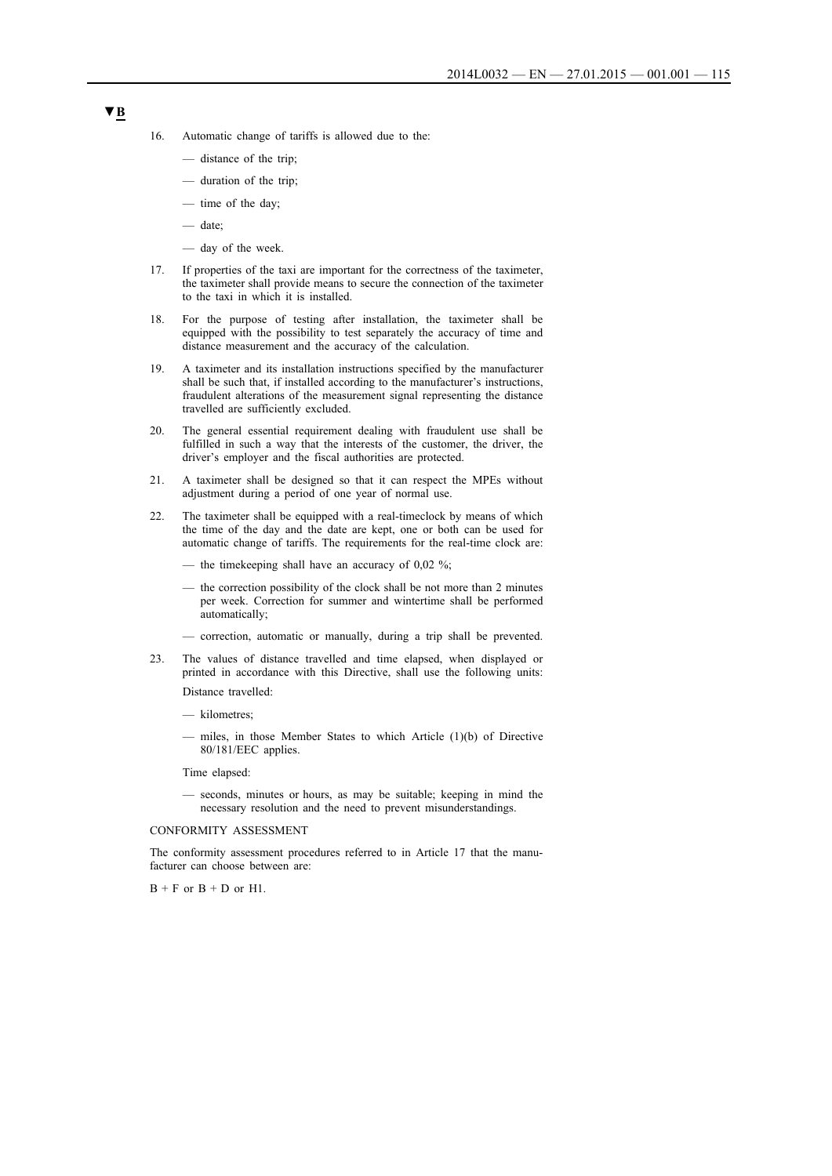- 16. Automatic change of tariffs is allowed due to the:
	- distance of the trip;
	- duration of the trip;
	- time of the day;
	- date;
	- day of the week.
- 17. If properties of the taxi are important for the correctness of the taximeter, the taximeter shall provide means to secure the connection of the taximeter to the taxi in which it is installed.
- 18. For the purpose of testing after installation, the taximeter shall be equipped with the possibility to test separately the accuracy of time and distance measurement and the accuracy of the calculation.
- 19. A taximeter and its installation instructions specified by the manufacturer shall be such that, if installed according to the manufacturer's instructions, fraudulent alterations of the measurement signal representing the distance travelled are sufficiently excluded.
- 20. The general essential requirement dealing with fraudulent use shall be fulfilled in such a way that the interests of the customer, the driver, the driver's employer and the fiscal authorities are protected.
- 21. A taximeter shall be designed so that it can respect the MPEs without adjustment during a period of one year of normal use.
- 22. The taximeter shall be equipped with a real-timeclock by means of which the time of the day and the date are kept, one or both can be used for automatic change of tariffs. The requirements for the real-time clock are:
	- the timekeeping shall have an accuracy of 0.02 %;
	- the correction possibility of the clock shall be not more than 2 minutes per week. Correction for summer and wintertime shall be performed automatically;
	- correction, automatic or manually, during a trip shall be prevented.
- 23. The values of distance travelled and time elapsed, when displayed or printed in accordance with this Directive, shall use the following units:

Distance travelled:

- kilometres;
- miles, in those Member States to which Article (1)(b) of Directive 80/181/EEC applies.

Time elapsed:

— seconds, minutes or hours, as may be suitable; keeping in mind the necessary resolution and the need to prevent misunderstandings.

CONFORMITY ASSESSMENT

The conformity assessment procedures referred to in Article 17 that the manufacturer can choose between are:

 $B + F$  or  $B + D$  or  $H1$ .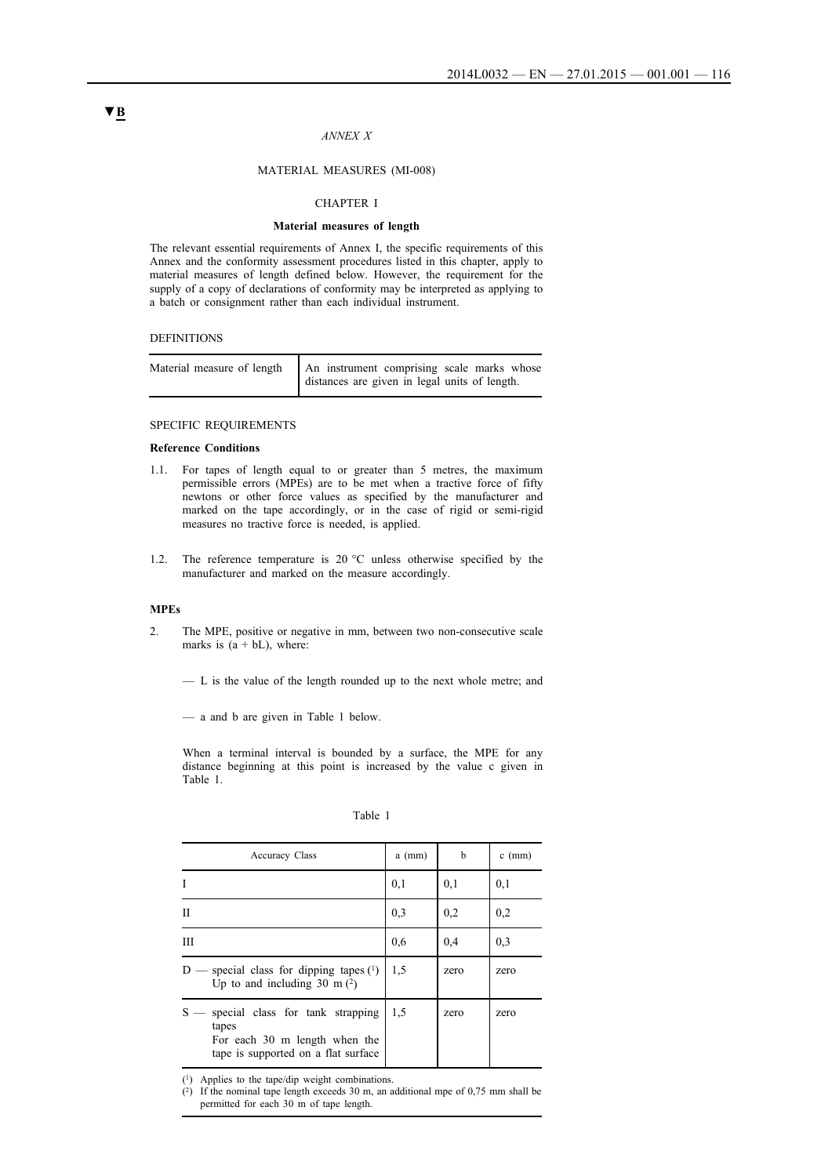### *ANNEX X*

#### MATERIAL MEASURES (MI-008)

#### CHAPTER I

#### **Material measures of length**

The relevant essential requirements of Annex I, the specific requirements of this Annex and the conformity assessment procedures listed in this chapter, apply to material measures of length defined below. However, the requirement for the supply of a copy of declarations of conformity may be interpreted as applying to a batch or consignment rather than each individual instrument.

#### DEFINITIONS

| Material measure of length   An instrument comprising scale marks whose |
|-------------------------------------------------------------------------|
| distances are given in legal units of length.                           |

## SPECIFIC REQUIREMENTS

### **Reference Conditions**

- 1.1. For tapes of length equal to or greater than 5 metres, the maximum permissible errors (MPEs) are to be met when a tractive force of fifty newtons or other force values as specified by the manufacturer and marked on the tape accordingly, or in the case of rigid or semi-rigid measures no tractive force is needed, is applied.
- 1.2. The reference temperature is 20 °C unless otherwise specified by the manufacturer and marked on the measure accordingly.

### **MPEs**

2. The MPE, positive or negative in mm, between two non-consecutive scale marks is  $(a + bL)$ , where:

— L is the value of the length rounded up to the next whole metre; and

— a and b are given in Table 1 below.

When a terminal interval is bounded by a surface, the MPE for any distance beginning at this point is increased by the value c given in Table 1.

| I<br>٧ | ×<br>I |  |
|--------|--------|--|

| <b>Accuracy Class</b>                                                                                             | $a$ (mm) | b    | $c$ (mm) |
|-------------------------------------------------------------------------------------------------------------------|----------|------|----------|
| I                                                                                                                 | 0,1      | 0,1  | 0,1      |
| П                                                                                                                 | 0.3      | 0,2  | 0,2      |
| Ш                                                                                                                 | 0.6      | 0,4  | 0.3      |
| — special class for dipping tapes $(1)$<br>D<br>Up to and including 30 m $(2)$                                    | 1.5      | zero | zero     |
| special class for tank strapping<br>tapes<br>For each 30 m length when the<br>tape is supported on a flat surface | 1.5      | zero | zero     |

(1) Applies to the tape/dip weight combinations.

(2) If the nominal tape length exceeds 30 m, an additional mpe of 0,75 mm shall be permitted for each 30 m of tape length.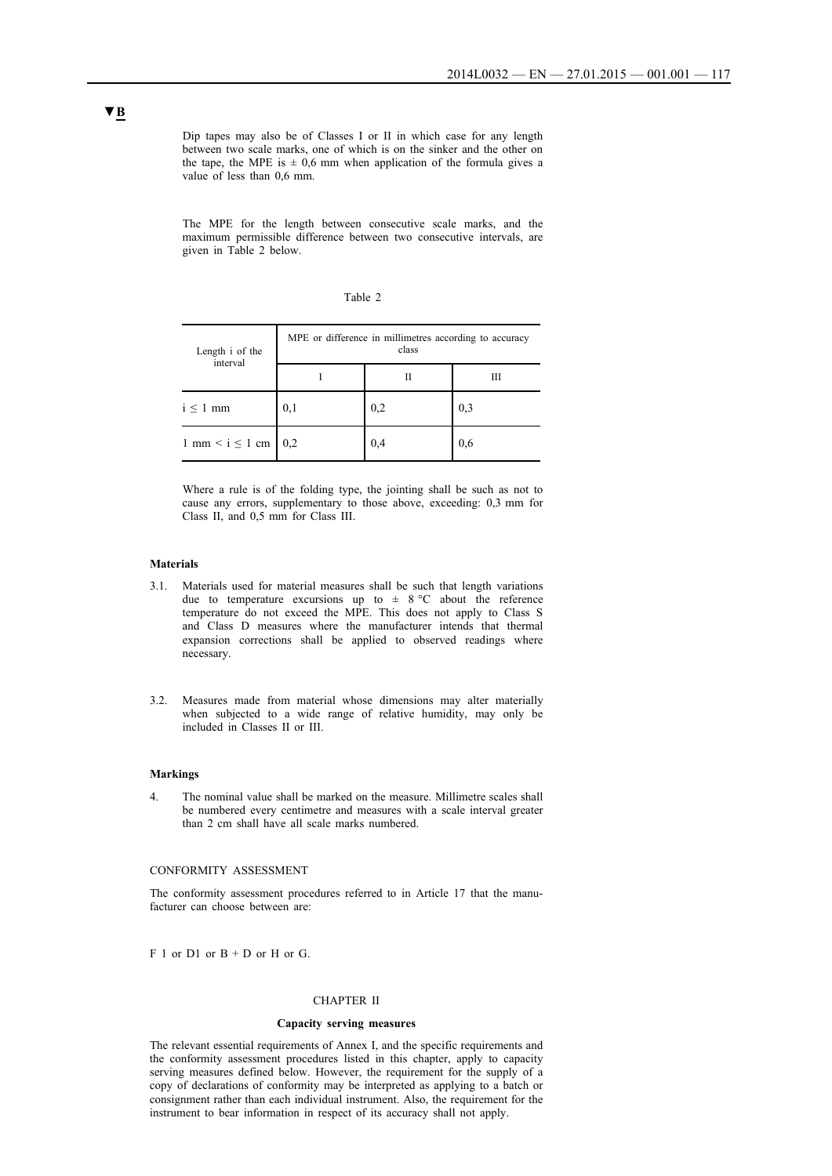Dip tapes may also be of Classes I or II in which case for any length between two scale marks, one of which is on the sinker and the other on the tape, the MPE is  $\pm$  0,6 mm when application of the formula gives a value of less than 0,6 mm.

The MPE for the length between consecutive scale marks, and the maximum permissible difference between two consecutive intervals, are given in Table 2 below.

| anie |  |
|------|--|
|      |  |

| Length i of the           | MPE or difference in millimetres according to accuracy<br>class |     |     |
|---------------------------|-----------------------------------------------------------------|-----|-----|
| interval                  |                                                                 | Н   | Ш   |
| $i \leq 1$ mm             | 0,1                                                             | 0,2 | 0.3 |
| $1$ mm $\leq i \leq 1$ cm | 0.2                                                             | 0,4 | 0.6 |

Where a rule is of the folding type, the jointing shall be such as not to cause any errors, supplementary to those above, exceeding: 0,3 mm for Class II, and 0,5 mm for Class III.

#### **Materials**

- 3.1. Materials used for material measures shall be such that length variations due to temperature excursions up to  $\pm$  8 °C about the reference temperature do not exceed the MPE. This does not apply to Class S and Class D measures where the manufacturer intends that thermal expansion corrections shall be applied to observed readings where necessary.
- 3.2. Measures made from material whose dimensions may alter materially when subjected to a wide range of relative humidity, may only be included in Classes II or III.

#### **Markings**

4. The nominal value shall be marked on the measure. Millimetre scales shall be numbered every centimetre and measures with a scale interval greater than 2 cm shall have all scale marks numbered.

#### CONFORMITY ASSESSMENT

The conformity assessment procedures referred to in Article 17 that the manufacturer can choose between are:

 $F$  1 or D1 or  $B$  + D or H or G.

#### CHAPTER II

#### **Capacity serving measures**

The relevant essential requirements of Annex I, and the specific requirements and the conformity assessment procedures listed in this chapter, apply to capacity serving measures defined below. However, the requirement for the supply of a copy of declarations of conformity may be interpreted as applying to a batch or consignment rather than each individual instrument. Also, the requirement for the instrument to bear information in respect of its accuracy shall not apply.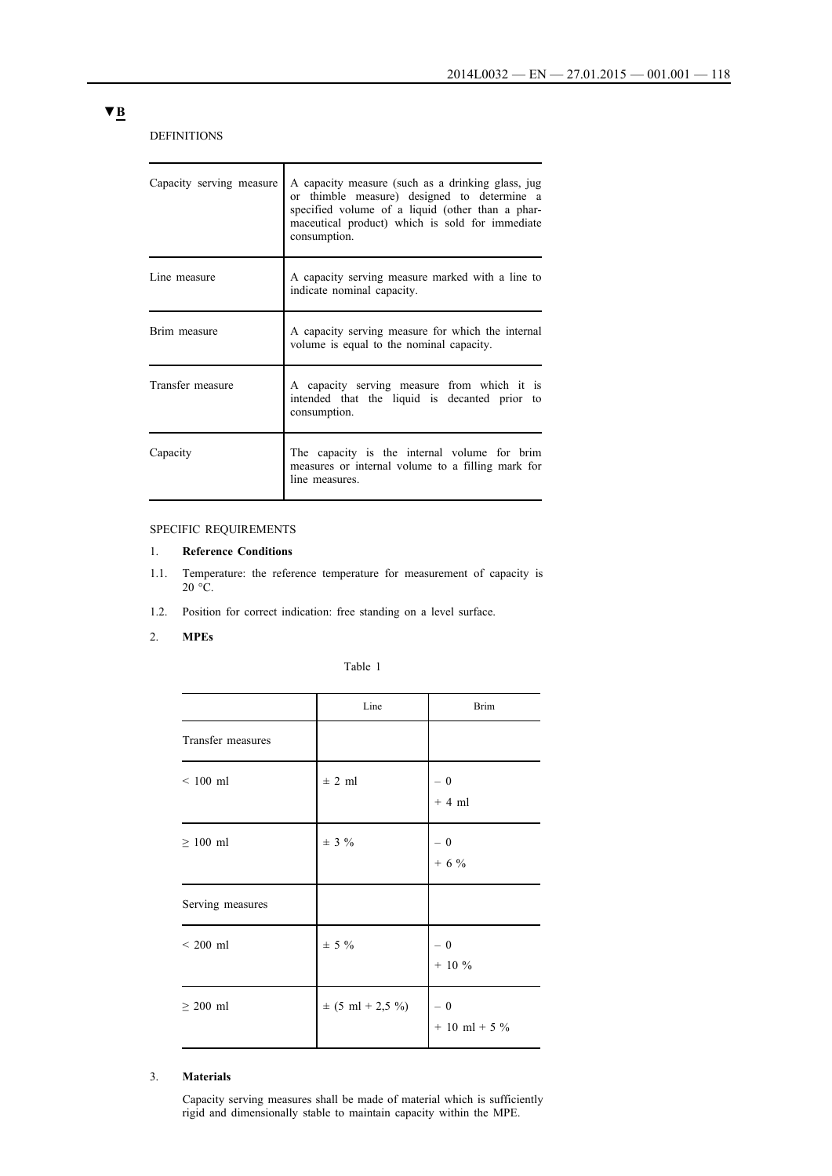DEFINITIONS

| Capacity serving measure | A capacity measure (such as a drinking glass, jug<br>or thimble measure) designed to determine a<br>specified volume of a liquid (other than a phar-<br>maceutical product) which is sold for immediate<br>consumption. |
|--------------------------|-------------------------------------------------------------------------------------------------------------------------------------------------------------------------------------------------------------------------|
| Line measure             | A capacity serving measure marked with a line to<br>indicate nominal capacity.                                                                                                                                          |
| Brim measure             | A capacity serving measure for which the internal<br>volume is equal to the nominal capacity.                                                                                                                           |
| Transfer measure         | A capacity serving measure from which it is<br>intended that the liquid is decanted prior to<br>consumption.                                                                                                            |
| Capacity                 | The capacity is the internal volume for brim<br>measures or internal volume to a filling mark for<br>line measures.                                                                                                     |

## SPECIFIC REQUIREMENTS

## 1. **Reference Conditions**

- 1.1. Temperature: the reference temperature for measurement of capacity is  $20 \text{ °C}$ .
- 1.2. Position for correct indication: free standing on a level surface.
- 2. **MPEs**

|  | Table |  |  |
|--|-------|--|--|
|--|-------|--|--|

|                   | Line                 | <b>Brim</b>               |
|-------------------|----------------------|---------------------------|
| Transfer measures |                      |                           |
| $< 100$ ml        | $\pm$ 2 ml           | $-0$<br>$+4$ ml           |
| $\geq 100$ ml     | $\pm$ 3 %            | $-0$<br>$+ 6 %$           |
| Serving measures  |                      |                           |
| $< 200$ ml        | $\pm$ 5 %            | $-0$<br>$+ 10 \%$         |
| $\geq 200$ ml     | $\pm$ (5 ml + 2,5 %) | $-0$<br>$+ 10$ ml $+ 5$ % |

## 3. **Materials**

Capacity serving measures shall be made of material which is sufficiently rigid and dimensionally stable to maintain capacity within the MPE.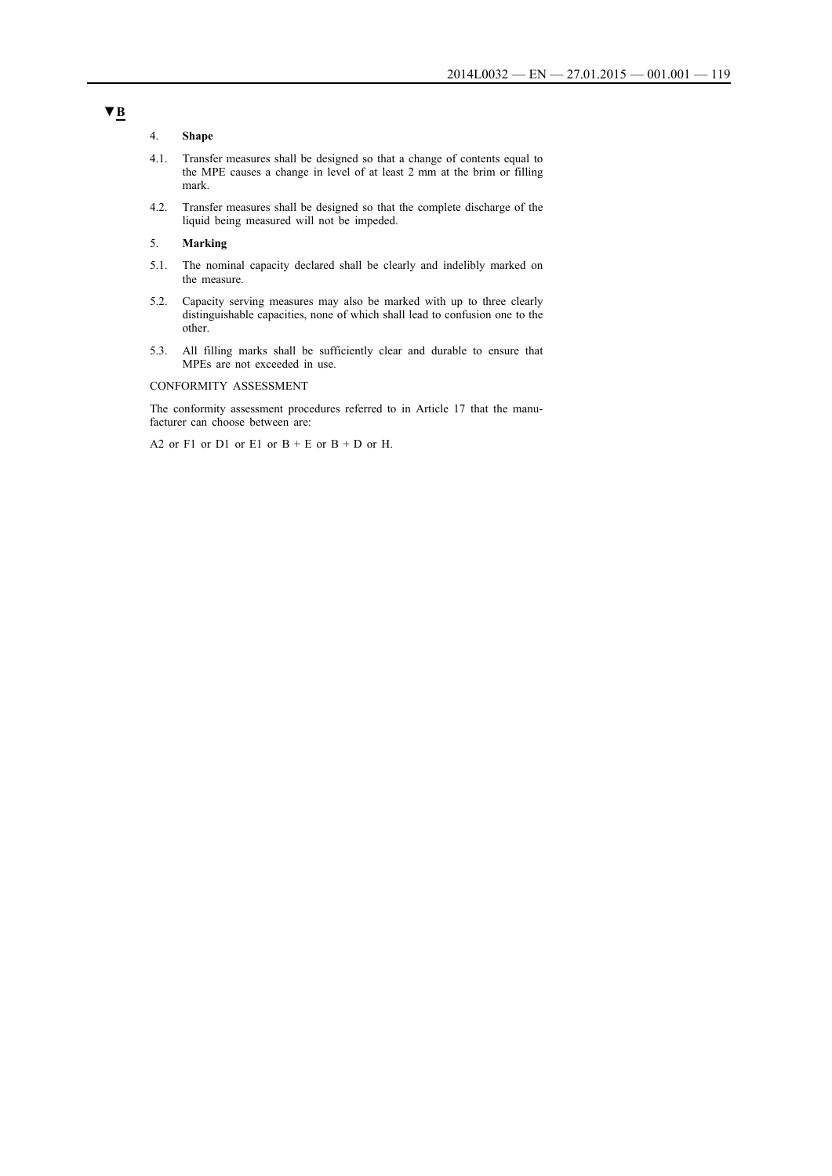#### 4. **Shape**

- 4.1. Transfer measures shall be designed so that a change of contents equal to the MPE causes a change in level of at least 2 mm at the brim or filling mark.
- 4.2. Transfer measures shall be designed so that the complete discharge of the liquid being measured will not be impeded.

## 5. **Marking**

- 5.1. The nominal capacity declared shall be clearly and indelibly marked on the measure.
- 5.2. Capacity serving measures may also be marked with up to three clearly distinguishable capacities, none of which shall lead to confusion one to the other.
- 5.3. All filling marks shall be sufficiently clear and durable to ensure that MPEs are not exceeded in use.

#### CONFORMITY ASSESSMENT

The conformity assessment procedures referred to in Article 17 that the manufacturer can choose between are:

A2 or F1 or D1 or E1 or  $B + E$  or  $B + D$  or H.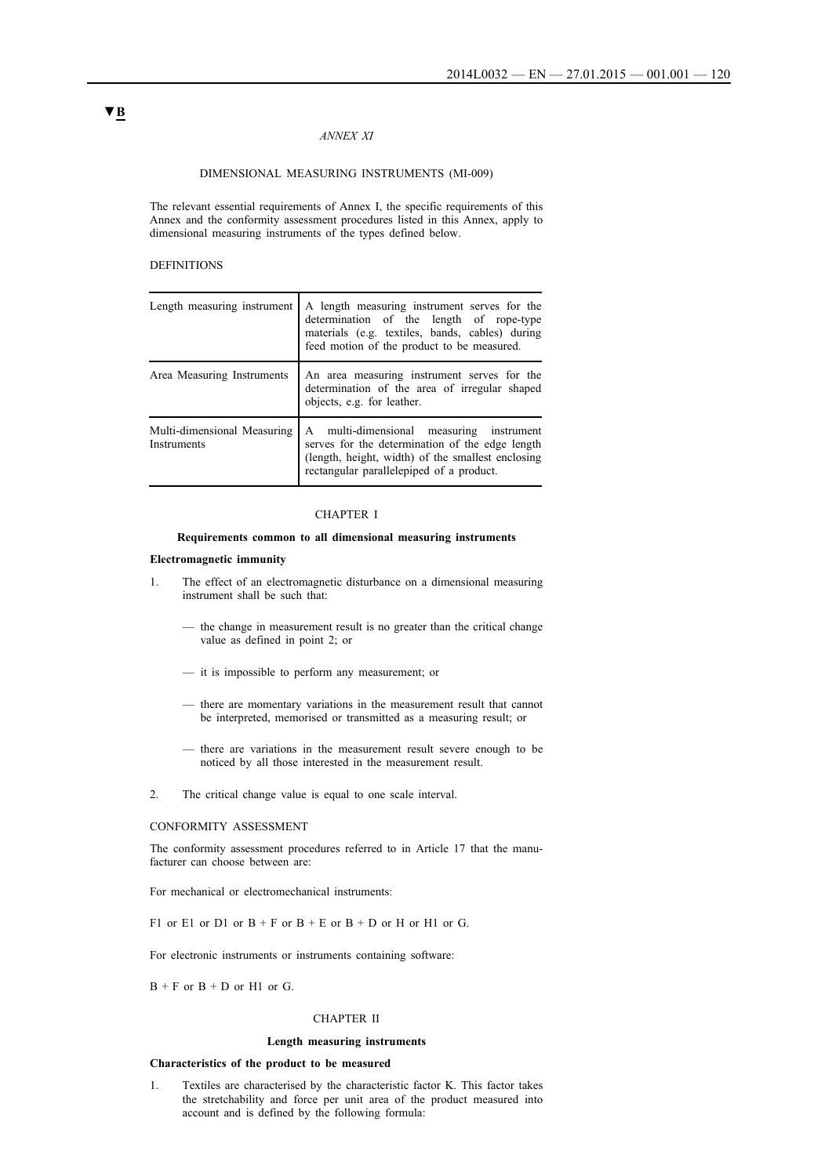### *ANNEX XI*

### DIMENSIONAL MEASURING INSTRUMENTS (MI-009)

The relevant essential requirements of Annex I, the specific requirements of this Annex and the conformity assessment procedures listed in this Annex, apply to dimensional measuring instruments of the types defined below.

#### DEFINITIONS

| Length measuring instrument                | A length measuring instrument serves for the<br>determination of the length of rope-type<br>materials (e.g. textiles, bands, cables) during<br>feed motion of the product to be measured.    |
|--------------------------------------------|----------------------------------------------------------------------------------------------------------------------------------------------------------------------------------------------|
| Area Measuring Instruments                 | An area measuring instrument serves for the<br>determination of the area of irregular shaped<br>objects, e.g. for leather.                                                                   |
| Multi-dimensional Measuring<br>Instruments | A multi-dimensional measuring instrument<br>serves for the determination of the edge length<br>(length, height, width) of the smallest enclosing<br>rectangular parallelepiped of a product. |

## CHAPTER I

#### **Requirements common to all dimensional measuring instruments**

#### **Electromagnetic immunity**

- 1. The effect of an electromagnetic disturbance on a dimensional measuring instrument shall be such that:
	- the change in measurement result is no greater than the critical change value as defined in point 2; or
	- it is impossible to perform any measurement; or
	- there are momentary variations in the measurement result that cannot be interpreted, memorised or transmitted as a measuring result; or
	- there are variations in the measurement result severe enough to be noticed by all those interested in the measurement result.
- 2. The critical change value is equal to one scale interval.

#### CONFORMITY ASSESSMENT

The conformity assessment procedures referred to in Article 17 that the manufacturer can choose between are:

For mechanical or electromechanical instruments:

F1 or E1 or D1 or  $B + F$  or  $B + E$  or  $B + D$  or H or H1 or G.

For electronic instruments or instruments containing software:

 $B + F$  or  $B + D$  or  $H1$  or  $G$ .

#### CHAPTER II

#### **Length measuring instruments**

#### **Characteristics of the product to be measured**

1. Textiles are characterised by the characteristic factor K. This factor takes the stretchability and force per unit area of the product measured into account and is defined by the following formula: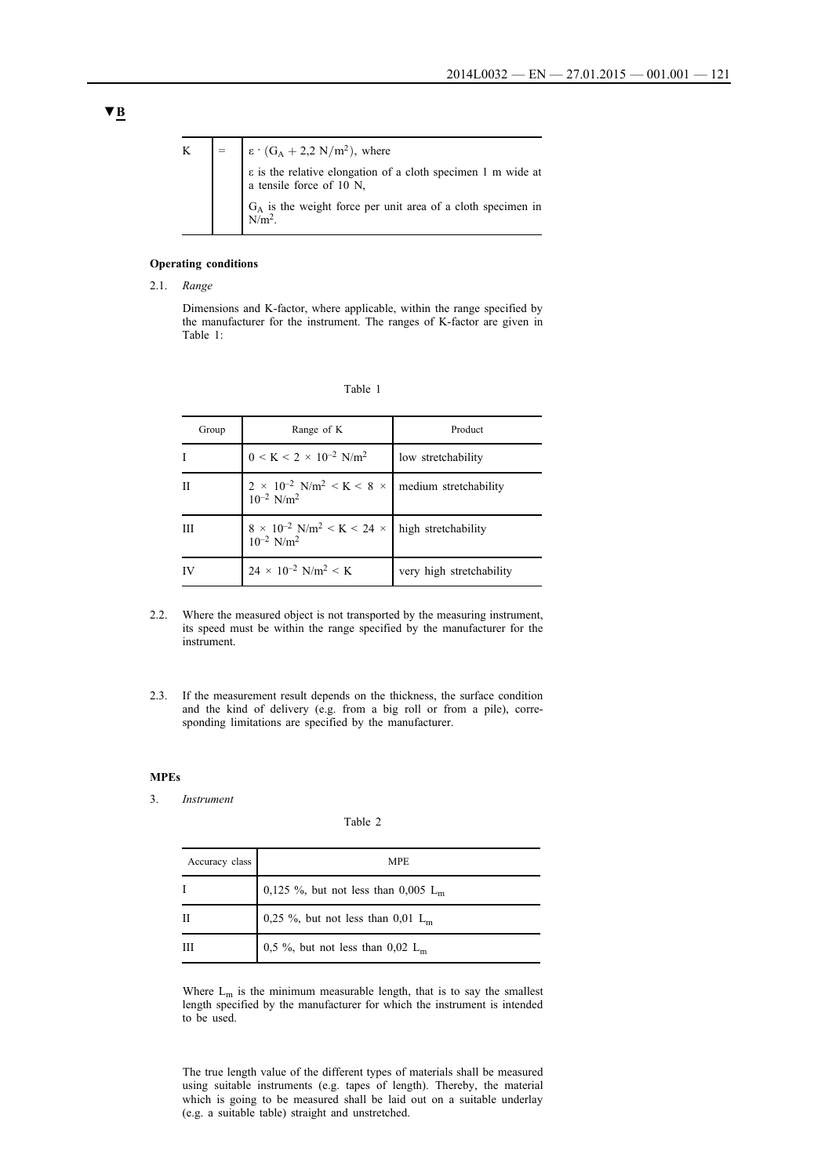

## **Operating conditions**

2.1. *Range*

Dimensions and K-factor, where applicable, within the range specified by the manufacturer for the instrument. The ranges of K-factor are given in Table 1:

| Group | Range of K                                                                                       | Product                  |
|-------|--------------------------------------------------------------------------------------------------|--------------------------|
| I     | $0 \leq K \leq 2 \times 10^{-2} \text{ N/m}^2$                                                   | low stretchability       |
| Н     | $2 \times 10^{-2}$ N/m <sup>2</sup> < K < 8 ×   medium stretchability $10^{-2}$ N/m <sup>2</sup> |                          |
| Ш     | $8 \times 10^{-2}$ N/m <sup>2</sup> < K < 24 × high stretchability<br>$10^{-2}$ N/m <sup>2</sup> |                          |
| IV    | $24 \times 10^{-2}$ N/m <sup>2</sup> < K                                                         | very high stretchability |

- 2.2. Where the measured object is not transported by the measuring instrument, its speed must be within the range specified by the manufacturer for the instrument.
- 2.3. If the measurement result depends on the thickness, the surface condition and the kind of delivery (e.g. from a big roll or from a pile), corresponding limitations are specified by the manufacturer.

## **MPEs**

#### 3. *Instrument*

### Table 2

| Accuracy class | <b>MPE</b>                                      |
|----------------|-------------------------------------------------|
|                | 0,125 %, but not less than 0,005 L <sub>m</sub> |
| Н              | 0,25 %, but not less than 0,01 $L_m$            |
| Ш              | 0,5 %, but not less than 0,02 $L_m$             |

Where  $L_m$  is the minimum measurable length, that is to say the smallest length specified by the manufacturer for which the instrument is intended to be used.

The true length value of the different types of materials shall be measured using suitable instruments (e.g. tapes of length). Thereby, the material which is going to be measured shall be laid out on a suitable underlay (e.g. a suitable table) straight and unstretched.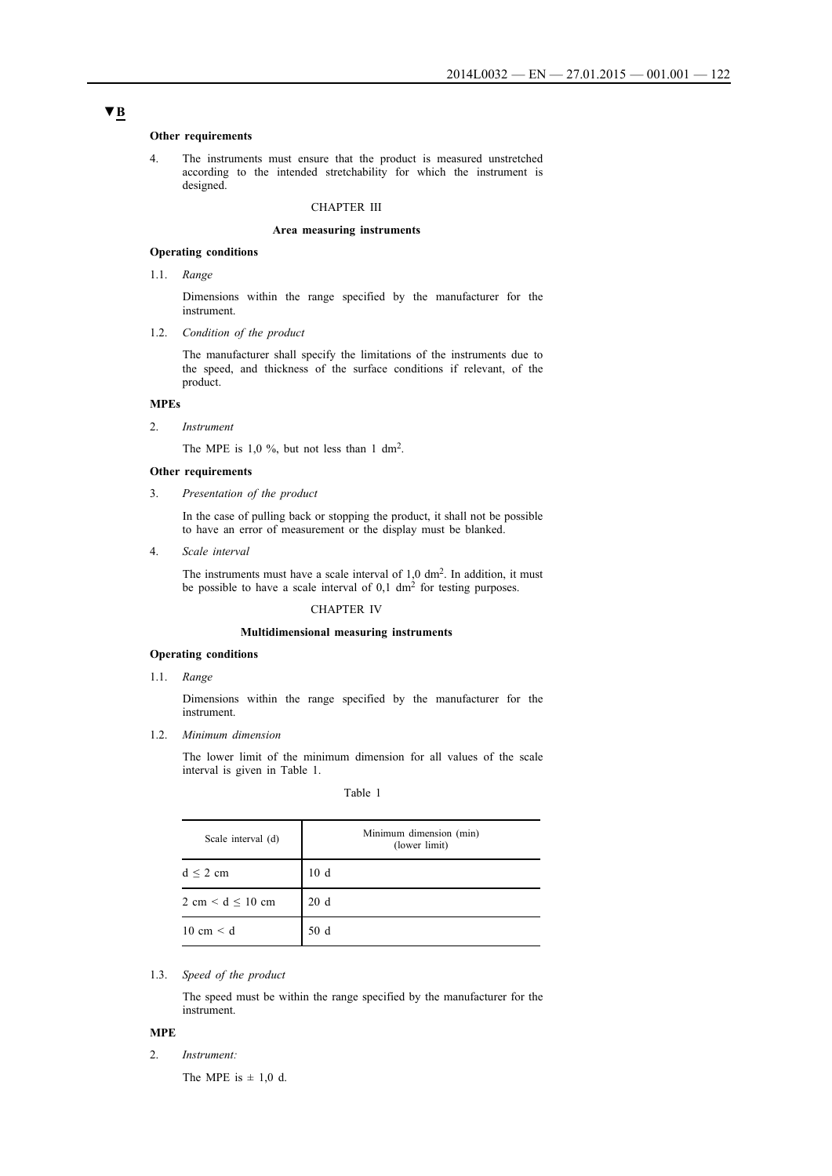#### **Other requirements**

4. The instruments must ensure that the product is measured unstretched according to the intended stretchability for which the instrument is designed.

### CHAPTER III

#### **Area measuring instruments**

### **Operating conditions**

1.1. *Range*

Dimensions within the range specified by the manufacturer for the instrument.

1.2. *Condition of the product*

The manufacturer shall specify the limitations of the instruments due to the speed, and thickness of the surface conditions if relevant, of the product.

## **MPEs**

#### 2. *Instrument*

The MPE is  $1,0\%$ , but not less than  $1 \text{ dm}^2$ .

## **Other requirements**

3. *Presentation of the product*

In the case of pulling back or stopping the product, it shall not be possible to have an error of measurement or the display must be blanked.

4. *Scale interval*

The instruments must have a scale interval of  $1,0$  dm<sup>2</sup>. In addition, it must be possible to have a scale interval of  $0,1 \text{ dm}^2$  for testing purposes.

#### CHAPTER IV

#### **Multidimensional measuring instruments**

#### **Operating conditions**

1.1. *Range*

Dimensions within the range specified by the manufacturer for the instrument.

1.2. *Minimum dimension*

The lower limit of the minimum dimension for all values of the scale interval is given in Table 1.

| anie |  |
|------|--|
|      |  |

| Scale interval (d)                    | Minimum dimension (min)<br>(lower limit) |
|---------------------------------------|------------------------------------------|
| $d \leq 2$ cm                         | 10d                                      |
| $2 \text{ cm} < d \leq 10 \text{ cm}$ | 20d                                      |
| $10 \text{ cm} < d$                   | 50 d                                     |

#### 1.3. *Speed of the product*

The speed must be within the range specified by the manufacturer for the instrument.

## **MPE**

2. *Instrument:*

The MPE is  $\pm$  1,0 d.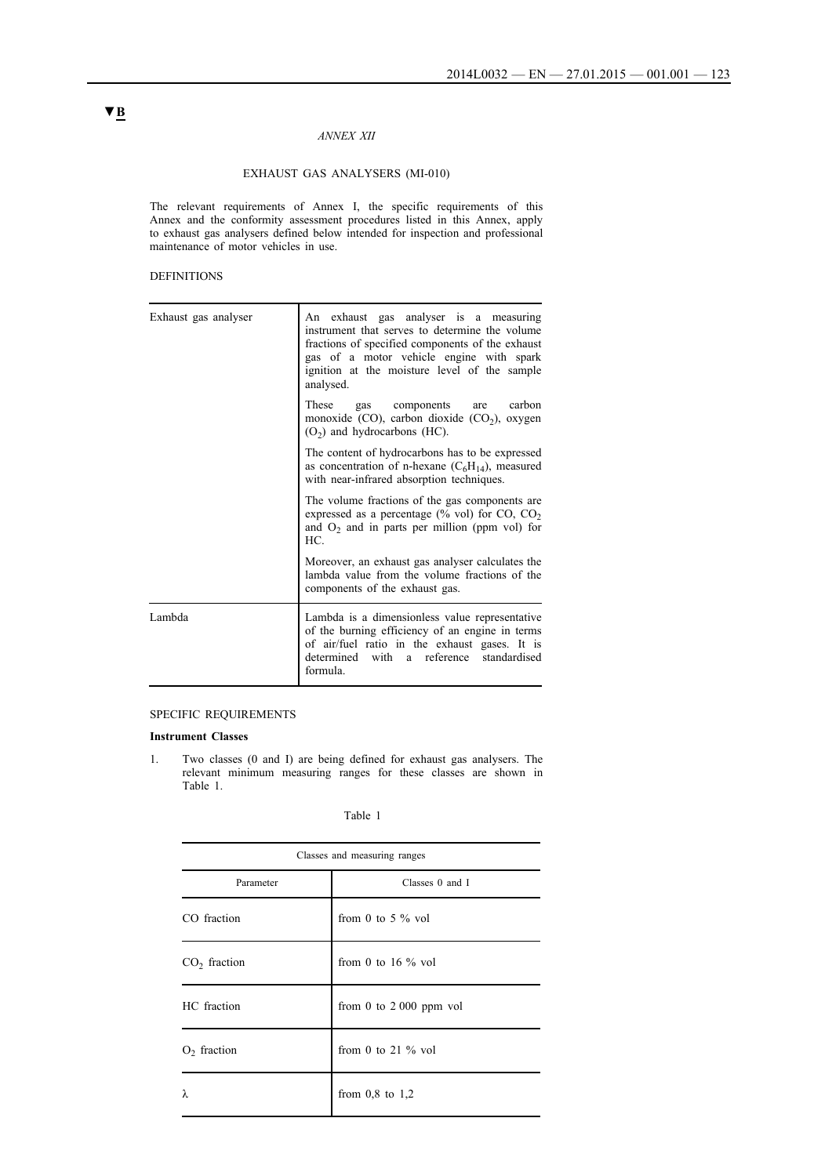## *ANNEX XII*

## EXHAUST GAS ANALYSERS (MI-010)

The relevant requirements of Annex I, the specific requirements of this Annex and the conformity assessment procedures listed in this Annex, apply to exhaust gas analysers defined below intended for inspection and professional maintenance of motor vehicles in use.

## DEFINITIONS

| Exhaust gas analyser | An exhaust gas analyser is a measuring<br>instrument that serves to determine the volume<br>fractions of specified components of the exhaust<br>gas of a motor vehicle engine with spark<br>ignition at the moisture level of the sample<br>analysed. |
|----------------------|-------------------------------------------------------------------------------------------------------------------------------------------------------------------------------------------------------------------------------------------------------|
|                      | These gas components<br>carbon<br>are<br>monoxide (CO), carbon dioxide (CO <sub>2</sub> ), oxygen<br>$(O2)$ and hydrocarbons (HC).                                                                                                                    |
|                      | The content of hydrocarbons has to be expressed<br>as concentration of n-hexane $(C_6H_{14})$ , measured<br>with near-infrared absorption techniques.                                                                                                 |
|                      | The volume fractions of the gas components are<br>expressed as a percentage (% vol) for $CO$ , $CO2$<br>and $O_2$ and in parts per million (ppm vol) for<br>HC.                                                                                       |
|                      | Moreover, an exhaust gas analyser calculates the<br>lambda value from the volume fractions of the<br>components of the exhaust gas.                                                                                                                   |
| Lambda               | Lambda is a dimensionless value representative<br>of the burning efficiency of an engine in terms<br>of air/fuel ratio in the exhaust gases. It is<br>determined with a reference standardised<br>formula.                                            |

## SPECIFIC REQUIREMENTS

#### **Instrument Classes**

1. Two classes (0 and I) are being defined for exhaust gas analysers. The relevant minimum measuring ranges for these classes are shown in Table 1.

| `able |  |
|-------|--|
|       |  |

| Classes and measuring ranges |                          |  |
|------------------------------|--------------------------|--|
| Classes 0 and I<br>Parameter |                          |  |
| CO fraction                  | from 0 to 5 $\%$ vol     |  |
| $CO2$ fraction               | from 0 to 16 $\%$ vol    |  |
| HC fraction                  | from 0 to $2000$ ppm vol |  |
| $O2$ fraction                | from 0 to 21 $\%$ vol    |  |
| λ                            | from $0.8$ to $1.2$      |  |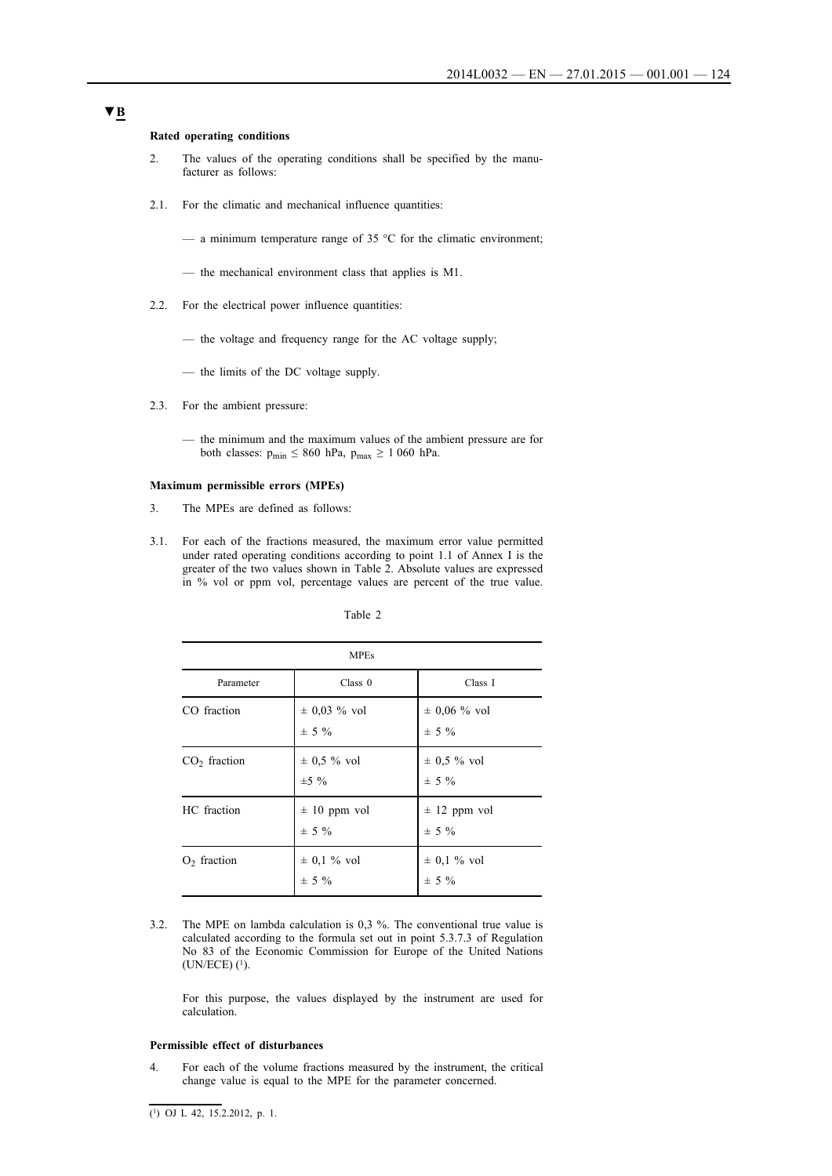#### **Rated operating conditions**

- 2. The values of the operating conditions shall be specified by the manufacturer as follows:
- 2.1. For the climatic and mechanical influence quantities:
	- a minimum temperature range of 35  $\degree$ C for the climatic environment;
	- the mechanical environment class that applies is M1.
- 2.2. For the electrical power influence quantities:
	- the voltage and frequency range for the AC voltage supply;
	- the limits of the DC voltage supply.
- 2.3. For the ambient pressure:
	- the minimum and the maximum values of the ambient pressure are for both classes:  $p_{min} \le 860$  hPa,  $p_{max} \ge 1060$  hPa.

### **Maximum permissible errors (MPEs)**

- 3. The MPEs are defined as follows:
- 3.1. For each of the fractions measured, the maximum error value permitted under rated operating conditions according to point 1.1 of Annex I is the greater of the two values shown in Table 2. Absolute values are expressed in % vol or ppm vol, percentage values are percent of the true value.

| `able |  |
|-------|--|
|       |  |

| <b>MPEs</b>    |                               |                               |
|----------------|-------------------------------|-------------------------------|
| Parameter      | Class 0                       | Class I                       |
| CO fraction    | $\pm$ 0,03 % vol<br>$\pm$ 5 % | $\pm$ 0,06 % vol<br>$\pm$ 5 % |
| $CO2$ fraction | $\pm$ 0,5 % vol<br>$\pm 5\%$  | $\pm$ 0.5 % vol<br>$\pm$ 5 %  |
| HC fraction    | $\pm$ 10 ppm vol<br>$\pm$ 5 % | $\pm$ 12 ppm vol<br>$\pm$ 5 % |
| $O2$ fraction  | $\pm$ 0,1 % vol<br>$\pm$ 5 %  | $\pm$ 0,1 % vol<br>$\pm$ 5 %  |

3.2. The MPE on lambda calculation is 0,3 %. The conventional true value is calculated according to the formula set out in point 5.3.7.3 of Regulation No 83 of the Economic Commission for Europe of the United Nations (UN/ECE) (1).

For this purpose, the values displayed by the instrument are used for calculation.

#### **Permissible effect of disturbances**

4. For each of the volume fractions measured by the instrument, the critical change value is equal to the MPE for the parameter concerned.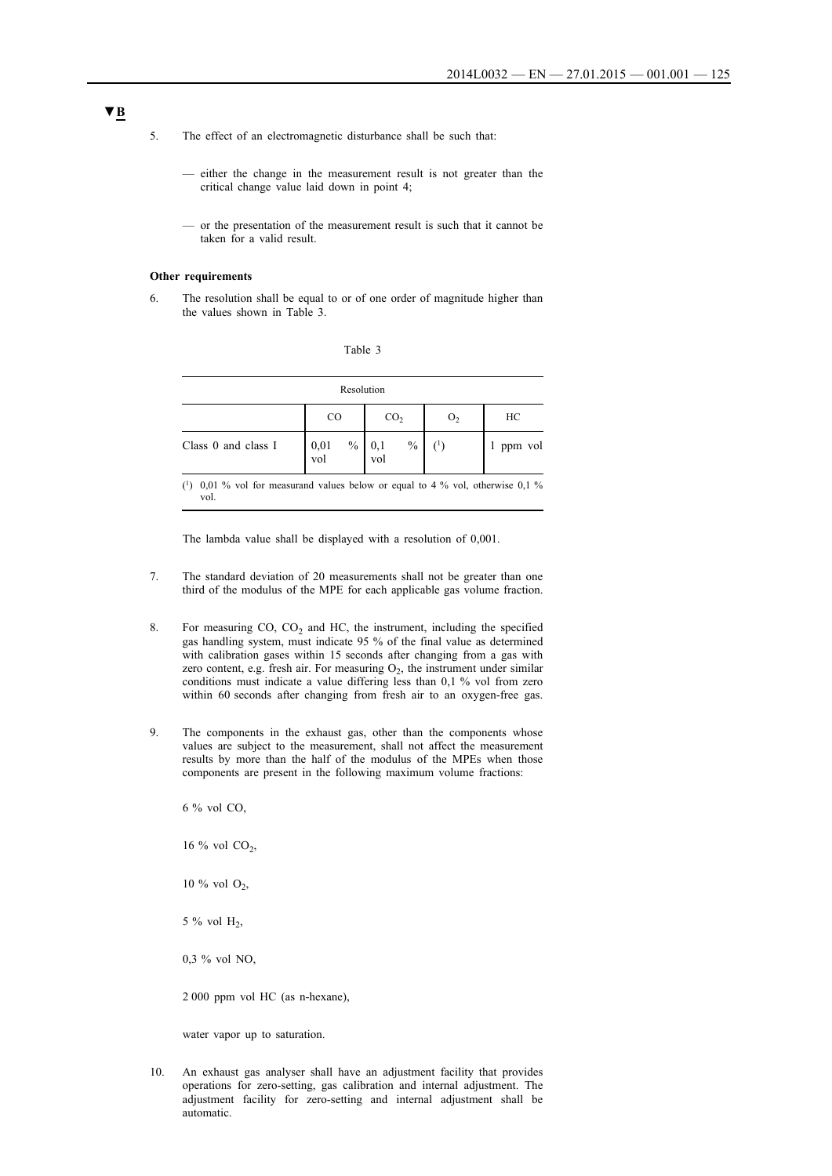- 5. The effect of an electromagnetic disturbance shall be such that:
	- either the change in the measurement result is not greater than the critical change value laid down in point 4;
	- or the presentation of the measurement result is such that it cannot be taken for a valid result.

#### **Other requirements**

6. The resolution shall be equal to or of one order of magnitude higher than the values shown in Table 3.

| Table |  |
|-------|--|
|       |  |

|                     | Resolution                     |                             |                |              |
|---------------------|--------------------------------|-----------------------------|----------------|--------------|
|                     | CO.                            | CO <sub>2</sub>             | O <sub>2</sub> | НC           |
| Class 0 and class I | $\frac{0}{0}$<br>$0,01$<br>vol | $\frac{0}{0}$<br>0,1<br>vol |                | ppm vol<br>1 |

(1) 0,01 % vol for measurand values below or equal to 4 % vol, otherwise 0,1 % vol.

The lambda value shall be displayed with a resolution of 0,001.

- 7. The standard deviation of 20 measurements shall not be greater than one third of the modulus of the MPE for each applicable gas volume fraction.
- 8. For measuring  $CO$ ,  $CO<sub>2</sub>$  and HC, the instrument, including the specified gas handling system, must indicate 95 % of the final value as determined with calibration gases within 15 seconds after changing from a gas with zero content, e.g. fresh air. For measuring  $O_2$ , the instrument under similar conditions must indicate a value differing less than 0,1 % vol from zero within 60 seconds after changing from fresh air to an oxygen-free gas.
- 9. The components in the exhaust gas, other than the components whose values are subject to the measurement, shall not affect the measurement results by more than the half of the modulus of the MPEs when those components are present in the following maximum volume fractions:

6 % vol CO,

16 % vol  $CO<sub>2</sub>$ ,

10 % vol  $O_2$ ,

5 % vol  $H_2$ ,

0,3 % vol NO,

2 000 ppm vol HC (as n-hexane),

water vapor up to saturation.

10. An exhaust gas analyser shall have an adjustment facility that provides operations for zero-setting, gas calibration and internal adjustment. The adjustment facility for zero-setting and internal adjustment shall be automatic.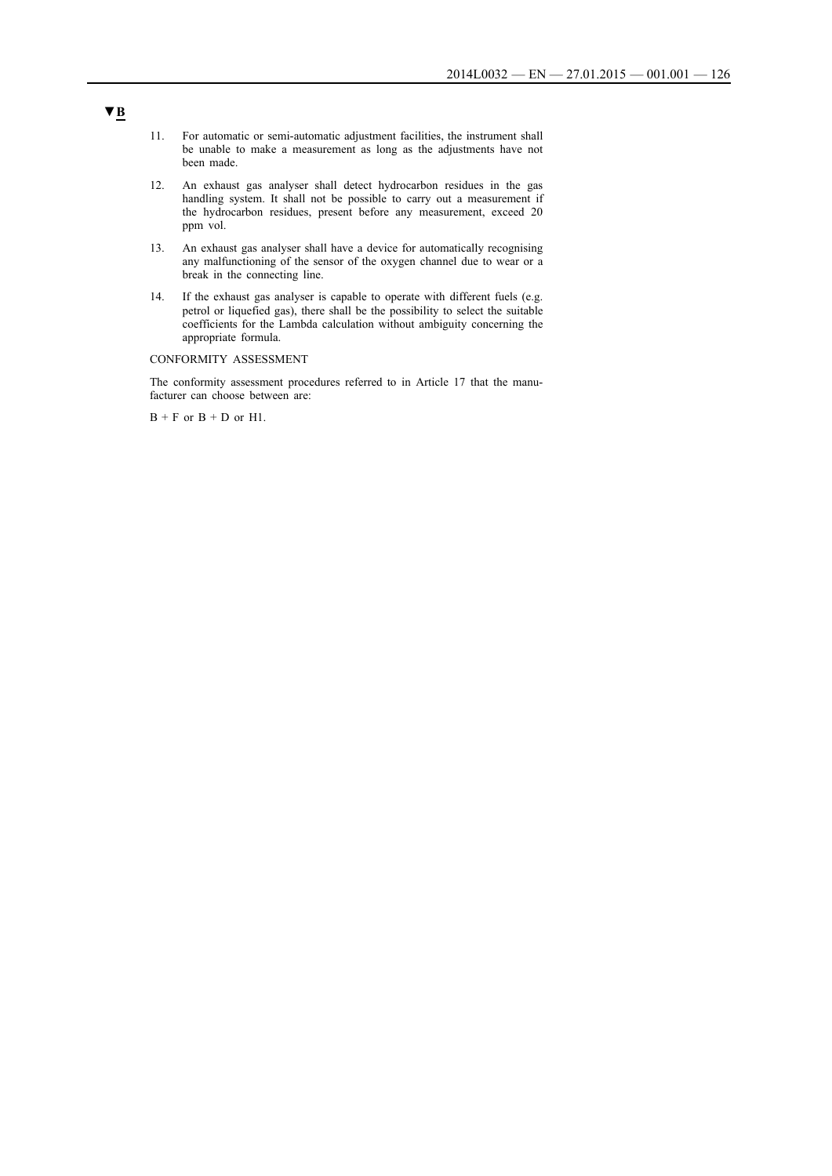- 11. For automatic or semi-automatic adjustment facilities, the instrument shall be unable to make a measurement as long as the adjustments have not been made.
- 12. An exhaust gas analyser shall detect hydrocarbon residues in the gas handling system. It shall not be possible to carry out a measurement if the hydrocarbon residues, present before any measurement, exceed 20 ppm vol.
- 13. An exhaust gas analyser shall have a device for automatically recognising any malfunctioning of the sensor of the oxygen channel due to wear or a break in the connecting line.
- 14. If the exhaust gas analyser is capable to operate with different fuels (e.g. petrol or liquefied gas), there shall be the possibility to select the suitable coefficients for the Lambda calculation without ambiguity concerning the appropriate formula.

## CONFORMITY ASSESSMENT

The conformity assessment procedures referred to in Article 17 that the manufacturer can choose between are:

 $B + F$  or  $B + D$  or H1.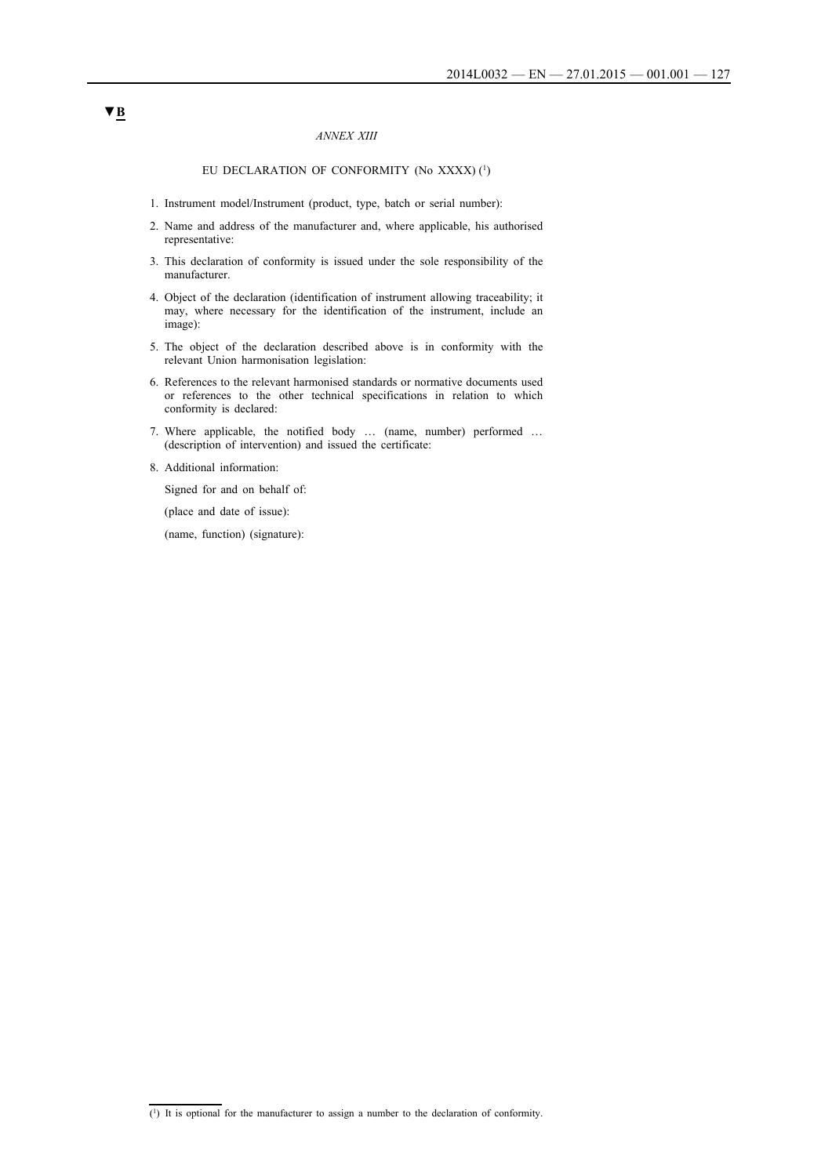### *ANNEX XIII*

## EU DECLARATION OF CONFORMITY (No XXXX) (1)

- 1. Instrument model/Instrument (product, type, batch or serial number):
- 2. Name and address of the manufacturer and, where applicable, his authorised representative:
- 3. This declaration of conformity is issued under the sole responsibility of the manufacturer.
- 4. Object of the declaration (identification of instrument allowing traceability; it may, where necessary for the identification of the instrument, include an image):
- 5. The object of the declaration described above is in conformity with the relevant Union harmonisation legislation:
- 6. References to the relevant harmonised standards or normative documents used or references to the other technical specifications in relation to which conformity is declared:
- 7. Where applicable, the notified body … (name, number) performed … (description of intervention) and issued the certificate:
- 8. Additional information:

Signed for and on behalf of:

(place and date of issue):

(name, function) (signature):

 $\overline{(\cdot)}$  It is optional for the manufacturer to assign a number to the declaration of conformity.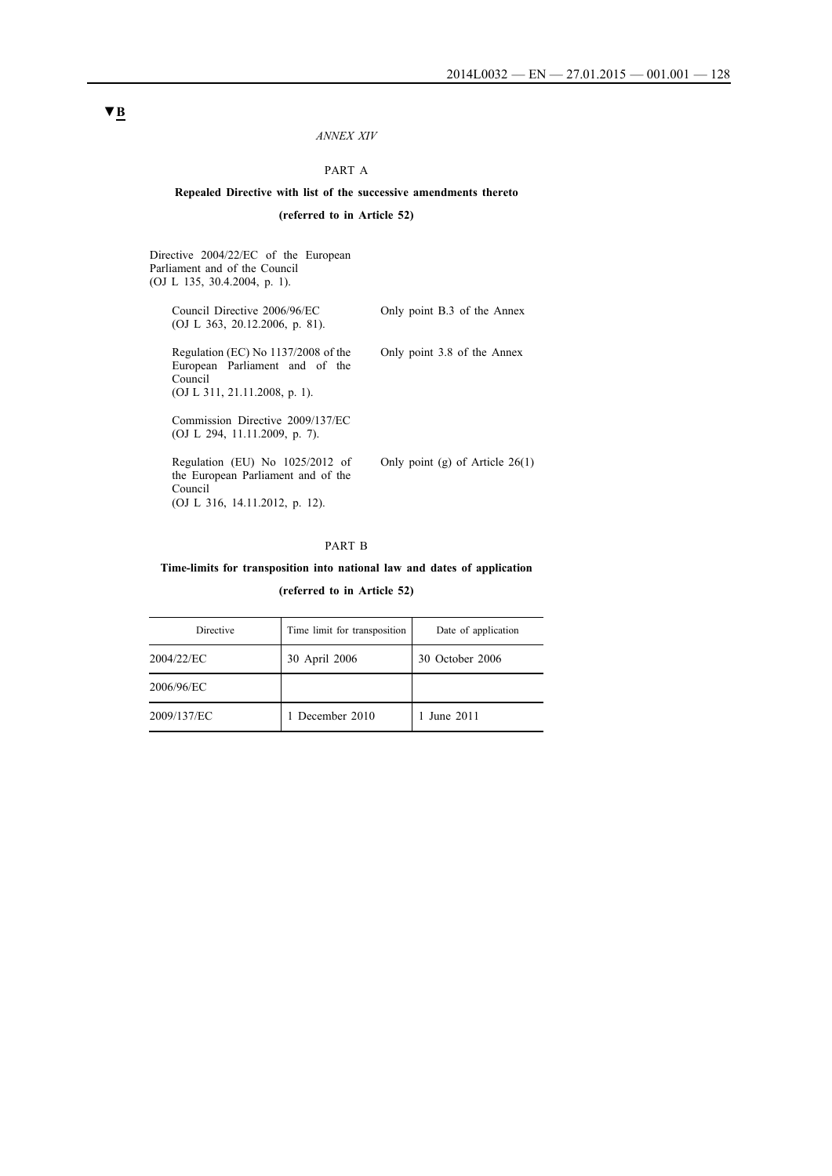#### *ANNEX XIV*

## PART A

## **Repealed Directive with list of the successive amendments thereto (referred to in Article 52)**

Directive 2004/22/EC of the European Parliament and of the Council (OJ L 135, 30.4.2004, p. 1). Council Directive 2006/96/EC (OJ L 363, 20.12.2006, p. 81). Only point B.3 of the Annex Regulation (EC) No 1137/2008 of the European Parliament and of the Council (OJ L 311, 21.11.2008, p. 1). Only point 3.8 of the Annex Commission Directive 2009/137/EC (OJ L 294, 11.11.2009, p. 7). Regulation (EU) No 1025/2012 of the European Parliament and of the Council (OJ L 316, 14.11.2012, p. 12). Only point (g) of Article 26(1)

### PART B

## **Time-limits for transposition into national law and dates of application**

**(referred to in Article 52)**

| Directive   | Time limit for transposition | Date of application |
|-------------|------------------------------|---------------------|
| 2004/22/EC  | 30 April 2006                | 30 October 2006     |
| 2006/96/EC  |                              |                     |
| 2009/137/EC | 1 December 2010              | 1 June 2011         |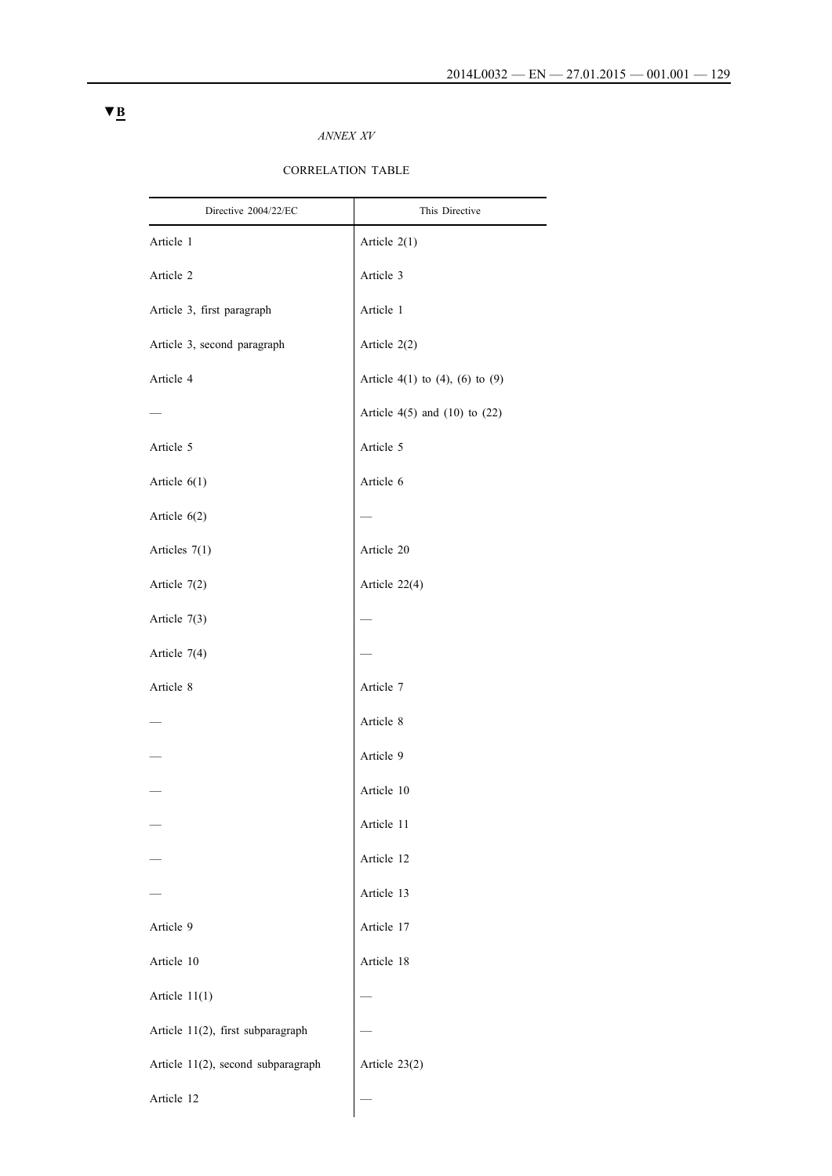## *ANNEX XV*

## CORRELATION TABLE

| Directive 2004/22/EC               | This Directive                      |
|------------------------------------|-------------------------------------|
| Article 1                          | Article $2(1)$                      |
| Article 2                          | Article 3                           |
| Article 3, first paragraph         | Article 1                           |
| Article 3, second paragraph        | Article 2(2)                        |
| Article 4                          | Article 4(1) to (4), (6) to (9)     |
|                                    | Article $4(5)$ and $(10)$ to $(22)$ |
| Article 5                          | Article 5                           |
| Article $6(1)$                     | Article 6                           |
| Article 6(2)                       |                                     |
| Articles 7(1)                      | Article 20                          |
| Article $7(2)$                     | Article 22(4)                       |
| Article 7(3)                       |                                     |
| Article 7(4)                       |                                     |
| Article 8                          | Article 7                           |
|                                    | Article 8                           |
|                                    | Article 9                           |
|                                    | Article 10                          |
|                                    | Article 11                          |
|                                    | Article 12                          |
|                                    | Article 13                          |
| Article 9                          | Article 17                          |
| Article 10                         | Article 18                          |
| Article $11(1)$                    |                                     |
| Article 11(2), first subparagraph  |                                     |
| Article 11(2), second subparagraph | Article 23(2)                       |
| Article 12                         |                                     |
|                                    |                                     |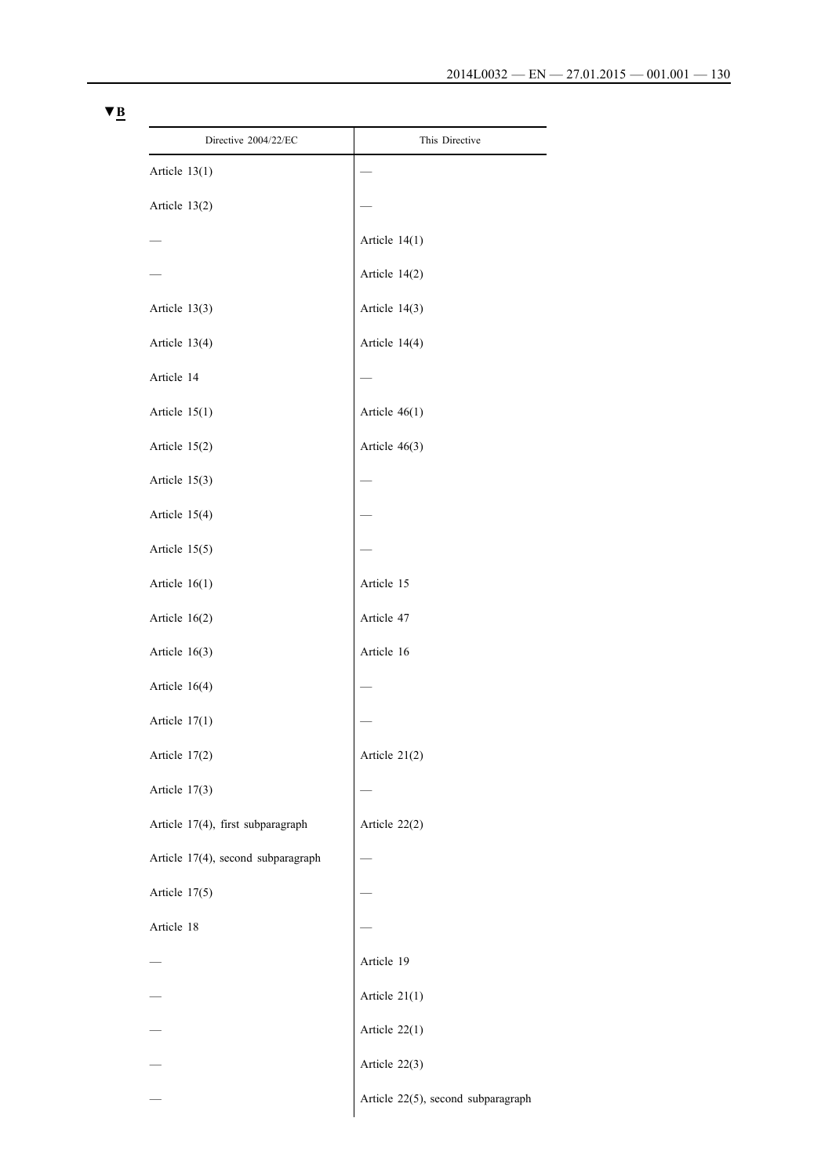| Directive 2004/22/EC               | This Directive                     |
|------------------------------------|------------------------------------|
| Article $13(1)$                    |                                    |
| Article 13(2)                      |                                    |
|                                    | Article $14(1)$                    |
|                                    | Article 14(2)                      |
| Article 13(3)                      | Article 14(3)                      |
| Article 13(4)                      | Article 14(4)                      |
| Article 14                         |                                    |
| Article 15(1)                      | Article $46(1)$                    |
| Article 15(2)                      | Article 46(3)                      |
| Article 15(3)                      |                                    |
| Article 15(4)                      |                                    |
| Article 15(5)                      |                                    |
| Article $16(1)$                    | Article 15                         |
| Article $16(2)$                    | Article 47                         |
| Article $16(3)$                    | Article 16                         |
| Article 16(4)                      |                                    |
| Article $17(1)$                    |                                    |
| Article 17(2)                      | Article 21(2)                      |
| Article 17(3)                      |                                    |
| Article 17(4), first subparagraph  | Article 22(2)                      |
| Article 17(4), second subparagraph |                                    |
| Article 17(5)                      |                                    |
| Article 18                         |                                    |
|                                    | Article 19                         |
|                                    | Article 21(1)                      |
|                                    | Article 22(1)                      |
|                                    | Article 22(3)                      |
|                                    | Article 22(5), second subparagraph |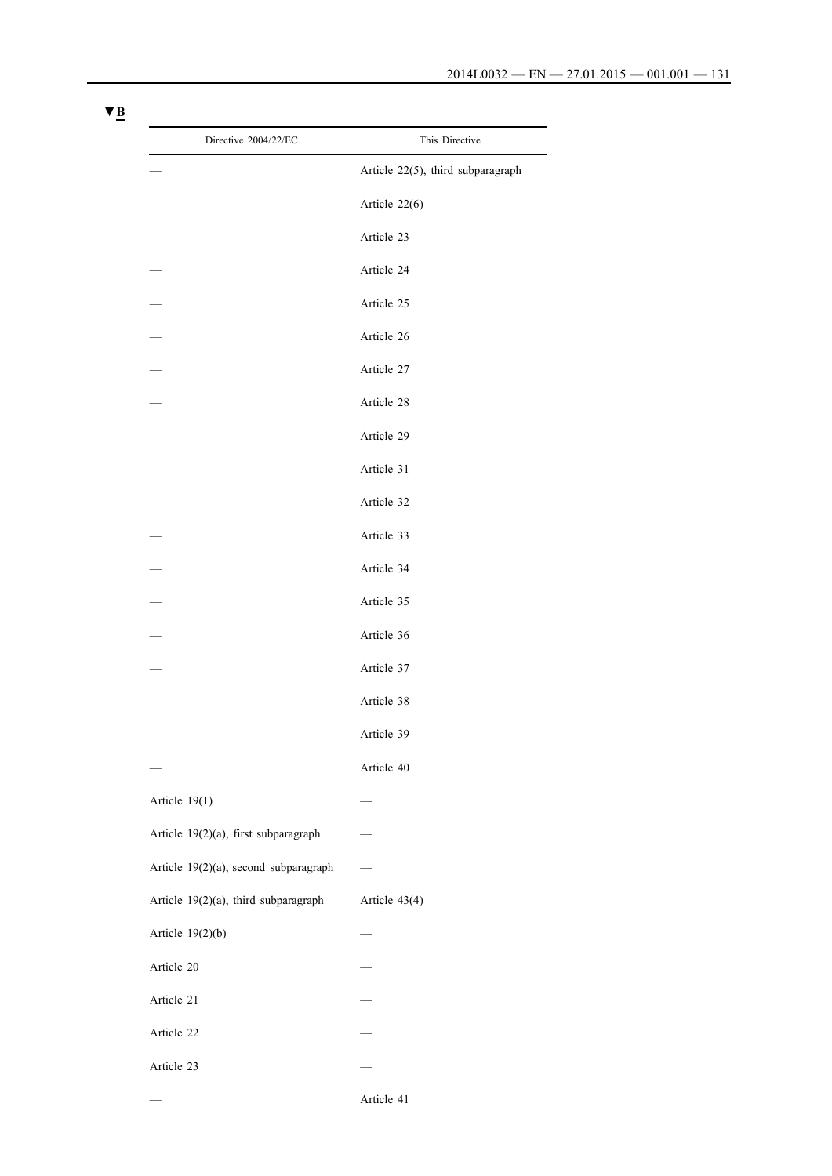| Directive 2004/22/EC                  | This Directive                    |
|---------------------------------------|-----------------------------------|
|                                       | Article 22(5), third subparagraph |
|                                       | Article 22(6)                     |
|                                       | Article 23                        |
|                                       | Article 24                        |
|                                       | Article 25                        |
|                                       | Article 26                        |
|                                       | Article 27                        |
|                                       | Article 28                        |
|                                       | Article 29                        |
|                                       | Article 31                        |
|                                       | Article 32                        |
|                                       | Article 33                        |
|                                       | Article 34                        |
|                                       | Article 35                        |
|                                       | Article 36                        |
|                                       | Article 37                        |
|                                       | Article 38                        |
|                                       | Article 39                        |
|                                       | Article 40                        |
| Article 19(1)                         |                                   |
| Article 19(2)(a), first subparagraph  |                                   |
| Article 19(2)(a), second subparagraph |                                   |
| Article 19(2)(a), third subparagraph  | Article 43(4)                     |
| Article $19(2)(b)$                    |                                   |
| Article 20                            |                                   |
| Article 21                            |                                   |
| Article 22                            |                                   |
| Article 23                            |                                   |
|                                       | Article 41                        |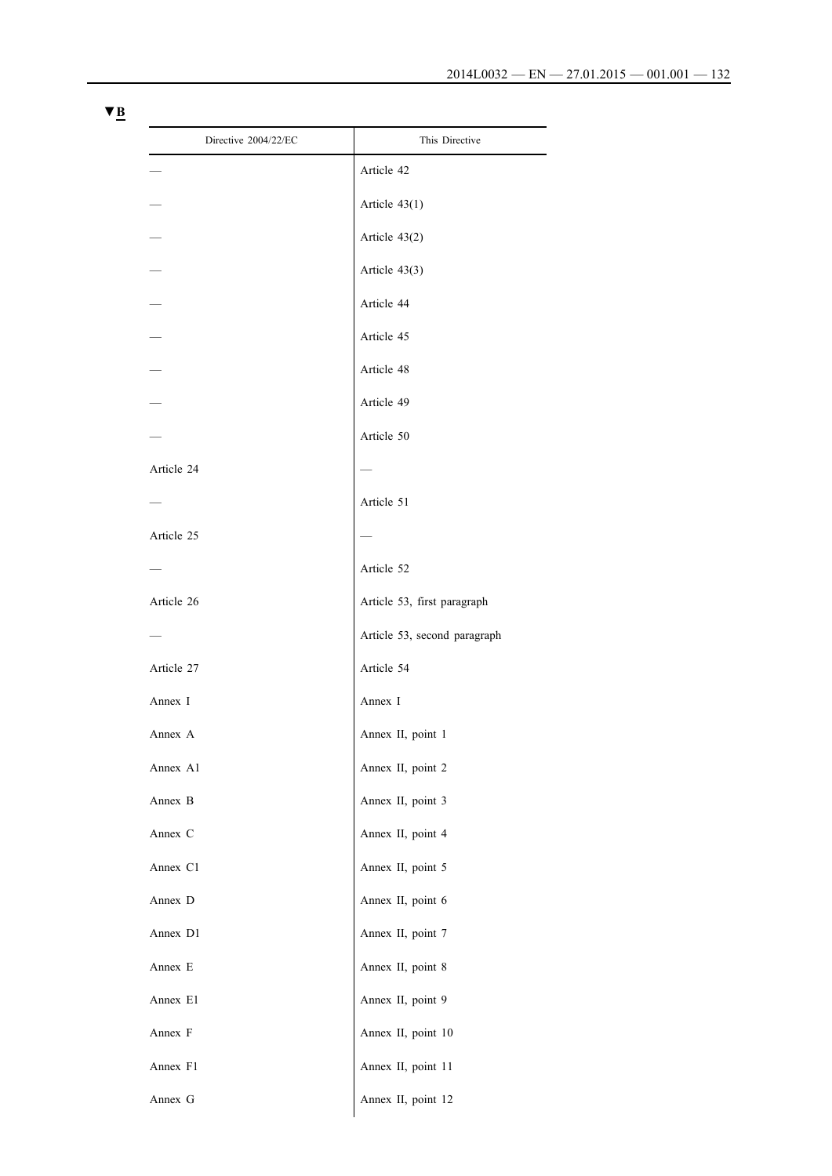| Directive 2004/22/EC | This Directive               |
|----------------------|------------------------------|
|                      | Article 42                   |
|                      | Article $43(1)$              |
|                      | Article 43(2)                |
|                      | Article $43(3)$              |
|                      | Article 44                   |
|                      | Article 45                   |
|                      | Article 48                   |
|                      | Article 49                   |
|                      | Article 50                   |
| Article 24           |                              |
|                      | Article 51                   |
| Article 25           |                              |
|                      | Article 52                   |
| Article 26           | Article 53, first paragraph  |
|                      | Article 53, second paragraph |
| Article 27           | Article 54                   |
| Annex I              | Annex I                      |
| Annex A              | Annex II, point 1            |
| Annex A1             | Annex II, point 2            |
| Annex B              | Annex II, point 3            |
| Annex C              | Annex II, point 4            |
| Annex C1             | Annex II, point 5            |
| Annex D              | Annex II, point 6            |
| Annex D1             | Annex II, point 7            |
| Annex E              | Annex II, point 8            |
| Annex E1             | Annex II, point 9            |
| Annex F              | Annex II, point 10           |
| Annex F1             | Annex II, point 11           |
| Annex G              | Annex II, point 12           |